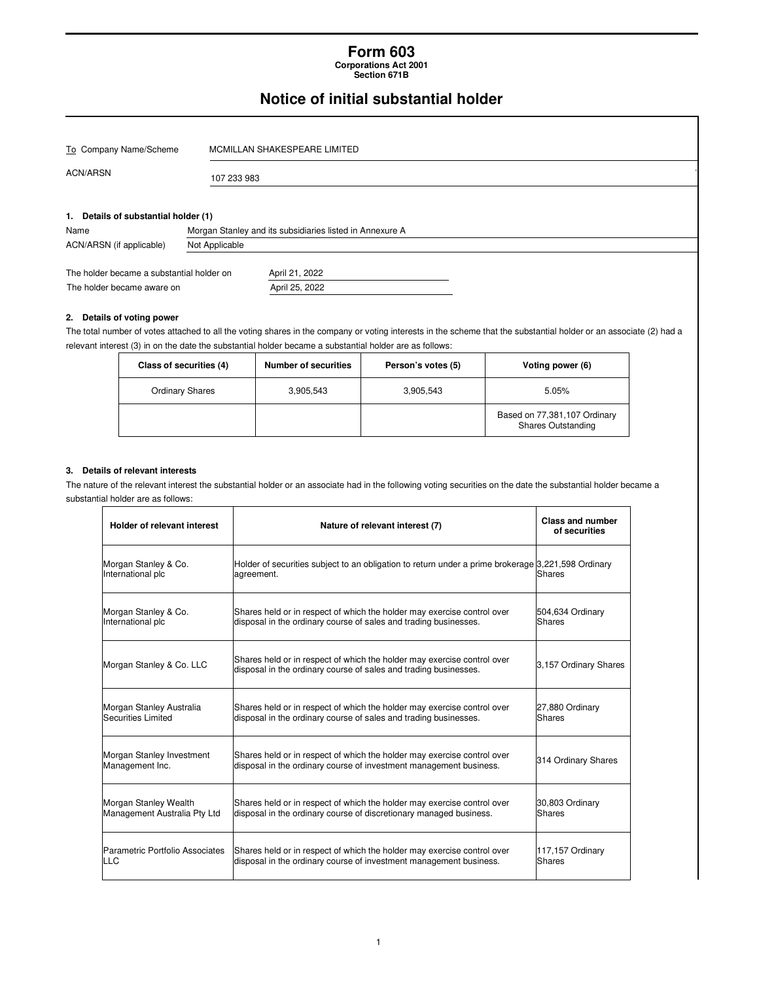## **Form 603 Corporations Act 2001**

**Section 671B** 

# **Notice of initial substantial holder**

| To Company Name/Scheme                       |                | MCMILLAN SHAKESPEARE LIMITED                             |  |  |  |
|----------------------------------------------|----------------|----------------------------------------------------------|--|--|--|
| <b>ACN/ARSN</b>                              | 107 233 983    |                                                          |  |  |  |
| 1. Details of substantial holder (1)<br>Name |                | Morgan Stanley and its subsidiaries listed in Annexure A |  |  |  |
| ACN/ARSN (if applicable)                     | Not Applicable |                                                          |  |  |  |
| The holder became a substantial holder on    |                | April 21, 2022                                           |  |  |  |
| The holder became aware on                   |                | April 25, 2022                                           |  |  |  |
| 2. Details of voting power                   |                |                                                          |  |  |  |

The total number of votes attached to all the voting shares in the company or voting interests in the scheme that the substantial holder or an associate (2) had a relevant interest (3) in on the date the substantial holder became a substantial holder are as follows:

| Class of securities (4) | Number of securities | Person's votes (5) | Voting power (6)                                          |
|-------------------------|----------------------|--------------------|-----------------------------------------------------------|
| <b>Ordinary Shares</b>  | 3,905,543            | 3,905,543          | 5.05%                                                     |
|                         |                      |                    | Based on 77,381,107 Ordinary<br><b>Shares Outstanding</b> |

## **3. Details of relevant interests**

The nature of the relevant interest the substantial holder or an associate had in the following voting securities on the date the substantial holder became a substantial holder are as follows:

| Holder of relevant interest                  | Nature of relevant interest (7)                                                                                                               | <b>Class and number</b><br>of securities |
|----------------------------------------------|-----------------------------------------------------------------------------------------------------------------------------------------------|------------------------------------------|
| Morgan Stanley & Co.<br>International plc    | Holder of securities subject to an obligation to return under a prime brokerage 3,221,598 Ordinary<br>agreement.                              | <b>Shares</b>                            |
| Morgan Stanley & Co.                         | Shares held or in respect of which the holder may exercise control over                                                                       | 504,634 Ordinary                         |
| International plc                            | disposal in the ordinary course of sales and trading businesses.                                                                              | <b>Shares</b>                            |
| Morgan Stanley & Co. LLC                     | Shares held or in respect of which the holder may exercise control over<br>disposal in the ordinary course of sales and trading businesses.   | 3,157 Ordinary Shares                    |
| Morgan Stanley Australia                     | Shares held or in respect of which the holder may exercise control over                                                                       | 27,880 Ordinary                          |
| Securities Limited                           | disposal in the ordinary course of sales and trading businesses.                                                                              | Shares                                   |
| Morgan Stanley Investment<br>Management Inc. | Shares held or in respect of which the holder may exercise control over<br>disposal in the ordinary course of investment management business. | 314 Ordinary Shares                      |
| Morgan Stanley Wealth                        | Shares held or in respect of which the holder may exercise control over                                                                       | 30,803 Ordinary                          |
| Management Australia Pty Ltd                 | disposal in the ordinary course of discretionary managed business.                                                                            | Shares                                   |
| Parametric Portfolio Associates              | Shares held or in respect of which the holder may exercise control over                                                                       | 117,157 Ordinary                         |
| LLC                                          | disposal in the ordinary course of investment management business.                                                                            | Shares                                   |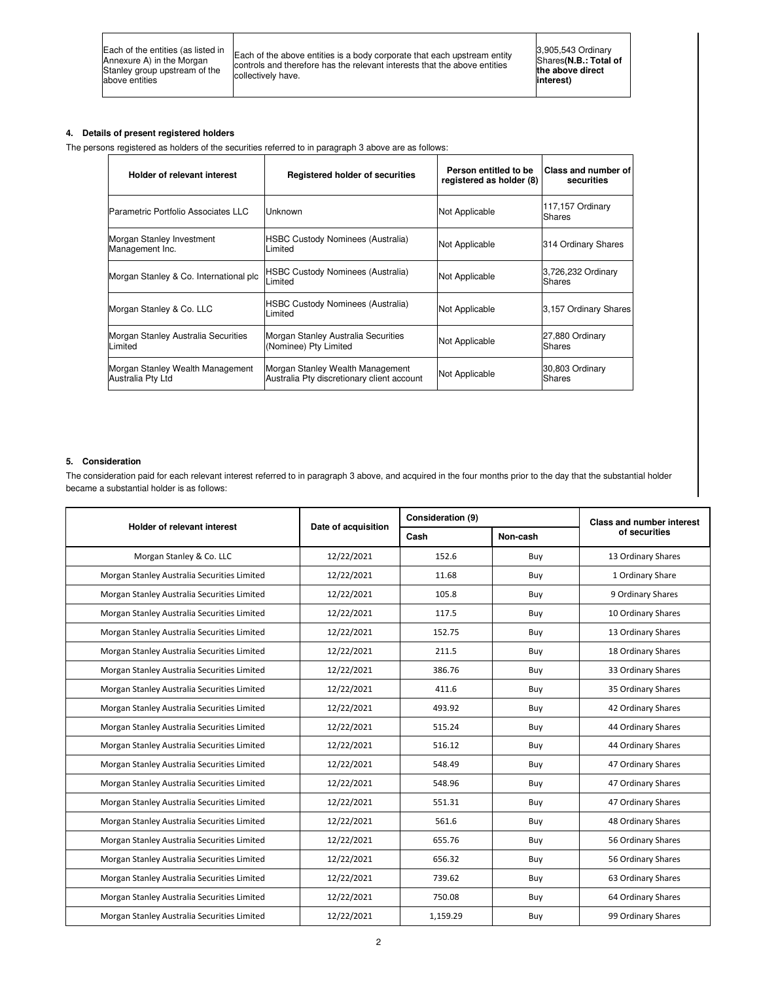Each of the above entities is a body corporate that each upstream entity controls and therefore has the relevant interests that the above entities collectively have.

### **4. Details of present registered holders**

The persons registered as holders of the securities referred to in paragraph 3 above are as follows:

| Holder of relevant interest                           | Registered holder of securities                                                | Person entitled to be<br>registered as holder (8) | <b>Class and number of</b><br>securities |
|-------------------------------------------------------|--------------------------------------------------------------------------------|---------------------------------------------------|------------------------------------------|
| Parametric Portfolio Associates LLC                   | <b>IUnknown</b>                                                                | Not Applicable                                    | 117,157 Ordinary<br>Shares               |
| Morgan Stanley Investment<br>Management Inc.          | <b>HSBC Custody Nominees (Australia)</b><br>Limited                            | Not Applicable                                    | 314 Ordinary Shares                      |
| Morgan Stanley & Co. International plc                | <b>HSBC Custody Nominees (Australia)</b><br>Limited                            | Not Applicable                                    | 3,726,232 Ordinary<br>Shares             |
| Morgan Stanley & Co. LLC                              | <b>HSBC Custody Nominees (Australia)</b><br>Limited                            | Not Applicable                                    | 3,157 Ordinary Shares                    |
| Morgan Stanley Australia Securities<br>Limited        | Morgan Stanley Australia Securities<br>(Nominee) Pty Limited                   | Not Applicable                                    | 27,880 Ordinary<br>Shares                |
| Morgan Stanley Wealth Management<br>Australia Pty Ltd | Morgan Stanley Wealth Management<br>Australia Pty discretionary client account | Not Applicable                                    | 30,803 Ordinary<br>Shares                |

#### **5. Consideration**

The consideration paid for each relevant interest referred to in paragraph 3 above, and acquired in the four months prior to the day that the substantial holder became a substantial holder is as follows:

| <b>Holder of relevant interest</b>          | Date of acquisition | Consideration (9) |          | <b>Class and number interest</b> |
|---------------------------------------------|---------------------|-------------------|----------|----------------------------------|
|                                             |                     | Cash              | Non-cash | of securities                    |
| Morgan Stanley & Co. LLC                    | 12/22/2021          | 152.6             | Buy      | 13 Ordinary Shares               |
| Morgan Stanley Australia Securities Limited | 12/22/2021          | 11.68             | Buy      | 1 Ordinary Share                 |
| Morgan Stanley Australia Securities Limited | 12/22/2021          | 105.8             | Buy      | 9 Ordinary Shares                |
| Morgan Stanley Australia Securities Limited | 12/22/2021          | 117.5             | Buy      | 10 Ordinary Shares               |
| Morgan Stanley Australia Securities Limited | 12/22/2021          | 152.75            | Buy      | 13 Ordinary Shares               |
| Morgan Stanley Australia Securities Limited | 12/22/2021          | 211.5             | Buy      | 18 Ordinary Shares               |
| Morgan Stanley Australia Securities Limited | 12/22/2021          | 386.76            | Buy      | 33 Ordinary Shares               |
| Morgan Stanley Australia Securities Limited | 12/22/2021          | 411.6             | Buy      | 35 Ordinary Shares               |
| Morgan Stanley Australia Securities Limited | 12/22/2021          | 493.92            | Buy      | 42 Ordinary Shares               |
| Morgan Stanley Australia Securities Limited | 12/22/2021          | 515.24            | Buy      | 44 Ordinary Shares               |
| Morgan Stanley Australia Securities Limited | 12/22/2021          | 516.12            | Buy      | 44 Ordinary Shares               |
| Morgan Stanley Australia Securities Limited | 12/22/2021          | 548.49            | Buy      | 47 Ordinary Shares               |
| Morgan Stanley Australia Securities Limited | 12/22/2021          | 548.96            | Buy      | 47 Ordinary Shares               |
| Morgan Stanley Australia Securities Limited | 12/22/2021          | 551.31            | Buy      | 47 Ordinary Shares               |
| Morgan Stanley Australia Securities Limited | 12/22/2021          | 561.6             | Buy      | 48 Ordinary Shares               |
| Morgan Stanley Australia Securities Limited | 12/22/2021          | 655.76            | Buy      | 56 Ordinary Shares               |
| Morgan Stanley Australia Securities Limited | 12/22/2021          | 656.32            | Buy      | 56 Ordinary Shares               |
| Morgan Stanley Australia Securities Limited | 12/22/2021          | 739.62            | Buy      | 63 Ordinary Shares               |
| Morgan Stanley Australia Securities Limited | 12/22/2021          | 750.08            | Buy      | 64 Ordinary Shares               |
| Morgan Stanley Australia Securities Limited | 12/22/2021          | 1,159.29          | Buy      | 99 Ordinary Shares               |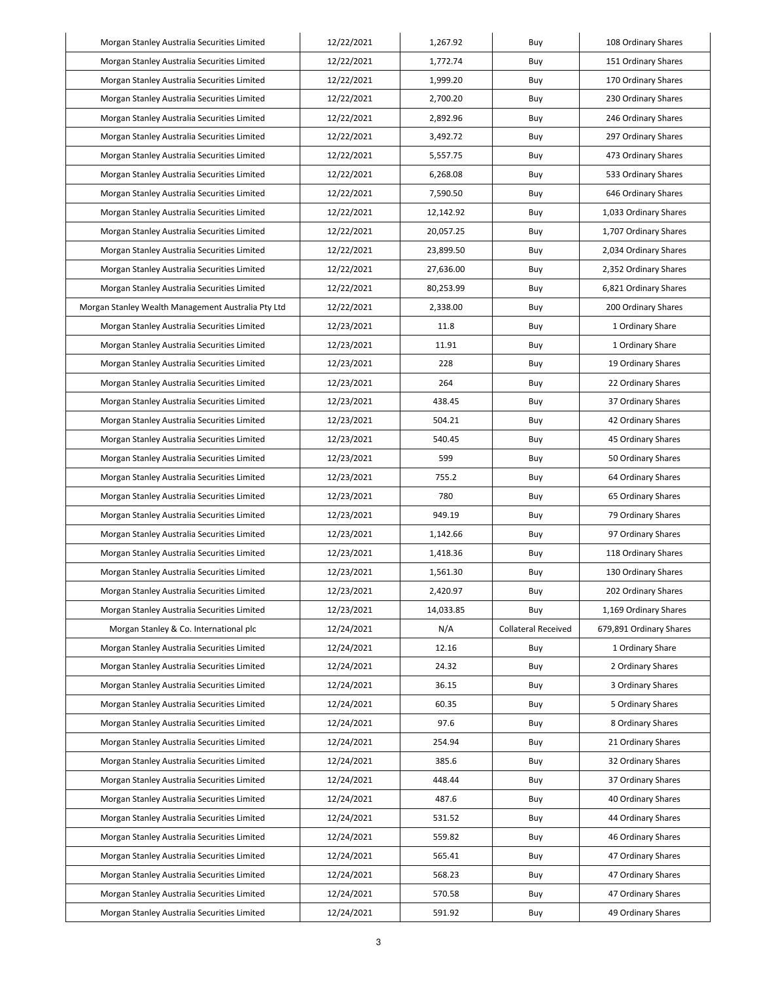| Morgan Stanley Australia Securities Limited                                                | 12/22/2021               | 1,267.92  | Buy                        | 108 Ordinary Shares     |
|--------------------------------------------------------------------------------------------|--------------------------|-----------|----------------------------|-------------------------|
| Morgan Stanley Australia Securities Limited                                                | 12/22/2021               | 1,772.74  | Buy                        | 151 Ordinary Shares     |
| Morgan Stanley Australia Securities Limited                                                | 12/22/2021               | 1,999.20  | Buy                        | 170 Ordinary Shares     |
| Morgan Stanley Australia Securities Limited                                                | 12/22/2021               | 2,700.20  | Buy                        | 230 Ordinary Shares     |
| Morgan Stanley Australia Securities Limited                                                | 12/22/2021               | 2,892.96  | Buy                        | 246 Ordinary Shares     |
| Morgan Stanley Australia Securities Limited                                                | 12/22/2021               | 3,492.72  | Buy                        | 297 Ordinary Shares     |
| Morgan Stanley Australia Securities Limited                                                | 12/22/2021               | 5,557.75  | Buy                        | 473 Ordinary Shares     |
|                                                                                            |                          | 6,268.08  |                            |                         |
| Morgan Stanley Australia Securities Limited<br>Morgan Stanley Australia Securities Limited | 12/22/2021<br>12/22/2021 | 7,590.50  | Buy                        | 533 Ordinary Shares     |
|                                                                                            |                          |           | Buy                        | 646 Ordinary Shares     |
| Morgan Stanley Australia Securities Limited                                                | 12/22/2021               | 12,142.92 | Buy                        | 1,033 Ordinary Shares   |
| Morgan Stanley Australia Securities Limited                                                | 12/22/2021               | 20,057.25 | Buy                        | 1,707 Ordinary Shares   |
| Morgan Stanley Australia Securities Limited                                                | 12/22/2021               | 23,899.50 | Buy                        | 2,034 Ordinary Shares   |
| Morgan Stanley Australia Securities Limited                                                | 12/22/2021               | 27,636.00 | Buy                        | 2,352 Ordinary Shares   |
| Morgan Stanley Australia Securities Limited                                                | 12/22/2021               | 80,253.99 | Buy                        | 6,821 Ordinary Shares   |
| Morgan Stanley Wealth Management Australia Pty Ltd                                         | 12/22/2021               | 2,338.00  | Buy                        | 200 Ordinary Shares     |
| Morgan Stanley Australia Securities Limited                                                | 12/23/2021               | 11.8      | Buy                        | 1 Ordinary Share        |
| Morgan Stanley Australia Securities Limited                                                | 12/23/2021               | 11.91     | Buy                        | 1 Ordinary Share        |
| Morgan Stanley Australia Securities Limited                                                | 12/23/2021               | 228       | Buy                        | 19 Ordinary Shares      |
| Morgan Stanley Australia Securities Limited                                                | 12/23/2021               | 264       | Buy                        | 22 Ordinary Shares      |
| Morgan Stanley Australia Securities Limited                                                | 12/23/2021               | 438.45    | Buy                        | 37 Ordinary Shares      |
| Morgan Stanley Australia Securities Limited                                                | 12/23/2021               | 504.21    | Buy                        | 42 Ordinary Shares      |
| Morgan Stanley Australia Securities Limited                                                | 12/23/2021               | 540.45    | Buy                        | 45 Ordinary Shares      |
| Morgan Stanley Australia Securities Limited                                                | 12/23/2021               | 599       | Buy                        | 50 Ordinary Shares      |
| Morgan Stanley Australia Securities Limited                                                | 12/23/2021               | 755.2     | Buy                        | 64 Ordinary Shares      |
| Morgan Stanley Australia Securities Limited                                                | 12/23/2021               | 780       | Buy                        | 65 Ordinary Shares      |
| Morgan Stanley Australia Securities Limited                                                | 12/23/2021               | 949.19    | Buy                        | 79 Ordinary Shares      |
| Morgan Stanley Australia Securities Limited                                                | 12/23/2021               | 1,142.66  | Buy                        | 97 Ordinary Shares      |
| Morgan Stanley Australia Securities Limited                                                | 12/23/2021               | 1,418.36  | Buy                        | 118 Ordinary Shares     |
| Morgan Stanley Australia Securities Limited                                                | 12/23/2021               | 1,561.30  | Buy                        | 130 Ordinary Shares     |
| Morgan Stanley Australia Securities Limited                                                | 12/23/2021               | 2,420.97  | Buy                        | 202 Ordinary Shares     |
| Morgan Stanley Australia Securities Limited                                                | 12/23/2021               | 14,033.85 | Buy                        | 1,169 Ordinary Shares   |
| Morgan Stanley & Co. International plc                                                     | 12/24/2021               | N/A       | <b>Collateral Received</b> | 679,891 Ordinary Shares |
| Morgan Stanley Australia Securities Limited                                                | 12/24/2021               | 12.16     | Buy                        | 1 Ordinary Share        |
| Morgan Stanley Australia Securities Limited                                                | 12/24/2021               | 24.32     | Buy                        | 2 Ordinary Shares       |
| Morgan Stanley Australia Securities Limited                                                | 12/24/2021               | 36.15     | Buy                        | 3 Ordinary Shares       |
| Morgan Stanley Australia Securities Limited                                                | 12/24/2021               | 60.35     | Buy                        | 5 Ordinary Shares       |
| Morgan Stanley Australia Securities Limited                                                | 12/24/2021               | 97.6      | Buy                        | 8 Ordinary Shares       |
| Morgan Stanley Australia Securities Limited                                                | 12/24/2021               | 254.94    | Buy                        | 21 Ordinary Shares      |
| Morgan Stanley Australia Securities Limited                                                | 12/24/2021               | 385.6     | Buy                        | 32 Ordinary Shares      |
| Morgan Stanley Australia Securities Limited                                                | 12/24/2021               | 448.44    | Buy                        | 37 Ordinary Shares      |
| Morgan Stanley Australia Securities Limited                                                | 12/24/2021               | 487.6     | Buy                        | 40 Ordinary Shares      |
| Morgan Stanley Australia Securities Limited                                                | 12/24/2021               | 531.52    | Buy                        | 44 Ordinary Shares      |
| Morgan Stanley Australia Securities Limited                                                | 12/24/2021               | 559.82    | Buy                        | 46 Ordinary Shares      |
|                                                                                            |                          | 565.41    | Buy                        | 47 Ordinary Shares      |
| Morgan Stanley Australia Securities Limited                                                | 12/24/2021               |           |                            |                         |
| Morgan Stanley Australia Securities Limited                                                | 12/24/2021               | 568.23    | Buy                        | 47 Ordinary Shares      |
| Morgan Stanley Australia Securities Limited                                                | 12/24/2021               | 570.58    | Buy                        | 47 Ordinary Shares      |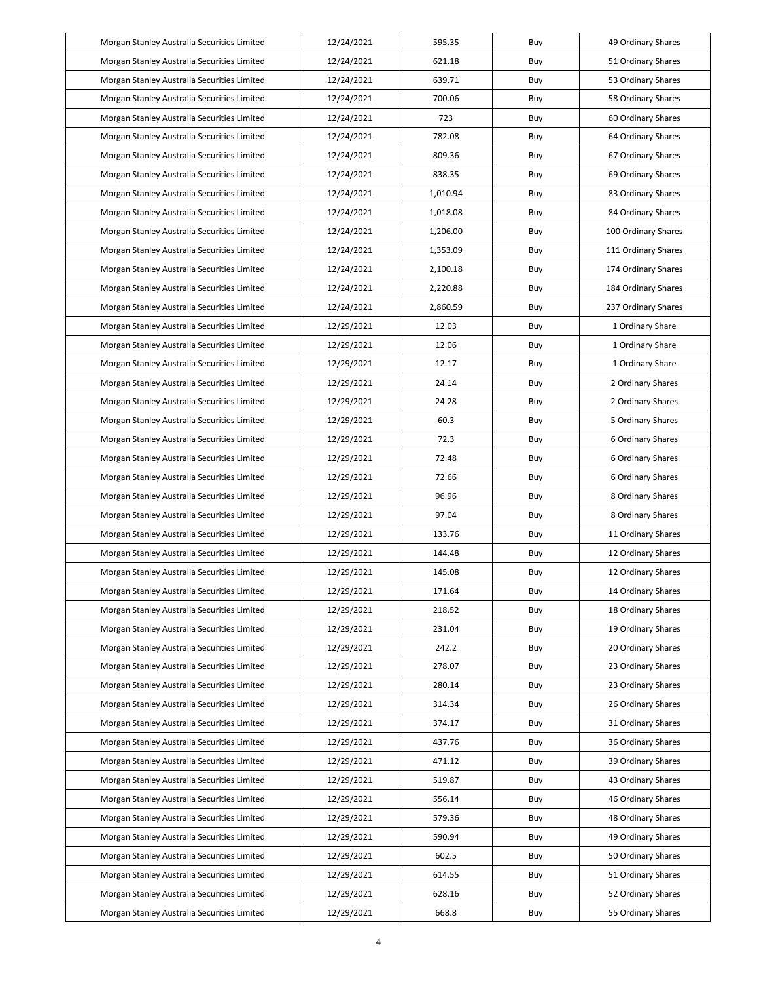| Morgan Stanley Australia Securities Limited | 12/24/2021 | 595.35   | Buy | 49 Ordinary Shares  |
|---------------------------------------------|------------|----------|-----|---------------------|
| Morgan Stanley Australia Securities Limited | 12/24/2021 | 621.18   | Buy | 51 Ordinary Shares  |
| Morgan Stanley Australia Securities Limited | 12/24/2021 | 639.71   | Buy | 53 Ordinary Shares  |
| Morgan Stanley Australia Securities Limited | 12/24/2021 | 700.06   | Buy | 58 Ordinary Shares  |
| Morgan Stanley Australia Securities Limited | 12/24/2021 | 723      | Buy | 60 Ordinary Shares  |
| Morgan Stanley Australia Securities Limited | 12/24/2021 | 782.08   | Buy | 64 Ordinary Shares  |
| Morgan Stanley Australia Securities Limited | 12/24/2021 | 809.36   | Buy | 67 Ordinary Shares  |
| Morgan Stanley Australia Securities Limited | 12/24/2021 | 838.35   | Buy | 69 Ordinary Shares  |
| Morgan Stanley Australia Securities Limited | 12/24/2021 | 1,010.94 | Buy | 83 Ordinary Shares  |
| Morgan Stanley Australia Securities Limited | 12/24/2021 | 1,018.08 | Buy | 84 Ordinary Shares  |
| Morgan Stanley Australia Securities Limited | 12/24/2021 | 1,206.00 | Buy | 100 Ordinary Shares |
| Morgan Stanley Australia Securities Limited | 12/24/2021 | 1,353.09 | Buy | 111 Ordinary Shares |
| Morgan Stanley Australia Securities Limited | 12/24/2021 | 2,100.18 | Buy | 174 Ordinary Shares |
| Morgan Stanley Australia Securities Limited | 12/24/2021 | 2,220.88 | Buy | 184 Ordinary Shares |
| Morgan Stanley Australia Securities Limited | 12/24/2021 | 2,860.59 | Buy | 237 Ordinary Shares |
| Morgan Stanley Australia Securities Limited | 12/29/2021 | 12.03    | Buy | 1 Ordinary Share    |
| Morgan Stanley Australia Securities Limited | 12/29/2021 | 12.06    | Buy | 1 Ordinary Share    |
| Morgan Stanley Australia Securities Limited | 12/29/2021 | 12.17    | Buy | 1 Ordinary Share    |
| Morgan Stanley Australia Securities Limited | 12/29/2021 | 24.14    | Buy | 2 Ordinary Shares   |
| Morgan Stanley Australia Securities Limited | 12/29/2021 | 24.28    | Buy | 2 Ordinary Shares   |
| Morgan Stanley Australia Securities Limited | 12/29/2021 | 60.3     | Buy | 5 Ordinary Shares   |
| Morgan Stanley Australia Securities Limited | 12/29/2021 | 72.3     | Buy | 6 Ordinary Shares   |
| Morgan Stanley Australia Securities Limited | 12/29/2021 | 72.48    | Buy | 6 Ordinary Shares   |
| Morgan Stanley Australia Securities Limited | 12/29/2021 | 72.66    | Buy | 6 Ordinary Shares   |
| Morgan Stanley Australia Securities Limited | 12/29/2021 | 96.96    | Buy | 8 Ordinary Shares   |
| Morgan Stanley Australia Securities Limited | 12/29/2021 | 97.04    | Buy | 8 Ordinary Shares   |
| Morgan Stanley Australia Securities Limited | 12/29/2021 | 133.76   | Buy | 11 Ordinary Shares  |
| Morgan Stanley Australia Securities Limited | 12/29/2021 | 144.48   | Buy | 12 Ordinary Shares  |
| Morgan Stanley Australia Securities Limited | 12/29/2021 | 145.08   | Buy | 12 Ordinary Shares  |
| Morgan Stanley Australia Securities Limited | 12/29/2021 | 171.64   | Buy | 14 Ordinary Shares  |
| Morgan Stanley Australia Securities Limited | 12/29/2021 | 218.52   | Buy | 18 Ordinary Shares  |
| Morgan Stanley Australia Securities Limited | 12/29/2021 | 231.04   | Buy | 19 Ordinary Shares  |
| Morgan Stanley Australia Securities Limited | 12/29/2021 | 242.2    | Buy | 20 Ordinary Shares  |
| Morgan Stanley Australia Securities Limited | 12/29/2021 | 278.07   | Buy | 23 Ordinary Shares  |
| Morgan Stanley Australia Securities Limited | 12/29/2021 | 280.14   | Buy | 23 Ordinary Shares  |
| Morgan Stanley Australia Securities Limited | 12/29/2021 | 314.34   | Buy | 26 Ordinary Shares  |
| Morgan Stanley Australia Securities Limited | 12/29/2021 | 374.17   | Buy | 31 Ordinary Shares  |
| Morgan Stanley Australia Securities Limited | 12/29/2021 | 437.76   | Buy | 36 Ordinary Shares  |
| Morgan Stanley Australia Securities Limited | 12/29/2021 | 471.12   | Buy | 39 Ordinary Shares  |
| Morgan Stanley Australia Securities Limited | 12/29/2021 | 519.87   | Buy | 43 Ordinary Shares  |
| Morgan Stanley Australia Securities Limited | 12/29/2021 | 556.14   | Buy | 46 Ordinary Shares  |
| Morgan Stanley Australia Securities Limited | 12/29/2021 | 579.36   | Buy | 48 Ordinary Shares  |
| Morgan Stanley Australia Securities Limited | 12/29/2021 | 590.94   | Buy | 49 Ordinary Shares  |
| Morgan Stanley Australia Securities Limited | 12/29/2021 | 602.5    | Buy | 50 Ordinary Shares  |
| Morgan Stanley Australia Securities Limited | 12/29/2021 | 614.55   | Buy | 51 Ordinary Shares  |
| Morgan Stanley Australia Securities Limited | 12/29/2021 | 628.16   | Buy | 52 Ordinary Shares  |
| Morgan Stanley Australia Securities Limited | 12/29/2021 | 668.8    | Buy | 55 Ordinary Shares  |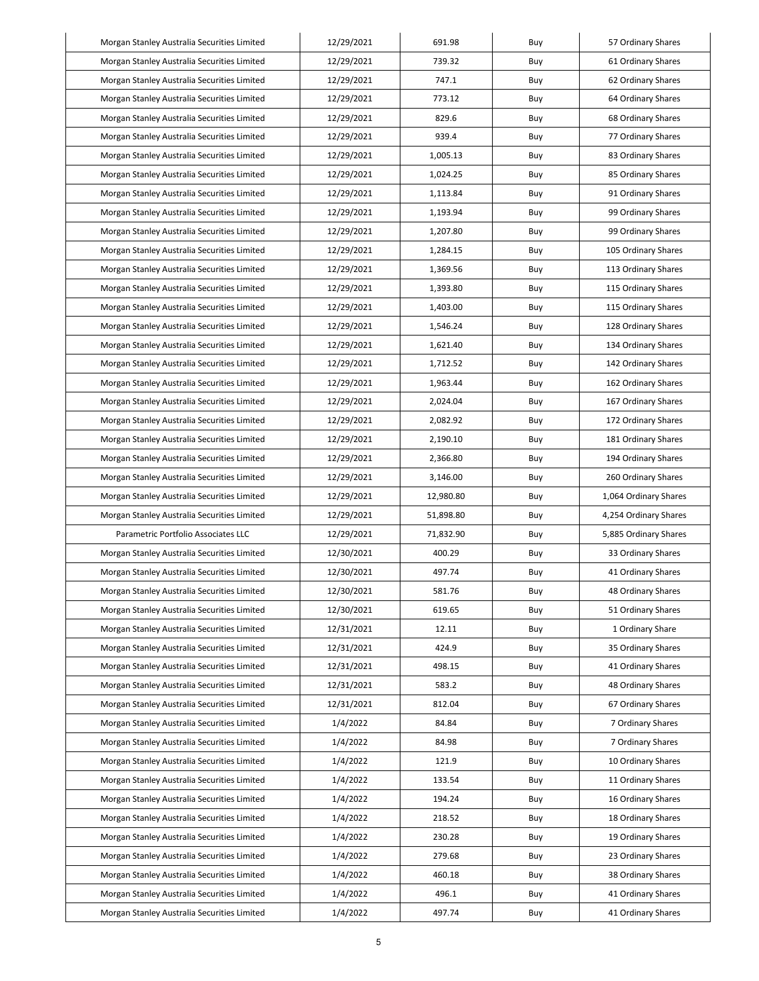| Morgan Stanley Australia Securities Limited | 12/29/2021 | 691.98    | Buy | 57 Ordinary Shares    |
|---------------------------------------------|------------|-----------|-----|-----------------------|
| Morgan Stanley Australia Securities Limited | 12/29/2021 | 739.32    | Buy | 61 Ordinary Shares    |
| Morgan Stanley Australia Securities Limited | 12/29/2021 | 747.1     | Buy | 62 Ordinary Shares    |
| Morgan Stanley Australia Securities Limited | 12/29/2021 | 773.12    | Buy | 64 Ordinary Shares    |
| Morgan Stanley Australia Securities Limited | 12/29/2021 | 829.6     | Buy | 68 Ordinary Shares    |
| Morgan Stanley Australia Securities Limited | 12/29/2021 | 939.4     | Buy | 77 Ordinary Shares    |
| Morgan Stanley Australia Securities Limited | 12/29/2021 | 1,005.13  | Buy | 83 Ordinary Shares    |
| Morgan Stanley Australia Securities Limited | 12/29/2021 | 1,024.25  | Buy | 85 Ordinary Shares    |
| Morgan Stanley Australia Securities Limited | 12/29/2021 | 1,113.84  | Buy | 91 Ordinary Shares    |
| Morgan Stanley Australia Securities Limited | 12/29/2021 | 1,193.94  | Buy | 99 Ordinary Shares    |
| Morgan Stanley Australia Securities Limited | 12/29/2021 | 1,207.80  | Buy | 99 Ordinary Shares    |
| Morgan Stanley Australia Securities Limited | 12/29/2021 | 1,284.15  | Buy | 105 Ordinary Shares   |
| Morgan Stanley Australia Securities Limited | 12/29/2021 | 1,369.56  | Buy | 113 Ordinary Shares   |
| Morgan Stanley Australia Securities Limited | 12/29/2021 | 1,393.80  | Buy | 115 Ordinary Shares   |
| Morgan Stanley Australia Securities Limited | 12/29/2021 | 1,403.00  | Buy | 115 Ordinary Shares   |
| Morgan Stanley Australia Securities Limited | 12/29/2021 | 1,546.24  | Buy | 128 Ordinary Shares   |
| Morgan Stanley Australia Securities Limited | 12/29/2021 | 1,621.40  | Buy | 134 Ordinary Shares   |
| Morgan Stanley Australia Securities Limited | 12/29/2021 | 1,712.52  | Buy | 142 Ordinary Shares   |
| Morgan Stanley Australia Securities Limited | 12/29/2021 | 1,963.44  | Buy | 162 Ordinary Shares   |
| Morgan Stanley Australia Securities Limited | 12/29/2021 | 2,024.04  | Buy | 167 Ordinary Shares   |
| Morgan Stanley Australia Securities Limited | 12/29/2021 | 2,082.92  | Buy | 172 Ordinary Shares   |
| Morgan Stanley Australia Securities Limited | 12/29/2021 | 2,190.10  | Buy | 181 Ordinary Shares   |
|                                             |            |           |     |                       |
| Morgan Stanley Australia Securities Limited | 12/29/2021 | 2,366.80  | Buy | 194 Ordinary Shares   |
| Morgan Stanley Australia Securities Limited | 12/29/2021 | 3,146.00  | Buy | 260 Ordinary Shares   |
| Morgan Stanley Australia Securities Limited | 12/29/2021 | 12,980.80 | Buy | 1,064 Ordinary Shares |
| Morgan Stanley Australia Securities Limited | 12/29/2021 | 51,898.80 | Buy | 4,254 Ordinary Shares |
| Parametric Portfolio Associates LLC         | 12/29/2021 | 71,832.90 | Buy | 5,885 Ordinary Shares |
| Morgan Stanley Australia Securities Limited | 12/30/2021 | 400.29    | Buy | 33 Ordinary Shares    |
| Morgan Stanley Australia Securities Limited | 12/30/2021 | 497.74    | Buy | 41 Ordinary Shares    |
| Morgan Stanley Australia Securities Limited | 12/30/2021 | 581.76    | Buy | 48 Ordinary Shares    |
| Morgan Stanley Australia Securities Limited | 12/30/2021 | 619.65    | Buy | 51 Ordinary Shares    |
| Morgan Stanley Australia Securities Limited | 12/31/2021 | 12.11     | Buy | 1 Ordinary Share      |
| Morgan Stanley Australia Securities Limited | 12/31/2021 | 424.9     | Buy | 35 Ordinary Shares    |
| Morgan Stanley Australia Securities Limited | 12/31/2021 | 498.15    | Buy | 41 Ordinary Shares    |
| Morgan Stanley Australia Securities Limited | 12/31/2021 | 583.2     | Buy | 48 Ordinary Shares    |
| Morgan Stanley Australia Securities Limited | 12/31/2021 | 812.04    | Buy | 67 Ordinary Shares    |
| Morgan Stanley Australia Securities Limited | 1/4/2022   | 84.84     | Buy | 7 Ordinary Shares     |
| Morgan Stanley Australia Securities Limited | 1/4/2022   | 84.98     | Buy | 7 Ordinary Shares     |
| Morgan Stanley Australia Securities Limited | 1/4/2022   | 121.9     | Buy | 10 Ordinary Shares    |
| Morgan Stanley Australia Securities Limited | 1/4/2022   | 133.54    | Buy | 11 Ordinary Shares    |
| Morgan Stanley Australia Securities Limited | 1/4/2022   | 194.24    | Buy | 16 Ordinary Shares    |
| Morgan Stanley Australia Securities Limited | 1/4/2022   | 218.52    | Buy | 18 Ordinary Shares    |
| Morgan Stanley Australia Securities Limited | 1/4/2022   | 230.28    | Buy | 19 Ordinary Shares    |
| Morgan Stanley Australia Securities Limited | 1/4/2022   | 279.68    | Buy | 23 Ordinary Shares    |
| Morgan Stanley Australia Securities Limited | 1/4/2022   | 460.18    | Buy | 38 Ordinary Shares    |
| Morgan Stanley Australia Securities Limited | 1/4/2022   | 496.1     | Buy | 41 Ordinary Shares    |
| Morgan Stanley Australia Securities Limited | 1/4/2022   | 497.74    | Buy | 41 Ordinary Shares    |
|                                             |            |           |     |                       |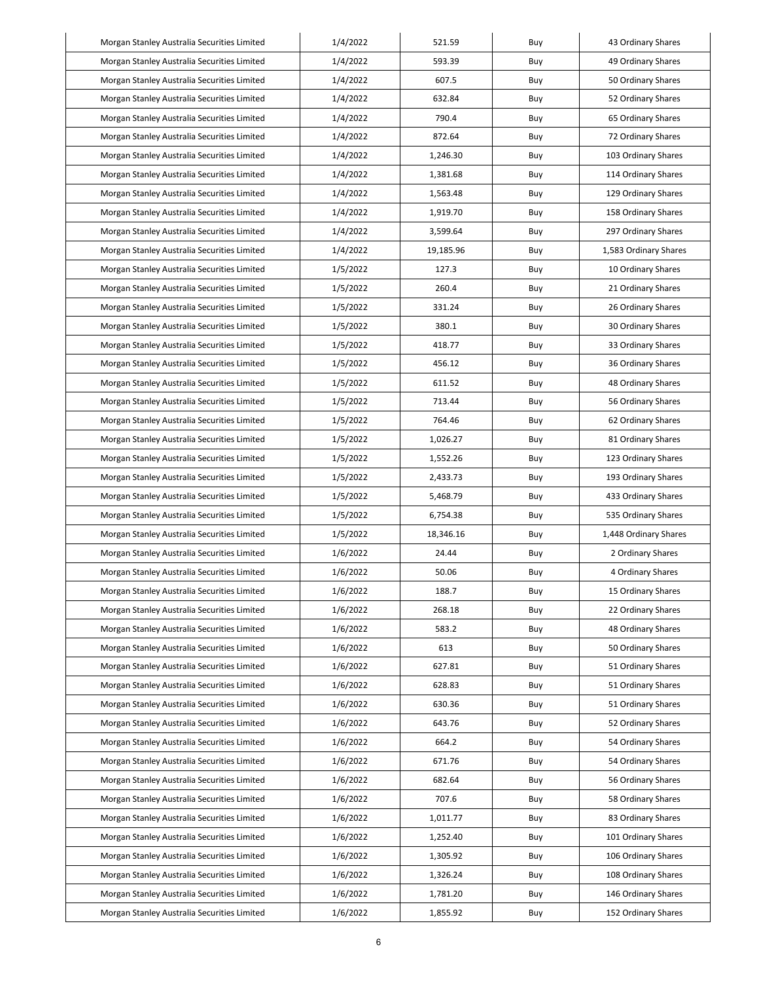| Morgan Stanley Australia Securities Limited | 1/4/2022 | 521.59    | Buy | 43 Ordinary Shares    |
|---------------------------------------------|----------|-----------|-----|-----------------------|
| Morgan Stanley Australia Securities Limited | 1/4/2022 | 593.39    | Buy | 49 Ordinary Shares    |
| Morgan Stanley Australia Securities Limited | 1/4/2022 | 607.5     | Buy | 50 Ordinary Shares    |
| Morgan Stanley Australia Securities Limited | 1/4/2022 | 632.84    | Buy | 52 Ordinary Shares    |
| Morgan Stanley Australia Securities Limited | 1/4/2022 | 790.4     | Buy | 65 Ordinary Shares    |
| Morgan Stanley Australia Securities Limited | 1/4/2022 | 872.64    | Buy | 72 Ordinary Shares    |
| Morgan Stanley Australia Securities Limited | 1/4/2022 | 1,246.30  | Buy | 103 Ordinary Shares   |
| Morgan Stanley Australia Securities Limited | 1/4/2022 | 1,381.68  | Buy | 114 Ordinary Shares   |
| Morgan Stanley Australia Securities Limited | 1/4/2022 | 1,563.48  | Buy | 129 Ordinary Shares   |
| Morgan Stanley Australia Securities Limited | 1/4/2022 | 1,919.70  | Buy | 158 Ordinary Shares   |
| Morgan Stanley Australia Securities Limited | 1/4/2022 | 3,599.64  | Buy | 297 Ordinary Shares   |
| Morgan Stanley Australia Securities Limited | 1/4/2022 | 19,185.96 | Buy | 1,583 Ordinary Shares |
| Morgan Stanley Australia Securities Limited | 1/5/2022 | 127.3     | Buy | 10 Ordinary Shares    |
| Morgan Stanley Australia Securities Limited | 1/5/2022 | 260.4     | Buy | 21 Ordinary Shares    |
| Morgan Stanley Australia Securities Limited | 1/5/2022 | 331.24    | Buy | 26 Ordinary Shares    |
| Morgan Stanley Australia Securities Limited | 1/5/2022 | 380.1     | Buy | 30 Ordinary Shares    |
| Morgan Stanley Australia Securities Limited | 1/5/2022 | 418.77    | Buy | 33 Ordinary Shares    |
| Morgan Stanley Australia Securities Limited | 1/5/2022 | 456.12    | Buy | 36 Ordinary Shares    |
| Morgan Stanley Australia Securities Limited | 1/5/2022 | 611.52    | Buy | 48 Ordinary Shares    |
| Morgan Stanley Australia Securities Limited | 1/5/2022 | 713.44    | Buy | 56 Ordinary Shares    |
| Morgan Stanley Australia Securities Limited | 1/5/2022 | 764.46    | Buy | 62 Ordinary Shares    |
| Morgan Stanley Australia Securities Limited | 1/5/2022 | 1,026.27  | Buy | 81 Ordinary Shares    |
| Morgan Stanley Australia Securities Limited | 1/5/2022 | 1,552.26  | Buy | 123 Ordinary Shares   |
| Morgan Stanley Australia Securities Limited | 1/5/2022 | 2,433.73  | Buy | 193 Ordinary Shares   |
| Morgan Stanley Australia Securities Limited | 1/5/2022 | 5,468.79  | Buy | 433 Ordinary Shares   |
| Morgan Stanley Australia Securities Limited | 1/5/2022 | 6,754.38  | Buy | 535 Ordinary Shares   |
| Morgan Stanley Australia Securities Limited | 1/5/2022 | 18,346.16 | Buy | 1,448 Ordinary Shares |
| Morgan Stanley Australia Securities Limited | 1/6/2022 | 24.44     | Buy | 2 Ordinary Shares     |
| Morgan Stanley Australia Securities Limited | 1/6/2022 | 50.06     | Buy | 4 Ordinary Shares     |
| Morgan Stanley Australia Securities Limited | 1/6/2022 | 188.7     | Buy | 15 Ordinary Shares    |
| Morgan Stanley Australia Securities Limited | 1/6/2022 | 268.18    | Buy | 22 Ordinary Shares    |
| Morgan Stanley Australia Securities Limited | 1/6/2022 | 583.2     | Buy | 48 Ordinary Shares    |
| Morgan Stanley Australia Securities Limited | 1/6/2022 | 613       | Buy | 50 Ordinary Shares    |
| Morgan Stanley Australia Securities Limited | 1/6/2022 | 627.81    | Buy | 51 Ordinary Shares    |
| Morgan Stanley Australia Securities Limited | 1/6/2022 | 628.83    | Buy | 51 Ordinary Shares    |
| Morgan Stanley Australia Securities Limited | 1/6/2022 | 630.36    | Buy | 51 Ordinary Shares    |
| Morgan Stanley Australia Securities Limited | 1/6/2022 | 643.76    | Buy | 52 Ordinary Shares    |
| Morgan Stanley Australia Securities Limited | 1/6/2022 | 664.2     | Buy | 54 Ordinary Shares    |
| Morgan Stanley Australia Securities Limited | 1/6/2022 | 671.76    | Buy | 54 Ordinary Shares    |
| Morgan Stanley Australia Securities Limited | 1/6/2022 | 682.64    | Buy | 56 Ordinary Shares    |
| Morgan Stanley Australia Securities Limited | 1/6/2022 | 707.6     | Buy | 58 Ordinary Shares    |
| Morgan Stanley Australia Securities Limited | 1/6/2022 | 1,011.77  | Buy | 83 Ordinary Shares    |
| Morgan Stanley Australia Securities Limited | 1/6/2022 | 1,252.40  | Buy | 101 Ordinary Shares   |
| Morgan Stanley Australia Securities Limited | 1/6/2022 | 1,305.92  | Buy | 106 Ordinary Shares   |
| Morgan Stanley Australia Securities Limited | 1/6/2022 | 1,326.24  | Buy | 108 Ordinary Shares   |
| Morgan Stanley Australia Securities Limited | 1/6/2022 | 1,781.20  | Buy | 146 Ordinary Shares   |
| Morgan Stanley Australia Securities Limited | 1/6/2022 | 1,855.92  | Buy | 152 Ordinary Shares   |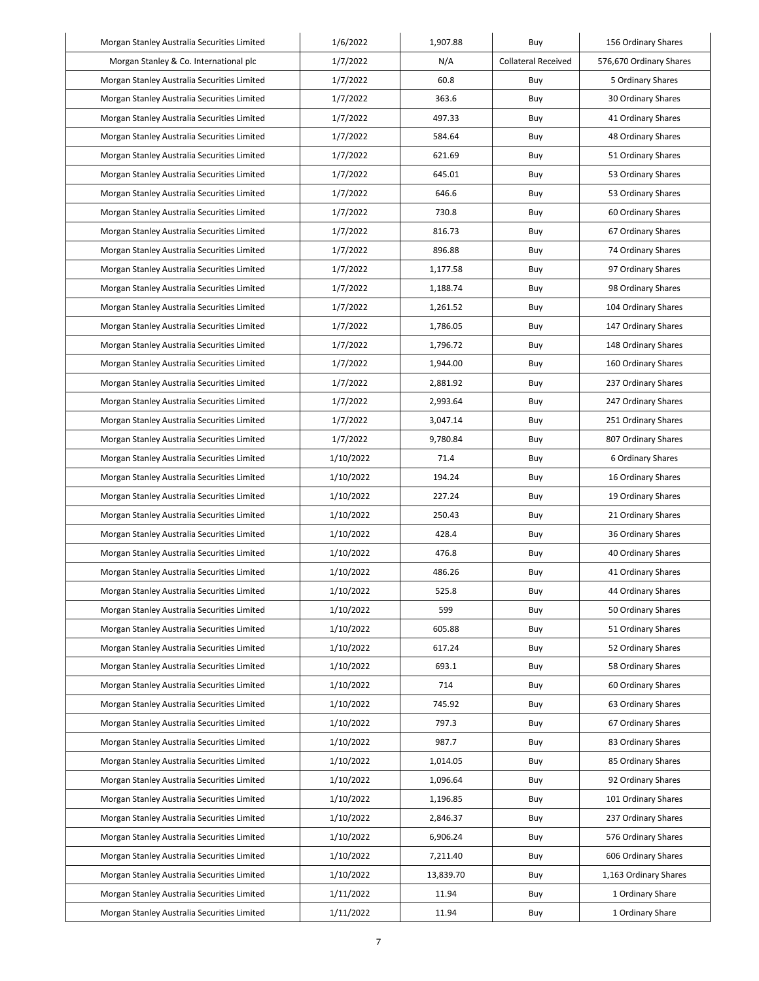| Morgan Stanley Australia Securities Limited | 1/6/2022  | 1,907.88  | Buy                        | 156 Ordinary Shares     |
|---------------------------------------------|-----------|-----------|----------------------------|-------------------------|
| Morgan Stanley & Co. International plc      | 1/7/2022  | N/A       | <b>Collateral Received</b> | 576,670 Ordinary Shares |
| Morgan Stanley Australia Securities Limited | 1/7/2022  | 60.8      | Buy                        | 5 Ordinary Shares       |
| Morgan Stanley Australia Securities Limited | 1/7/2022  | 363.6     | Buy                        | 30 Ordinary Shares      |
| Morgan Stanley Australia Securities Limited | 1/7/2022  | 497.33    | Buy                        | 41 Ordinary Shares      |
| Morgan Stanley Australia Securities Limited | 1/7/2022  | 584.64    | Buy                        | 48 Ordinary Shares      |
| Morgan Stanley Australia Securities Limited | 1/7/2022  | 621.69    | Buy                        | 51 Ordinary Shares      |
| Morgan Stanley Australia Securities Limited | 1/7/2022  | 645.01    | Buy                        | 53 Ordinary Shares      |
| Morgan Stanley Australia Securities Limited | 1/7/2022  | 646.6     | Buy                        | 53 Ordinary Shares      |
| Morgan Stanley Australia Securities Limited | 1/7/2022  | 730.8     | Buy                        | 60 Ordinary Shares      |
| Morgan Stanley Australia Securities Limited | 1/7/2022  | 816.73    | Buy                        | 67 Ordinary Shares      |
| Morgan Stanley Australia Securities Limited | 1/7/2022  | 896.88    | Buy                        | 74 Ordinary Shares      |
| Morgan Stanley Australia Securities Limited | 1/7/2022  | 1,177.58  | Buy                        | 97 Ordinary Shares      |
| Morgan Stanley Australia Securities Limited | 1/7/2022  | 1,188.74  | Buy                        | 98 Ordinary Shares      |
| Morgan Stanley Australia Securities Limited | 1/7/2022  | 1,261.52  | Buy                        | 104 Ordinary Shares     |
| Morgan Stanley Australia Securities Limited | 1/7/2022  | 1,786.05  | Buy                        | 147 Ordinary Shares     |
| Morgan Stanley Australia Securities Limited | 1/7/2022  | 1,796.72  | Buy                        | 148 Ordinary Shares     |
| Morgan Stanley Australia Securities Limited | 1/7/2022  | 1,944.00  | Buy                        | 160 Ordinary Shares     |
| Morgan Stanley Australia Securities Limited | 1/7/2022  | 2,881.92  | Buy                        | 237 Ordinary Shares     |
| Morgan Stanley Australia Securities Limited | 1/7/2022  | 2,993.64  | Buy                        | 247 Ordinary Shares     |
| Morgan Stanley Australia Securities Limited | 1/7/2022  | 3,047.14  | Buy                        | 251 Ordinary Shares     |
| Morgan Stanley Australia Securities Limited | 1/7/2022  | 9,780.84  | Buy                        | 807 Ordinary Shares     |
| Morgan Stanley Australia Securities Limited | 1/10/2022 | 71.4      | Buy                        | 6 Ordinary Shares       |
| Morgan Stanley Australia Securities Limited | 1/10/2022 | 194.24    | Buy                        | 16 Ordinary Shares      |
| Morgan Stanley Australia Securities Limited | 1/10/2022 | 227.24    | Buy                        | 19 Ordinary Shares      |
| Morgan Stanley Australia Securities Limited | 1/10/2022 | 250.43    | Buy                        | 21 Ordinary Shares      |
| Morgan Stanley Australia Securities Limited | 1/10/2022 | 428.4     | Buy                        | 36 Ordinary Shares      |
| Morgan Stanley Australia Securities Limited | 1/10/2022 | 476.8     | Buy                        | 40 Ordinary Shares      |
| Morgan Stanley Australia Securities Limited | 1/10/2022 | 486.26    | Buy                        | 41 Ordinary Shares      |
| Morgan Stanley Australia Securities Limited | 1/10/2022 | 525.8     | Buy                        | 44 Ordinary Shares      |
| Morgan Stanley Australia Securities Limited | 1/10/2022 | 599       | Buy                        | 50 Ordinary Shares      |
| Morgan Stanley Australia Securities Limited | 1/10/2022 | 605.88    | Buy                        | 51 Ordinary Shares      |
| Morgan Stanley Australia Securities Limited | 1/10/2022 | 617.24    | Buy                        | 52 Ordinary Shares      |
| Morgan Stanley Australia Securities Limited | 1/10/2022 | 693.1     | Buy                        | 58 Ordinary Shares      |
| Morgan Stanley Australia Securities Limited | 1/10/2022 | 714       | Buy                        | 60 Ordinary Shares      |
| Morgan Stanley Australia Securities Limited | 1/10/2022 | 745.92    | Buy                        | 63 Ordinary Shares      |
| Morgan Stanley Australia Securities Limited | 1/10/2022 | 797.3     | Buy                        | 67 Ordinary Shares      |
| Morgan Stanley Australia Securities Limited | 1/10/2022 | 987.7     | Buy                        | 83 Ordinary Shares      |
| Morgan Stanley Australia Securities Limited | 1/10/2022 | 1,014.05  | Buy                        | 85 Ordinary Shares      |
| Morgan Stanley Australia Securities Limited | 1/10/2022 | 1,096.64  | Buy                        | 92 Ordinary Shares      |
| Morgan Stanley Australia Securities Limited | 1/10/2022 | 1,196.85  | Buy                        | 101 Ordinary Shares     |
| Morgan Stanley Australia Securities Limited | 1/10/2022 | 2,846.37  | Buy                        | 237 Ordinary Shares     |
| Morgan Stanley Australia Securities Limited | 1/10/2022 | 6,906.24  | Buy                        | 576 Ordinary Shares     |
| Morgan Stanley Australia Securities Limited | 1/10/2022 | 7,211.40  | Buy                        | 606 Ordinary Shares     |
| Morgan Stanley Australia Securities Limited | 1/10/2022 | 13,839.70 | Buy                        | 1,163 Ordinary Shares   |
| Morgan Stanley Australia Securities Limited | 1/11/2022 | 11.94     | Buy                        | 1 Ordinary Share        |
| Morgan Stanley Australia Securities Limited | 1/11/2022 | 11.94     | Buy                        | 1 Ordinary Share        |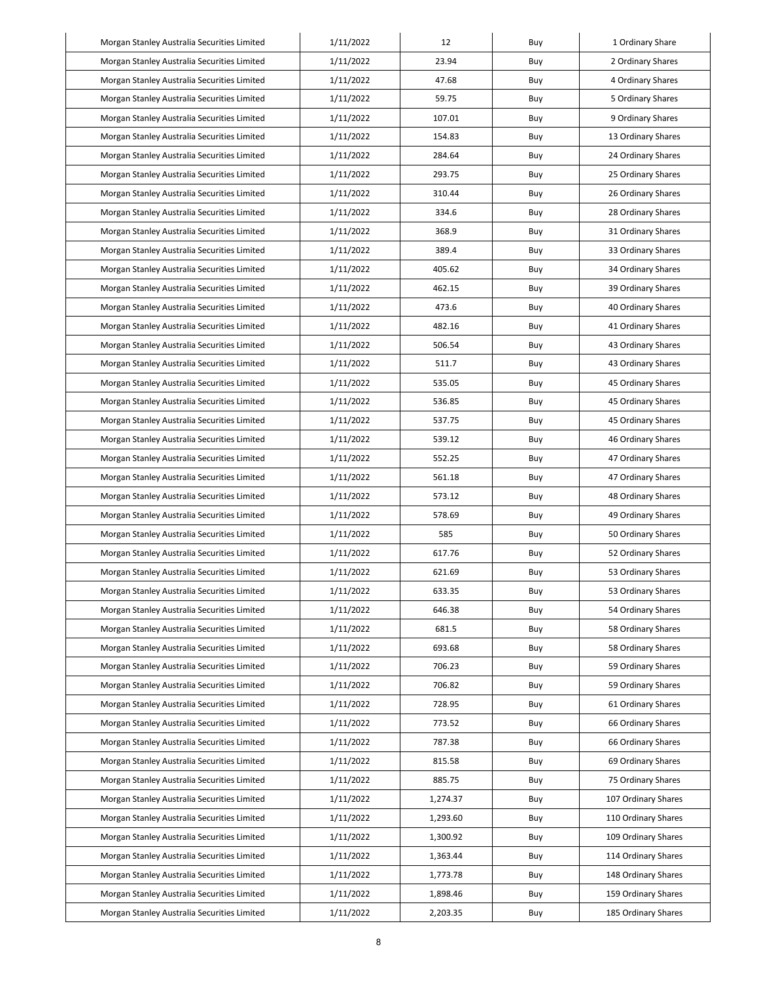| Morgan Stanley Australia Securities Limited | 1/11/2022 | 12       | Buy | 1 Ordinary Share    |
|---------------------------------------------|-----------|----------|-----|---------------------|
| Morgan Stanley Australia Securities Limited | 1/11/2022 | 23.94    | Buy | 2 Ordinary Shares   |
| Morgan Stanley Australia Securities Limited | 1/11/2022 | 47.68    | Buy | 4 Ordinary Shares   |
| Morgan Stanley Australia Securities Limited | 1/11/2022 | 59.75    | Buy | 5 Ordinary Shares   |
| Morgan Stanley Australia Securities Limited | 1/11/2022 | 107.01   | Buy | 9 Ordinary Shares   |
| Morgan Stanley Australia Securities Limited | 1/11/2022 | 154.83   | Buy | 13 Ordinary Shares  |
| Morgan Stanley Australia Securities Limited | 1/11/2022 | 284.64   | Buy | 24 Ordinary Shares  |
| Morgan Stanley Australia Securities Limited | 1/11/2022 | 293.75   | Buy | 25 Ordinary Shares  |
| Morgan Stanley Australia Securities Limited | 1/11/2022 | 310.44   | Buy | 26 Ordinary Shares  |
| Morgan Stanley Australia Securities Limited | 1/11/2022 | 334.6    | Buy | 28 Ordinary Shares  |
| Morgan Stanley Australia Securities Limited | 1/11/2022 | 368.9    | Buy | 31 Ordinary Shares  |
| Morgan Stanley Australia Securities Limited | 1/11/2022 | 389.4    | Buy | 33 Ordinary Shares  |
| Morgan Stanley Australia Securities Limited | 1/11/2022 | 405.62   | Buy | 34 Ordinary Shares  |
| Morgan Stanley Australia Securities Limited | 1/11/2022 | 462.15   | Buy | 39 Ordinary Shares  |
| Morgan Stanley Australia Securities Limited | 1/11/2022 | 473.6    | Buy | 40 Ordinary Shares  |
| Morgan Stanley Australia Securities Limited | 1/11/2022 | 482.16   | Buy | 41 Ordinary Shares  |
| Morgan Stanley Australia Securities Limited | 1/11/2022 | 506.54   | Buy | 43 Ordinary Shares  |
| Morgan Stanley Australia Securities Limited | 1/11/2022 | 511.7    | Buy | 43 Ordinary Shares  |
| Morgan Stanley Australia Securities Limited | 1/11/2022 | 535.05   | Buy | 45 Ordinary Shares  |
| Morgan Stanley Australia Securities Limited | 1/11/2022 | 536.85   | Buy | 45 Ordinary Shares  |
| Morgan Stanley Australia Securities Limited | 1/11/2022 | 537.75   | Buy | 45 Ordinary Shares  |
| Morgan Stanley Australia Securities Limited | 1/11/2022 | 539.12   | Buy | 46 Ordinary Shares  |
| Morgan Stanley Australia Securities Limited | 1/11/2022 | 552.25   | Buy | 47 Ordinary Shares  |
| Morgan Stanley Australia Securities Limited | 1/11/2022 | 561.18   | Buy | 47 Ordinary Shares  |
| Morgan Stanley Australia Securities Limited | 1/11/2022 | 573.12   | Buy | 48 Ordinary Shares  |
| Morgan Stanley Australia Securities Limited | 1/11/2022 | 578.69   | Buy | 49 Ordinary Shares  |
| Morgan Stanley Australia Securities Limited | 1/11/2022 | 585      | Buy | 50 Ordinary Shares  |
| Morgan Stanley Australia Securities Limited | 1/11/2022 | 617.76   | Buy | 52 Ordinary Shares  |
| Morgan Stanley Australia Securities Limited | 1/11/2022 | 621.69   | Buy | 53 Ordinary Shares  |
| Morgan Stanley Australia Securities Limited | 1/11/2022 | 633.35   | Buy | 53 Ordinary Shares  |
| Morgan Stanley Australia Securities Limited | 1/11/2022 | 646.38   | Buy | 54 Ordinary Shares  |
| Morgan Stanley Australia Securities Limited | 1/11/2022 | 681.5    | Buy | 58 Ordinary Shares  |
| Morgan Stanley Australia Securities Limited | 1/11/2022 | 693.68   | Buy | 58 Ordinary Shares  |
| Morgan Stanley Australia Securities Limited | 1/11/2022 | 706.23   | Buy | 59 Ordinary Shares  |
| Morgan Stanley Australia Securities Limited | 1/11/2022 | 706.82   | Buy | 59 Ordinary Shares  |
| Morgan Stanley Australia Securities Limited | 1/11/2022 | 728.95   | Buy | 61 Ordinary Shares  |
| Morgan Stanley Australia Securities Limited | 1/11/2022 | 773.52   | Buy | 66 Ordinary Shares  |
| Morgan Stanley Australia Securities Limited | 1/11/2022 | 787.38   | Buy | 66 Ordinary Shares  |
| Morgan Stanley Australia Securities Limited | 1/11/2022 | 815.58   | Buy | 69 Ordinary Shares  |
| Morgan Stanley Australia Securities Limited | 1/11/2022 | 885.75   | Buy | 75 Ordinary Shares  |
| Morgan Stanley Australia Securities Limited | 1/11/2022 | 1,274.37 | Buy | 107 Ordinary Shares |
| Morgan Stanley Australia Securities Limited | 1/11/2022 | 1,293.60 | Buy | 110 Ordinary Shares |
| Morgan Stanley Australia Securities Limited | 1/11/2022 | 1,300.92 | Buy | 109 Ordinary Shares |
| Morgan Stanley Australia Securities Limited | 1/11/2022 | 1,363.44 | Buy | 114 Ordinary Shares |
| Morgan Stanley Australia Securities Limited | 1/11/2022 | 1,773.78 | Buy | 148 Ordinary Shares |
| Morgan Stanley Australia Securities Limited | 1/11/2022 | 1,898.46 | Buy | 159 Ordinary Shares |
| Morgan Stanley Australia Securities Limited | 1/11/2022 | 2,203.35 | Buy | 185 Ordinary Shares |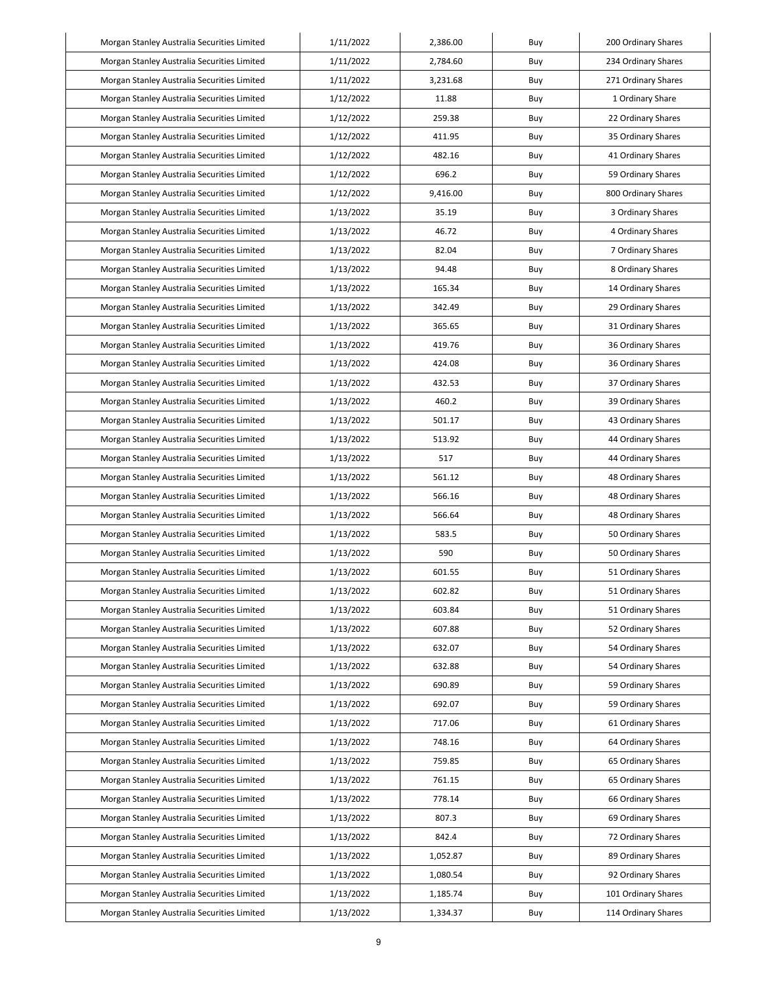| Morgan Stanley Australia Securities Limited | 1/11/2022 | 2,386.00 | Buy | 200 Ordinary Shares |
|---------------------------------------------|-----------|----------|-----|---------------------|
| Morgan Stanley Australia Securities Limited | 1/11/2022 | 2,784.60 | Buy | 234 Ordinary Shares |
| Morgan Stanley Australia Securities Limited | 1/11/2022 | 3,231.68 | Buy | 271 Ordinary Shares |
| Morgan Stanley Australia Securities Limited | 1/12/2022 | 11.88    | Buy | 1 Ordinary Share    |
| Morgan Stanley Australia Securities Limited | 1/12/2022 | 259.38   | Buy | 22 Ordinary Shares  |
| Morgan Stanley Australia Securities Limited | 1/12/2022 | 411.95   | Buy | 35 Ordinary Shares  |
| Morgan Stanley Australia Securities Limited | 1/12/2022 | 482.16   | Buy | 41 Ordinary Shares  |
| Morgan Stanley Australia Securities Limited | 1/12/2022 | 696.2    | Buy | 59 Ordinary Shares  |
| Morgan Stanley Australia Securities Limited | 1/12/2022 | 9,416.00 | Buy | 800 Ordinary Shares |
| Morgan Stanley Australia Securities Limited | 1/13/2022 | 35.19    | Buy | 3 Ordinary Shares   |
| Morgan Stanley Australia Securities Limited | 1/13/2022 | 46.72    | Buy | 4 Ordinary Shares   |
| Morgan Stanley Australia Securities Limited | 1/13/2022 | 82.04    | Buy | 7 Ordinary Shares   |
| Morgan Stanley Australia Securities Limited | 1/13/2022 | 94.48    | Buy | 8 Ordinary Shares   |
| Morgan Stanley Australia Securities Limited | 1/13/2022 | 165.34   | Buy | 14 Ordinary Shares  |
| Morgan Stanley Australia Securities Limited | 1/13/2022 | 342.49   | Buy | 29 Ordinary Shares  |
| Morgan Stanley Australia Securities Limited | 1/13/2022 | 365.65   | Buy | 31 Ordinary Shares  |
| Morgan Stanley Australia Securities Limited | 1/13/2022 | 419.76   | Buy | 36 Ordinary Shares  |
| Morgan Stanley Australia Securities Limited | 1/13/2022 | 424.08   | Buy | 36 Ordinary Shares  |
| Morgan Stanley Australia Securities Limited | 1/13/2022 | 432.53   | Buy | 37 Ordinary Shares  |
| Morgan Stanley Australia Securities Limited | 1/13/2022 | 460.2    | Buy | 39 Ordinary Shares  |
| Morgan Stanley Australia Securities Limited | 1/13/2022 | 501.17   | Buy | 43 Ordinary Shares  |
| Morgan Stanley Australia Securities Limited | 1/13/2022 | 513.92   | Buy | 44 Ordinary Shares  |
| Morgan Stanley Australia Securities Limited | 1/13/2022 | 517      | Buy | 44 Ordinary Shares  |
| Morgan Stanley Australia Securities Limited | 1/13/2022 | 561.12   | Buy | 48 Ordinary Shares  |
| Morgan Stanley Australia Securities Limited | 1/13/2022 | 566.16   | Buy | 48 Ordinary Shares  |
| Morgan Stanley Australia Securities Limited | 1/13/2022 | 566.64   | Buy | 48 Ordinary Shares  |
| Morgan Stanley Australia Securities Limited | 1/13/2022 | 583.5    | Buy | 50 Ordinary Shares  |
| Morgan Stanley Australia Securities Limited | 1/13/2022 | 590      | Buy | 50 Ordinary Shares  |
| Morgan Stanley Australia Securities Limited | 1/13/2022 | 601.55   | Buy | 51 Ordinary Shares  |
| Morgan Stanley Australia Securities Limited | 1/13/2022 | 602.82   | Buy | 51 Ordinary Shares  |
| Morgan Stanley Australia Securities Limited | 1/13/2022 | 603.84   | Buy | 51 Ordinary Shares  |
| Morgan Stanley Australia Securities Limited | 1/13/2022 | 607.88   | Buy | 52 Ordinary Shares  |
| Morgan Stanley Australia Securities Limited | 1/13/2022 | 632.07   | Buy | 54 Ordinary Shares  |
| Morgan Stanley Australia Securities Limited | 1/13/2022 | 632.88   | Buy | 54 Ordinary Shares  |
| Morgan Stanley Australia Securities Limited | 1/13/2022 | 690.89   | Buy | 59 Ordinary Shares  |
| Morgan Stanley Australia Securities Limited | 1/13/2022 | 692.07   | Buy | 59 Ordinary Shares  |
| Morgan Stanley Australia Securities Limited | 1/13/2022 | 717.06   | Buy | 61 Ordinary Shares  |
| Morgan Stanley Australia Securities Limited | 1/13/2022 | 748.16   | Buy | 64 Ordinary Shares  |
| Morgan Stanley Australia Securities Limited | 1/13/2022 | 759.85   | Buy | 65 Ordinary Shares  |
| Morgan Stanley Australia Securities Limited | 1/13/2022 | 761.15   | Buy | 65 Ordinary Shares  |
| Morgan Stanley Australia Securities Limited | 1/13/2022 | 778.14   | Buy | 66 Ordinary Shares  |
| Morgan Stanley Australia Securities Limited | 1/13/2022 | 807.3    | Buy | 69 Ordinary Shares  |
| Morgan Stanley Australia Securities Limited | 1/13/2022 | 842.4    | Buy | 72 Ordinary Shares  |
| Morgan Stanley Australia Securities Limited | 1/13/2022 | 1,052.87 | Buy | 89 Ordinary Shares  |
| Morgan Stanley Australia Securities Limited | 1/13/2022 | 1,080.54 | Buy | 92 Ordinary Shares  |
| Morgan Stanley Australia Securities Limited | 1/13/2022 | 1,185.74 | Buy | 101 Ordinary Shares |
| Morgan Stanley Australia Securities Limited | 1/13/2022 | 1,334.37 | Buy | 114 Ordinary Shares |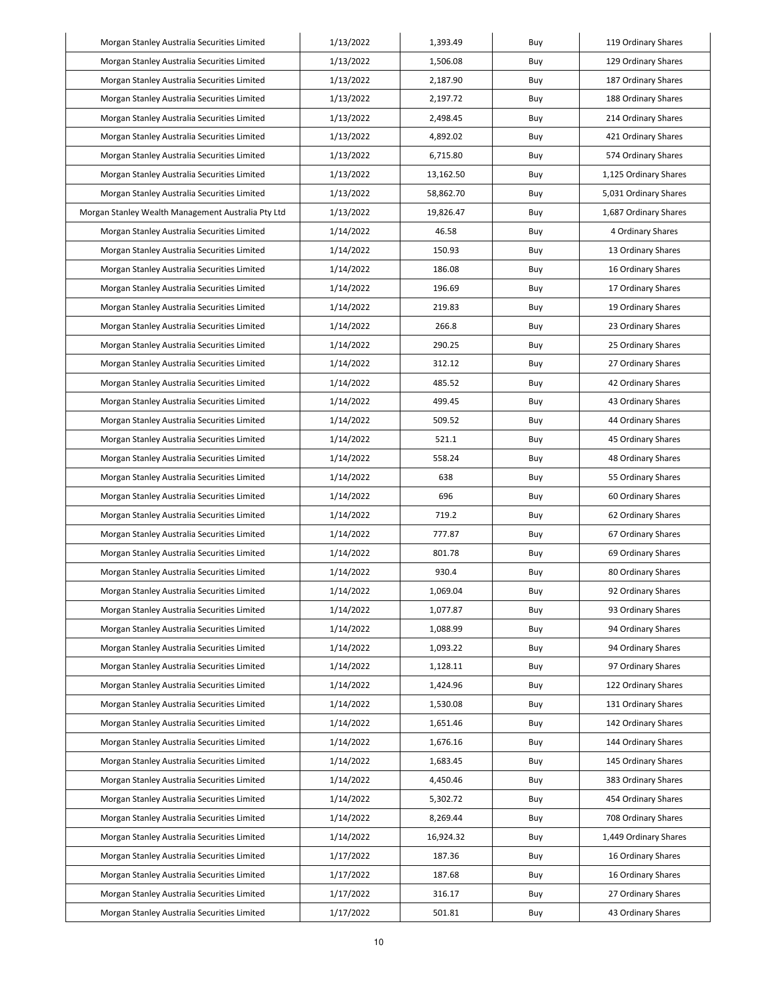| Morgan Stanley Australia Securities Limited        | 1/13/2022 | 1,393.49  | Buy | 119 Ordinary Shares   |
|----------------------------------------------------|-----------|-----------|-----|-----------------------|
| Morgan Stanley Australia Securities Limited        | 1/13/2022 | 1,506.08  | Buy | 129 Ordinary Shares   |
| Morgan Stanley Australia Securities Limited        | 1/13/2022 | 2,187.90  | Buy | 187 Ordinary Shares   |
| Morgan Stanley Australia Securities Limited        | 1/13/2022 | 2,197.72  | Buy | 188 Ordinary Shares   |
| Morgan Stanley Australia Securities Limited        | 1/13/2022 | 2,498.45  | Buy | 214 Ordinary Shares   |
| Morgan Stanley Australia Securities Limited        | 1/13/2022 | 4,892.02  | Buy | 421 Ordinary Shares   |
| Morgan Stanley Australia Securities Limited        | 1/13/2022 | 6,715.80  | Buy | 574 Ordinary Shares   |
| Morgan Stanley Australia Securities Limited        | 1/13/2022 | 13,162.50 | Buy | 1,125 Ordinary Shares |
| Morgan Stanley Australia Securities Limited        | 1/13/2022 | 58,862.70 | Buy | 5,031 Ordinary Shares |
| Morgan Stanley Wealth Management Australia Pty Ltd | 1/13/2022 | 19,826.47 | Buy | 1,687 Ordinary Shares |
| Morgan Stanley Australia Securities Limited        | 1/14/2022 | 46.58     | Buy | 4 Ordinary Shares     |
| Morgan Stanley Australia Securities Limited        | 1/14/2022 | 150.93    | Buy | 13 Ordinary Shares    |
| Morgan Stanley Australia Securities Limited        | 1/14/2022 | 186.08    | Buy | 16 Ordinary Shares    |
| Morgan Stanley Australia Securities Limited        | 1/14/2022 | 196.69    | Buy | 17 Ordinary Shares    |
| Morgan Stanley Australia Securities Limited        | 1/14/2022 | 219.83    | Buy | 19 Ordinary Shares    |
| Morgan Stanley Australia Securities Limited        | 1/14/2022 | 266.8     | Buy | 23 Ordinary Shares    |
| Morgan Stanley Australia Securities Limited        | 1/14/2022 | 290.25    | Buy | 25 Ordinary Shares    |
| Morgan Stanley Australia Securities Limited        | 1/14/2022 | 312.12    | Buy | 27 Ordinary Shares    |
| Morgan Stanley Australia Securities Limited        | 1/14/2022 | 485.52    | Buy | 42 Ordinary Shares    |
| Morgan Stanley Australia Securities Limited        | 1/14/2022 | 499.45    | Buy | 43 Ordinary Shares    |
| Morgan Stanley Australia Securities Limited        | 1/14/2022 | 509.52    | Buy | 44 Ordinary Shares    |
| Morgan Stanley Australia Securities Limited        | 1/14/2022 | 521.1     | Buy | 45 Ordinary Shares    |
| Morgan Stanley Australia Securities Limited        | 1/14/2022 | 558.24    | Buy | 48 Ordinary Shares    |
| Morgan Stanley Australia Securities Limited        | 1/14/2022 | 638       | Buy | 55 Ordinary Shares    |
| Morgan Stanley Australia Securities Limited        | 1/14/2022 | 696       | Buy | 60 Ordinary Shares    |
| Morgan Stanley Australia Securities Limited        | 1/14/2022 | 719.2     | Buy | 62 Ordinary Shares    |
| Morgan Stanley Australia Securities Limited        | 1/14/2022 | 777.87    | Buy | 67 Ordinary Shares    |
| Morgan Stanley Australia Securities Limited        | 1/14/2022 | 801.78    | Buy | 69 Ordinary Shares    |
| Morgan Stanley Australia Securities Limited        | 1/14/2022 | 930.4     | Buy | 80 Ordinary Shares    |
| Morgan Stanley Australia Securities Limited        | 1/14/2022 | 1,069.04  | Buy | 92 Ordinary Shares    |
| Morgan Stanley Australia Securities Limited        | 1/14/2022 | 1,077.87  | Buy | 93 Ordinary Shares    |
| Morgan Stanley Australia Securities Limited        | 1/14/2022 | 1,088.99  | Buy | 94 Ordinary Shares    |
| Morgan Stanley Australia Securities Limited        | 1/14/2022 | 1,093.22  | Buy | 94 Ordinary Shares    |
| Morgan Stanley Australia Securities Limited        | 1/14/2022 | 1,128.11  | Buy | 97 Ordinary Shares    |
| Morgan Stanley Australia Securities Limited        | 1/14/2022 | 1,424.96  | Buy | 122 Ordinary Shares   |
| Morgan Stanley Australia Securities Limited        | 1/14/2022 | 1,530.08  | Buy | 131 Ordinary Shares   |
| Morgan Stanley Australia Securities Limited        | 1/14/2022 | 1,651.46  | Buy | 142 Ordinary Shares   |
| Morgan Stanley Australia Securities Limited        | 1/14/2022 | 1,676.16  | Buy | 144 Ordinary Shares   |
| Morgan Stanley Australia Securities Limited        | 1/14/2022 | 1,683.45  | Buy | 145 Ordinary Shares   |
| Morgan Stanley Australia Securities Limited        | 1/14/2022 | 4,450.46  | Buy | 383 Ordinary Shares   |
| Morgan Stanley Australia Securities Limited        | 1/14/2022 | 5,302.72  | Buy | 454 Ordinary Shares   |
| Morgan Stanley Australia Securities Limited        | 1/14/2022 | 8,269.44  | Buy | 708 Ordinary Shares   |
| Morgan Stanley Australia Securities Limited        | 1/14/2022 | 16,924.32 | Buy | 1,449 Ordinary Shares |
| Morgan Stanley Australia Securities Limited        | 1/17/2022 | 187.36    | Buy | 16 Ordinary Shares    |
| Morgan Stanley Australia Securities Limited        | 1/17/2022 | 187.68    | Buy | 16 Ordinary Shares    |
| Morgan Stanley Australia Securities Limited        | 1/17/2022 | 316.17    | Buy | 27 Ordinary Shares    |
| Morgan Stanley Australia Securities Limited        | 1/17/2022 | 501.81    | Buy | 43 Ordinary Shares    |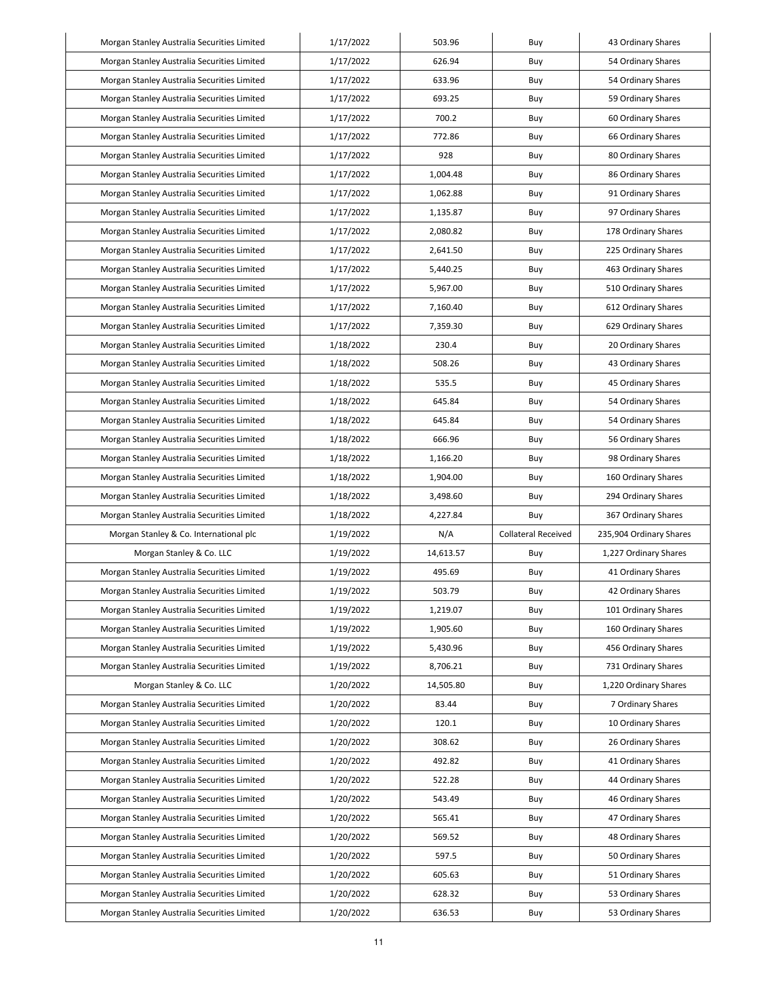| Morgan Stanley Australia Securities Limited | 1/17/2022 | 503.96    | Buy                        | 43 Ordinary Shares      |
|---------------------------------------------|-----------|-----------|----------------------------|-------------------------|
| Morgan Stanley Australia Securities Limited | 1/17/2022 | 626.94    | Buy                        | 54 Ordinary Shares      |
| Morgan Stanley Australia Securities Limited | 1/17/2022 | 633.96    | Buy                        | 54 Ordinary Shares      |
| Morgan Stanley Australia Securities Limited | 1/17/2022 | 693.25    | Buy                        | 59 Ordinary Shares      |
| Morgan Stanley Australia Securities Limited | 1/17/2022 | 700.2     | Buy                        | 60 Ordinary Shares      |
| Morgan Stanley Australia Securities Limited | 1/17/2022 | 772.86    | Buy                        | 66 Ordinary Shares      |
| Morgan Stanley Australia Securities Limited | 1/17/2022 | 928       | Buy                        | 80 Ordinary Shares      |
| Morgan Stanley Australia Securities Limited | 1/17/2022 | 1,004.48  | Buy                        | 86 Ordinary Shares      |
| Morgan Stanley Australia Securities Limited | 1/17/2022 | 1,062.88  | Buy                        | 91 Ordinary Shares      |
| Morgan Stanley Australia Securities Limited | 1/17/2022 | 1,135.87  | Buy                        | 97 Ordinary Shares      |
| Morgan Stanley Australia Securities Limited | 1/17/2022 | 2,080.82  | Buy                        | 178 Ordinary Shares     |
| Morgan Stanley Australia Securities Limited | 1/17/2022 | 2,641.50  | Buy                        | 225 Ordinary Shares     |
| Morgan Stanley Australia Securities Limited | 1/17/2022 | 5,440.25  | Buy                        | 463 Ordinary Shares     |
| Morgan Stanley Australia Securities Limited | 1/17/2022 | 5,967.00  | Buy                        | 510 Ordinary Shares     |
| Morgan Stanley Australia Securities Limited | 1/17/2022 | 7,160.40  | Buy                        | 612 Ordinary Shares     |
| Morgan Stanley Australia Securities Limited | 1/17/2022 | 7,359.30  | Buy                        | 629 Ordinary Shares     |
| Morgan Stanley Australia Securities Limited | 1/18/2022 | 230.4     | Buy                        | 20 Ordinary Shares      |
| Morgan Stanley Australia Securities Limited | 1/18/2022 | 508.26    | Buy                        | 43 Ordinary Shares      |
| Morgan Stanley Australia Securities Limited | 1/18/2022 | 535.5     | Buy                        | 45 Ordinary Shares      |
| Morgan Stanley Australia Securities Limited | 1/18/2022 | 645.84    | Buy                        | 54 Ordinary Shares      |
| Morgan Stanley Australia Securities Limited | 1/18/2022 | 645.84    | Buy                        | 54 Ordinary Shares      |
| Morgan Stanley Australia Securities Limited | 1/18/2022 | 666.96    | Buy                        | 56 Ordinary Shares      |
| Morgan Stanley Australia Securities Limited | 1/18/2022 | 1,166.20  | Buy                        | 98 Ordinary Shares      |
| Morgan Stanley Australia Securities Limited | 1/18/2022 |           |                            |                         |
|                                             |           | 1,904.00  | Buy                        | 160 Ordinary Shares     |
| Morgan Stanley Australia Securities Limited | 1/18/2022 | 3,498.60  | Buy                        | 294 Ordinary Shares     |
| Morgan Stanley Australia Securities Limited | 1/18/2022 | 4,227.84  | Buy                        | 367 Ordinary Shares     |
| Morgan Stanley & Co. International plc      | 1/19/2022 | N/A       | <b>Collateral Received</b> | 235,904 Ordinary Shares |
| Morgan Stanley & Co. LLC                    | 1/19/2022 | 14,613.57 | Buy                        | 1,227 Ordinary Shares   |
| Morgan Stanley Australia Securities Limited | 1/19/2022 | 495.69    | Buy                        | 41 Ordinary Shares      |
| Morgan Stanley Australia Securities Limited | 1/19/2022 | 503.79    | Buy                        | 42 Ordinary Shares      |
| Morgan Stanley Australia Securities Limited | 1/19/2022 | 1,219.07  | Buy                        | 101 Ordinary Shares     |
| Morgan Stanley Australia Securities Limited | 1/19/2022 | 1,905.60  | Buy                        | 160 Ordinary Shares     |
| Morgan Stanley Australia Securities Limited | 1/19/2022 | 5,430.96  | Buy                        | 456 Ordinary Shares     |
| Morgan Stanley Australia Securities Limited | 1/19/2022 | 8,706.21  | Buy                        | 731 Ordinary Shares     |
| Morgan Stanley & Co. LLC                    | 1/20/2022 | 14,505.80 | Buy                        | 1,220 Ordinary Shares   |
| Morgan Stanley Australia Securities Limited | 1/20/2022 | 83.44     | Buy                        | 7 Ordinary Shares       |
| Morgan Stanley Australia Securities Limited | 1/20/2022 | 120.1     | Buy                        | 10 Ordinary Shares      |
| Morgan Stanley Australia Securities Limited | 1/20/2022 | 308.62    | Buy                        | 26 Ordinary Shares      |
| Morgan Stanley Australia Securities Limited | 1/20/2022 | 492.82    | Buy                        | 41 Ordinary Shares      |
| Morgan Stanley Australia Securities Limited | 1/20/2022 | 522.28    | Buy                        | 44 Ordinary Shares      |
| Morgan Stanley Australia Securities Limited | 1/20/2022 | 543.49    | Buy                        | 46 Ordinary Shares      |
| Morgan Stanley Australia Securities Limited | 1/20/2022 | 565.41    | Buy                        | 47 Ordinary Shares      |
| Morgan Stanley Australia Securities Limited | 1/20/2022 | 569.52    | Buy                        | 48 Ordinary Shares      |
| Morgan Stanley Australia Securities Limited | 1/20/2022 | 597.5     | Buy                        | 50 Ordinary Shares      |
| Morgan Stanley Australia Securities Limited | 1/20/2022 | 605.63    | Buy                        | 51 Ordinary Shares      |
| Morgan Stanley Australia Securities Limited | 1/20/2022 | 628.32    | Buy                        | 53 Ordinary Shares      |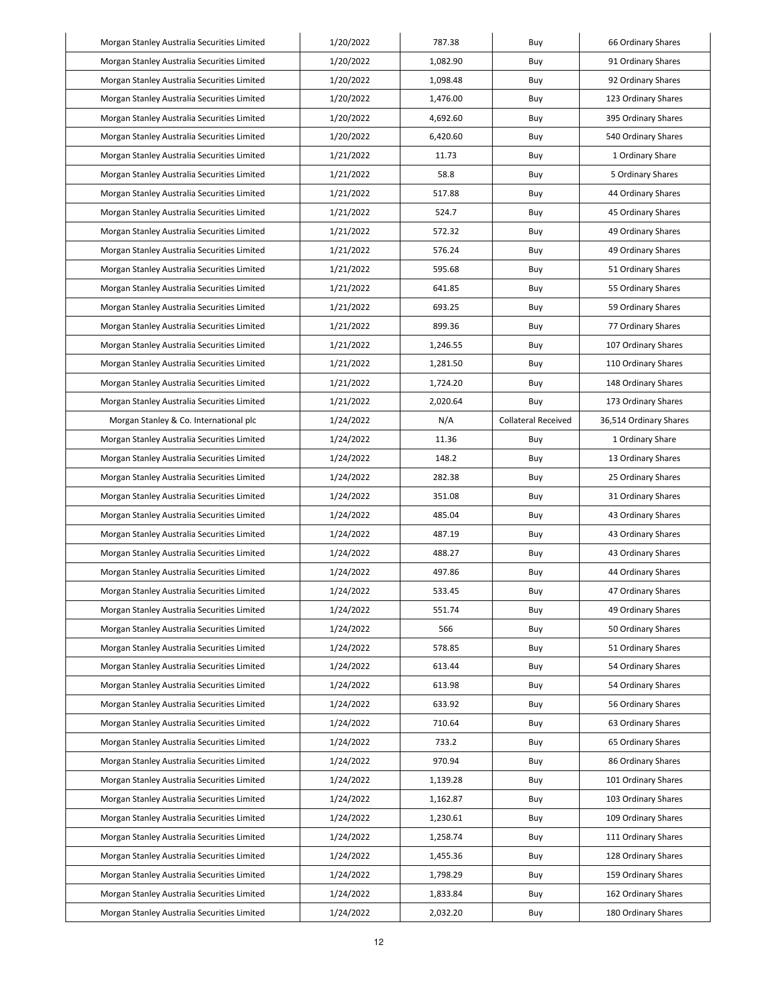| Morgan Stanley Australia Securities Limited | 1/20/2022              | 787.38               | Buy                        | 66 Ordinary Shares                         |
|---------------------------------------------|------------------------|----------------------|----------------------------|--------------------------------------------|
| Morgan Stanley Australia Securities Limited | 1/20/2022              | 1,082.90             | Buy                        | 91 Ordinary Shares                         |
| Morgan Stanley Australia Securities Limited | 1/20/2022              | 1,098.48             | Buy                        | 92 Ordinary Shares                         |
| Morgan Stanley Australia Securities Limited | 1/20/2022              | 1,476.00             | Buy                        | 123 Ordinary Shares                        |
| Morgan Stanley Australia Securities Limited | 1/20/2022              | 4,692.60             | Buy                        | 395 Ordinary Shares                        |
| Morgan Stanley Australia Securities Limited | 1/20/2022              | 6,420.60             | Buy                        | 540 Ordinary Shares                        |
| Morgan Stanley Australia Securities Limited | 1/21/2022              | 11.73                | Buy                        | 1 Ordinary Share                           |
| Morgan Stanley Australia Securities Limited | 1/21/2022              | 58.8                 | Buy                        | 5 Ordinary Shares                          |
| Morgan Stanley Australia Securities Limited | 1/21/2022              | 517.88               | Buy                        | 44 Ordinary Shares                         |
| Morgan Stanley Australia Securities Limited | 1/21/2022              | 524.7                | Buy                        | 45 Ordinary Shares                         |
| Morgan Stanley Australia Securities Limited | 1/21/2022              | 572.32               | Buy                        | 49 Ordinary Shares                         |
| Morgan Stanley Australia Securities Limited | 1/21/2022              | 576.24               | Buy                        | 49 Ordinary Shares                         |
| Morgan Stanley Australia Securities Limited | 1/21/2022              | 595.68               | Buy                        | 51 Ordinary Shares                         |
| Morgan Stanley Australia Securities Limited | 1/21/2022              | 641.85               | Buy                        | 55 Ordinary Shares                         |
| Morgan Stanley Australia Securities Limited | 1/21/2022              | 693.25               | Buy                        | 59 Ordinary Shares                         |
| Morgan Stanley Australia Securities Limited | 1/21/2022              | 899.36               | Buy                        | 77 Ordinary Shares                         |
| Morgan Stanley Australia Securities Limited | 1/21/2022              | 1,246.55             | Buy                        | 107 Ordinary Shares                        |
| Morgan Stanley Australia Securities Limited | 1/21/2022              | 1,281.50             | Buy                        | 110 Ordinary Shares                        |
| Morgan Stanley Australia Securities Limited | 1/21/2022              | 1,724.20             | Buy                        | 148 Ordinary Shares                        |
| Morgan Stanley Australia Securities Limited | 1/21/2022              | 2,020.64             | Buy                        | 173 Ordinary Shares                        |
| Morgan Stanley & Co. International plc      | 1/24/2022              | N/A                  | <b>Collateral Received</b> | 36,514 Ordinary Shares                     |
| Morgan Stanley Australia Securities Limited | 1/24/2022              | 11.36                | Buy                        | 1 Ordinary Share                           |
| Morgan Stanley Australia Securities Limited | 1/24/2022              | 148.2                | Buy                        | 13 Ordinary Shares                         |
| Morgan Stanley Australia Securities Limited | 1/24/2022              | 282.38               | Buy                        | 25 Ordinary Shares                         |
| Morgan Stanley Australia Securities Limited | 1/24/2022              | 351.08               | Buy                        | 31 Ordinary Shares                         |
| Morgan Stanley Australia Securities Limited | 1/24/2022              | 485.04               | Buy                        | 43 Ordinary Shares                         |
| Morgan Stanley Australia Securities Limited | 1/24/2022              | 487.19               | Buy                        | 43 Ordinary Shares                         |
| Morgan Stanley Australia Securities Limited | 1/24/2022              | 488.27               | Buy                        | 43 Ordinary Shares                         |
| Morgan Stanley Australia Securities Limited | 1/24/2022              | 497.86               | Buy                        | 44 Ordinary Shares                         |
| Morgan Stanley Australia Securities Limited | 1/24/2022              | 533.45               | Buy                        | 47 Ordinary Shares                         |
| Morgan Stanley Australia Securities Limited | 1/24/2022              | 551.74               | Buy                        | 49 Ordinary Shares                         |
| Morgan Stanley Australia Securities Limited | 1/24/2022              | 566                  | Buy                        | 50 Ordinary Shares                         |
| Morgan Stanley Australia Securities Limited | 1/24/2022              | 578.85               | Buy                        | 51 Ordinary Shares                         |
| Morgan Stanley Australia Securities Limited | 1/24/2022              | 613.44               | Buy                        | 54 Ordinary Shares                         |
| Morgan Stanley Australia Securities Limited | 1/24/2022              | 613.98               | Buy                        | 54 Ordinary Shares                         |
| Morgan Stanley Australia Securities Limited | 1/24/2022              | 633.92               | Buy                        | 56 Ordinary Shares                         |
| Morgan Stanley Australia Securities Limited | 1/24/2022              | 710.64               | Buy                        | 63 Ordinary Shares                         |
| Morgan Stanley Australia Securities Limited | 1/24/2022              | 733.2                | Buy                        | 65 Ordinary Shares                         |
| Morgan Stanley Australia Securities Limited | 1/24/2022              | 970.94               | Buy                        | 86 Ordinary Shares                         |
| Morgan Stanley Australia Securities Limited | 1/24/2022              | 1,139.28             | Buy                        | 101 Ordinary Shares                        |
| Morgan Stanley Australia Securities Limited | 1/24/2022              | 1,162.87             | Buy                        | 103 Ordinary Shares                        |
| Morgan Stanley Australia Securities Limited | 1/24/2022              | 1,230.61             | Buy                        | 109 Ordinary Shares                        |
| Morgan Stanley Australia Securities Limited | 1/24/2022              | 1,258.74             | Buy                        | 111 Ordinary Shares                        |
| Morgan Stanley Australia Securities Limited | 1/24/2022              | 1,455.36             | Buy                        | 128 Ordinary Shares                        |
| Morgan Stanley Australia Securities Limited | 1/24/2022              | 1,798.29             | Buy                        | 159 Ordinary Shares                        |
| Morgan Stanley Australia Securities Limited |                        |                      |                            |                                            |
| Morgan Stanley Australia Securities Limited | 1/24/2022<br>1/24/2022 | 1,833.84<br>2,032.20 | Buy                        | 162 Ordinary Shares<br>180 Ordinary Shares |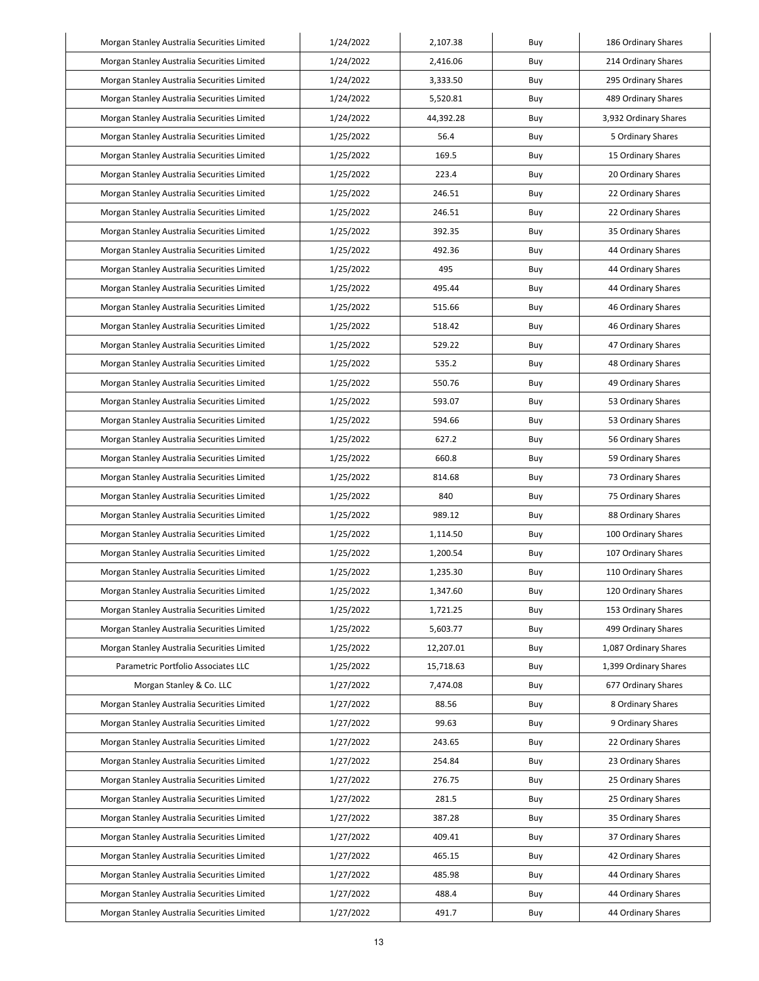| Morgan Stanley Australia Securities Limited | 1/24/2022 | 2,107.38  | Buy | 186 Ordinary Shares   |
|---------------------------------------------|-----------|-----------|-----|-----------------------|
| Morgan Stanley Australia Securities Limited | 1/24/2022 | 2,416.06  | Buy | 214 Ordinary Shares   |
| Morgan Stanley Australia Securities Limited | 1/24/2022 | 3,333.50  | Buy | 295 Ordinary Shares   |
| Morgan Stanley Australia Securities Limited | 1/24/2022 | 5,520.81  | Buy | 489 Ordinary Shares   |
| Morgan Stanley Australia Securities Limited | 1/24/2022 | 44,392.28 | Buy | 3,932 Ordinary Shares |
| Morgan Stanley Australia Securities Limited | 1/25/2022 | 56.4      | Buy | 5 Ordinary Shares     |
| Morgan Stanley Australia Securities Limited | 1/25/2022 | 169.5     | Buy | 15 Ordinary Shares    |
| Morgan Stanley Australia Securities Limited | 1/25/2022 | 223.4     | Buy | 20 Ordinary Shares    |
| Morgan Stanley Australia Securities Limited | 1/25/2022 | 246.51    | Buy | 22 Ordinary Shares    |
| Morgan Stanley Australia Securities Limited | 1/25/2022 | 246.51    | Buy | 22 Ordinary Shares    |
| Morgan Stanley Australia Securities Limited | 1/25/2022 | 392.35    | Buy | 35 Ordinary Shares    |
| Morgan Stanley Australia Securities Limited | 1/25/2022 | 492.36    | Buy | 44 Ordinary Shares    |
| Morgan Stanley Australia Securities Limited | 1/25/2022 | 495       | Buy | 44 Ordinary Shares    |
| Morgan Stanley Australia Securities Limited | 1/25/2022 | 495.44    | Buy | 44 Ordinary Shares    |
| Morgan Stanley Australia Securities Limited | 1/25/2022 | 515.66    | Buy | 46 Ordinary Shares    |
| Morgan Stanley Australia Securities Limited | 1/25/2022 | 518.42    | Buy | 46 Ordinary Shares    |
| Morgan Stanley Australia Securities Limited | 1/25/2022 | 529.22    | Buy | 47 Ordinary Shares    |
| Morgan Stanley Australia Securities Limited | 1/25/2022 | 535.2     | Buy | 48 Ordinary Shares    |
| Morgan Stanley Australia Securities Limited | 1/25/2022 | 550.76    | Buy | 49 Ordinary Shares    |
| Morgan Stanley Australia Securities Limited | 1/25/2022 | 593.07    | Buy | 53 Ordinary Shares    |
| Morgan Stanley Australia Securities Limited | 1/25/2022 | 594.66    | Buy | 53 Ordinary Shares    |
| Morgan Stanley Australia Securities Limited | 1/25/2022 | 627.2     | Buy | 56 Ordinary Shares    |
| Morgan Stanley Australia Securities Limited | 1/25/2022 | 660.8     | Buy | 59 Ordinary Shares    |
| Morgan Stanley Australia Securities Limited | 1/25/2022 | 814.68    | Buy | 73 Ordinary Shares    |
| Morgan Stanley Australia Securities Limited | 1/25/2022 | 840       | Buy | 75 Ordinary Shares    |
| Morgan Stanley Australia Securities Limited | 1/25/2022 | 989.12    | Buy | 88 Ordinary Shares    |
| Morgan Stanley Australia Securities Limited | 1/25/2022 | 1,114.50  | Buy | 100 Ordinary Shares   |
| Morgan Stanley Australia Securities Limited | 1/25/2022 | 1,200.54  | Buy | 107 Ordinary Shares   |
| Morgan Stanley Australia Securities Limited | 1/25/2022 | 1,235.30  | Buy | 110 Ordinary Shares   |
| Morgan Stanley Australia Securities Limited | 1/25/2022 | 1,347.60  | Buy | 120 Ordinary Shares   |
| Morgan Stanley Australia Securities Limited | 1/25/2022 | 1,721.25  | Buy | 153 Ordinary Shares   |
| Morgan Stanley Australia Securities Limited | 1/25/2022 | 5,603.77  | Buy | 499 Ordinary Shares   |
| Morgan Stanley Australia Securities Limited | 1/25/2022 | 12,207.01 | Buy | 1,087 Ordinary Shares |
| Parametric Portfolio Associates LLC         | 1/25/2022 | 15,718.63 | Buy | 1,399 Ordinary Shares |
| Morgan Stanley & Co. LLC                    | 1/27/2022 | 7,474.08  | Buy | 677 Ordinary Shares   |
| Morgan Stanley Australia Securities Limited | 1/27/2022 | 88.56     | Buy | 8 Ordinary Shares     |
| Morgan Stanley Australia Securities Limited | 1/27/2022 | 99.63     | Buy | 9 Ordinary Shares     |
| Morgan Stanley Australia Securities Limited | 1/27/2022 | 243.65    | Buy | 22 Ordinary Shares    |
| Morgan Stanley Australia Securities Limited | 1/27/2022 | 254.84    | Buy | 23 Ordinary Shares    |
| Morgan Stanley Australia Securities Limited | 1/27/2022 | 276.75    | Buy | 25 Ordinary Shares    |
| Morgan Stanley Australia Securities Limited | 1/27/2022 | 281.5     | Buy | 25 Ordinary Shares    |
| Morgan Stanley Australia Securities Limited | 1/27/2022 | 387.28    | Buy | 35 Ordinary Shares    |
| Morgan Stanley Australia Securities Limited | 1/27/2022 | 409.41    | Buy | 37 Ordinary Shares    |
| Morgan Stanley Australia Securities Limited | 1/27/2022 | 465.15    | Buy | 42 Ordinary Shares    |
| Morgan Stanley Australia Securities Limited | 1/27/2022 | 485.98    | Buy | 44 Ordinary Shares    |
| Morgan Stanley Australia Securities Limited | 1/27/2022 | 488.4     | Buy | 44 Ordinary Shares    |
| Morgan Stanley Australia Securities Limited | 1/27/2022 | 491.7     | Buy | 44 Ordinary Shares    |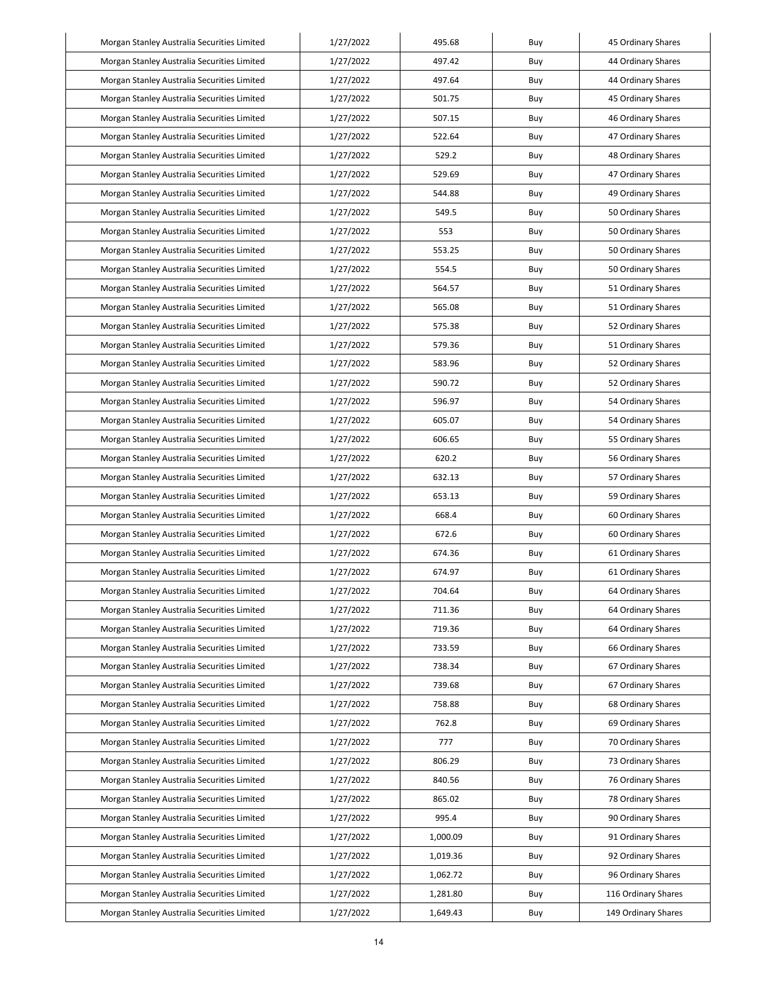| Morgan Stanley Australia Securities Limited | 1/27/2022 | 495.68   | Buy | 45 Ordinary Shares  |
|---------------------------------------------|-----------|----------|-----|---------------------|
| Morgan Stanley Australia Securities Limited | 1/27/2022 | 497.42   | Buy | 44 Ordinary Shares  |
| Morgan Stanley Australia Securities Limited | 1/27/2022 | 497.64   | Buy | 44 Ordinary Shares  |
| Morgan Stanley Australia Securities Limited | 1/27/2022 | 501.75   | Buy | 45 Ordinary Shares  |
| Morgan Stanley Australia Securities Limited | 1/27/2022 | 507.15   | Buy | 46 Ordinary Shares  |
| Morgan Stanley Australia Securities Limited | 1/27/2022 | 522.64   | Buy | 47 Ordinary Shares  |
| Morgan Stanley Australia Securities Limited | 1/27/2022 | 529.2    | Buy | 48 Ordinary Shares  |
| Morgan Stanley Australia Securities Limited | 1/27/2022 | 529.69   | Buy | 47 Ordinary Shares  |
| Morgan Stanley Australia Securities Limited | 1/27/2022 | 544.88   | Buy | 49 Ordinary Shares  |
| Morgan Stanley Australia Securities Limited | 1/27/2022 | 549.5    | Buy | 50 Ordinary Shares  |
| Morgan Stanley Australia Securities Limited | 1/27/2022 | 553      | Buy | 50 Ordinary Shares  |
| Morgan Stanley Australia Securities Limited | 1/27/2022 | 553.25   | Buy | 50 Ordinary Shares  |
| Morgan Stanley Australia Securities Limited | 1/27/2022 | 554.5    | Buy | 50 Ordinary Shares  |
| Morgan Stanley Australia Securities Limited | 1/27/2022 | 564.57   | Buy | 51 Ordinary Shares  |
| Morgan Stanley Australia Securities Limited | 1/27/2022 | 565.08   | Buy | 51 Ordinary Shares  |
| Morgan Stanley Australia Securities Limited | 1/27/2022 | 575.38   | Buy | 52 Ordinary Shares  |
| Morgan Stanley Australia Securities Limited | 1/27/2022 | 579.36   | Buy | 51 Ordinary Shares  |
| Morgan Stanley Australia Securities Limited | 1/27/2022 | 583.96   | Buy | 52 Ordinary Shares  |
| Morgan Stanley Australia Securities Limited | 1/27/2022 | 590.72   | Buy | 52 Ordinary Shares  |
| Morgan Stanley Australia Securities Limited | 1/27/2022 | 596.97   | Buy | 54 Ordinary Shares  |
| Morgan Stanley Australia Securities Limited | 1/27/2022 | 605.07   | Buy | 54 Ordinary Shares  |
| Morgan Stanley Australia Securities Limited | 1/27/2022 | 606.65   | Buy | 55 Ordinary Shares  |
| Morgan Stanley Australia Securities Limited | 1/27/2022 | 620.2    | Buy | 56 Ordinary Shares  |
| Morgan Stanley Australia Securities Limited | 1/27/2022 | 632.13   | Buy | 57 Ordinary Shares  |
| Morgan Stanley Australia Securities Limited | 1/27/2022 | 653.13   | Buy | 59 Ordinary Shares  |
| Morgan Stanley Australia Securities Limited | 1/27/2022 | 668.4    | Buy | 60 Ordinary Shares  |
| Morgan Stanley Australia Securities Limited | 1/27/2022 | 672.6    | Buy | 60 Ordinary Shares  |
| Morgan Stanley Australia Securities Limited | 1/27/2022 | 674.36   | Buy | 61 Ordinary Shares  |
| Morgan Stanley Australia Securities Limited | 1/27/2022 | 674.97   | Buy | 61 Ordinary Shares  |
| Morgan Stanley Australia Securities Limited | 1/27/2022 | 704.64   | Buy | 64 Ordinary Shares  |
| Morgan Stanley Australia Securities Limited | 1/27/2022 | 711.36   | Buy | 64 Ordinary Shares  |
| Morgan Stanley Australia Securities Limited | 1/27/2022 | 719.36   | Buy | 64 Ordinary Shares  |
| Morgan Stanley Australia Securities Limited | 1/27/2022 | 733.59   | Buy | 66 Ordinary Shares  |
| Morgan Stanley Australia Securities Limited | 1/27/2022 | 738.34   | Buy | 67 Ordinary Shares  |
| Morgan Stanley Australia Securities Limited | 1/27/2022 | 739.68   | Buy | 67 Ordinary Shares  |
| Morgan Stanley Australia Securities Limited | 1/27/2022 | 758.88   | Buy | 68 Ordinary Shares  |
| Morgan Stanley Australia Securities Limited | 1/27/2022 | 762.8    | Buy | 69 Ordinary Shares  |
| Morgan Stanley Australia Securities Limited | 1/27/2022 | 777      | Buy | 70 Ordinary Shares  |
| Morgan Stanley Australia Securities Limited | 1/27/2022 | 806.29   | Buy | 73 Ordinary Shares  |
| Morgan Stanley Australia Securities Limited | 1/27/2022 | 840.56   | Buy | 76 Ordinary Shares  |
| Morgan Stanley Australia Securities Limited | 1/27/2022 | 865.02   | Buy | 78 Ordinary Shares  |
| Morgan Stanley Australia Securities Limited | 1/27/2022 | 995.4    | Buy | 90 Ordinary Shares  |
| Morgan Stanley Australia Securities Limited | 1/27/2022 | 1,000.09 | Buy | 91 Ordinary Shares  |
| Morgan Stanley Australia Securities Limited | 1/27/2022 | 1,019.36 | Buy | 92 Ordinary Shares  |
| Morgan Stanley Australia Securities Limited | 1/27/2022 | 1,062.72 | Buy | 96 Ordinary Shares  |
| Morgan Stanley Australia Securities Limited | 1/27/2022 | 1,281.80 | Buy | 116 Ordinary Shares |
| Morgan Stanley Australia Securities Limited | 1/27/2022 | 1,649.43 | Buy | 149 Ordinary Shares |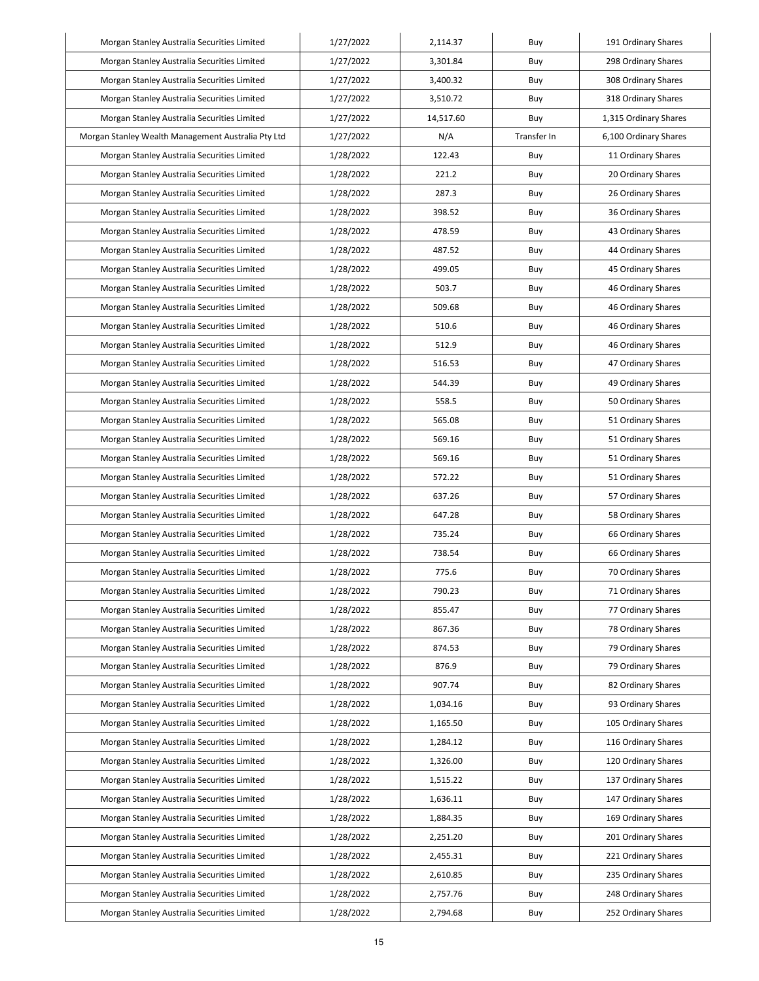| Morgan Stanley Australia Securities Limited        | 1/27/2022 | 2,114.37  | Buy         | 191 Ordinary Shares   |
|----------------------------------------------------|-----------|-----------|-------------|-----------------------|
| Morgan Stanley Australia Securities Limited        | 1/27/2022 | 3,301.84  | Buy         | 298 Ordinary Shares   |
| Morgan Stanley Australia Securities Limited        | 1/27/2022 | 3,400.32  | Buy         | 308 Ordinary Shares   |
| Morgan Stanley Australia Securities Limited        | 1/27/2022 | 3,510.72  | Buy         | 318 Ordinary Shares   |
| Morgan Stanley Australia Securities Limited        | 1/27/2022 | 14,517.60 | Buy         | 1,315 Ordinary Shares |
| Morgan Stanley Wealth Management Australia Pty Ltd | 1/27/2022 | N/A       | Transfer In | 6,100 Ordinary Shares |
| Morgan Stanley Australia Securities Limited        | 1/28/2022 | 122.43    | Buy         | 11 Ordinary Shares    |
| Morgan Stanley Australia Securities Limited        | 1/28/2022 | 221.2     | Buy         | 20 Ordinary Shares    |
| Morgan Stanley Australia Securities Limited        | 1/28/2022 | 287.3     | Buy         | 26 Ordinary Shares    |
| Morgan Stanley Australia Securities Limited        | 1/28/2022 | 398.52    | Buy         | 36 Ordinary Shares    |
| Morgan Stanley Australia Securities Limited        | 1/28/2022 | 478.59    | Buy         | 43 Ordinary Shares    |
| Morgan Stanley Australia Securities Limited        | 1/28/2022 | 487.52    | Buy         | 44 Ordinary Shares    |
| Morgan Stanley Australia Securities Limited        | 1/28/2022 | 499.05    | Buy         | 45 Ordinary Shares    |
| Morgan Stanley Australia Securities Limited        | 1/28/2022 | 503.7     | Buy         | 46 Ordinary Shares    |
| Morgan Stanley Australia Securities Limited        | 1/28/2022 | 509.68    | Buy         | 46 Ordinary Shares    |
| Morgan Stanley Australia Securities Limited        | 1/28/2022 | 510.6     | Buy         | 46 Ordinary Shares    |
| Morgan Stanley Australia Securities Limited        | 1/28/2022 | 512.9     | Buy         | 46 Ordinary Shares    |
| Morgan Stanley Australia Securities Limited        | 1/28/2022 | 516.53    | Buy         | 47 Ordinary Shares    |
| Morgan Stanley Australia Securities Limited        | 1/28/2022 | 544.39    | Buy         | 49 Ordinary Shares    |
| Morgan Stanley Australia Securities Limited        | 1/28/2022 | 558.5     | Buy         | 50 Ordinary Shares    |
| Morgan Stanley Australia Securities Limited        | 1/28/2022 | 565.08    | Buy         | 51 Ordinary Shares    |
| Morgan Stanley Australia Securities Limited        | 1/28/2022 | 569.16    | Buy         | 51 Ordinary Shares    |
| Morgan Stanley Australia Securities Limited        | 1/28/2022 | 569.16    | Buy         | 51 Ordinary Shares    |
| Morgan Stanley Australia Securities Limited        | 1/28/2022 | 572.22    | Buy         | 51 Ordinary Shares    |
| Morgan Stanley Australia Securities Limited        | 1/28/2022 | 637.26    | Buy         | 57 Ordinary Shares    |
| Morgan Stanley Australia Securities Limited        | 1/28/2022 | 647.28    | Buy         | 58 Ordinary Shares    |
| Morgan Stanley Australia Securities Limited        | 1/28/2022 | 735.24    | Buy         | 66 Ordinary Shares    |
| Morgan Stanley Australia Securities Limited        | 1/28/2022 | 738.54    | Buy         | 66 Ordinary Shares    |
| Morgan Stanley Australia Securities Limited        | 1/28/2022 | 775.6     | Buy         | 70 Ordinary Shares    |
| Morgan Stanley Australia Securities Limited        | 1/28/2022 | 790.23    | Buy         | 71 Ordinary Shares    |
| Morgan Stanley Australia Securities Limited        | 1/28/2022 | 855.47    | Buy         | 77 Ordinary Shares    |
| Morgan Stanley Australia Securities Limited        | 1/28/2022 | 867.36    | Buy         | 78 Ordinary Shares    |
| Morgan Stanley Australia Securities Limited        | 1/28/2022 | 874.53    | Buy         | 79 Ordinary Shares    |
| Morgan Stanley Australia Securities Limited        | 1/28/2022 | 876.9     | Buy         | 79 Ordinary Shares    |
| Morgan Stanley Australia Securities Limited        | 1/28/2022 | 907.74    | Buy         | 82 Ordinary Shares    |
| Morgan Stanley Australia Securities Limited        | 1/28/2022 | 1,034.16  | Buy         | 93 Ordinary Shares    |
| Morgan Stanley Australia Securities Limited        | 1/28/2022 | 1,165.50  | Buy         | 105 Ordinary Shares   |
| Morgan Stanley Australia Securities Limited        | 1/28/2022 | 1,284.12  | Buy         | 116 Ordinary Shares   |
| Morgan Stanley Australia Securities Limited        | 1/28/2022 | 1,326.00  | Buy         | 120 Ordinary Shares   |
| Morgan Stanley Australia Securities Limited        | 1/28/2022 | 1,515.22  | Buy         | 137 Ordinary Shares   |
| Morgan Stanley Australia Securities Limited        | 1/28/2022 | 1,636.11  | Buy         | 147 Ordinary Shares   |
| Morgan Stanley Australia Securities Limited        | 1/28/2022 | 1,884.35  | Buy         | 169 Ordinary Shares   |
| Morgan Stanley Australia Securities Limited        | 1/28/2022 | 2,251.20  | Buy         | 201 Ordinary Shares   |
| Morgan Stanley Australia Securities Limited        | 1/28/2022 | 2,455.31  | Buy         | 221 Ordinary Shares   |
| Morgan Stanley Australia Securities Limited        | 1/28/2022 | 2,610.85  | Buy         | 235 Ordinary Shares   |
| Morgan Stanley Australia Securities Limited        | 1/28/2022 | 2,757.76  | Buy         | 248 Ordinary Shares   |
| Morgan Stanley Australia Securities Limited        | 1/28/2022 | 2,794.68  | Buy         | 252 Ordinary Shares   |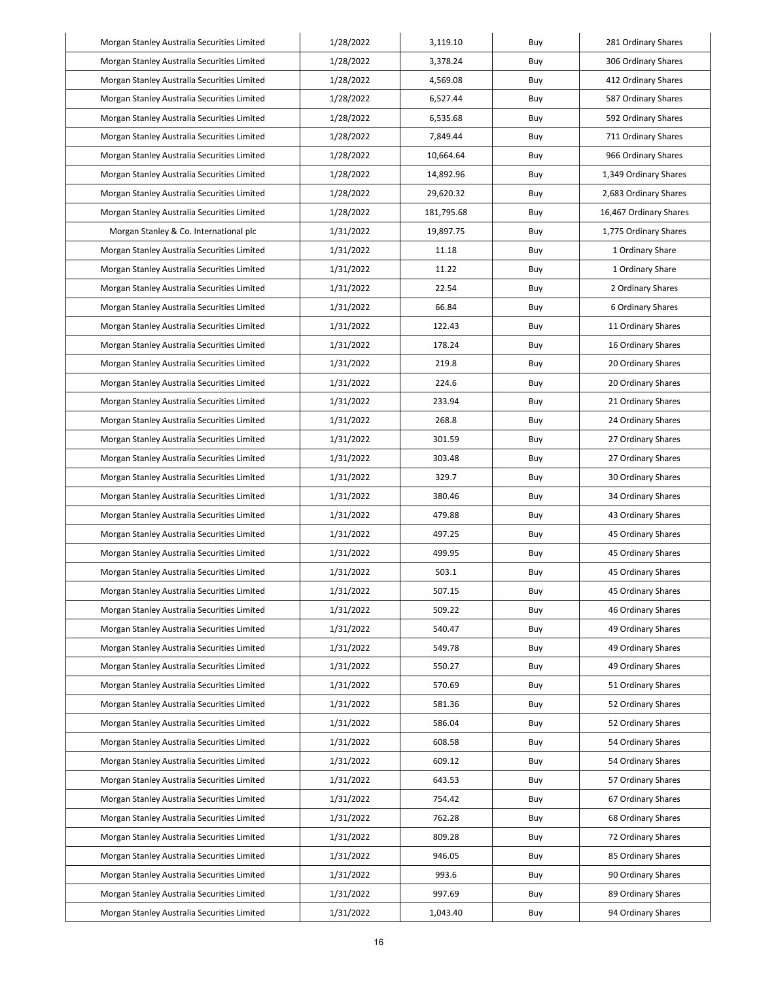| Morgan Stanley Australia Securities Limited | 1/28/2022 | 3,119.10   | Buy | 281 Ordinary Shares    |
|---------------------------------------------|-----------|------------|-----|------------------------|
| Morgan Stanley Australia Securities Limited | 1/28/2022 | 3,378.24   | Buy | 306 Ordinary Shares    |
| Morgan Stanley Australia Securities Limited | 1/28/2022 | 4,569.08   | Buy | 412 Ordinary Shares    |
| Morgan Stanley Australia Securities Limited | 1/28/2022 | 6,527.44   | Buy | 587 Ordinary Shares    |
| Morgan Stanley Australia Securities Limited | 1/28/2022 | 6,535.68   | Buy | 592 Ordinary Shares    |
| Morgan Stanley Australia Securities Limited | 1/28/2022 | 7,849.44   | Buy | 711 Ordinary Shares    |
| Morgan Stanley Australia Securities Limited | 1/28/2022 | 10,664.64  | Buy | 966 Ordinary Shares    |
| Morgan Stanley Australia Securities Limited | 1/28/2022 | 14,892.96  | Buy | 1,349 Ordinary Shares  |
| Morgan Stanley Australia Securities Limited | 1/28/2022 | 29,620.32  | Buy | 2,683 Ordinary Shares  |
| Morgan Stanley Australia Securities Limited | 1/28/2022 | 181,795.68 | Buy | 16,467 Ordinary Shares |
| Morgan Stanley & Co. International plc      | 1/31/2022 | 19,897.75  | Buy | 1,775 Ordinary Shares  |
| Morgan Stanley Australia Securities Limited | 1/31/2022 | 11.18      | Buy | 1 Ordinary Share       |
| Morgan Stanley Australia Securities Limited | 1/31/2022 | 11.22      | Buy | 1 Ordinary Share       |
| Morgan Stanley Australia Securities Limited | 1/31/2022 | 22.54      | Buy | 2 Ordinary Shares      |
| Morgan Stanley Australia Securities Limited | 1/31/2022 | 66.84      | Buy | 6 Ordinary Shares      |
| Morgan Stanley Australia Securities Limited | 1/31/2022 | 122.43     | Buy | 11 Ordinary Shares     |
| Morgan Stanley Australia Securities Limited | 1/31/2022 | 178.24     | Buy | 16 Ordinary Shares     |
| Morgan Stanley Australia Securities Limited | 1/31/2022 | 219.8      | Buy | 20 Ordinary Shares     |
| Morgan Stanley Australia Securities Limited | 1/31/2022 | 224.6      | Buy | 20 Ordinary Shares     |
| Morgan Stanley Australia Securities Limited | 1/31/2022 | 233.94     | Buy | 21 Ordinary Shares     |
| Morgan Stanley Australia Securities Limited | 1/31/2022 | 268.8      | Buy | 24 Ordinary Shares     |
| Morgan Stanley Australia Securities Limited | 1/31/2022 | 301.59     | Buy | 27 Ordinary Shares     |
| Morgan Stanley Australia Securities Limited | 1/31/2022 | 303.48     | Buy | 27 Ordinary Shares     |
| Morgan Stanley Australia Securities Limited | 1/31/2022 | 329.7      | Buy | 30 Ordinary Shares     |
| Morgan Stanley Australia Securities Limited | 1/31/2022 | 380.46     | Buy | 34 Ordinary Shares     |
| Morgan Stanley Australia Securities Limited | 1/31/2022 | 479.88     | Buy | 43 Ordinary Shares     |
| Morgan Stanley Australia Securities Limited | 1/31/2022 | 497.25     | Buy | 45 Ordinary Shares     |
| Morgan Stanley Australia Securities Limited | 1/31/2022 | 499.95     | Buy | 45 Ordinary Shares     |
| Morgan Stanley Australia Securities Limited | 1/31/2022 | 503.1      | Buy | 45 Ordinary Shares     |
| Morgan Stanley Australia Securities Limited | 1/31/2022 | 507.15     | Buy | 45 Ordinary Shares     |
| Morgan Stanley Australia Securities Limited | 1/31/2022 | 509.22     | Buy | 46 Ordinary Shares     |
| Morgan Stanley Australia Securities Limited | 1/31/2022 | 540.47     | Buy | 49 Ordinary Shares     |
| Morgan Stanley Australia Securities Limited | 1/31/2022 | 549.78     | Buy | 49 Ordinary Shares     |
| Morgan Stanley Australia Securities Limited | 1/31/2022 | 550.27     | Buy | 49 Ordinary Shares     |
| Morgan Stanley Australia Securities Limited | 1/31/2022 | 570.69     | Buy | 51 Ordinary Shares     |
| Morgan Stanley Australia Securities Limited | 1/31/2022 | 581.36     | Buy | 52 Ordinary Shares     |
| Morgan Stanley Australia Securities Limited | 1/31/2022 | 586.04     | Buy | 52 Ordinary Shares     |
| Morgan Stanley Australia Securities Limited | 1/31/2022 | 608.58     | Buy | 54 Ordinary Shares     |
| Morgan Stanley Australia Securities Limited | 1/31/2022 | 609.12     | Buy | 54 Ordinary Shares     |
| Morgan Stanley Australia Securities Limited | 1/31/2022 | 643.53     | Buy | 57 Ordinary Shares     |
| Morgan Stanley Australia Securities Limited | 1/31/2022 | 754.42     | Buy | 67 Ordinary Shares     |
| Morgan Stanley Australia Securities Limited | 1/31/2022 | 762.28     | Buy | 68 Ordinary Shares     |
| Morgan Stanley Australia Securities Limited | 1/31/2022 | 809.28     | Buy | 72 Ordinary Shares     |
| Morgan Stanley Australia Securities Limited | 1/31/2022 | 946.05     | Buy | 85 Ordinary Shares     |
| Morgan Stanley Australia Securities Limited | 1/31/2022 | 993.6      | Buy | 90 Ordinary Shares     |
| Morgan Stanley Australia Securities Limited | 1/31/2022 | 997.69     | Buy | 89 Ordinary Shares     |
| Morgan Stanley Australia Securities Limited | 1/31/2022 | 1,043.40   | Buy | 94 Ordinary Shares     |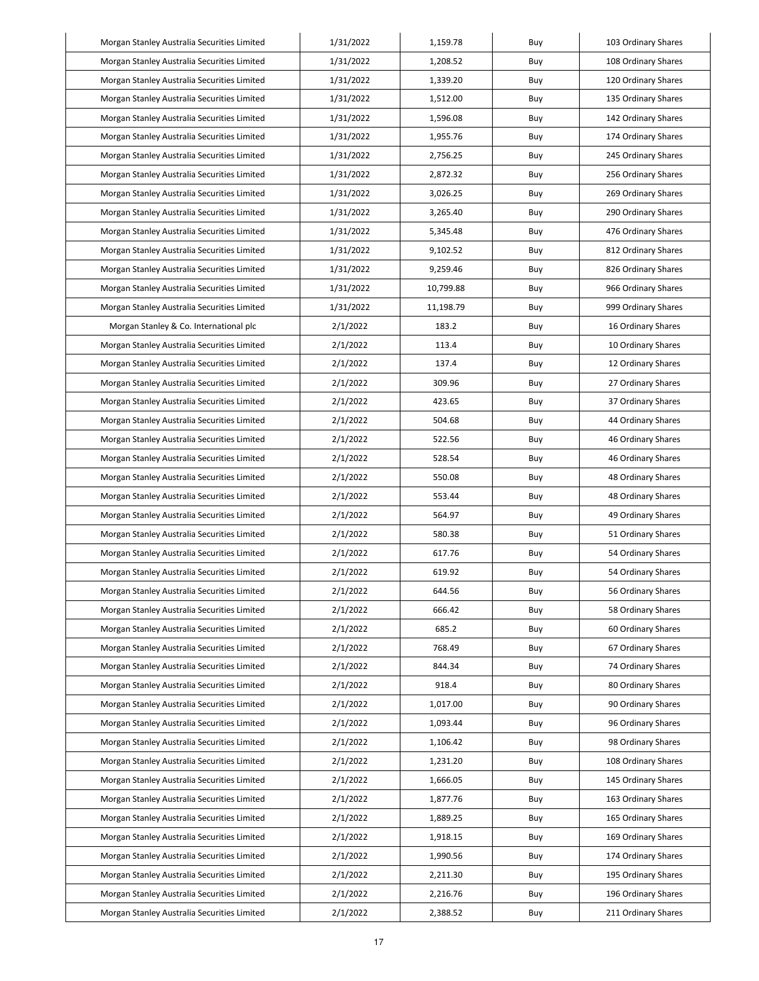| Morgan Stanley Australia Securities Limited | 1/31/2022 | 1,159.78  | Buy | 103 Ordinary Shares |
|---------------------------------------------|-----------|-----------|-----|---------------------|
| Morgan Stanley Australia Securities Limited | 1/31/2022 | 1,208.52  | Buy | 108 Ordinary Shares |
| Morgan Stanley Australia Securities Limited | 1/31/2022 | 1,339.20  | Buy | 120 Ordinary Shares |
| Morgan Stanley Australia Securities Limited | 1/31/2022 | 1,512.00  | Buy | 135 Ordinary Shares |
| Morgan Stanley Australia Securities Limited | 1/31/2022 | 1,596.08  | Buy | 142 Ordinary Shares |
| Morgan Stanley Australia Securities Limited | 1/31/2022 | 1,955.76  | Buy | 174 Ordinary Shares |
| Morgan Stanley Australia Securities Limited | 1/31/2022 | 2,756.25  | Buy | 245 Ordinary Shares |
| Morgan Stanley Australia Securities Limited | 1/31/2022 | 2,872.32  | Buy | 256 Ordinary Shares |
| Morgan Stanley Australia Securities Limited | 1/31/2022 | 3,026.25  | Buy | 269 Ordinary Shares |
| Morgan Stanley Australia Securities Limited | 1/31/2022 | 3,265.40  | Buy | 290 Ordinary Shares |
| Morgan Stanley Australia Securities Limited | 1/31/2022 | 5,345.48  | Buy | 476 Ordinary Shares |
| Morgan Stanley Australia Securities Limited | 1/31/2022 | 9,102.52  | Buy | 812 Ordinary Shares |
| Morgan Stanley Australia Securities Limited | 1/31/2022 | 9,259.46  | Buy | 826 Ordinary Shares |
| Morgan Stanley Australia Securities Limited | 1/31/2022 | 10,799.88 | Buy | 966 Ordinary Shares |
| Morgan Stanley Australia Securities Limited | 1/31/2022 | 11,198.79 | Buy | 999 Ordinary Shares |
| Morgan Stanley & Co. International plc      | 2/1/2022  | 183.2     | Buy | 16 Ordinary Shares  |
| Morgan Stanley Australia Securities Limited | 2/1/2022  | 113.4     | Buy | 10 Ordinary Shares  |
| Morgan Stanley Australia Securities Limited | 2/1/2022  | 137.4     | Buy | 12 Ordinary Shares  |
| Morgan Stanley Australia Securities Limited | 2/1/2022  | 309.96    | Buy | 27 Ordinary Shares  |
| Morgan Stanley Australia Securities Limited | 2/1/2022  | 423.65    | Buy | 37 Ordinary Shares  |
| Morgan Stanley Australia Securities Limited | 2/1/2022  | 504.68    | Buy | 44 Ordinary Shares  |
| Morgan Stanley Australia Securities Limited | 2/1/2022  | 522.56    | Buy | 46 Ordinary Shares  |
| Morgan Stanley Australia Securities Limited | 2/1/2022  | 528.54    | Buy | 46 Ordinary Shares  |
| Morgan Stanley Australia Securities Limited | 2/1/2022  | 550.08    | Buy | 48 Ordinary Shares  |
| Morgan Stanley Australia Securities Limited | 2/1/2022  | 553.44    | Buy | 48 Ordinary Shares  |
| Morgan Stanley Australia Securities Limited | 2/1/2022  | 564.97    | Buy | 49 Ordinary Shares  |
| Morgan Stanley Australia Securities Limited | 2/1/2022  | 580.38    | Buy | 51 Ordinary Shares  |
| Morgan Stanley Australia Securities Limited | 2/1/2022  | 617.76    | Buy | 54 Ordinary Shares  |
| Morgan Stanley Australia Securities Limited | 2/1/2022  | 619.92    | Buy | 54 Ordinary Shares  |
| Morgan Stanley Australia Securities Limited | 2/1/2022  | 644.56    | Buy | 56 Ordinary Shares  |
| Morgan Stanley Australia Securities Limited | 2/1/2022  | 666.42    | Buy | 58 Ordinary Shares  |
| Morgan Stanley Australia Securities Limited | 2/1/2022  | 685.2     | Buy | 60 Ordinary Shares  |
| Morgan Stanley Australia Securities Limited | 2/1/2022  | 768.49    | Buy | 67 Ordinary Shares  |
| Morgan Stanley Australia Securities Limited | 2/1/2022  | 844.34    | Buy | 74 Ordinary Shares  |
| Morgan Stanley Australia Securities Limited | 2/1/2022  | 918.4     | Buy | 80 Ordinary Shares  |
| Morgan Stanley Australia Securities Limited | 2/1/2022  | 1,017.00  | Buy | 90 Ordinary Shares  |
| Morgan Stanley Australia Securities Limited | 2/1/2022  | 1,093.44  | Buy | 96 Ordinary Shares  |
| Morgan Stanley Australia Securities Limited | 2/1/2022  | 1,106.42  | Buy | 98 Ordinary Shares  |
| Morgan Stanley Australia Securities Limited | 2/1/2022  | 1,231.20  | Buy | 108 Ordinary Shares |
| Morgan Stanley Australia Securities Limited | 2/1/2022  | 1,666.05  | Buy | 145 Ordinary Shares |
| Morgan Stanley Australia Securities Limited | 2/1/2022  | 1,877.76  | Buy | 163 Ordinary Shares |
| Morgan Stanley Australia Securities Limited | 2/1/2022  | 1,889.25  | Buy | 165 Ordinary Shares |
| Morgan Stanley Australia Securities Limited | 2/1/2022  | 1,918.15  | Buy | 169 Ordinary Shares |
| Morgan Stanley Australia Securities Limited | 2/1/2022  | 1,990.56  | Buy | 174 Ordinary Shares |
| Morgan Stanley Australia Securities Limited | 2/1/2022  | 2,211.30  | Buy | 195 Ordinary Shares |
| Morgan Stanley Australia Securities Limited | 2/1/2022  | 2,216.76  | Buy | 196 Ordinary Shares |
| Morgan Stanley Australia Securities Limited | 2/1/2022  | 2,388.52  | Buy | 211 Ordinary Shares |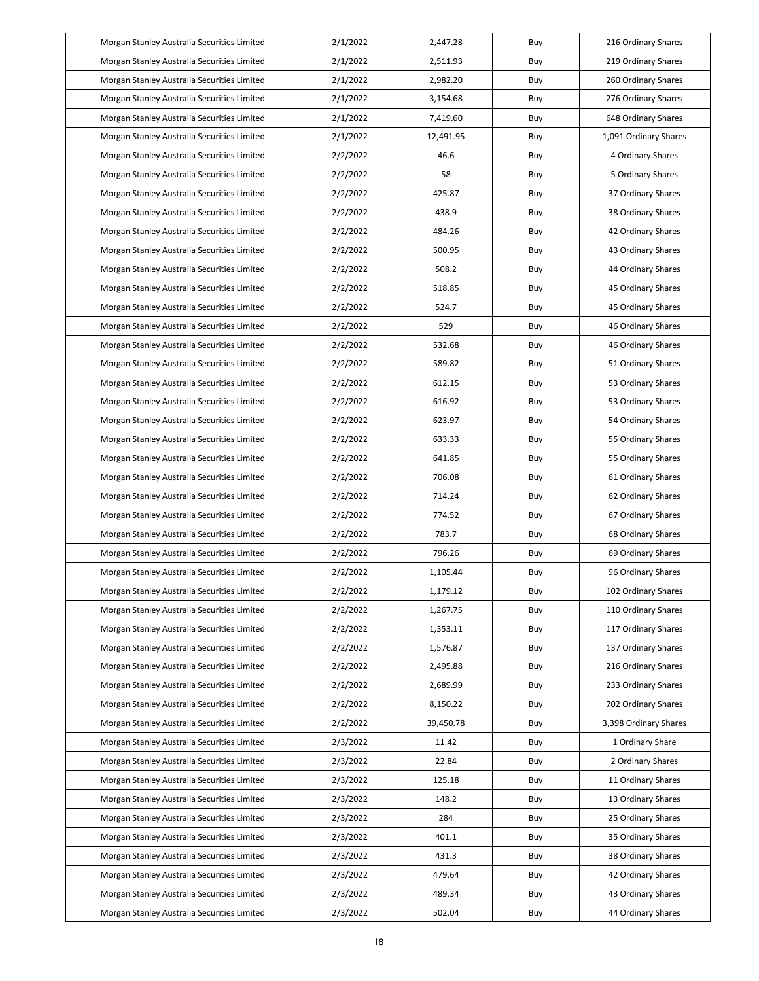| Morgan Stanley Australia Securities Limited | 2/1/2022 | 2,447.28  | Buy | 216 Ordinary Shares   |
|---------------------------------------------|----------|-----------|-----|-----------------------|
| Morgan Stanley Australia Securities Limited | 2/1/2022 | 2,511.93  | Buy | 219 Ordinary Shares   |
| Morgan Stanley Australia Securities Limited | 2/1/2022 | 2,982.20  | Buy | 260 Ordinary Shares   |
| Morgan Stanley Australia Securities Limited | 2/1/2022 | 3,154.68  | Buy | 276 Ordinary Shares   |
| Morgan Stanley Australia Securities Limited | 2/1/2022 | 7,419.60  | Buy | 648 Ordinary Shares   |
| Morgan Stanley Australia Securities Limited | 2/1/2022 | 12,491.95 | Buy | 1,091 Ordinary Shares |
| Morgan Stanley Australia Securities Limited | 2/2/2022 | 46.6      | Buy | 4 Ordinary Shares     |
| Morgan Stanley Australia Securities Limited | 2/2/2022 | 58        | Buy | 5 Ordinary Shares     |
| Morgan Stanley Australia Securities Limited | 2/2/2022 | 425.87    | Buy | 37 Ordinary Shares    |
| Morgan Stanley Australia Securities Limited | 2/2/2022 | 438.9     | Buy | 38 Ordinary Shares    |
| Morgan Stanley Australia Securities Limited | 2/2/2022 | 484.26    | Buy | 42 Ordinary Shares    |
| Morgan Stanley Australia Securities Limited | 2/2/2022 | 500.95    | Buy | 43 Ordinary Shares    |
| Morgan Stanley Australia Securities Limited | 2/2/2022 | 508.2     | Buy | 44 Ordinary Shares    |
| Morgan Stanley Australia Securities Limited | 2/2/2022 | 518.85    | Buy | 45 Ordinary Shares    |
| Morgan Stanley Australia Securities Limited | 2/2/2022 | 524.7     | Buy | 45 Ordinary Shares    |
| Morgan Stanley Australia Securities Limited | 2/2/2022 | 529       | Buy | 46 Ordinary Shares    |
| Morgan Stanley Australia Securities Limited | 2/2/2022 | 532.68    | Buy | 46 Ordinary Shares    |
| Morgan Stanley Australia Securities Limited | 2/2/2022 | 589.82    | Buy | 51 Ordinary Shares    |
| Morgan Stanley Australia Securities Limited | 2/2/2022 | 612.15    | Buy | 53 Ordinary Shares    |
| Morgan Stanley Australia Securities Limited | 2/2/2022 | 616.92    | Buy | 53 Ordinary Shares    |
| Morgan Stanley Australia Securities Limited | 2/2/2022 | 623.97    | Buy | 54 Ordinary Shares    |
| Morgan Stanley Australia Securities Limited | 2/2/2022 | 633.33    | Buy | 55 Ordinary Shares    |
| Morgan Stanley Australia Securities Limited | 2/2/2022 | 641.85    | Buy | 55 Ordinary Shares    |
| Morgan Stanley Australia Securities Limited | 2/2/2022 | 706.08    | Buy | 61 Ordinary Shares    |
| Morgan Stanley Australia Securities Limited | 2/2/2022 | 714.24    | Buy | 62 Ordinary Shares    |
| Morgan Stanley Australia Securities Limited | 2/2/2022 | 774.52    | Buy | 67 Ordinary Shares    |
| Morgan Stanley Australia Securities Limited | 2/2/2022 | 783.7     | Buy | 68 Ordinary Shares    |
| Morgan Stanley Australia Securities Limited | 2/2/2022 | 796.26    | Buy | 69 Ordinary Shares    |
| Morgan Stanley Australia Securities Limited | 2/2/2022 | 1,105.44  | Buy | 96 Ordinary Shares    |
| Morgan Stanley Australia Securities Limited | 2/2/2022 | 1,179.12  | Buy | 102 Ordinary Shares   |
| Morgan Stanley Australia Securities Limited | 2/2/2022 | 1,267.75  | Buy | 110 Ordinary Shares   |
| Morgan Stanley Australia Securities Limited | 2/2/2022 | 1,353.11  | Buy | 117 Ordinary Shares   |
| Morgan Stanley Australia Securities Limited | 2/2/2022 | 1,576.87  | Buy | 137 Ordinary Shares   |
| Morgan Stanley Australia Securities Limited | 2/2/2022 | 2,495.88  | Buy | 216 Ordinary Shares   |
| Morgan Stanley Australia Securities Limited | 2/2/2022 | 2,689.99  | Buy | 233 Ordinary Shares   |
| Morgan Stanley Australia Securities Limited | 2/2/2022 | 8,150.22  | Buy | 702 Ordinary Shares   |
| Morgan Stanley Australia Securities Limited | 2/2/2022 | 39,450.78 | Buy | 3,398 Ordinary Shares |
| Morgan Stanley Australia Securities Limited | 2/3/2022 | 11.42     | Buy | 1 Ordinary Share      |
| Morgan Stanley Australia Securities Limited | 2/3/2022 | 22.84     | Buy | 2 Ordinary Shares     |
| Morgan Stanley Australia Securities Limited | 2/3/2022 | 125.18    | Buy | 11 Ordinary Shares    |
| Morgan Stanley Australia Securities Limited | 2/3/2022 | 148.2     | Buy | 13 Ordinary Shares    |
| Morgan Stanley Australia Securities Limited | 2/3/2022 | 284       | Buy | 25 Ordinary Shares    |
| Morgan Stanley Australia Securities Limited | 2/3/2022 | 401.1     | Buy | 35 Ordinary Shares    |
| Morgan Stanley Australia Securities Limited | 2/3/2022 | 431.3     | Buy | 38 Ordinary Shares    |
| Morgan Stanley Australia Securities Limited | 2/3/2022 | 479.64    | Buy | 42 Ordinary Shares    |
| Morgan Stanley Australia Securities Limited | 2/3/2022 | 489.34    | Buy | 43 Ordinary Shares    |
| Morgan Stanley Australia Securities Limited | 2/3/2022 | 502.04    | Buy | 44 Ordinary Shares    |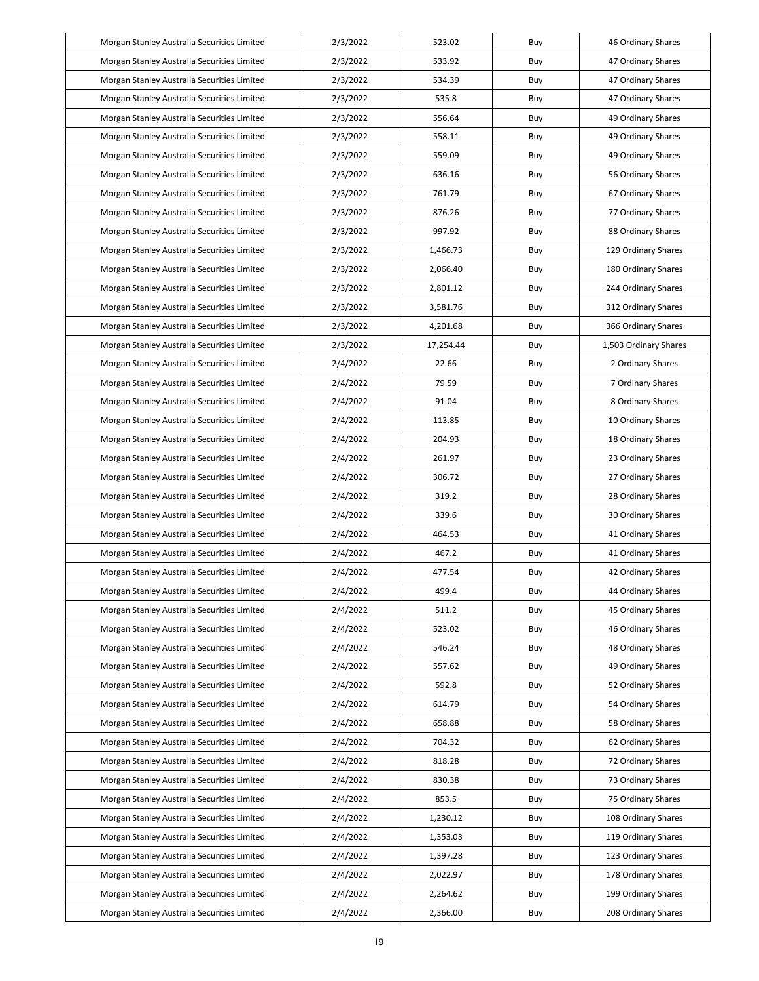| Morgan Stanley Australia Securities Limited | 2/3/2022 | 523.02    | Buy | 46 Ordinary Shares    |
|---------------------------------------------|----------|-----------|-----|-----------------------|
| Morgan Stanley Australia Securities Limited | 2/3/2022 | 533.92    | Buy | 47 Ordinary Shares    |
| Morgan Stanley Australia Securities Limited | 2/3/2022 | 534.39    | Buy | 47 Ordinary Shares    |
| Morgan Stanley Australia Securities Limited | 2/3/2022 | 535.8     | Buy | 47 Ordinary Shares    |
| Morgan Stanley Australia Securities Limited | 2/3/2022 | 556.64    | Buy | 49 Ordinary Shares    |
| Morgan Stanley Australia Securities Limited | 2/3/2022 | 558.11    | Buy | 49 Ordinary Shares    |
| Morgan Stanley Australia Securities Limited | 2/3/2022 | 559.09    | Buy | 49 Ordinary Shares    |
| Morgan Stanley Australia Securities Limited | 2/3/2022 | 636.16    | Buy | 56 Ordinary Shares    |
| Morgan Stanley Australia Securities Limited | 2/3/2022 | 761.79    | Buy | 67 Ordinary Shares    |
| Morgan Stanley Australia Securities Limited | 2/3/2022 | 876.26    | Buy | 77 Ordinary Shares    |
| Morgan Stanley Australia Securities Limited | 2/3/2022 | 997.92    | Buy | 88 Ordinary Shares    |
| Morgan Stanley Australia Securities Limited | 2/3/2022 | 1,466.73  | Buy | 129 Ordinary Shares   |
| Morgan Stanley Australia Securities Limited | 2/3/2022 | 2,066.40  | Buy | 180 Ordinary Shares   |
| Morgan Stanley Australia Securities Limited | 2/3/2022 | 2,801.12  | Buy | 244 Ordinary Shares   |
| Morgan Stanley Australia Securities Limited | 2/3/2022 | 3,581.76  | Buy | 312 Ordinary Shares   |
| Morgan Stanley Australia Securities Limited | 2/3/2022 | 4,201.68  | Buy | 366 Ordinary Shares   |
| Morgan Stanley Australia Securities Limited | 2/3/2022 | 17,254.44 | Buy | 1,503 Ordinary Shares |
| Morgan Stanley Australia Securities Limited | 2/4/2022 | 22.66     | Buy | 2 Ordinary Shares     |
| Morgan Stanley Australia Securities Limited | 2/4/2022 | 79.59     | Buy | 7 Ordinary Shares     |
| Morgan Stanley Australia Securities Limited | 2/4/2022 | 91.04     | Buy | 8 Ordinary Shares     |
| Morgan Stanley Australia Securities Limited | 2/4/2022 | 113.85    | Buy | 10 Ordinary Shares    |
| Morgan Stanley Australia Securities Limited | 2/4/2022 | 204.93    | Buy | 18 Ordinary Shares    |
| Morgan Stanley Australia Securities Limited | 2/4/2022 | 261.97    | Buy | 23 Ordinary Shares    |
| Morgan Stanley Australia Securities Limited | 2/4/2022 | 306.72    | Buy | 27 Ordinary Shares    |
| Morgan Stanley Australia Securities Limited | 2/4/2022 | 319.2     | Buy | 28 Ordinary Shares    |
| Morgan Stanley Australia Securities Limited | 2/4/2022 | 339.6     | Buy | 30 Ordinary Shares    |
| Morgan Stanley Australia Securities Limited | 2/4/2022 | 464.53    | Buy | 41 Ordinary Shares    |
| Morgan Stanley Australia Securities Limited | 2/4/2022 | 467.2     | Buy | 41 Ordinary Shares    |
| Morgan Stanley Australia Securities Limited | 2/4/2022 | 477.54    | Buy | 42 Ordinary Shares    |
| Morgan Stanley Australia Securities Limited | 2/4/2022 | 499.4     | Buy | 44 Ordinary Shares    |
| Morgan Stanley Australia Securities Limited | 2/4/2022 | 511.2     | Buy | 45 Ordinary Shares    |
| Morgan Stanley Australia Securities Limited | 2/4/2022 | 523.02    | Buy | 46 Ordinary Shares    |
| Morgan Stanley Australia Securities Limited | 2/4/2022 | 546.24    | Buy | 48 Ordinary Shares    |
| Morgan Stanley Australia Securities Limited | 2/4/2022 | 557.62    | Buy | 49 Ordinary Shares    |
| Morgan Stanley Australia Securities Limited | 2/4/2022 | 592.8     | Buy | 52 Ordinary Shares    |
| Morgan Stanley Australia Securities Limited | 2/4/2022 | 614.79    | Buy | 54 Ordinary Shares    |
| Morgan Stanley Australia Securities Limited | 2/4/2022 | 658.88    | Buy | 58 Ordinary Shares    |
| Morgan Stanley Australia Securities Limited | 2/4/2022 | 704.32    | Buy | 62 Ordinary Shares    |
| Morgan Stanley Australia Securities Limited | 2/4/2022 | 818.28    | Buy | 72 Ordinary Shares    |
| Morgan Stanley Australia Securities Limited | 2/4/2022 | 830.38    | Buy | 73 Ordinary Shares    |
| Morgan Stanley Australia Securities Limited | 2/4/2022 | 853.5     | Buy | 75 Ordinary Shares    |
| Morgan Stanley Australia Securities Limited | 2/4/2022 | 1,230.12  | Buy | 108 Ordinary Shares   |
| Morgan Stanley Australia Securities Limited | 2/4/2022 | 1,353.03  | Buy | 119 Ordinary Shares   |
| Morgan Stanley Australia Securities Limited | 2/4/2022 | 1,397.28  | Buy | 123 Ordinary Shares   |
| Morgan Stanley Australia Securities Limited | 2/4/2022 | 2,022.97  | Buy | 178 Ordinary Shares   |
| Morgan Stanley Australia Securities Limited | 2/4/2022 | 2,264.62  | Buy | 199 Ordinary Shares   |
| Morgan Stanley Australia Securities Limited | 2/4/2022 | 2,366.00  | Buy | 208 Ordinary Shares   |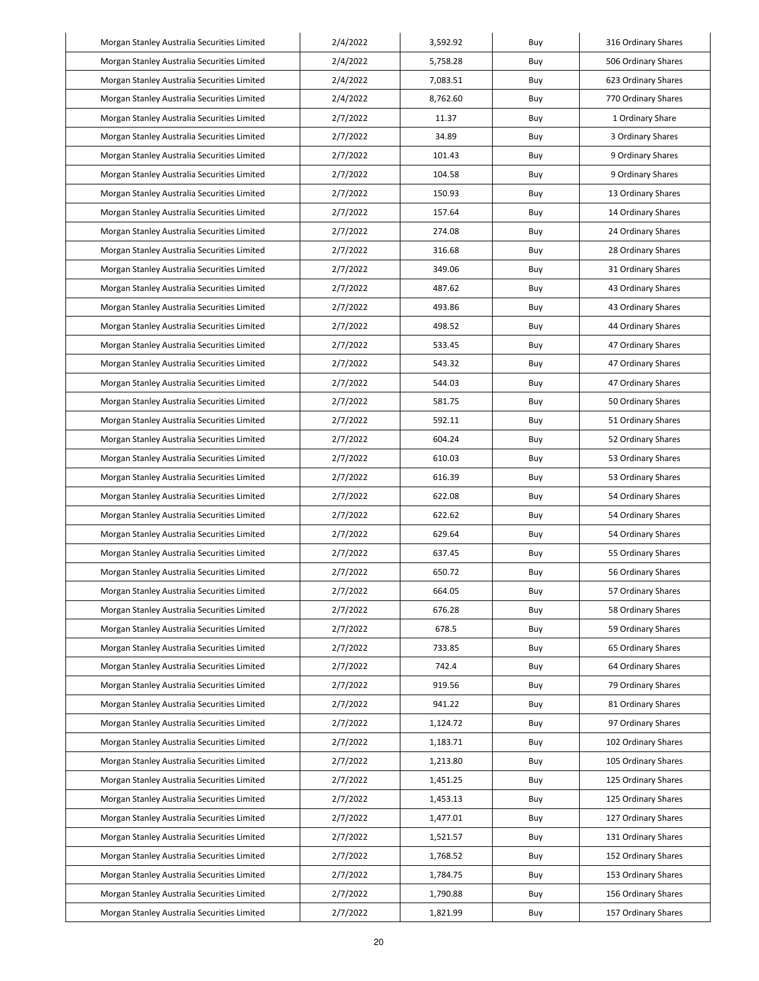| Morgan Stanley Australia Securities Limited | 2/4/2022 | 3,592.92 | Buy | 316 Ordinary Shares |
|---------------------------------------------|----------|----------|-----|---------------------|
| Morgan Stanley Australia Securities Limited | 2/4/2022 | 5,758.28 | Buy | 506 Ordinary Shares |
| Morgan Stanley Australia Securities Limited | 2/4/2022 | 7,083.51 | Buy | 623 Ordinary Shares |
| Morgan Stanley Australia Securities Limited | 2/4/2022 | 8,762.60 | Buy | 770 Ordinary Shares |
| Morgan Stanley Australia Securities Limited | 2/7/2022 | 11.37    | Buy | 1 Ordinary Share    |
| Morgan Stanley Australia Securities Limited | 2/7/2022 | 34.89    | Buy | 3 Ordinary Shares   |
| Morgan Stanley Australia Securities Limited | 2/7/2022 | 101.43   | Buy | 9 Ordinary Shares   |
| Morgan Stanley Australia Securities Limited | 2/7/2022 | 104.58   | Buy | 9 Ordinary Shares   |
| Morgan Stanley Australia Securities Limited | 2/7/2022 | 150.93   | Buy | 13 Ordinary Shares  |
| Morgan Stanley Australia Securities Limited | 2/7/2022 | 157.64   | Buy | 14 Ordinary Shares  |
| Morgan Stanley Australia Securities Limited | 2/7/2022 | 274.08   | Buy | 24 Ordinary Shares  |
| Morgan Stanley Australia Securities Limited | 2/7/2022 | 316.68   | Buy | 28 Ordinary Shares  |
| Morgan Stanley Australia Securities Limited | 2/7/2022 | 349.06   | Buy | 31 Ordinary Shares  |
| Morgan Stanley Australia Securities Limited | 2/7/2022 | 487.62   | Buy | 43 Ordinary Shares  |
| Morgan Stanley Australia Securities Limited | 2/7/2022 | 493.86   | Buy | 43 Ordinary Shares  |
| Morgan Stanley Australia Securities Limited | 2/7/2022 | 498.52   | Buy | 44 Ordinary Shares  |
| Morgan Stanley Australia Securities Limited | 2/7/2022 | 533.45   | Buy | 47 Ordinary Shares  |
| Morgan Stanley Australia Securities Limited | 2/7/2022 | 543.32   | Buy | 47 Ordinary Shares  |
| Morgan Stanley Australia Securities Limited | 2/7/2022 | 544.03   | Buy | 47 Ordinary Shares  |
| Morgan Stanley Australia Securities Limited | 2/7/2022 | 581.75   | Buy | 50 Ordinary Shares  |
| Morgan Stanley Australia Securities Limited | 2/7/2022 | 592.11   | Buy | 51 Ordinary Shares  |
| Morgan Stanley Australia Securities Limited | 2/7/2022 | 604.24   | Buy | 52 Ordinary Shares  |
| Morgan Stanley Australia Securities Limited | 2/7/2022 | 610.03   | Buy | 53 Ordinary Shares  |
| Morgan Stanley Australia Securities Limited | 2/7/2022 | 616.39   | Buy | 53 Ordinary Shares  |
| Morgan Stanley Australia Securities Limited | 2/7/2022 | 622.08   | Buy | 54 Ordinary Shares  |
| Morgan Stanley Australia Securities Limited | 2/7/2022 | 622.62   | Buy | 54 Ordinary Shares  |
| Morgan Stanley Australia Securities Limited | 2/7/2022 | 629.64   | Buy | 54 Ordinary Shares  |
| Morgan Stanley Australia Securities Limited | 2/7/2022 | 637.45   | Buy | 55 Ordinary Shares  |
| Morgan Stanley Australia Securities Limited | 2/7/2022 | 650.72   | Buy | 56 Ordinary Shares  |
| Morgan Stanley Australia Securities Limited | 2/7/2022 | 664.05   | Buy | 57 Ordinary Shares  |
| Morgan Stanley Australia Securities Limited | 2/7/2022 | 676.28   | Buy | 58 Ordinary Shares  |
| Morgan Stanley Australia Securities Limited | 2/7/2022 | 678.5    | Buy | 59 Ordinary Shares  |
| Morgan Stanley Australia Securities Limited | 2/7/2022 | 733.85   | Buy | 65 Ordinary Shares  |
| Morgan Stanley Australia Securities Limited | 2/7/2022 | 742.4    | Buy | 64 Ordinary Shares  |
| Morgan Stanley Australia Securities Limited | 2/7/2022 | 919.56   | Buy | 79 Ordinary Shares  |
| Morgan Stanley Australia Securities Limited | 2/7/2022 | 941.22   | Buy | 81 Ordinary Shares  |
| Morgan Stanley Australia Securities Limited | 2/7/2022 | 1,124.72 | Buy | 97 Ordinary Shares  |
| Morgan Stanley Australia Securities Limited | 2/7/2022 | 1,183.71 | Buy | 102 Ordinary Shares |
| Morgan Stanley Australia Securities Limited | 2/7/2022 | 1,213.80 | Buy | 105 Ordinary Shares |
| Morgan Stanley Australia Securities Limited | 2/7/2022 | 1,451.25 | Buy | 125 Ordinary Shares |
| Morgan Stanley Australia Securities Limited | 2/7/2022 | 1,453.13 | Buy | 125 Ordinary Shares |
| Morgan Stanley Australia Securities Limited | 2/7/2022 | 1,477.01 | Buy | 127 Ordinary Shares |
| Morgan Stanley Australia Securities Limited | 2/7/2022 | 1,521.57 | Buy | 131 Ordinary Shares |
| Morgan Stanley Australia Securities Limited | 2/7/2022 | 1,768.52 | Buy | 152 Ordinary Shares |
| Morgan Stanley Australia Securities Limited | 2/7/2022 | 1,784.75 | Buy | 153 Ordinary Shares |
| Morgan Stanley Australia Securities Limited | 2/7/2022 | 1,790.88 | Buy | 156 Ordinary Shares |
| Morgan Stanley Australia Securities Limited | 2/7/2022 | 1,821.99 | Buy | 157 Ordinary Shares |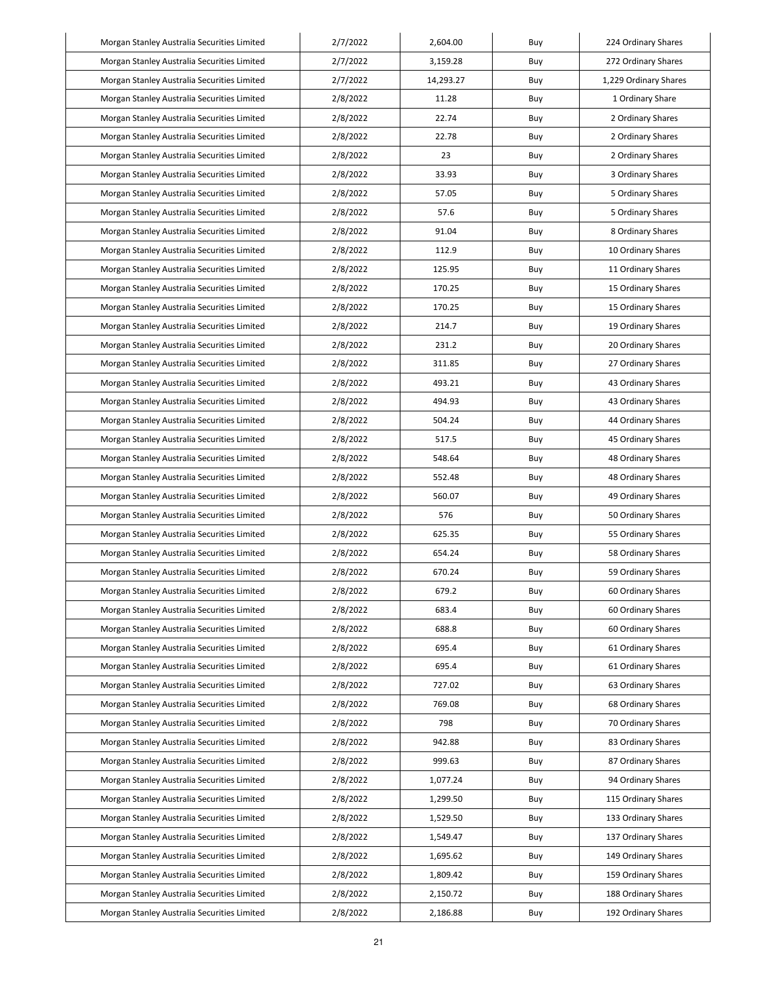| Morgan Stanley Australia Securities Limited | 2/7/2022 | 2,604.00  | Buy | 224 Ordinary Shares   |
|---------------------------------------------|----------|-----------|-----|-----------------------|
| Morgan Stanley Australia Securities Limited | 2/7/2022 | 3,159.28  | Buy | 272 Ordinary Shares   |
| Morgan Stanley Australia Securities Limited | 2/7/2022 | 14,293.27 | Buy | 1,229 Ordinary Shares |
| Morgan Stanley Australia Securities Limited | 2/8/2022 | 11.28     | Buy | 1 Ordinary Share      |
| Morgan Stanley Australia Securities Limited | 2/8/2022 | 22.74     | Buy | 2 Ordinary Shares     |
| Morgan Stanley Australia Securities Limited | 2/8/2022 | 22.78     | Buy | 2 Ordinary Shares     |
| Morgan Stanley Australia Securities Limited | 2/8/2022 | 23        | Buy | 2 Ordinary Shares     |
| Morgan Stanley Australia Securities Limited | 2/8/2022 | 33.93     | Buy | 3 Ordinary Shares     |
| Morgan Stanley Australia Securities Limited | 2/8/2022 | 57.05     | Buy | 5 Ordinary Shares     |
| Morgan Stanley Australia Securities Limited | 2/8/2022 | 57.6      | Buy | 5 Ordinary Shares     |
| Morgan Stanley Australia Securities Limited | 2/8/2022 | 91.04     | Buy | 8 Ordinary Shares     |
| Morgan Stanley Australia Securities Limited | 2/8/2022 | 112.9     | Buy | 10 Ordinary Shares    |
| Morgan Stanley Australia Securities Limited | 2/8/2022 | 125.95    | Buy | 11 Ordinary Shares    |
| Morgan Stanley Australia Securities Limited | 2/8/2022 | 170.25    | Buy | 15 Ordinary Shares    |
| Morgan Stanley Australia Securities Limited | 2/8/2022 | 170.25    | Buy | 15 Ordinary Shares    |
| Morgan Stanley Australia Securities Limited | 2/8/2022 | 214.7     | Buy | 19 Ordinary Shares    |
| Morgan Stanley Australia Securities Limited | 2/8/2022 | 231.2     | Buy | 20 Ordinary Shares    |
| Morgan Stanley Australia Securities Limited | 2/8/2022 | 311.85    | Buy | 27 Ordinary Shares    |
| Morgan Stanley Australia Securities Limited | 2/8/2022 | 493.21    | Buy | 43 Ordinary Shares    |
| Morgan Stanley Australia Securities Limited | 2/8/2022 | 494.93    | Buy | 43 Ordinary Shares    |
| Morgan Stanley Australia Securities Limited | 2/8/2022 | 504.24    | Buy | 44 Ordinary Shares    |
| Morgan Stanley Australia Securities Limited | 2/8/2022 | 517.5     | Buy | 45 Ordinary Shares    |
| Morgan Stanley Australia Securities Limited | 2/8/2022 | 548.64    | Buy | 48 Ordinary Shares    |
| Morgan Stanley Australia Securities Limited | 2/8/2022 | 552.48    | Buy | 48 Ordinary Shares    |
| Morgan Stanley Australia Securities Limited | 2/8/2022 | 560.07    | Buy | 49 Ordinary Shares    |
| Morgan Stanley Australia Securities Limited | 2/8/2022 | 576       | Buy | 50 Ordinary Shares    |
| Morgan Stanley Australia Securities Limited | 2/8/2022 | 625.35    | Buy | 55 Ordinary Shares    |
| Morgan Stanley Australia Securities Limited | 2/8/2022 | 654.24    | Buy | 58 Ordinary Shares    |
| Morgan Stanley Australia Securities Limited | 2/8/2022 | 670.24    | Buy | 59 Ordinary Shares    |
| Morgan Stanley Australia Securities Limited | 2/8/2022 | 679.2     | Buy | 60 Ordinary Shares    |
| Morgan Stanley Australia Securities Limited | 2/8/2022 | 683.4     | Buy | 60 Ordinary Shares    |
| Morgan Stanley Australia Securities Limited | 2/8/2022 | 688.8     | Buy | 60 Ordinary Shares    |
| Morgan Stanley Australia Securities Limited | 2/8/2022 | 695.4     | Buy | 61 Ordinary Shares    |
| Morgan Stanley Australia Securities Limited | 2/8/2022 | 695.4     | Buy | 61 Ordinary Shares    |
| Morgan Stanley Australia Securities Limited | 2/8/2022 | 727.02    | Buy | 63 Ordinary Shares    |
| Morgan Stanley Australia Securities Limited | 2/8/2022 | 769.08    | Buy | 68 Ordinary Shares    |
| Morgan Stanley Australia Securities Limited | 2/8/2022 | 798       | Buy | 70 Ordinary Shares    |
| Morgan Stanley Australia Securities Limited | 2/8/2022 | 942.88    | Buy | 83 Ordinary Shares    |
| Morgan Stanley Australia Securities Limited | 2/8/2022 | 999.63    | Buy | 87 Ordinary Shares    |
| Morgan Stanley Australia Securities Limited | 2/8/2022 | 1,077.24  | Buy | 94 Ordinary Shares    |
| Morgan Stanley Australia Securities Limited | 2/8/2022 | 1,299.50  | Buy | 115 Ordinary Shares   |
| Morgan Stanley Australia Securities Limited | 2/8/2022 | 1,529.50  | Buy | 133 Ordinary Shares   |
| Morgan Stanley Australia Securities Limited | 2/8/2022 | 1,549.47  | Buy | 137 Ordinary Shares   |
| Morgan Stanley Australia Securities Limited | 2/8/2022 | 1,695.62  | Buy | 149 Ordinary Shares   |
| Morgan Stanley Australia Securities Limited | 2/8/2022 | 1,809.42  | Buy | 159 Ordinary Shares   |
| Morgan Stanley Australia Securities Limited | 2/8/2022 | 2,150.72  | Buy | 188 Ordinary Shares   |
| Morgan Stanley Australia Securities Limited | 2/8/2022 | 2,186.88  | Buy | 192 Ordinary Shares   |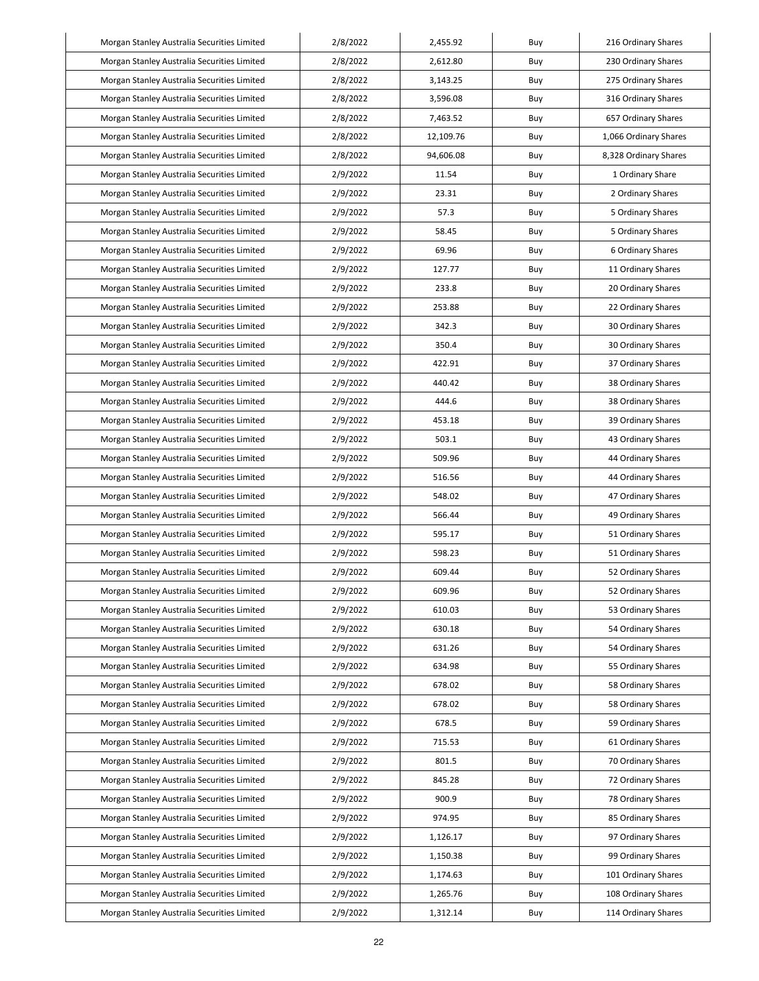| Morgan Stanley Australia Securities Limited | 2/8/2022 | 2,455.92  | Buy | 216 Ordinary Shares   |
|---------------------------------------------|----------|-----------|-----|-----------------------|
| Morgan Stanley Australia Securities Limited | 2/8/2022 | 2,612.80  | Buy | 230 Ordinary Shares   |
| Morgan Stanley Australia Securities Limited | 2/8/2022 | 3,143.25  | Buy | 275 Ordinary Shares   |
| Morgan Stanley Australia Securities Limited | 2/8/2022 | 3,596.08  | Buy | 316 Ordinary Shares   |
| Morgan Stanley Australia Securities Limited | 2/8/2022 | 7,463.52  | Buy | 657 Ordinary Shares   |
| Morgan Stanley Australia Securities Limited | 2/8/2022 | 12,109.76 | Buy | 1,066 Ordinary Shares |
| Morgan Stanley Australia Securities Limited | 2/8/2022 | 94,606.08 | Buy | 8,328 Ordinary Shares |
| Morgan Stanley Australia Securities Limited | 2/9/2022 | 11.54     | Buy | 1 Ordinary Share      |
| Morgan Stanley Australia Securities Limited | 2/9/2022 | 23.31     | Buy | 2 Ordinary Shares     |
| Morgan Stanley Australia Securities Limited | 2/9/2022 | 57.3      | Buy | 5 Ordinary Shares     |
| Morgan Stanley Australia Securities Limited | 2/9/2022 | 58.45     | Buy | 5 Ordinary Shares     |
| Morgan Stanley Australia Securities Limited | 2/9/2022 | 69.96     | Buy | 6 Ordinary Shares     |
| Morgan Stanley Australia Securities Limited | 2/9/2022 | 127.77    | Buy | 11 Ordinary Shares    |
| Morgan Stanley Australia Securities Limited | 2/9/2022 | 233.8     | Buy | 20 Ordinary Shares    |
| Morgan Stanley Australia Securities Limited | 2/9/2022 | 253.88    | Buy | 22 Ordinary Shares    |
| Morgan Stanley Australia Securities Limited | 2/9/2022 | 342.3     | Buy | 30 Ordinary Shares    |
| Morgan Stanley Australia Securities Limited | 2/9/2022 | 350.4     | Buy | 30 Ordinary Shares    |
| Morgan Stanley Australia Securities Limited | 2/9/2022 | 422.91    | Buy | 37 Ordinary Shares    |
| Morgan Stanley Australia Securities Limited | 2/9/2022 | 440.42    | Buy | 38 Ordinary Shares    |
| Morgan Stanley Australia Securities Limited | 2/9/2022 | 444.6     | Buy | 38 Ordinary Shares    |
| Morgan Stanley Australia Securities Limited | 2/9/2022 | 453.18    | Buy | 39 Ordinary Shares    |
| Morgan Stanley Australia Securities Limited | 2/9/2022 | 503.1     | Buy | 43 Ordinary Shares    |
| Morgan Stanley Australia Securities Limited | 2/9/2022 | 509.96    | Buy | 44 Ordinary Shares    |
| Morgan Stanley Australia Securities Limited | 2/9/2022 | 516.56    | Buy | 44 Ordinary Shares    |
| Morgan Stanley Australia Securities Limited | 2/9/2022 | 548.02    | Buy | 47 Ordinary Shares    |
| Morgan Stanley Australia Securities Limited | 2/9/2022 | 566.44    | Buy | 49 Ordinary Shares    |
| Morgan Stanley Australia Securities Limited | 2/9/2022 | 595.17    | Buy | 51 Ordinary Shares    |
| Morgan Stanley Australia Securities Limited | 2/9/2022 | 598.23    | Buy | 51 Ordinary Shares    |
| Morgan Stanley Australia Securities Limited | 2/9/2022 | 609.44    | Buy | 52 Ordinary Shares    |
| Morgan Stanley Australia Securities Limited | 2/9/2022 | 609.96    | Buy | 52 Ordinary Shares    |
| Morgan Stanley Australia Securities Limited | 2/9/2022 | 610.03    | Buy | 53 Ordinary Shares    |
| Morgan Stanley Australia Securities Limited | 2/9/2022 | 630.18    | Buy | 54 Ordinary Shares    |
| Morgan Stanley Australia Securities Limited | 2/9/2022 | 631.26    | Buy | 54 Ordinary Shares    |
| Morgan Stanley Australia Securities Limited | 2/9/2022 | 634.98    | Buy | 55 Ordinary Shares    |
| Morgan Stanley Australia Securities Limited | 2/9/2022 | 678.02    | Buy | 58 Ordinary Shares    |
| Morgan Stanley Australia Securities Limited | 2/9/2022 | 678.02    | Buy | 58 Ordinary Shares    |
| Morgan Stanley Australia Securities Limited | 2/9/2022 | 678.5     | Buy | 59 Ordinary Shares    |
| Morgan Stanley Australia Securities Limited | 2/9/2022 | 715.53    | Buy | 61 Ordinary Shares    |
| Morgan Stanley Australia Securities Limited | 2/9/2022 | 801.5     | Buy | 70 Ordinary Shares    |
| Morgan Stanley Australia Securities Limited | 2/9/2022 | 845.28    | Buy | 72 Ordinary Shares    |
| Morgan Stanley Australia Securities Limited | 2/9/2022 | 900.9     | Buy | 78 Ordinary Shares    |
| Morgan Stanley Australia Securities Limited | 2/9/2022 | 974.95    | Buy | 85 Ordinary Shares    |
| Morgan Stanley Australia Securities Limited | 2/9/2022 | 1,126.17  | Buy | 97 Ordinary Shares    |
| Morgan Stanley Australia Securities Limited | 2/9/2022 | 1,150.38  | Buy | 99 Ordinary Shares    |
| Morgan Stanley Australia Securities Limited | 2/9/2022 | 1,174.63  | Buy | 101 Ordinary Shares   |
| Morgan Stanley Australia Securities Limited | 2/9/2022 | 1,265.76  | Buy | 108 Ordinary Shares   |
| Morgan Stanley Australia Securities Limited | 2/9/2022 | 1,312.14  | Buy | 114 Ordinary Shares   |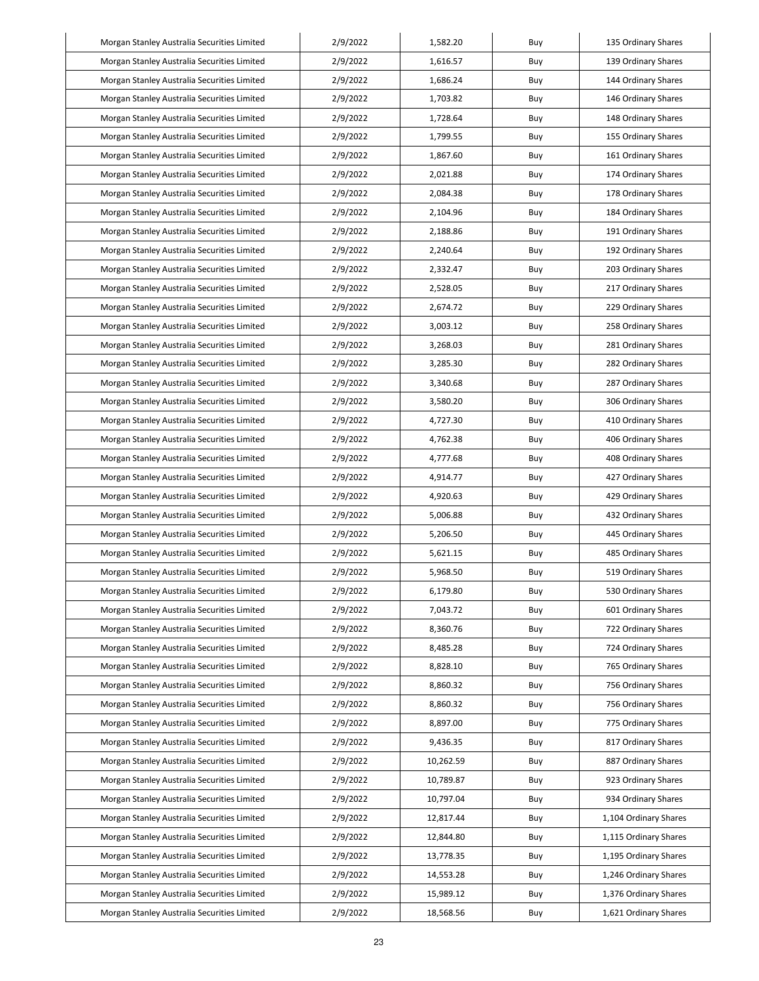| Morgan Stanley Australia Securities Limited | 2/9/2022 | 1,582.20  | Buy | 135 Ordinary Shares   |
|---------------------------------------------|----------|-----------|-----|-----------------------|
| Morgan Stanley Australia Securities Limited | 2/9/2022 | 1,616.57  | Buy | 139 Ordinary Shares   |
| Morgan Stanley Australia Securities Limited | 2/9/2022 | 1,686.24  | Buy | 144 Ordinary Shares   |
| Morgan Stanley Australia Securities Limited | 2/9/2022 | 1,703.82  | Buy | 146 Ordinary Shares   |
| Morgan Stanley Australia Securities Limited | 2/9/2022 | 1,728.64  | Buy | 148 Ordinary Shares   |
| Morgan Stanley Australia Securities Limited | 2/9/2022 | 1,799.55  | Buy | 155 Ordinary Shares   |
| Morgan Stanley Australia Securities Limited | 2/9/2022 | 1,867.60  | Buy | 161 Ordinary Shares   |
| Morgan Stanley Australia Securities Limited | 2/9/2022 | 2,021.88  | Buy | 174 Ordinary Shares   |
| Morgan Stanley Australia Securities Limited | 2/9/2022 | 2,084.38  | Buy | 178 Ordinary Shares   |
| Morgan Stanley Australia Securities Limited | 2/9/2022 | 2,104.96  | Buy | 184 Ordinary Shares   |
| Morgan Stanley Australia Securities Limited | 2/9/2022 | 2,188.86  | Buy | 191 Ordinary Shares   |
| Morgan Stanley Australia Securities Limited | 2/9/2022 | 2,240.64  | Buy | 192 Ordinary Shares   |
| Morgan Stanley Australia Securities Limited | 2/9/2022 | 2,332.47  | Buy | 203 Ordinary Shares   |
| Morgan Stanley Australia Securities Limited | 2/9/2022 | 2,528.05  | Buy | 217 Ordinary Shares   |
| Morgan Stanley Australia Securities Limited | 2/9/2022 | 2,674.72  | Buy | 229 Ordinary Shares   |
| Morgan Stanley Australia Securities Limited | 2/9/2022 | 3,003.12  | Buy | 258 Ordinary Shares   |
| Morgan Stanley Australia Securities Limited | 2/9/2022 | 3,268.03  | Buy | 281 Ordinary Shares   |
| Morgan Stanley Australia Securities Limited | 2/9/2022 | 3,285.30  | Buy | 282 Ordinary Shares   |
| Morgan Stanley Australia Securities Limited | 2/9/2022 | 3,340.68  | Buy | 287 Ordinary Shares   |
| Morgan Stanley Australia Securities Limited | 2/9/2022 | 3,580.20  | Buy | 306 Ordinary Shares   |
| Morgan Stanley Australia Securities Limited | 2/9/2022 | 4,727.30  | Buy | 410 Ordinary Shares   |
| Morgan Stanley Australia Securities Limited | 2/9/2022 | 4,762.38  | Buy | 406 Ordinary Shares   |
| Morgan Stanley Australia Securities Limited | 2/9/2022 | 4,777.68  | Buy | 408 Ordinary Shares   |
| Morgan Stanley Australia Securities Limited | 2/9/2022 | 4,914.77  | Buy | 427 Ordinary Shares   |
| Morgan Stanley Australia Securities Limited | 2/9/2022 | 4,920.63  | Buy | 429 Ordinary Shares   |
| Morgan Stanley Australia Securities Limited | 2/9/2022 | 5,006.88  | Buy | 432 Ordinary Shares   |
| Morgan Stanley Australia Securities Limited | 2/9/2022 | 5,206.50  | Buy | 445 Ordinary Shares   |
| Morgan Stanley Australia Securities Limited | 2/9/2022 | 5,621.15  | Buy | 485 Ordinary Shares   |
| Morgan Stanley Australia Securities Limited | 2/9/2022 | 5,968.50  | Buy | 519 Ordinary Shares   |
| Morgan Stanley Australia Securities Limited | 2/9/2022 | 6,179.80  | Buy | 530 Ordinary Shares   |
| Morgan Stanley Australia Securities Limited | 2/9/2022 | 7,043.72  | Buy | 601 Ordinary Shares   |
| Morgan Stanley Australia Securities Limited | 2/9/2022 | 8,360.76  | Buy | 722 Ordinary Shares   |
| Morgan Stanley Australia Securities Limited | 2/9/2022 | 8,485.28  | Buy | 724 Ordinary Shares   |
| Morgan Stanley Australia Securities Limited | 2/9/2022 | 8,828.10  | Buy | 765 Ordinary Shares   |
| Morgan Stanley Australia Securities Limited | 2/9/2022 | 8,860.32  | Buy | 756 Ordinary Shares   |
| Morgan Stanley Australia Securities Limited | 2/9/2022 | 8,860.32  | Buy | 756 Ordinary Shares   |
| Morgan Stanley Australia Securities Limited | 2/9/2022 | 8,897.00  | Buy | 775 Ordinary Shares   |
| Morgan Stanley Australia Securities Limited | 2/9/2022 | 9,436.35  | Buy | 817 Ordinary Shares   |
| Morgan Stanley Australia Securities Limited | 2/9/2022 | 10,262.59 | Buy | 887 Ordinary Shares   |
| Morgan Stanley Australia Securities Limited | 2/9/2022 | 10,789.87 | Buy | 923 Ordinary Shares   |
| Morgan Stanley Australia Securities Limited | 2/9/2022 | 10,797.04 | Buy | 934 Ordinary Shares   |
| Morgan Stanley Australia Securities Limited | 2/9/2022 | 12,817.44 | Buy | 1,104 Ordinary Shares |
| Morgan Stanley Australia Securities Limited | 2/9/2022 | 12,844.80 | Buy | 1,115 Ordinary Shares |
| Morgan Stanley Australia Securities Limited | 2/9/2022 | 13,778.35 | Buy | 1,195 Ordinary Shares |
| Morgan Stanley Australia Securities Limited | 2/9/2022 | 14,553.28 | Buy | 1,246 Ordinary Shares |
| Morgan Stanley Australia Securities Limited | 2/9/2022 | 15,989.12 | Buy | 1,376 Ordinary Shares |
| Morgan Stanley Australia Securities Limited | 2/9/2022 | 18,568.56 | Buy | 1,621 Ordinary Shares |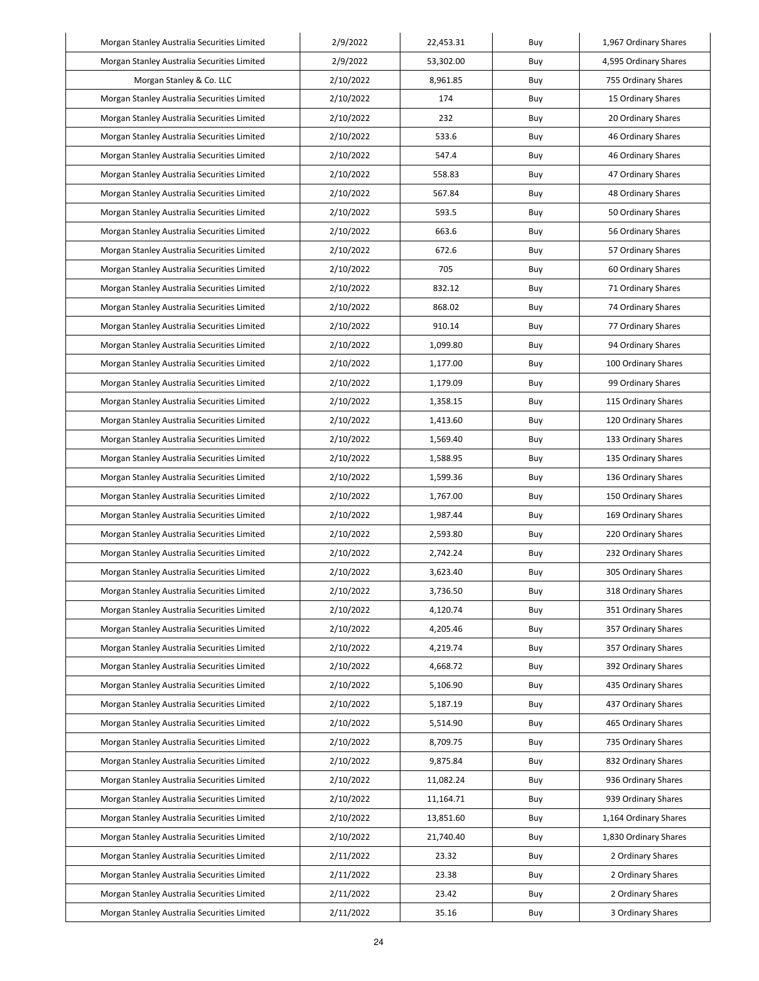| Morgan Stanley Australia Securities Limited | 2/9/2022  | 22,453.31 | Buy | 1,967 Ordinary Shares |
|---------------------------------------------|-----------|-----------|-----|-----------------------|
| Morgan Stanley Australia Securities Limited | 2/9/2022  | 53,302.00 | Buy | 4,595 Ordinary Shares |
| Morgan Stanley & Co. LLC                    | 2/10/2022 | 8,961.85  | Buy | 755 Ordinary Shares   |
| Morgan Stanley Australia Securities Limited | 2/10/2022 | 174       | Buy | 15 Ordinary Shares    |
| Morgan Stanley Australia Securities Limited | 2/10/2022 | 232       | Buy | 20 Ordinary Shares    |
| Morgan Stanley Australia Securities Limited | 2/10/2022 | 533.6     | Buy | 46 Ordinary Shares    |
| Morgan Stanley Australia Securities Limited | 2/10/2022 | 547.4     | Buy | 46 Ordinary Shares    |
| Morgan Stanley Australia Securities Limited | 2/10/2022 | 558.83    | Buy | 47 Ordinary Shares    |
| Morgan Stanley Australia Securities Limited | 2/10/2022 | 567.84    | Buy | 48 Ordinary Shares    |
| Morgan Stanley Australia Securities Limited | 2/10/2022 | 593.5     | Buy | 50 Ordinary Shares    |
| Morgan Stanley Australia Securities Limited | 2/10/2022 | 663.6     | Buy | 56 Ordinary Shares    |
| Morgan Stanley Australia Securities Limited | 2/10/2022 | 672.6     | Buy | 57 Ordinary Shares    |
| Morgan Stanley Australia Securities Limited | 2/10/2022 | 705       | Buy | 60 Ordinary Shares    |
| Morgan Stanley Australia Securities Limited | 2/10/2022 | 832.12    | Buy | 71 Ordinary Shares    |
| Morgan Stanley Australia Securities Limited | 2/10/2022 | 868.02    | Buy | 74 Ordinary Shares    |
| Morgan Stanley Australia Securities Limited | 2/10/2022 | 910.14    | Buy | 77 Ordinary Shares    |
| Morgan Stanley Australia Securities Limited | 2/10/2022 | 1,099.80  | Buy | 94 Ordinary Shares    |
| Morgan Stanley Australia Securities Limited | 2/10/2022 | 1,177.00  | Buy | 100 Ordinary Shares   |
| Morgan Stanley Australia Securities Limited | 2/10/2022 | 1,179.09  | Buy | 99 Ordinary Shares    |
| Morgan Stanley Australia Securities Limited | 2/10/2022 | 1,358.15  | Buy | 115 Ordinary Shares   |
| Morgan Stanley Australia Securities Limited | 2/10/2022 | 1,413.60  | Buy | 120 Ordinary Shares   |
| Morgan Stanley Australia Securities Limited | 2/10/2022 | 1,569.40  | Buy | 133 Ordinary Shares   |
| Morgan Stanley Australia Securities Limited | 2/10/2022 | 1,588.95  | Buy | 135 Ordinary Shares   |
| Morgan Stanley Australia Securities Limited | 2/10/2022 | 1,599.36  | Buy | 136 Ordinary Shares   |
| Morgan Stanley Australia Securities Limited | 2/10/2022 | 1,767.00  | Buy | 150 Ordinary Shares   |
| Morgan Stanley Australia Securities Limited | 2/10/2022 | 1,987.44  | Buy | 169 Ordinary Shares   |
| Morgan Stanley Australia Securities Limited | 2/10/2022 | 2,593.80  | Buy | 220 Ordinary Shares   |
| Morgan Stanley Australia Securities Limited | 2/10/2022 | 2,742.24  | Buy | 232 Ordinary Shares   |
| Morgan Stanley Australia Securities Limited | 2/10/2022 | 3,623.40  | Buy | 305 Ordinary Shares   |
| Morgan Stanley Australia Securities Limited | 2/10/2022 | 3,736.50  | Buy | 318 Ordinary Shares   |
| Morgan Stanley Australia Securities Limited | 2/10/2022 | 4,120.74  | Buy | 351 Ordinary Shares   |
| Morgan Stanley Australia Securities Limited | 2/10/2022 | 4,205.46  | Buy | 357 Ordinary Shares   |
| Morgan Stanley Australia Securities Limited | 2/10/2022 | 4,219.74  | Buy | 357 Ordinary Shares   |
| Morgan Stanley Australia Securities Limited | 2/10/2022 | 4,668.72  | Buy | 392 Ordinary Shares   |
| Morgan Stanley Australia Securities Limited | 2/10/2022 | 5,106.90  | Buy | 435 Ordinary Shares   |
| Morgan Stanley Australia Securities Limited | 2/10/2022 | 5,187.19  | Buy | 437 Ordinary Shares   |
| Morgan Stanley Australia Securities Limited | 2/10/2022 | 5,514.90  | Buy | 465 Ordinary Shares   |
| Morgan Stanley Australia Securities Limited | 2/10/2022 | 8,709.75  | Buy | 735 Ordinary Shares   |
| Morgan Stanley Australia Securities Limited | 2/10/2022 | 9,875.84  | Buy | 832 Ordinary Shares   |
| Morgan Stanley Australia Securities Limited | 2/10/2022 | 11,082.24 | Buy | 936 Ordinary Shares   |
| Morgan Stanley Australia Securities Limited | 2/10/2022 | 11,164.71 | Buy | 939 Ordinary Shares   |
| Morgan Stanley Australia Securities Limited | 2/10/2022 | 13,851.60 | Buy | 1,164 Ordinary Shares |
| Morgan Stanley Australia Securities Limited | 2/10/2022 | 21,740.40 | Buy | 1,830 Ordinary Shares |
| Morgan Stanley Australia Securities Limited | 2/11/2022 | 23.32     | Buy | 2 Ordinary Shares     |
| Morgan Stanley Australia Securities Limited | 2/11/2022 | 23.38     | Buy | 2 Ordinary Shares     |
| Morgan Stanley Australia Securities Limited | 2/11/2022 | 23.42     | Buy | 2 Ordinary Shares     |
| Morgan Stanley Australia Securities Limited | 2/11/2022 | 35.16     | Buy | 3 Ordinary Shares     |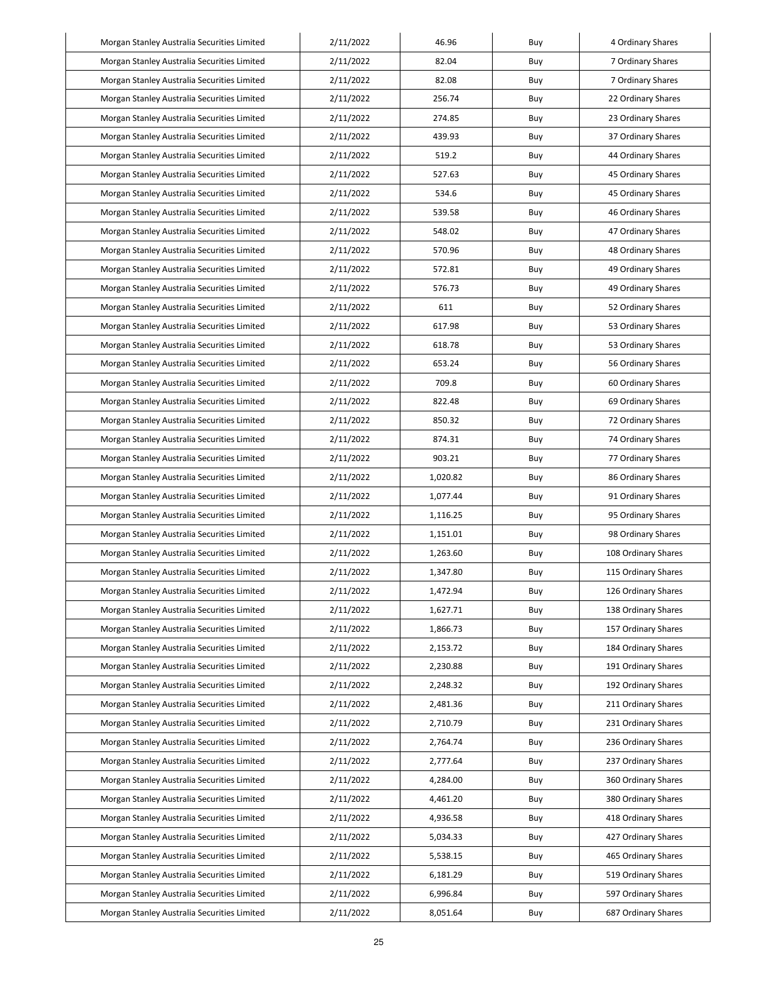| Morgan Stanley Australia Securities Limited | 2/11/2022 | 46.96    | Buy | 4 Ordinary Shares   |
|---------------------------------------------|-----------|----------|-----|---------------------|
| Morgan Stanley Australia Securities Limited | 2/11/2022 | 82.04    | Buy | 7 Ordinary Shares   |
| Morgan Stanley Australia Securities Limited | 2/11/2022 | 82.08    | Buy | 7 Ordinary Shares   |
| Morgan Stanley Australia Securities Limited | 2/11/2022 | 256.74   | Buy | 22 Ordinary Shares  |
| Morgan Stanley Australia Securities Limited | 2/11/2022 | 274.85   | Buy | 23 Ordinary Shares  |
| Morgan Stanley Australia Securities Limited | 2/11/2022 | 439.93   | Buy | 37 Ordinary Shares  |
| Morgan Stanley Australia Securities Limited | 2/11/2022 | 519.2    | Buy | 44 Ordinary Shares  |
| Morgan Stanley Australia Securities Limited | 2/11/2022 | 527.63   | Buy | 45 Ordinary Shares  |
| Morgan Stanley Australia Securities Limited | 2/11/2022 | 534.6    | Buy | 45 Ordinary Shares  |
| Morgan Stanley Australia Securities Limited | 2/11/2022 | 539.58   | Buy | 46 Ordinary Shares  |
| Morgan Stanley Australia Securities Limited | 2/11/2022 | 548.02   | Buy | 47 Ordinary Shares  |
| Morgan Stanley Australia Securities Limited | 2/11/2022 | 570.96   | Buy | 48 Ordinary Shares  |
| Morgan Stanley Australia Securities Limited | 2/11/2022 | 572.81   | Buy | 49 Ordinary Shares  |
| Morgan Stanley Australia Securities Limited | 2/11/2022 | 576.73   | Buy | 49 Ordinary Shares  |
| Morgan Stanley Australia Securities Limited | 2/11/2022 | 611      | Buy | 52 Ordinary Shares  |
| Morgan Stanley Australia Securities Limited | 2/11/2022 | 617.98   | Buy | 53 Ordinary Shares  |
| Morgan Stanley Australia Securities Limited | 2/11/2022 | 618.78   | Buy | 53 Ordinary Shares  |
| Morgan Stanley Australia Securities Limited | 2/11/2022 | 653.24   | Buy | 56 Ordinary Shares  |
| Morgan Stanley Australia Securities Limited | 2/11/2022 | 709.8    | Buy | 60 Ordinary Shares  |
| Morgan Stanley Australia Securities Limited | 2/11/2022 | 822.48   | Buy | 69 Ordinary Shares  |
| Morgan Stanley Australia Securities Limited | 2/11/2022 | 850.32   | Buy | 72 Ordinary Shares  |
| Morgan Stanley Australia Securities Limited | 2/11/2022 | 874.31   | Buy | 74 Ordinary Shares  |
| Morgan Stanley Australia Securities Limited | 2/11/2022 | 903.21   | Buy | 77 Ordinary Shares  |
| Morgan Stanley Australia Securities Limited | 2/11/2022 | 1,020.82 | Buy | 86 Ordinary Shares  |
| Morgan Stanley Australia Securities Limited | 2/11/2022 | 1,077.44 | Buy | 91 Ordinary Shares  |
| Morgan Stanley Australia Securities Limited | 2/11/2022 | 1,116.25 | Buy | 95 Ordinary Shares  |
| Morgan Stanley Australia Securities Limited | 2/11/2022 | 1,151.01 | Buy | 98 Ordinary Shares  |
| Morgan Stanley Australia Securities Limited | 2/11/2022 | 1,263.60 | Buy | 108 Ordinary Shares |
| Morgan Stanley Australia Securities Limited | 2/11/2022 | 1,347.80 | Buy | 115 Ordinary Shares |
| Morgan Stanley Australia Securities Limited | 2/11/2022 | 1,472.94 | Buy | 126 Ordinary Shares |
| Morgan Stanley Australia Securities Limited | 2/11/2022 | 1,627.71 | Buy | 138 Ordinary Shares |
| Morgan Stanley Australia Securities Limited | 2/11/2022 | 1,866.73 | Buy | 157 Ordinary Shares |
| Morgan Stanley Australia Securities Limited | 2/11/2022 | 2,153.72 | Buy | 184 Ordinary Shares |
| Morgan Stanley Australia Securities Limited | 2/11/2022 | 2,230.88 | Buy | 191 Ordinary Shares |
| Morgan Stanley Australia Securities Limited | 2/11/2022 | 2,248.32 | Buy | 192 Ordinary Shares |
| Morgan Stanley Australia Securities Limited | 2/11/2022 | 2,481.36 | Buy | 211 Ordinary Shares |
| Morgan Stanley Australia Securities Limited | 2/11/2022 | 2,710.79 | Buy | 231 Ordinary Shares |
| Morgan Stanley Australia Securities Limited | 2/11/2022 | 2,764.74 | Buy | 236 Ordinary Shares |
| Morgan Stanley Australia Securities Limited | 2/11/2022 | 2,777.64 | Buy | 237 Ordinary Shares |
| Morgan Stanley Australia Securities Limited | 2/11/2022 | 4,284.00 | Buy | 360 Ordinary Shares |
| Morgan Stanley Australia Securities Limited | 2/11/2022 | 4,461.20 | Buy | 380 Ordinary Shares |
| Morgan Stanley Australia Securities Limited | 2/11/2022 | 4,936.58 | Buy | 418 Ordinary Shares |
| Morgan Stanley Australia Securities Limited | 2/11/2022 | 5,034.33 | Buy | 427 Ordinary Shares |
| Morgan Stanley Australia Securities Limited | 2/11/2022 | 5,538.15 | Buy | 465 Ordinary Shares |
| Morgan Stanley Australia Securities Limited | 2/11/2022 | 6,181.29 | Buy | 519 Ordinary Shares |
| Morgan Stanley Australia Securities Limited | 2/11/2022 | 6,996.84 | Buy | 597 Ordinary Shares |
| Morgan Stanley Australia Securities Limited | 2/11/2022 | 8,051.64 | Buy | 687 Ordinary Shares |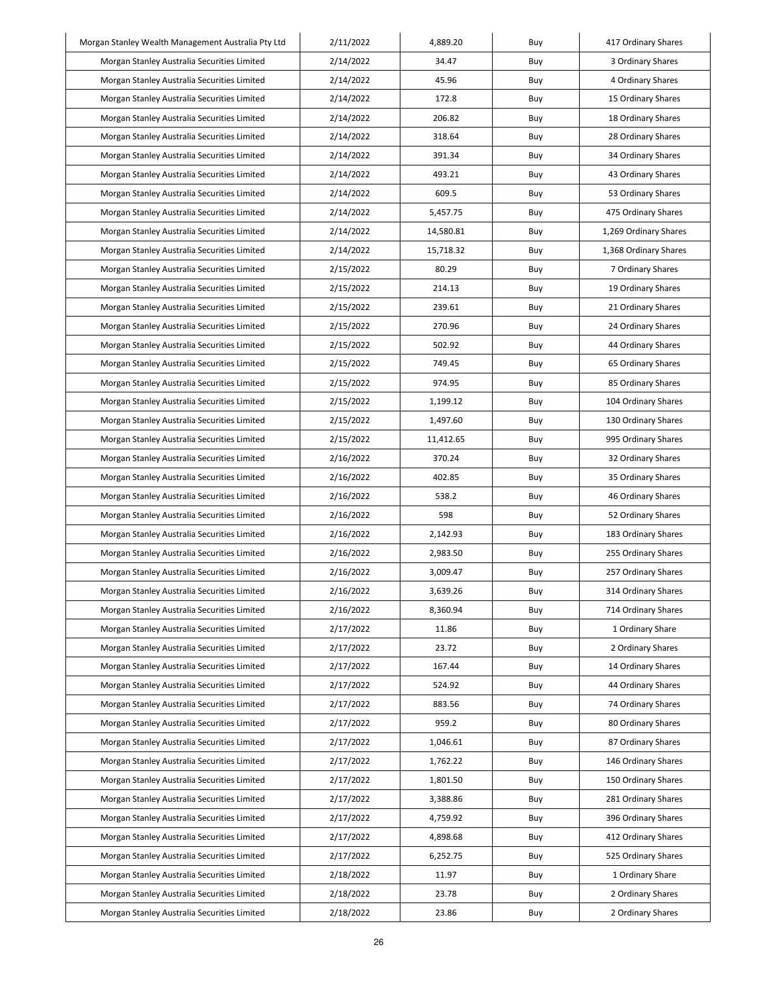| Morgan Stanley Wealth Management Australia Pty Ltd | 2/11/2022 | 4,889.20  | Buy | 417 Ordinary Shares   |
|----------------------------------------------------|-----------|-----------|-----|-----------------------|
| Morgan Stanley Australia Securities Limited        | 2/14/2022 | 34.47     | Buy | 3 Ordinary Shares     |
| Morgan Stanley Australia Securities Limited        | 2/14/2022 | 45.96     | Buy | 4 Ordinary Shares     |
| Morgan Stanley Australia Securities Limited        | 2/14/2022 | 172.8     | Buy | 15 Ordinary Shares    |
| Morgan Stanley Australia Securities Limited        | 2/14/2022 | 206.82    | Buy | 18 Ordinary Shares    |
| Morgan Stanley Australia Securities Limited        | 2/14/2022 | 318.64    | Buy | 28 Ordinary Shares    |
| Morgan Stanley Australia Securities Limited        | 2/14/2022 | 391.34    | Buy | 34 Ordinary Shares    |
| Morgan Stanley Australia Securities Limited        | 2/14/2022 | 493.21    | Buy | 43 Ordinary Shares    |
| Morgan Stanley Australia Securities Limited        | 2/14/2022 | 609.5     | Buy | 53 Ordinary Shares    |
| Morgan Stanley Australia Securities Limited        | 2/14/2022 | 5,457.75  | Buy | 475 Ordinary Shares   |
| Morgan Stanley Australia Securities Limited        | 2/14/2022 | 14,580.81 | Buy | 1,269 Ordinary Shares |
| Morgan Stanley Australia Securities Limited        | 2/14/2022 | 15,718.32 | Buy | 1,368 Ordinary Shares |
| Morgan Stanley Australia Securities Limited        | 2/15/2022 | 80.29     | Buy | 7 Ordinary Shares     |
| Morgan Stanley Australia Securities Limited        | 2/15/2022 | 214.13    | Buy | 19 Ordinary Shares    |
| Morgan Stanley Australia Securities Limited        | 2/15/2022 | 239.61    | Buy | 21 Ordinary Shares    |
| Morgan Stanley Australia Securities Limited        | 2/15/2022 | 270.96    | Buy | 24 Ordinary Shares    |
| Morgan Stanley Australia Securities Limited        | 2/15/2022 | 502.92    | Buy | 44 Ordinary Shares    |
| Morgan Stanley Australia Securities Limited        | 2/15/2022 | 749.45    | Buy | 65 Ordinary Shares    |
| Morgan Stanley Australia Securities Limited        | 2/15/2022 | 974.95    | Buy | 85 Ordinary Shares    |
| Morgan Stanley Australia Securities Limited        | 2/15/2022 | 1,199.12  | Buy | 104 Ordinary Shares   |
| Morgan Stanley Australia Securities Limited        | 2/15/2022 | 1,497.60  | Buy | 130 Ordinary Shares   |
| Morgan Stanley Australia Securities Limited        | 2/15/2022 | 11,412.65 | Buy | 995 Ordinary Shares   |
| Morgan Stanley Australia Securities Limited        | 2/16/2022 | 370.24    | Buy | 32 Ordinary Shares    |
| Morgan Stanley Australia Securities Limited        | 2/16/2022 | 402.85    | Buy | 35 Ordinary Shares    |
| Morgan Stanley Australia Securities Limited        | 2/16/2022 | 538.2     | Buy | 46 Ordinary Shares    |
| Morgan Stanley Australia Securities Limited        | 2/16/2022 | 598       | Buy | 52 Ordinary Shares    |
| Morgan Stanley Australia Securities Limited        | 2/16/2022 | 2,142.93  | Buy | 183 Ordinary Shares   |
| Morgan Stanley Australia Securities Limited        | 2/16/2022 | 2,983.50  | Buy | 255 Ordinary Shares   |
| Morgan Stanley Australia Securities Limited        | 2/16/2022 | 3,009.47  | Buy | 257 Ordinary Shares   |
| Morgan Stanley Australia Securities Limited        | 2/16/2022 | 3,639.26  | Buy | 314 Ordinary Shares   |
| Morgan Stanley Australia Securities Limited        | 2/16/2022 | 8,360.94  | Buy | 714 Ordinary Shares   |
| Morgan Stanley Australia Securities Limited        | 2/17/2022 | 11.86     | Buy | 1 Ordinary Share      |
| Morgan Stanley Australia Securities Limited        | 2/17/2022 | 23.72     | Buy | 2 Ordinary Shares     |
| Morgan Stanley Australia Securities Limited        | 2/17/2022 | 167.44    | Buy | 14 Ordinary Shares    |
| Morgan Stanley Australia Securities Limited        | 2/17/2022 | 524.92    | Buy | 44 Ordinary Shares    |
| Morgan Stanley Australia Securities Limited        | 2/17/2022 | 883.56    | Buy | 74 Ordinary Shares    |
| Morgan Stanley Australia Securities Limited        | 2/17/2022 | 959.2     | Buy | 80 Ordinary Shares    |
| Morgan Stanley Australia Securities Limited        | 2/17/2022 | 1,046.61  | Buy | 87 Ordinary Shares    |
| Morgan Stanley Australia Securities Limited        | 2/17/2022 | 1,762.22  | Buy | 146 Ordinary Shares   |
| Morgan Stanley Australia Securities Limited        | 2/17/2022 | 1,801.50  | Buy | 150 Ordinary Shares   |
| Morgan Stanley Australia Securities Limited        | 2/17/2022 | 3,388.86  | Buy | 281 Ordinary Shares   |
| Morgan Stanley Australia Securities Limited        | 2/17/2022 | 4,759.92  | Buy | 396 Ordinary Shares   |
| Morgan Stanley Australia Securities Limited        | 2/17/2022 | 4,898.68  | Buy | 412 Ordinary Shares   |
| Morgan Stanley Australia Securities Limited        | 2/17/2022 | 6,252.75  | Buy | 525 Ordinary Shares   |
| Morgan Stanley Australia Securities Limited        | 2/18/2022 | 11.97     | Buy | 1 Ordinary Share      |
| Morgan Stanley Australia Securities Limited        | 2/18/2022 | 23.78     | Buy | 2 Ordinary Shares     |
| Morgan Stanley Australia Securities Limited        | 2/18/2022 | 23.86     | Buy | 2 Ordinary Shares     |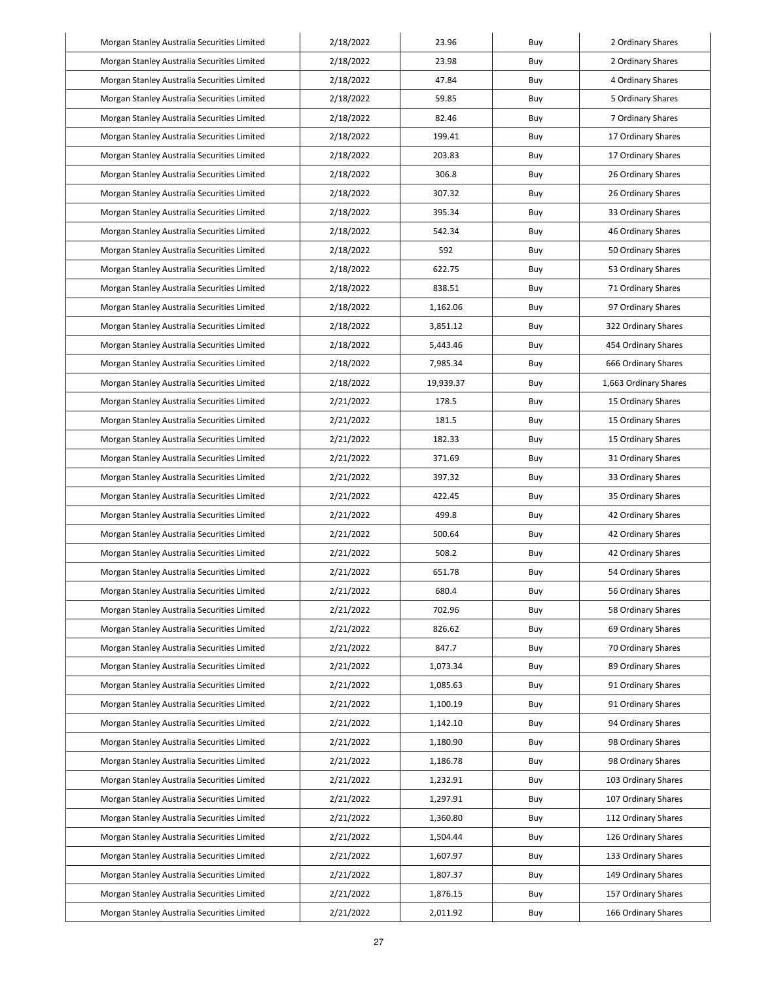| Morgan Stanley Australia Securities Limited | 2/18/2022 | 23.96     | Buy | 2 Ordinary Shares     |
|---------------------------------------------|-----------|-----------|-----|-----------------------|
| Morgan Stanley Australia Securities Limited | 2/18/2022 | 23.98     | Buy | 2 Ordinary Shares     |
| Morgan Stanley Australia Securities Limited | 2/18/2022 | 47.84     | Buy | 4 Ordinary Shares     |
| Morgan Stanley Australia Securities Limited | 2/18/2022 | 59.85     | Buy | 5 Ordinary Shares     |
| Morgan Stanley Australia Securities Limited | 2/18/2022 | 82.46     | Buy | 7 Ordinary Shares     |
| Morgan Stanley Australia Securities Limited | 2/18/2022 | 199.41    | Buy | 17 Ordinary Shares    |
| Morgan Stanley Australia Securities Limited | 2/18/2022 | 203.83    | Buy | 17 Ordinary Shares    |
| Morgan Stanley Australia Securities Limited | 2/18/2022 | 306.8     | Buy | 26 Ordinary Shares    |
| Morgan Stanley Australia Securities Limited | 2/18/2022 | 307.32    | Buy | 26 Ordinary Shares    |
| Morgan Stanley Australia Securities Limited | 2/18/2022 | 395.34    | Buy | 33 Ordinary Shares    |
| Morgan Stanley Australia Securities Limited | 2/18/2022 | 542.34    | Buy | 46 Ordinary Shares    |
| Morgan Stanley Australia Securities Limited | 2/18/2022 | 592       | Buy | 50 Ordinary Shares    |
| Morgan Stanley Australia Securities Limited | 2/18/2022 | 622.75    | Buy | 53 Ordinary Shares    |
| Morgan Stanley Australia Securities Limited | 2/18/2022 | 838.51    | Buy | 71 Ordinary Shares    |
| Morgan Stanley Australia Securities Limited | 2/18/2022 | 1,162.06  | Buy | 97 Ordinary Shares    |
| Morgan Stanley Australia Securities Limited | 2/18/2022 | 3,851.12  | Buy | 322 Ordinary Shares   |
| Morgan Stanley Australia Securities Limited | 2/18/2022 | 5,443.46  | Buy | 454 Ordinary Shares   |
| Morgan Stanley Australia Securities Limited | 2/18/2022 | 7,985.34  | Buy | 666 Ordinary Shares   |
| Morgan Stanley Australia Securities Limited | 2/18/2022 | 19,939.37 | Buy | 1,663 Ordinary Shares |
| Morgan Stanley Australia Securities Limited | 2/21/2022 | 178.5     | Buy | 15 Ordinary Shares    |
| Morgan Stanley Australia Securities Limited | 2/21/2022 | 181.5     | Buy | 15 Ordinary Shares    |
| Morgan Stanley Australia Securities Limited | 2/21/2022 | 182.33    | Buy | 15 Ordinary Shares    |
| Morgan Stanley Australia Securities Limited | 2/21/2022 | 371.69    | Buy | 31 Ordinary Shares    |
| Morgan Stanley Australia Securities Limited | 2/21/2022 | 397.32    | Buy | 33 Ordinary Shares    |
| Morgan Stanley Australia Securities Limited | 2/21/2022 | 422.45    | Buy | 35 Ordinary Shares    |
| Morgan Stanley Australia Securities Limited | 2/21/2022 | 499.8     | Buy | 42 Ordinary Shares    |
| Morgan Stanley Australia Securities Limited | 2/21/2022 | 500.64    | Buy | 42 Ordinary Shares    |
| Morgan Stanley Australia Securities Limited | 2/21/2022 | 508.2     | Buy | 42 Ordinary Shares    |
| Morgan Stanley Australia Securities Limited | 2/21/2022 | 651.78    | Buy | 54 Ordinary Shares    |
| Morgan Stanley Australia Securities Limited | 2/21/2022 | 680.4     | Buy | 56 Ordinary Shares    |
| Morgan Stanley Australia Securities Limited | 2/21/2022 | 702.96    | Buy | 58 Ordinary Shares    |
| Morgan Stanley Australia Securities Limited | 2/21/2022 | 826.62    | Buy | 69 Ordinary Shares    |
| Morgan Stanley Australia Securities Limited | 2/21/2022 | 847.7     | Buy | 70 Ordinary Shares    |
| Morgan Stanley Australia Securities Limited | 2/21/2022 | 1,073.34  | Buy | 89 Ordinary Shares    |
| Morgan Stanley Australia Securities Limited | 2/21/2022 | 1,085.63  | Buy | 91 Ordinary Shares    |
| Morgan Stanley Australia Securities Limited | 2/21/2022 | 1,100.19  | Buy | 91 Ordinary Shares    |
| Morgan Stanley Australia Securities Limited | 2/21/2022 | 1,142.10  | Buy | 94 Ordinary Shares    |
| Morgan Stanley Australia Securities Limited | 2/21/2022 | 1,180.90  | Buy | 98 Ordinary Shares    |
| Morgan Stanley Australia Securities Limited | 2/21/2022 | 1,186.78  | Buy | 98 Ordinary Shares    |
| Morgan Stanley Australia Securities Limited | 2/21/2022 | 1,232.91  | Buy | 103 Ordinary Shares   |
| Morgan Stanley Australia Securities Limited | 2/21/2022 | 1,297.91  | Buy | 107 Ordinary Shares   |
| Morgan Stanley Australia Securities Limited | 2/21/2022 | 1,360.80  | Buy | 112 Ordinary Shares   |
| Morgan Stanley Australia Securities Limited | 2/21/2022 | 1,504.44  | Buy | 126 Ordinary Shares   |
| Morgan Stanley Australia Securities Limited | 2/21/2022 | 1,607.97  | Buy | 133 Ordinary Shares   |
| Morgan Stanley Australia Securities Limited | 2/21/2022 | 1,807.37  | Buy | 149 Ordinary Shares   |
| Morgan Stanley Australia Securities Limited | 2/21/2022 | 1,876.15  | Buy | 157 Ordinary Shares   |
| Morgan Stanley Australia Securities Limited | 2/21/2022 | 2,011.92  | Buy | 166 Ordinary Shares   |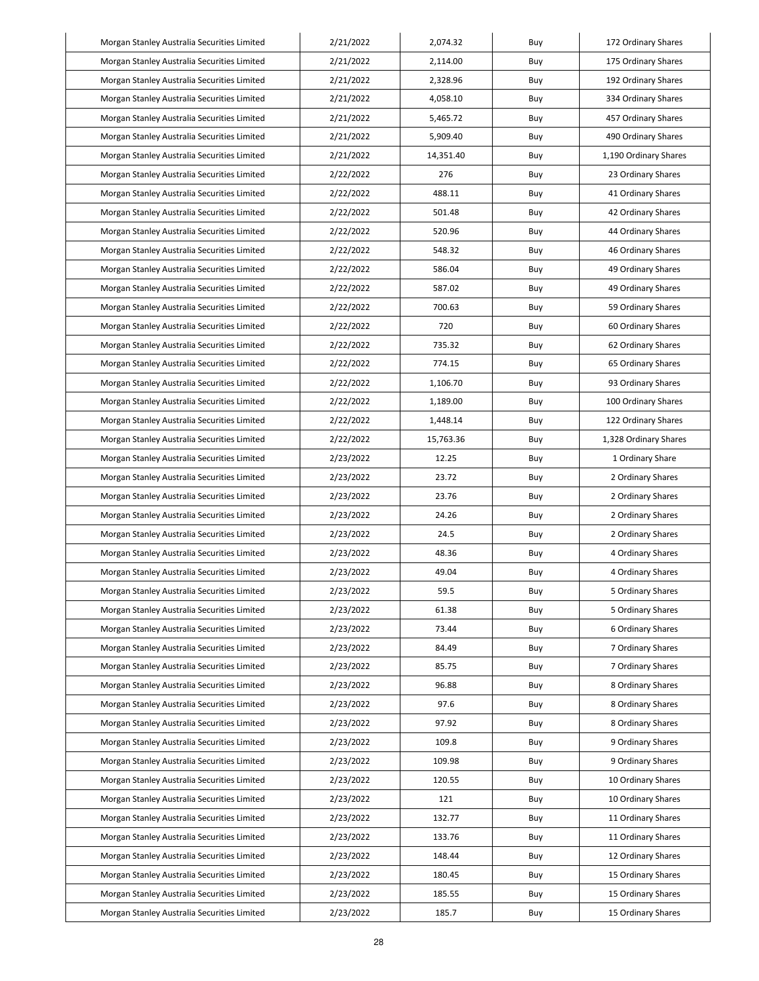| Morgan Stanley Australia Securities Limited | 2/21/2022 | 2,074.32  | Buy | 172 Ordinary Shares   |
|---------------------------------------------|-----------|-----------|-----|-----------------------|
| Morgan Stanley Australia Securities Limited | 2/21/2022 | 2,114.00  | Buy | 175 Ordinary Shares   |
| Morgan Stanley Australia Securities Limited | 2/21/2022 | 2,328.96  | Buy | 192 Ordinary Shares   |
| Morgan Stanley Australia Securities Limited | 2/21/2022 | 4,058.10  | Buy | 334 Ordinary Shares   |
| Morgan Stanley Australia Securities Limited | 2/21/2022 | 5,465.72  | Buy | 457 Ordinary Shares   |
| Morgan Stanley Australia Securities Limited | 2/21/2022 | 5,909.40  | Buy | 490 Ordinary Shares   |
| Morgan Stanley Australia Securities Limited | 2/21/2022 | 14,351.40 | Buy | 1,190 Ordinary Shares |
| Morgan Stanley Australia Securities Limited | 2/22/2022 | 276       | Buy | 23 Ordinary Shares    |
| Morgan Stanley Australia Securities Limited | 2/22/2022 | 488.11    | Buy | 41 Ordinary Shares    |
| Morgan Stanley Australia Securities Limited | 2/22/2022 | 501.48    | Buy | 42 Ordinary Shares    |
| Morgan Stanley Australia Securities Limited | 2/22/2022 | 520.96    | Buy | 44 Ordinary Shares    |
| Morgan Stanley Australia Securities Limited | 2/22/2022 | 548.32    | Buy | 46 Ordinary Shares    |
| Morgan Stanley Australia Securities Limited | 2/22/2022 | 586.04    | Buy | 49 Ordinary Shares    |
| Morgan Stanley Australia Securities Limited | 2/22/2022 | 587.02    | Buy | 49 Ordinary Shares    |
| Morgan Stanley Australia Securities Limited | 2/22/2022 | 700.63    | Buy | 59 Ordinary Shares    |
| Morgan Stanley Australia Securities Limited | 2/22/2022 | 720       | Buy | 60 Ordinary Shares    |
| Morgan Stanley Australia Securities Limited | 2/22/2022 | 735.32    | Buy | 62 Ordinary Shares    |
| Morgan Stanley Australia Securities Limited | 2/22/2022 | 774.15    | Buy | 65 Ordinary Shares    |
| Morgan Stanley Australia Securities Limited | 2/22/2022 | 1,106.70  | Buy | 93 Ordinary Shares    |
| Morgan Stanley Australia Securities Limited | 2/22/2022 | 1,189.00  | Buy | 100 Ordinary Shares   |
| Morgan Stanley Australia Securities Limited | 2/22/2022 | 1,448.14  | Buy | 122 Ordinary Shares   |
| Morgan Stanley Australia Securities Limited | 2/22/2022 | 15,763.36 | Buy | 1,328 Ordinary Shares |
| Morgan Stanley Australia Securities Limited | 2/23/2022 | 12.25     | Buy | 1 Ordinary Share      |
| Morgan Stanley Australia Securities Limited | 2/23/2022 | 23.72     | Buy | 2 Ordinary Shares     |
| Morgan Stanley Australia Securities Limited | 2/23/2022 | 23.76     | Buy | 2 Ordinary Shares     |
| Morgan Stanley Australia Securities Limited | 2/23/2022 | 24.26     | Buy | 2 Ordinary Shares     |
| Morgan Stanley Australia Securities Limited | 2/23/2022 | 24.5      | Buy | 2 Ordinary Shares     |
| Morgan Stanley Australia Securities Limited | 2/23/2022 | 48.36     | Buy | 4 Ordinary Shares     |
| Morgan Stanley Australia Securities Limited | 2/23/2022 | 49.04     | Buy | 4 Ordinary Shares     |
| Morgan Stanley Australia Securities Limited | 2/23/2022 | 59.5      | Buy | 5 Ordinary Shares     |
| Morgan Stanley Australia Securities Limited | 2/23/2022 | 61.38     | Buy | 5 Ordinary Shares     |
| Morgan Stanley Australia Securities Limited | 2/23/2022 | 73.44     | Buy | 6 Ordinary Shares     |
| Morgan Stanley Australia Securities Limited | 2/23/2022 | 84.49     | Buy | 7 Ordinary Shares     |
| Morgan Stanley Australia Securities Limited | 2/23/2022 | 85.75     | Buy | 7 Ordinary Shares     |
| Morgan Stanley Australia Securities Limited | 2/23/2022 | 96.88     | Buy | 8 Ordinary Shares     |
| Morgan Stanley Australia Securities Limited | 2/23/2022 | 97.6      | Buy | 8 Ordinary Shares     |
| Morgan Stanley Australia Securities Limited | 2/23/2022 | 97.92     | Buy | 8 Ordinary Shares     |
| Morgan Stanley Australia Securities Limited | 2/23/2022 | 109.8     | Buy | 9 Ordinary Shares     |
| Morgan Stanley Australia Securities Limited | 2/23/2022 | 109.98    | Buy | 9 Ordinary Shares     |
| Morgan Stanley Australia Securities Limited | 2/23/2022 | 120.55    | Buy | 10 Ordinary Shares    |
| Morgan Stanley Australia Securities Limited | 2/23/2022 | 121       | Buy | 10 Ordinary Shares    |
| Morgan Stanley Australia Securities Limited | 2/23/2022 | 132.77    | Buy | 11 Ordinary Shares    |
| Morgan Stanley Australia Securities Limited | 2/23/2022 | 133.76    | Buy | 11 Ordinary Shares    |
| Morgan Stanley Australia Securities Limited | 2/23/2022 | 148.44    | Buy | 12 Ordinary Shares    |
| Morgan Stanley Australia Securities Limited | 2/23/2022 | 180.45    | Buy | 15 Ordinary Shares    |
| Morgan Stanley Australia Securities Limited | 2/23/2022 | 185.55    | Buy | 15 Ordinary Shares    |
| Morgan Stanley Australia Securities Limited | 2/23/2022 | 185.7     | Buy | 15 Ordinary Shares    |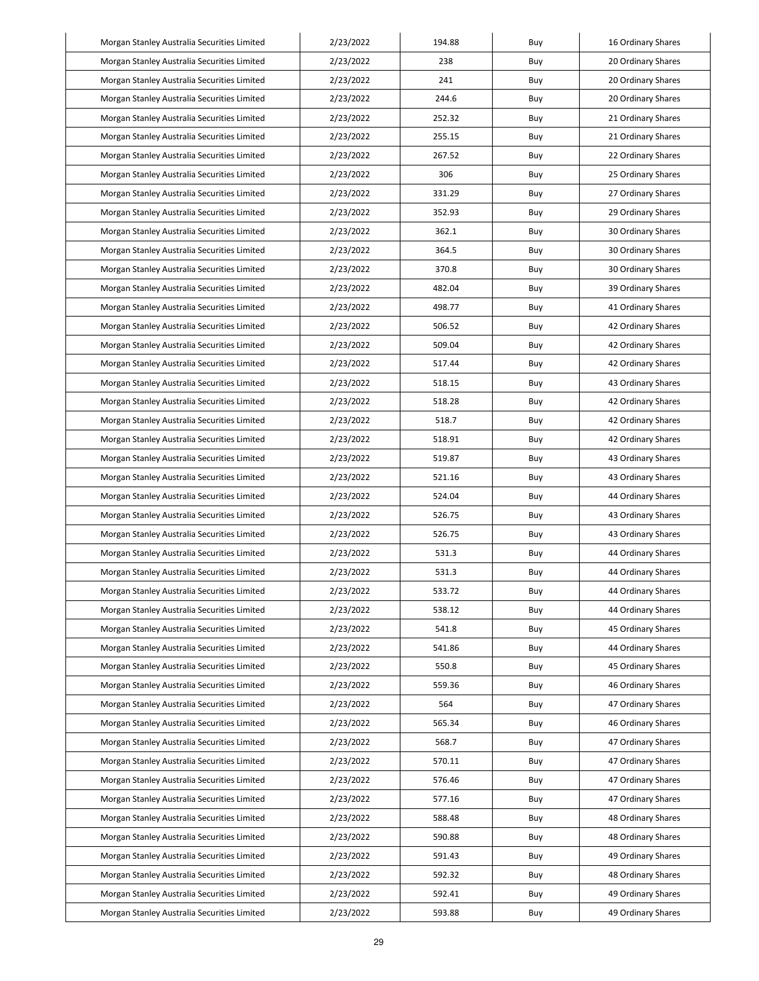| Morgan Stanley Australia Securities Limited | 2/23/2022 | 194.88 | Buy | 16 Ordinary Shares |
|---------------------------------------------|-----------|--------|-----|--------------------|
| Morgan Stanley Australia Securities Limited | 2/23/2022 | 238    | Buy | 20 Ordinary Shares |
| Morgan Stanley Australia Securities Limited | 2/23/2022 | 241    | Buy | 20 Ordinary Shares |
| Morgan Stanley Australia Securities Limited | 2/23/2022 | 244.6  | Buy | 20 Ordinary Shares |
| Morgan Stanley Australia Securities Limited | 2/23/2022 | 252.32 | Buy | 21 Ordinary Shares |
| Morgan Stanley Australia Securities Limited | 2/23/2022 | 255.15 | Buy | 21 Ordinary Shares |
| Morgan Stanley Australia Securities Limited | 2/23/2022 | 267.52 | Buy | 22 Ordinary Shares |
| Morgan Stanley Australia Securities Limited | 2/23/2022 | 306    | Buy | 25 Ordinary Shares |
| Morgan Stanley Australia Securities Limited | 2/23/2022 | 331.29 | Buy | 27 Ordinary Shares |
| Morgan Stanley Australia Securities Limited | 2/23/2022 | 352.93 | Buy | 29 Ordinary Shares |
| Morgan Stanley Australia Securities Limited | 2/23/2022 | 362.1  | Buy | 30 Ordinary Shares |
| Morgan Stanley Australia Securities Limited | 2/23/2022 | 364.5  | Buy | 30 Ordinary Shares |
| Morgan Stanley Australia Securities Limited | 2/23/2022 | 370.8  | Buy | 30 Ordinary Shares |
| Morgan Stanley Australia Securities Limited | 2/23/2022 | 482.04 | Buy | 39 Ordinary Shares |
| Morgan Stanley Australia Securities Limited | 2/23/2022 | 498.77 | Buy | 41 Ordinary Shares |
| Morgan Stanley Australia Securities Limited | 2/23/2022 | 506.52 | Buy | 42 Ordinary Shares |
| Morgan Stanley Australia Securities Limited | 2/23/2022 | 509.04 | Buy | 42 Ordinary Shares |
| Morgan Stanley Australia Securities Limited | 2/23/2022 | 517.44 | Buy | 42 Ordinary Shares |
| Morgan Stanley Australia Securities Limited | 2/23/2022 | 518.15 | Buy | 43 Ordinary Shares |
| Morgan Stanley Australia Securities Limited | 2/23/2022 | 518.28 | Buy | 42 Ordinary Shares |
| Morgan Stanley Australia Securities Limited | 2/23/2022 | 518.7  | Buy | 42 Ordinary Shares |
| Morgan Stanley Australia Securities Limited | 2/23/2022 | 518.91 | Buy | 42 Ordinary Shares |
| Morgan Stanley Australia Securities Limited | 2/23/2022 | 519.87 | Buy | 43 Ordinary Shares |
| Morgan Stanley Australia Securities Limited | 2/23/2022 | 521.16 | Buy | 43 Ordinary Shares |
| Morgan Stanley Australia Securities Limited | 2/23/2022 | 524.04 | Buy | 44 Ordinary Shares |
| Morgan Stanley Australia Securities Limited | 2/23/2022 | 526.75 | Buy | 43 Ordinary Shares |
| Morgan Stanley Australia Securities Limited | 2/23/2022 | 526.75 | Buy | 43 Ordinary Shares |
| Morgan Stanley Australia Securities Limited | 2/23/2022 | 531.3  | Buy | 44 Ordinary Shares |
| Morgan Stanley Australia Securities Limited | 2/23/2022 | 531.3  | Buy | 44 Ordinary Shares |
| Morgan Stanley Australia Securities Limited | 2/23/2022 | 533.72 | Buy | 44 Ordinary Shares |
| Morgan Stanley Australia Securities Limited | 2/23/2022 | 538.12 | Buy | 44 Ordinary Shares |
| Morgan Stanley Australia Securities Limited | 2/23/2022 | 541.8  | Buy | 45 Ordinary Shares |
| Morgan Stanley Australia Securities Limited | 2/23/2022 | 541.86 | Buy | 44 Ordinary Shares |
| Morgan Stanley Australia Securities Limited | 2/23/2022 | 550.8  | Buy | 45 Ordinary Shares |
| Morgan Stanley Australia Securities Limited | 2/23/2022 | 559.36 | Buy | 46 Ordinary Shares |
| Morgan Stanley Australia Securities Limited | 2/23/2022 | 564    | Buy | 47 Ordinary Shares |
| Morgan Stanley Australia Securities Limited | 2/23/2022 | 565.34 | Buy | 46 Ordinary Shares |
| Morgan Stanley Australia Securities Limited | 2/23/2022 | 568.7  | Buy | 47 Ordinary Shares |
| Morgan Stanley Australia Securities Limited | 2/23/2022 | 570.11 | Buy | 47 Ordinary Shares |
| Morgan Stanley Australia Securities Limited | 2/23/2022 | 576.46 | Buy | 47 Ordinary Shares |
| Morgan Stanley Australia Securities Limited | 2/23/2022 | 577.16 | Buy | 47 Ordinary Shares |
| Morgan Stanley Australia Securities Limited | 2/23/2022 | 588.48 | Buy | 48 Ordinary Shares |
| Morgan Stanley Australia Securities Limited | 2/23/2022 | 590.88 | Buy | 48 Ordinary Shares |
| Morgan Stanley Australia Securities Limited | 2/23/2022 | 591.43 | Buy | 49 Ordinary Shares |
| Morgan Stanley Australia Securities Limited | 2/23/2022 | 592.32 | Buy | 48 Ordinary Shares |
| Morgan Stanley Australia Securities Limited | 2/23/2022 | 592.41 | Buy | 49 Ordinary Shares |
| Morgan Stanley Australia Securities Limited | 2/23/2022 | 593.88 | Buy | 49 Ordinary Shares |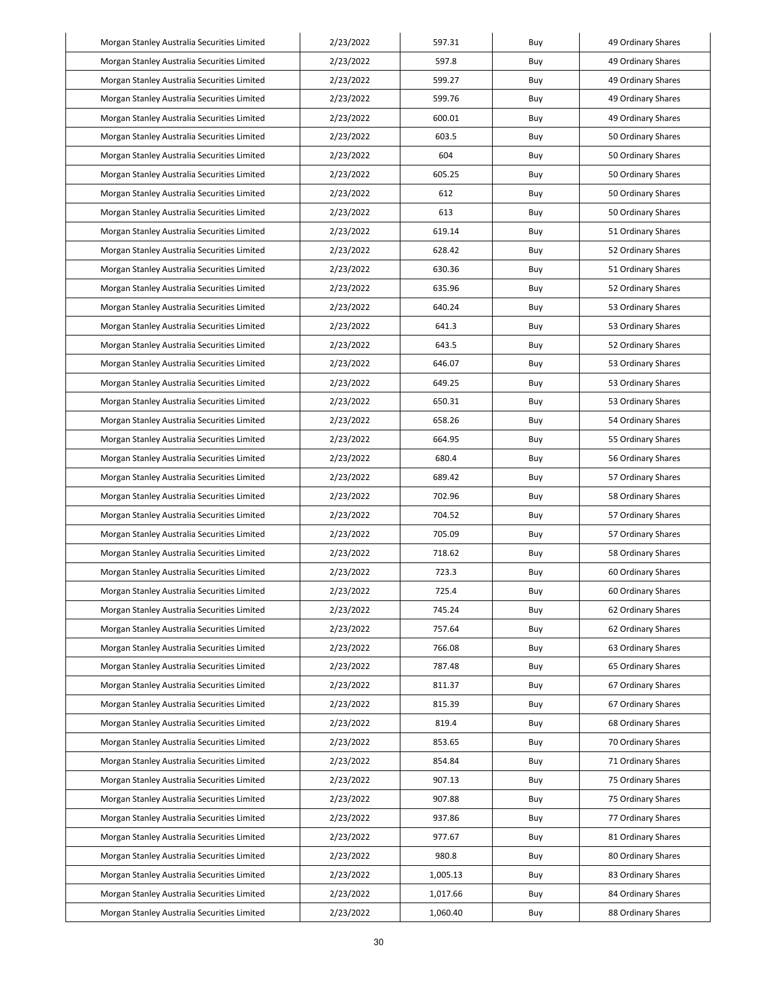| Morgan Stanley Australia Securities Limited | 2/23/2022 | 597.31   | Buy | 49 Ordinary Shares |
|---------------------------------------------|-----------|----------|-----|--------------------|
| Morgan Stanley Australia Securities Limited | 2/23/2022 | 597.8    | Buy | 49 Ordinary Shares |
| Morgan Stanley Australia Securities Limited | 2/23/2022 | 599.27   | Buy | 49 Ordinary Shares |
| Morgan Stanley Australia Securities Limited | 2/23/2022 | 599.76   | Buy | 49 Ordinary Shares |
| Morgan Stanley Australia Securities Limited | 2/23/2022 | 600.01   | Buy | 49 Ordinary Shares |
| Morgan Stanley Australia Securities Limited | 2/23/2022 | 603.5    | Buy | 50 Ordinary Shares |
| Morgan Stanley Australia Securities Limited | 2/23/2022 | 604      | Buy | 50 Ordinary Shares |
| Morgan Stanley Australia Securities Limited | 2/23/2022 | 605.25   | Buy | 50 Ordinary Shares |
| Morgan Stanley Australia Securities Limited | 2/23/2022 | 612      | Buy | 50 Ordinary Shares |
| Morgan Stanley Australia Securities Limited | 2/23/2022 | 613      | Buy | 50 Ordinary Shares |
| Morgan Stanley Australia Securities Limited | 2/23/2022 | 619.14   | Buy | 51 Ordinary Shares |
| Morgan Stanley Australia Securities Limited | 2/23/2022 | 628.42   | Buy | 52 Ordinary Shares |
| Morgan Stanley Australia Securities Limited | 2/23/2022 | 630.36   | Buy | 51 Ordinary Shares |
| Morgan Stanley Australia Securities Limited | 2/23/2022 | 635.96   | Buy | 52 Ordinary Shares |
| Morgan Stanley Australia Securities Limited | 2/23/2022 | 640.24   | Buy | 53 Ordinary Shares |
| Morgan Stanley Australia Securities Limited | 2/23/2022 | 641.3    | Buy | 53 Ordinary Shares |
| Morgan Stanley Australia Securities Limited | 2/23/2022 | 643.5    | Buy | 52 Ordinary Shares |
| Morgan Stanley Australia Securities Limited | 2/23/2022 | 646.07   | Buy | 53 Ordinary Shares |
| Morgan Stanley Australia Securities Limited | 2/23/2022 | 649.25   | Buy | 53 Ordinary Shares |
| Morgan Stanley Australia Securities Limited | 2/23/2022 | 650.31   | Buy | 53 Ordinary Shares |
| Morgan Stanley Australia Securities Limited | 2/23/2022 | 658.26   | Buy | 54 Ordinary Shares |
| Morgan Stanley Australia Securities Limited | 2/23/2022 | 664.95   | Buy | 55 Ordinary Shares |
| Morgan Stanley Australia Securities Limited | 2/23/2022 | 680.4    | Buy | 56 Ordinary Shares |
| Morgan Stanley Australia Securities Limited | 2/23/2022 | 689.42   | Buy | 57 Ordinary Shares |
| Morgan Stanley Australia Securities Limited | 2/23/2022 | 702.96   | Buy | 58 Ordinary Shares |
| Morgan Stanley Australia Securities Limited | 2/23/2022 | 704.52   | Buy | 57 Ordinary Shares |
| Morgan Stanley Australia Securities Limited | 2/23/2022 | 705.09   | Buy | 57 Ordinary Shares |
| Morgan Stanley Australia Securities Limited | 2/23/2022 | 718.62   | Buy | 58 Ordinary Shares |
| Morgan Stanley Australia Securities Limited | 2/23/2022 | 723.3    | Buy | 60 Ordinary Shares |
| Morgan Stanley Australia Securities Limited | 2/23/2022 | 725.4    | Buy | 60 Ordinary Shares |
| Morgan Stanley Australia Securities Limited | 2/23/2022 | 745.24   | Buy | 62 Ordinary Shares |
| Morgan Stanley Australia Securities Limited | 2/23/2022 | 757.64   | Buy | 62 Ordinary Shares |
| Morgan Stanley Australia Securities Limited | 2/23/2022 | 766.08   | Buy | 63 Ordinary Shares |
| Morgan Stanley Australia Securities Limited | 2/23/2022 | 787.48   | Buy | 65 Ordinary Shares |
| Morgan Stanley Australia Securities Limited | 2/23/2022 | 811.37   | Buy | 67 Ordinary Shares |
| Morgan Stanley Australia Securities Limited | 2/23/2022 | 815.39   | Buy | 67 Ordinary Shares |
| Morgan Stanley Australia Securities Limited | 2/23/2022 | 819.4    | Buy | 68 Ordinary Shares |
| Morgan Stanley Australia Securities Limited | 2/23/2022 | 853.65   | Buy | 70 Ordinary Shares |
| Morgan Stanley Australia Securities Limited | 2/23/2022 | 854.84   | Buy | 71 Ordinary Shares |
| Morgan Stanley Australia Securities Limited | 2/23/2022 | 907.13   | Buy | 75 Ordinary Shares |
| Morgan Stanley Australia Securities Limited | 2/23/2022 | 907.88   | Buy | 75 Ordinary Shares |
| Morgan Stanley Australia Securities Limited | 2/23/2022 | 937.86   | Buy | 77 Ordinary Shares |
| Morgan Stanley Australia Securities Limited | 2/23/2022 | 977.67   | Buy | 81 Ordinary Shares |
| Morgan Stanley Australia Securities Limited | 2/23/2022 | 980.8    | Buy | 80 Ordinary Shares |
| Morgan Stanley Australia Securities Limited | 2/23/2022 | 1,005.13 | Buy | 83 Ordinary Shares |
| Morgan Stanley Australia Securities Limited | 2/23/2022 | 1,017.66 | Buy | 84 Ordinary Shares |
| Morgan Stanley Australia Securities Limited | 2/23/2022 | 1,060.40 | Buy | 88 Ordinary Shares |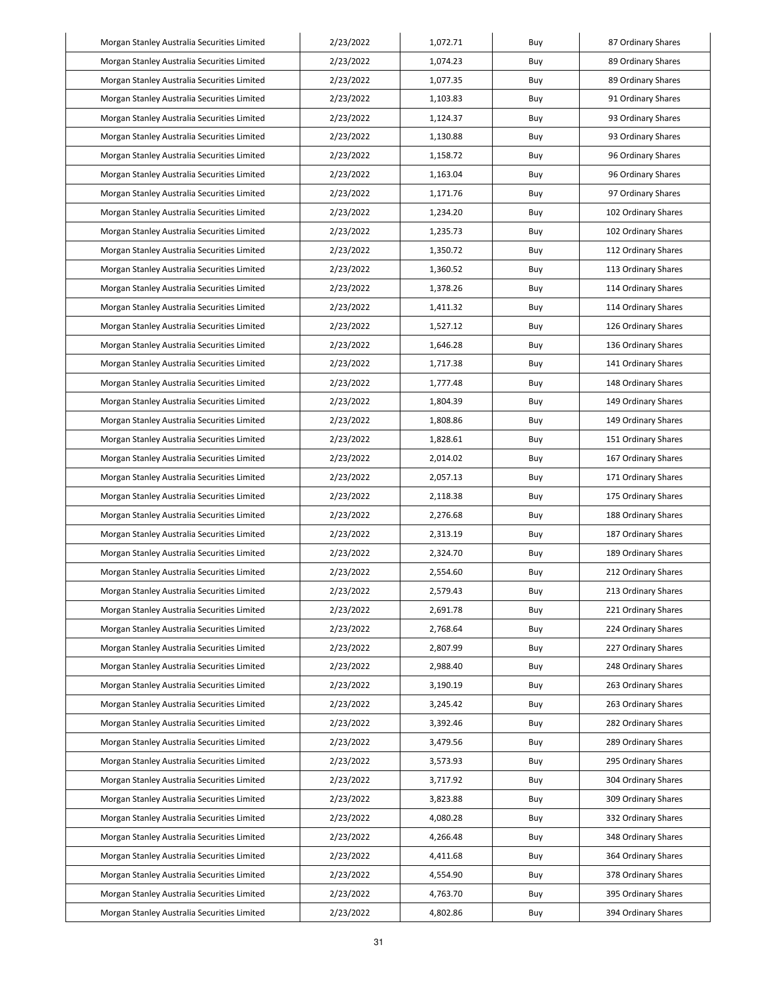| Morgan Stanley Australia Securities Limited | 2/23/2022 | 1,072.71 | Buy | 87 Ordinary Shares  |
|---------------------------------------------|-----------|----------|-----|---------------------|
| Morgan Stanley Australia Securities Limited | 2/23/2022 | 1,074.23 | Buy | 89 Ordinary Shares  |
| Morgan Stanley Australia Securities Limited | 2/23/2022 | 1,077.35 | Buy | 89 Ordinary Shares  |
| Morgan Stanley Australia Securities Limited | 2/23/2022 | 1,103.83 | Buy | 91 Ordinary Shares  |
| Morgan Stanley Australia Securities Limited | 2/23/2022 | 1,124.37 | Buy | 93 Ordinary Shares  |
| Morgan Stanley Australia Securities Limited | 2/23/2022 | 1,130.88 | Buy | 93 Ordinary Shares  |
| Morgan Stanley Australia Securities Limited | 2/23/2022 | 1,158.72 | Buy | 96 Ordinary Shares  |
| Morgan Stanley Australia Securities Limited | 2/23/2022 | 1,163.04 | Buy | 96 Ordinary Shares  |
| Morgan Stanley Australia Securities Limited | 2/23/2022 | 1,171.76 | Buy | 97 Ordinary Shares  |
| Morgan Stanley Australia Securities Limited | 2/23/2022 | 1,234.20 | Buy | 102 Ordinary Shares |
| Morgan Stanley Australia Securities Limited | 2/23/2022 | 1,235.73 | Buy | 102 Ordinary Shares |
| Morgan Stanley Australia Securities Limited | 2/23/2022 | 1,350.72 | Buy | 112 Ordinary Shares |
| Morgan Stanley Australia Securities Limited | 2/23/2022 | 1,360.52 | Buy | 113 Ordinary Shares |
| Morgan Stanley Australia Securities Limited | 2/23/2022 | 1,378.26 | Buy | 114 Ordinary Shares |
| Morgan Stanley Australia Securities Limited | 2/23/2022 | 1,411.32 | Buy | 114 Ordinary Shares |
| Morgan Stanley Australia Securities Limited | 2/23/2022 | 1,527.12 | Buy | 126 Ordinary Shares |
| Morgan Stanley Australia Securities Limited | 2/23/2022 | 1,646.28 | Buy | 136 Ordinary Shares |
| Morgan Stanley Australia Securities Limited | 2/23/2022 | 1,717.38 | Buy | 141 Ordinary Shares |
| Morgan Stanley Australia Securities Limited | 2/23/2022 | 1,777.48 | Buy | 148 Ordinary Shares |
| Morgan Stanley Australia Securities Limited | 2/23/2022 | 1,804.39 | Buy | 149 Ordinary Shares |
| Morgan Stanley Australia Securities Limited | 2/23/2022 | 1,808.86 | Buy | 149 Ordinary Shares |
| Morgan Stanley Australia Securities Limited | 2/23/2022 | 1,828.61 | Buy | 151 Ordinary Shares |
| Morgan Stanley Australia Securities Limited | 2/23/2022 | 2,014.02 | Buy | 167 Ordinary Shares |
| Morgan Stanley Australia Securities Limited | 2/23/2022 | 2,057.13 | Buy | 171 Ordinary Shares |
| Morgan Stanley Australia Securities Limited | 2/23/2022 | 2,118.38 | Buy | 175 Ordinary Shares |
| Morgan Stanley Australia Securities Limited | 2/23/2022 | 2,276.68 | Buy | 188 Ordinary Shares |
| Morgan Stanley Australia Securities Limited | 2/23/2022 | 2,313.19 | Buy | 187 Ordinary Shares |
| Morgan Stanley Australia Securities Limited | 2/23/2022 | 2,324.70 | Buy | 189 Ordinary Shares |
| Morgan Stanley Australia Securities Limited | 2/23/2022 | 2,554.60 | Buy | 212 Ordinary Shares |
| Morgan Stanley Australia Securities Limited | 2/23/2022 | 2,579.43 | Buy | 213 Ordinary Shares |
| Morgan Stanley Australia Securities Limited | 2/23/2022 | 2,691.78 | Buy | 221 Ordinary Shares |
| Morgan Stanley Australia Securities Limited | 2/23/2022 | 2,768.64 | Buy | 224 Ordinary Shares |
| Morgan Stanley Australia Securities Limited | 2/23/2022 | 2,807.99 | Buy | 227 Ordinary Shares |
| Morgan Stanley Australia Securities Limited | 2/23/2022 | 2,988.40 | Buy | 248 Ordinary Shares |
| Morgan Stanley Australia Securities Limited | 2/23/2022 | 3,190.19 | Buy | 263 Ordinary Shares |
| Morgan Stanley Australia Securities Limited | 2/23/2022 | 3,245.42 | Buy | 263 Ordinary Shares |
| Morgan Stanley Australia Securities Limited | 2/23/2022 | 3,392.46 | Buy | 282 Ordinary Shares |
| Morgan Stanley Australia Securities Limited | 2/23/2022 | 3,479.56 | Buy | 289 Ordinary Shares |
| Morgan Stanley Australia Securities Limited | 2/23/2022 | 3,573.93 | Buy | 295 Ordinary Shares |
| Morgan Stanley Australia Securities Limited | 2/23/2022 | 3,717.92 | Buy | 304 Ordinary Shares |
| Morgan Stanley Australia Securities Limited | 2/23/2022 | 3,823.88 | Buy | 309 Ordinary Shares |
| Morgan Stanley Australia Securities Limited | 2/23/2022 | 4,080.28 | Buy | 332 Ordinary Shares |
| Morgan Stanley Australia Securities Limited | 2/23/2022 | 4,266.48 | Buy | 348 Ordinary Shares |
| Morgan Stanley Australia Securities Limited | 2/23/2022 | 4,411.68 | Buy | 364 Ordinary Shares |
| Morgan Stanley Australia Securities Limited | 2/23/2022 | 4,554.90 | Buy | 378 Ordinary Shares |
| Morgan Stanley Australia Securities Limited | 2/23/2022 | 4,763.70 | Buy | 395 Ordinary Shares |
| Morgan Stanley Australia Securities Limited | 2/23/2022 | 4,802.86 | Buy | 394 Ordinary Shares |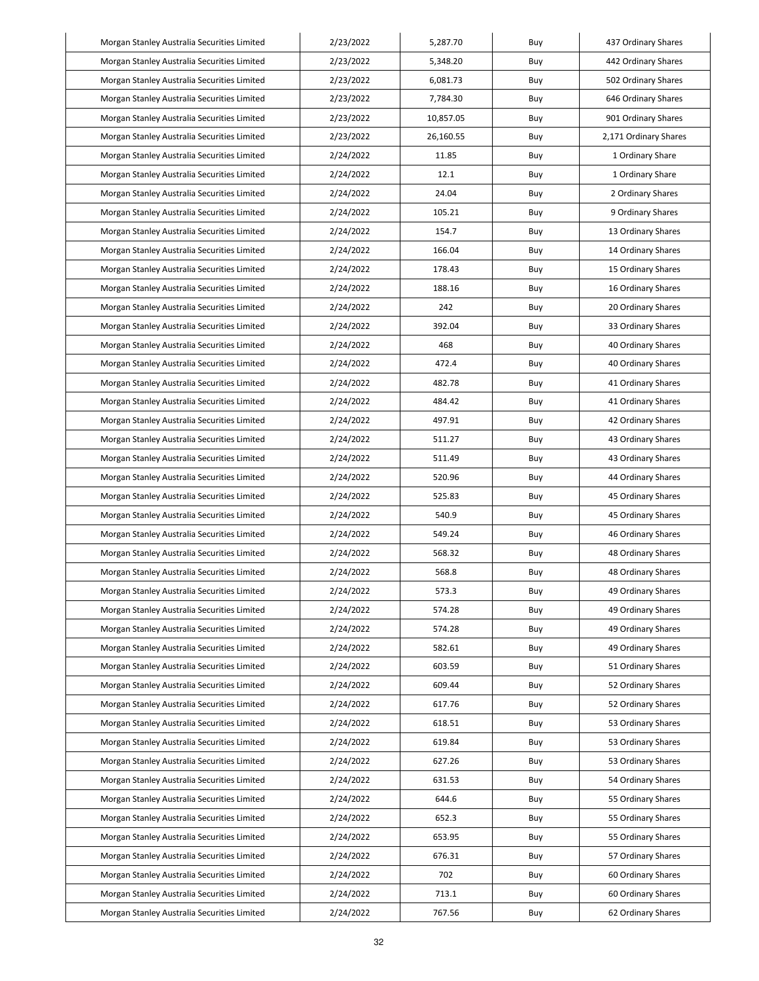| Morgan Stanley Australia Securities Limited | 2/23/2022 | 5,287.70  | Buy | 437 Ordinary Shares   |
|---------------------------------------------|-----------|-----------|-----|-----------------------|
| Morgan Stanley Australia Securities Limited | 2/23/2022 | 5,348.20  | Buy | 442 Ordinary Shares   |
| Morgan Stanley Australia Securities Limited | 2/23/2022 | 6,081.73  | Buy | 502 Ordinary Shares   |
| Morgan Stanley Australia Securities Limited | 2/23/2022 | 7,784.30  | Buy | 646 Ordinary Shares   |
| Morgan Stanley Australia Securities Limited | 2/23/2022 | 10,857.05 | Buy | 901 Ordinary Shares   |
| Morgan Stanley Australia Securities Limited | 2/23/2022 | 26,160.55 | Buy | 2,171 Ordinary Shares |
| Morgan Stanley Australia Securities Limited | 2/24/2022 | 11.85     | Buy | 1 Ordinary Share      |
| Morgan Stanley Australia Securities Limited | 2/24/2022 | 12.1      | Buy | 1 Ordinary Share      |
| Morgan Stanley Australia Securities Limited | 2/24/2022 | 24.04     | Buy | 2 Ordinary Shares     |
| Morgan Stanley Australia Securities Limited | 2/24/2022 | 105.21    | Buy | 9 Ordinary Shares     |
| Morgan Stanley Australia Securities Limited | 2/24/2022 | 154.7     | Buy | 13 Ordinary Shares    |
| Morgan Stanley Australia Securities Limited | 2/24/2022 | 166.04    | Buy | 14 Ordinary Shares    |
| Morgan Stanley Australia Securities Limited | 2/24/2022 | 178.43    | Buy | 15 Ordinary Shares    |
| Morgan Stanley Australia Securities Limited | 2/24/2022 | 188.16    | Buy | 16 Ordinary Shares    |
| Morgan Stanley Australia Securities Limited | 2/24/2022 | 242       | Buy | 20 Ordinary Shares    |
| Morgan Stanley Australia Securities Limited | 2/24/2022 | 392.04    | Buy | 33 Ordinary Shares    |
| Morgan Stanley Australia Securities Limited | 2/24/2022 | 468       | Buy | 40 Ordinary Shares    |
| Morgan Stanley Australia Securities Limited | 2/24/2022 | 472.4     | Buy | 40 Ordinary Shares    |
| Morgan Stanley Australia Securities Limited | 2/24/2022 | 482.78    | Buy | 41 Ordinary Shares    |
| Morgan Stanley Australia Securities Limited | 2/24/2022 | 484.42    | Buy | 41 Ordinary Shares    |
| Morgan Stanley Australia Securities Limited | 2/24/2022 | 497.91    | Buy | 42 Ordinary Shares    |
| Morgan Stanley Australia Securities Limited | 2/24/2022 | 511.27    | Buy | 43 Ordinary Shares    |
| Morgan Stanley Australia Securities Limited | 2/24/2022 | 511.49    | Buy | 43 Ordinary Shares    |
| Morgan Stanley Australia Securities Limited | 2/24/2022 | 520.96    | Buy | 44 Ordinary Shares    |
| Morgan Stanley Australia Securities Limited | 2/24/2022 | 525.83    | Buy | 45 Ordinary Shares    |
| Morgan Stanley Australia Securities Limited | 2/24/2022 | 540.9     | Buy | 45 Ordinary Shares    |
| Morgan Stanley Australia Securities Limited | 2/24/2022 | 549.24    | Buy | 46 Ordinary Shares    |
| Morgan Stanley Australia Securities Limited | 2/24/2022 | 568.32    | Buy | 48 Ordinary Shares    |
| Morgan Stanley Australia Securities Limited | 2/24/2022 | 568.8     | Buy | 48 Ordinary Shares    |
| Morgan Stanley Australia Securities Limited | 2/24/2022 | 573.3     | Buy | 49 Ordinary Shares    |
| Morgan Stanley Australia Securities Limited | 2/24/2022 | 574.28    | Buy | 49 Ordinary Shares    |
| Morgan Stanley Australia Securities Limited | 2/24/2022 | 574.28    | Buy | 49 Ordinary Shares    |
| Morgan Stanley Australia Securities Limited | 2/24/2022 | 582.61    | Buy | 49 Ordinary Shares    |
| Morgan Stanley Australia Securities Limited | 2/24/2022 | 603.59    | Buy | 51 Ordinary Shares    |
| Morgan Stanley Australia Securities Limited | 2/24/2022 | 609.44    | Buy | 52 Ordinary Shares    |
| Morgan Stanley Australia Securities Limited | 2/24/2022 | 617.76    | Buy | 52 Ordinary Shares    |
| Morgan Stanley Australia Securities Limited | 2/24/2022 | 618.51    | Buy | 53 Ordinary Shares    |
| Morgan Stanley Australia Securities Limited | 2/24/2022 | 619.84    | Buy | 53 Ordinary Shares    |
| Morgan Stanley Australia Securities Limited | 2/24/2022 | 627.26    | Buy | 53 Ordinary Shares    |
| Morgan Stanley Australia Securities Limited | 2/24/2022 | 631.53    | Buy | 54 Ordinary Shares    |
| Morgan Stanley Australia Securities Limited | 2/24/2022 | 644.6     | Buy | 55 Ordinary Shares    |
| Morgan Stanley Australia Securities Limited | 2/24/2022 | 652.3     | Buy | 55 Ordinary Shares    |
| Morgan Stanley Australia Securities Limited | 2/24/2022 | 653.95    | Buy | 55 Ordinary Shares    |
| Morgan Stanley Australia Securities Limited | 2/24/2022 | 676.31    | Buy | 57 Ordinary Shares    |
| Morgan Stanley Australia Securities Limited | 2/24/2022 | 702       | Buy | 60 Ordinary Shares    |
| Morgan Stanley Australia Securities Limited | 2/24/2022 | 713.1     | Buy | 60 Ordinary Shares    |
| Morgan Stanley Australia Securities Limited | 2/24/2022 | 767.56    | Buy | 62 Ordinary Shares    |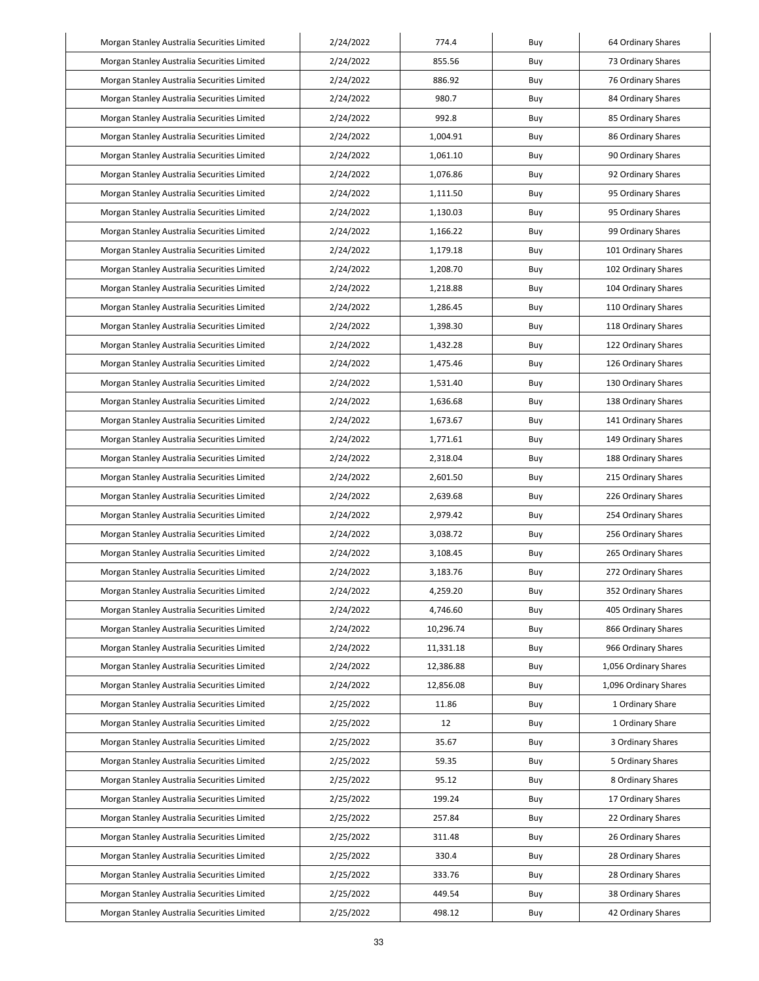| Morgan Stanley Australia Securities Limited | 2/24/2022 | 774.4     | Buy | 64 Ordinary Shares    |
|---------------------------------------------|-----------|-----------|-----|-----------------------|
| Morgan Stanley Australia Securities Limited | 2/24/2022 | 855.56    | Buy | 73 Ordinary Shares    |
| Morgan Stanley Australia Securities Limited | 2/24/2022 | 886.92    | Buy | 76 Ordinary Shares    |
| Morgan Stanley Australia Securities Limited | 2/24/2022 | 980.7     | Buy | 84 Ordinary Shares    |
| Morgan Stanley Australia Securities Limited | 2/24/2022 | 992.8     | Buy | 85 Ordinary Shares    |
| Morgan Stanley Australia Securities Limited | 2/24/2022 | 1,004.91  | Buy | 86 Ordinary Shares    |
| Morgan Stanley Australia Securities Limited | 2/24/2022 | 1,061.10  | Buy | 90 Ordinary Shares    |
| Morgan Stanley Australia Securities Limited | 2/24/2022 | 1,076.86  | Buy | 92 Ordinary Shares    |
| Morgan Stanley Australia Securities Limited | 2/24/2022 | 1,111.50  | Buy | 95 Ordinary Shares    |
| Morgan Stanley Australia Securities Limited | 2/24/2022 | 1,130.03  | Buy | 95 Ordinary Shares    |
| Morgan Stanley Australia Securities Limited | 2/24/2022 | 1,166.22  | Buy | 99 Ordinary Shares    |
| Morgan Stanley Australia Securities Limited | 2/24/2022 | 1,179.18  | Buy | 101 Ordinary Shares   |
| Morgan Stanley Australia Securities Limited | 2/24/2022 | 1,208.70  | Buy | 102 Ordinary Shares   |
| Morgan Stanley Australia Securities Limited | 2/24/2022 | 1,218.88  | Buy | 104 Ordinary Shares   |
| Morgan Stanley Australia Securities Limited | 2/24/2022 | 1,286.45  | Buy | 110 Ordinary Shares   |
| Morgan Stanley Australia Securities Limited | 2/24/2022 | 1,398.30  | Buy | 118 Ordinary Shares   |
| Morgan Stanley Australia Securities Limited | 2/24/2022 | 1,432.28  | Buy | 122 Ordinary Shares   |
| Morgan Stanley Australia Securities Limited | 2/24/2022 | 1,475.46  | Buy | 126 Ordinary Shares   |
| Morgan Stanley Australia Securities Limited | 2/24/2022 | 1,531.40  | Buy | 130 Ordinary Shares   |
| Morgan Stanley Australia Securities Limited | 2/24/2022 | 1,636.68  | Buy | 138 Ordinary Shares   |
| Morgan Stanley Australia Securities Limited | 2/24/2022 | 1,673.67  | Buy | 141 Ordinary Shares   |
| Morgan Stanley Australia Securities Limited | 2/24/2022 | 1,771.61  | Buy | 149 Ordinary Shares   |
| Morgan Stanley Australia Securities Limited | 2/24/2022 | 2,318.04  | Buy | 188 Ordinary Shares   |
| Morgan Stanley Australia Securities Limited | 2/24/2022 | 2,601.50  | Buy | 215 Ordinary Shares   |
| Morgan Stanley Australia Securities Limited | 2/24/2022 | 2,639.68  | Buy | 226 Ordinary Shares   |
| Morgan Stanley Australia Securities Limited | 2/24/2022 | 2,979.42  | Buy | 254 Ordinary Shares   |
| Morgan Stanley Australia Securities Limited | 2/24/2022 | 3,038.72  | Buy | 256 Ordinary Shares   |
| Morgan Stanley Australia Securities Limited | 2/24/2022 | 3,108.45  | Buy | 265 Ordinary Shares   |
| Morgan Stanley Australia Securities Limited | 2/24/2022 | 3,183.76  | Buy | 272 Ordinary Shares   |
| Morgan Stanley Australia Securities Limited | 2/24/2022 | 4,259.20  | Buy | 352 Ordinary Shares   |
| Morgan Stanley Australia Securities Limited | 2/24/2022 | 4,746.60  | Buy | 405 Ordinary Shares   |
| Morgan Stanley Australia Securities Limited | 2/24/2022 | 10,296.74 | Buy | 866 Ordinary Shares   |
| Morgan Stanley Australia Securities Limited | 2/24/2022 | 11,331.18 | Buy | 966 Ordinary Shares   |
| Morgan Stanley Australia Securities Limited | 2/24/2022 | 12,386.88 | Buy | 1,056 Ordinary Shares |
| Morgan Stanley Australia Securities Limited | 2/24/2022 | 12,856.08 | Buy | 1,096 Ordinary Shares |
| Morgan Stanley Australia Securities Limited | 2/25/2022 | 11.86     | Buy | 1 Ordinary Share      |
| Morgan Stanley Australia Securities Limited | 2/25/2022 | 12        | Buy | 1 Ordinary Share      |
| Morgan Stanley Australia Securities Limited | 2/25/2022 | 35.67     | Buy | 3 Ordinary Shares     |
| Morgan Stanley Australia Securities Limited | 2/25/2022 | 59.35     | Buy | 5 Ordinary Shares     |
| Morgan Stanley Australia Securities Limited | 2/25/2022 | 95.12     | Buy | 8 Ordinary Shares     |
| Morgan Stanley Australia Securities Limited | 2/25/2022 | 199.24    | Buy | 17 Ordinary Shares    |
| Morgan Stanley Australia Securities Limited | 2/25/2022 | 257.84    | Buy | 22 Ordinary Shares    |
| Morgan Stanley Australia Securities Limited | 2/25/2022 | 311.48    | Buy | 26 Ordinary Shares    |
| Morgan Stanley Australia Securities Limited | 2/25/2022 | 330.4     | Buy | 28 Ordinary Shares    |
| Morgan Stanley Australia Securities Limited | 2/25/2022 | 333.76    | Buy | 28 Ordinary Shares    |
| Morgan Stanley Australia Securities Limited | 2/25/2022 | 449.54    | Buy | 38 Ordinary Shares    |
| Morgan Stanley Australia Securities Limited | 2/25/2022 | 498.12    | Buy | 42 Ordinary Shares    |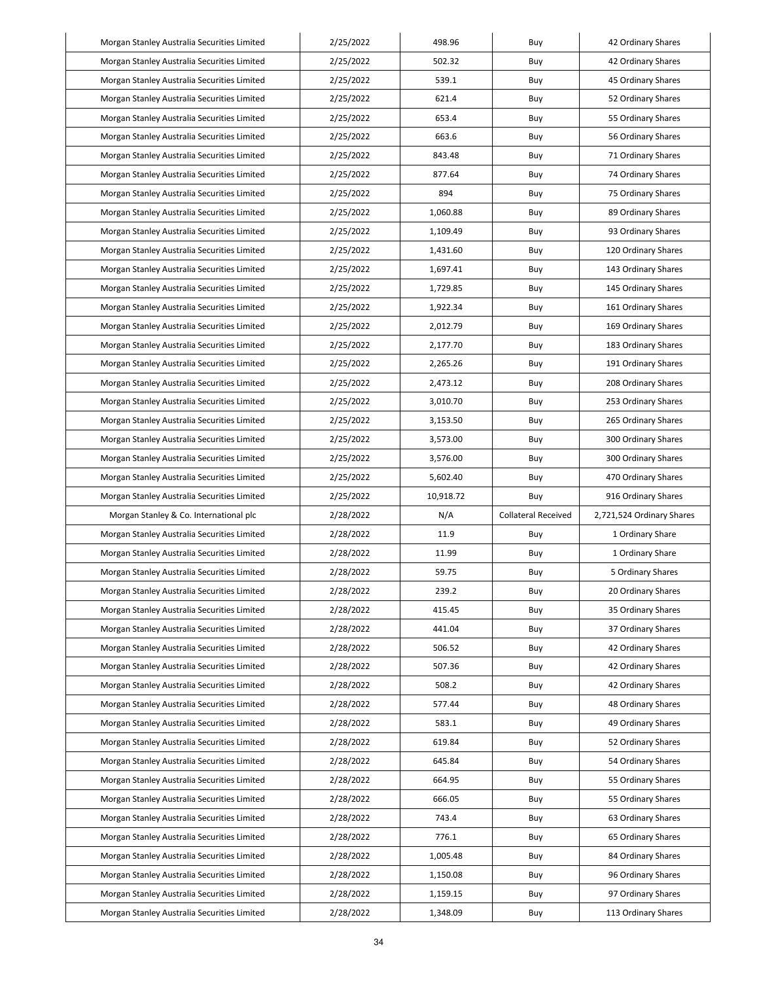| Morgan Stanley Australia Securities Limited | 2/25/2022 | 498.96    | Buy                        | 42 Ordinary Shares        |
|---------------------------------------------|-----------|-----------|----------------------------|---------------------------|
| Morgan Stanley Australia Securities Limited | 2/25/2022 | 502.32    | Buy                        | 42 Ordinary Shares        |
| Morgan Stanley Australia Securities Limited | 2/25/2022 | 539.1     | Buy                        | 45 Ordinary Shares        |
| Morgan Stanley Australia Securities Limited | 2/25/2022 | 621.4     | Buy                        | 52 Ordinary Shares        |
| Morgan Stanley Australia Securities Limited | 2/25/2022 | 653.4     | Buy                        | 55 Ordinary Shares        |
| Morgan Stanley Australia Securities Limited | 2/25/2022 | 663.6     | Buy                        | 56 Ordinary Shares        |
| Morgan Stanley Australia Securities Limited | 2/25/2022 | 843.48    | Buy                        | 71 Ordinary Shares        |
| Morgan Stanley Australia Securities Limited | 2/25/2022 | 877.64    | Buy                        | 74 Ordinary Shares        |
| Morgan Stanley Australia Securities Limited | 2/25/2022 | 894       | Buy                        | 75 Ordinary Shares        |
| Morgan Stanley Australia Securities Limited | 2/25/2022 | 1,060.88  | Buy                        | 89 Ordinary Shares        |
| Morgan Stanley Australia Securities Limited | 2/25/2022 | 1,109.49  | Buy                        | 93 Ordinary Shares        |
| Morgan Stanley Australia Securities Limited | 2/25/2022 | 1,431.60  | Buy                        | 120 Ordinary Shares       |
| Morgan Stanley Australia Securities Limited | 2/25/2022 | 1,697.41  | Buy                        | 143 Ordinary Shares       |
| Morgan Stanley Australia Securities Limited | 2/25/2022 | 1,729.85  | Buy                        | 145 Ordinary Shares       |
| Morgan Stanley Australia Securities Limited | 2/25/2022 | 1,922.34  | Buy                        | 161 Ordinary Shares       |
| Morgan Stanley Australia Securities Limited | 2/25/2022 | 2,012.79  | Buy                        | 169 Ordinary Shares       |
| Morgan Stanley Australia Securities Limited | 2/25/2022 | 2,177.70  | Buy                        | 183 Ordinary Shares       |
| Morgan Stanley Australia Securities Limited | 2/25/2022 | 2,265.26  | Buy                        | 191 Ordinary Shares       |
| Morgan Stanley Australia Securities Limited | 2/25/2022 | 2,473.12  | Buy                        | 208 Ordinary Shares       |
| Morgan Stanley Australia Securities Limited | 2/25/2022 | 3,010.70  | Buy                        | 253 Ordinary Shares       |
| Morgan Stanley Australia Securities Limited | 2/25/2022 | 3,153.50  | Buy                        | 265 Ordinary Shares       |
| Morgan Stanley Australia Securities Limited | 2/25/2022 | 3,573.00  | Buy                        | 300 Ordinary Shares       |
| Morgan Stanley Australia Securities Limited | 2/25/2022 | 3,576.00  | Buy                        | 300 Ordinary Shares       |
| Morgan Stanley Australia Securities Limited | 2/25/2022 | 5,602.40  | Buy                        | 470 Ordinary Shares       |
| Morgan Stanley Australia Securities Limited | 2/25/2022 | 10,918.72 | Buy                        | 916 Ordinary Shares       |
| Morgan Stanley & Co. International plc      | 2/28/2022 | N/A       | <b>Collateral Received</b> | 2,721,524 Ordinary Shares |
| Morgan Stanley Australia Securities Limited | 2/28/2022 | 11.9      | Buy                        | 1 Ordinary Share          |
|                                             |           |           |                            |                           |
| Morgan Stanley Australia Securities Limited | 2/28/2022 | 11.99     | Buy                        | 1 Ordinary Share          |
| Morgan Stanley Australia Securities Limited | 2/28/2022 | 59.75     | Buy                        | 5 Ordinary Shares         |
| Morgan Stanley Australia Securities Limited | 2/28/2022 | 239.2     | Buy                        | 20 Ordinary Shares        |
| Morgan Stanley Australia Securities Limited | 2/28/2022 | 415.45    | Buy                        | 35 Ordinary Shares        |
| Morgan Stanley Australia Securities Limited | 2/28/2022 | 441.04    | Buy                        | 37 Ordinary Shares        |
| Morgan Stanley Australia Securities Limited | 2/28/2022 | 506.52    | Buy                        | 42 Ordinary Shares        |
| Morgan Stanley Australia Securities Limited | 2/28/2022 | 507.36    | Buy                        | 42 Ordinary Shares        |
| Morgan Stanley Australia Securities Limited | 2/28/2022 | 508.2     | Buy                        | 42 Ordinary Shares        |
| Morgan Stanley Australia Securities Limited | 2/28/2022 | 577.44    | Buy                        | 48 Ordinary Shares        |
| Morgan Stanley Australia Securities Limited | 2/28/2022 | 583.1     | Buy                        | 49 Ordinary Shares        |
| Morgan Stanley Australia Securities Limited | 2/28/2022 | 619.84    | Buy                        | 52 Ordinary Shares        |
| Morgan Stanley Australia Securities Limited | 2/28/2022 | 645.84    | Buy                        | 54 Ordinary Shares        |
| Morgan Stanley Australia Securities Limited | 2/28/2022 | 664.95    | Buy                        | 55 Ordinary Shares        |
| Morgan Stanley Australia Securities Limited | 2/28/2022 | 666.05    | Buy                        | 55 Ordinary Shares        |
| Morgan Stanley Australia Securities Limited | 2/28/2022 | 743.4     | Buy                        | 63 Ordinary Shares        |
| Morgan Stanley Australia Securities Limited | 2/28/2022 | 776.1     | Buy                        | 65 Ordinary Shares        |
| Morgan Stanley Australia Securities Limited | 2/28/2022 | 1,005.48  | Buy                        | 84 Ordinary Shares        |
| Morgan Stanley Australia Securities Limited | 2/28/2022 | 1,150.08  | Buy                        | 96 Ordinary Shares        |
| Morgan Stanley Australia Securities Limited | 2/28/2022 | 1,159.15  | Buy                        | 97 Ordinary Shares        |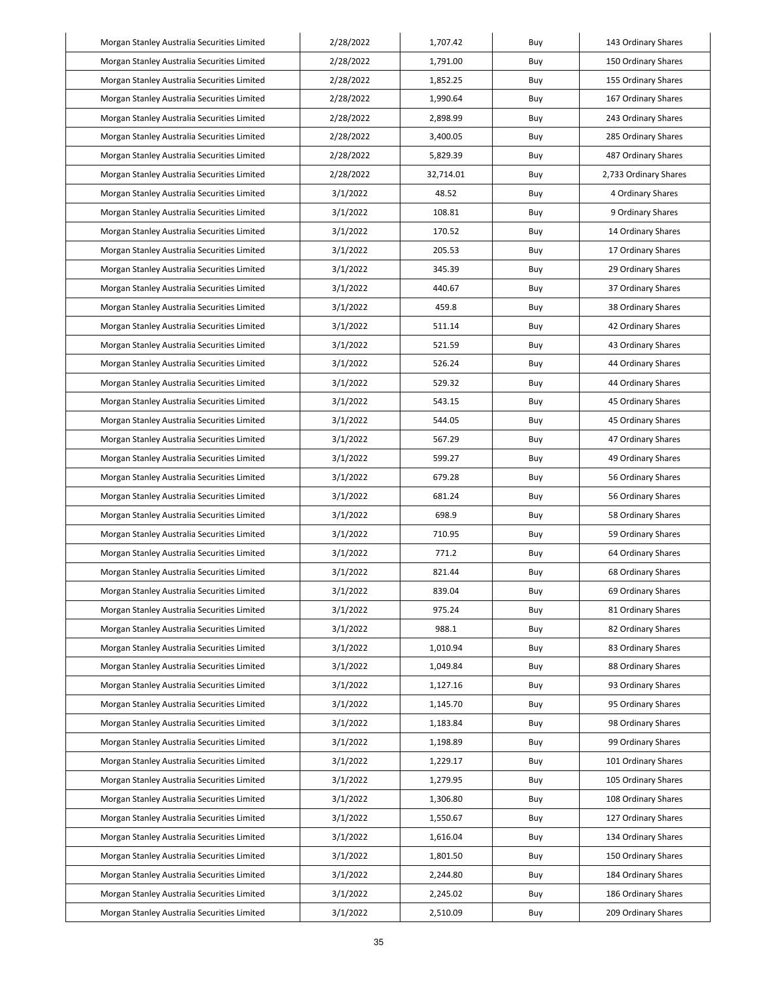| Morgan Stanley Australia Securities Limited | 2/28/2022 | 1,707.42  | Buy | 143 Ordinary Shares   |
|---------------------------------------------|-----------|-----------|-----|-----------------------|
| Morgan Stanley Australia Securities Limited | 2/28/2022 | 1,791.00  | Buy | 150 Ordinary Shares   |
| Morgan Stanley Australia Securities Limited | 2/28/2022 | 1,852.25  | Buy | 155 Ordinary Shares   |
| Morgan Stanley Australia Securities Limited | 2/28/2022 | 1,990.64  | Buy | 167 Ordinary Shares   |
| Morgan Stanley Australia Securities Limited | 2/28/2022 | 2,898.99  | Buy | 243 Ordinary Shares   |
| Morgan Stanley Australia Securities Limited | 2/28/2022 | 3,400.05  | Buy | 285 Ordinary Shares   |
| Morgan Stanley Australia Securities Limited | 2/28/2022 | 5,829.39  | Buy | 487 Ordinary Shares   |
| Morgan Stanley Australia Securities Limited | 2/28/2022 | 32,714.01 | Buy | 2,733 Ordinary Shares |
| Morgan Stanley Australia Securities Limited | 3/1/2022  | 48.52     | Buy | 4 Ordinary Shares     |
| Morgan Stanley Australia Securities Limited | 3/1/2022  | 108.81    | Buy | 9 Ordinary Shares     |
| Morgan Stanley Australia Securities Limited | 3/1/2022  | 170.52    | Buy | 14 Ordinary Shares    |
| Morgan Stanley Australia Securities Limited | 3/1/2022  | 205.53    | Buy | 17 Ordinary Shares    |
| Morgan Stanley Australia Securities Limited | 3/1/2022  | 345.39    | Buy | 29 Ordinary Shares    |
| Morgan Stanley Australia Securities Limited | 3/1/2022  | 440.67    | Buy | 37 Ordinary Shares    |
| Morgan Stanley Australia Securities Limited | 3/1/2022  | 459.8     | Buy | 38 Ordinary Shares    |
| Morgan Stanley Australia Securities Limited | 3/1/2022  | 511.14    | Buy | 42 Ordinary Shares    |
| Morgan Stanley Australia Securities Limited | 3/1/2022  | 521.59    | Buy | 43 Ordinary Shares    |
| Morgan Stanley Australia Securities Limited | 3/1/2022  | 526.24    | Buy | 44 Ordinary Shares    |
| Morgan Stanley Australia Securities Limited | 3/1/2022  | 529.32    | Buy | 44 Ordinary Shares    |
| Morgan Stanley Australia Securities Limited | 3/1/2022  | 543.15    | Buy | 45 Ordinary Shares    |
| Morgan Stanley Australia Securities Limited | 3/1/2022  | 544.05    | Buy | 45 Ordinary Shares    |
| Morgan Stanley Australia Securities Limited | 3/1/2022  | 567.29    | Buy | 47 Ordinary Shares    |
| Morgan Stanley Australia Securities Limited | 3/1/2022  | 599.27    | Buy | 49 Ordinary Shares    |
| Morgan Stanley Australia Securities Limited | 3/1/2022  | 679.28    | Buy | 56 Ordinary Shares    |
| Morgan Stanley Australia Securities Limited | 3/1/2022  | 681.24    | Buy | 56 Ordinary Shares    |
| Morgan Stanley Australia Securities Limited | 3/1/2022  | 698.9     | Buy | 58 Ordinary Shares    |
| Morgan Stanley Australia Securities Limited | 3/1/2022  | 710.95    | Buy | 59 Ordinary Shares    |
| Morgan Stanley Australia Securities Limited | 3/1/2022  | 771.2     | Buy | 64 Ordinary Shares    |
| Morgan Stanley Australia Securities Limited | 3/1/2022  | 821.44    | Buy | 68 Ordinary Shares    |
| Morgan Stanley Australia Securities Limited | 3/1/2022  | 839.04    | Buy | 69 Ordinary Shares    |
| Morgan Stanley Australia Securities Limited | 3/1/2022  | 975.24    | Buy | 81 Ordinary Shares    |
| Morgan Stanley Australia Securities Limited | 3/1/2022  | 988.1     | Buy | 82 Ordinary Shares    |
| Morgan Stanley Australia Securities Limited | 3/1/2022  | 1,010.94  | Buy | 83 Ordinary Shares    |
| Morgan Stanley Australia Securities Limited | 3/1/2022  | 1,049.84  | Buy | 88 Ordinary Shares    |
| Morgan Stanley Australia Securities Limited | 3/1/2022  | 1,127.16  | Buy | 93 Ordinary Shares    |
| Morgan Stanley Australia Securities Limited | 3/1/2022  | 1,145.70  | Buy | 95 Ordinary Shares    |
| Morgan Stanley Australia Securities Limited | 3/1/2022  | 1,183.84  | Buy | 98 Ordinary Shares    |
| Morgan Stanley Australia Securities Limited | 3/1/2022  | 1,198.89  | Buy | 99 Ordinary Shares    |
| Morgan Stanley Australia Securities Limited | 3/1/2022  | 1,229.17  | Buy | 101 Ordinary Shares   |
| Morgan Stanley Australia Securities Limited | 3/1/2022  | 1,279.95  | Buy | 105 Ordinary Shares   |
| Morgan Stanley Australia Securities Limited | 3/1/2022  | 1,306.80  | Buy | 108 Ordinary Shares   |
| Morgan Stanley Australia Securities Limited | 3/1/2022  | 1,550.67  | Buy | 127 Ordinary Shares   |
| Morgan Stanley Australia Securities Limited | 3/1/2022  | 1,616.04  | Buy | 134 Ordinary Shares   |
| Morgan Stanley Australia Securities Limited | 3/1/2022  | 1,801.50  | Buy | 150 Ordinary Shares   |
| Morgan Stanley Australia Securities Limited | 3/1/2022  | 2,244.80  | Buy | 184 Ordinary Shares   |
| Morgan Stanley Australia Securities Limited | 3/1/2022  | 2,245.02  | Buy | 186 Ordinary Shares   |
| Morgan Stanley Australia Securities Limited | 3/1/2022  | 2,510.09  | Buy | 209 Ordinary Shares   |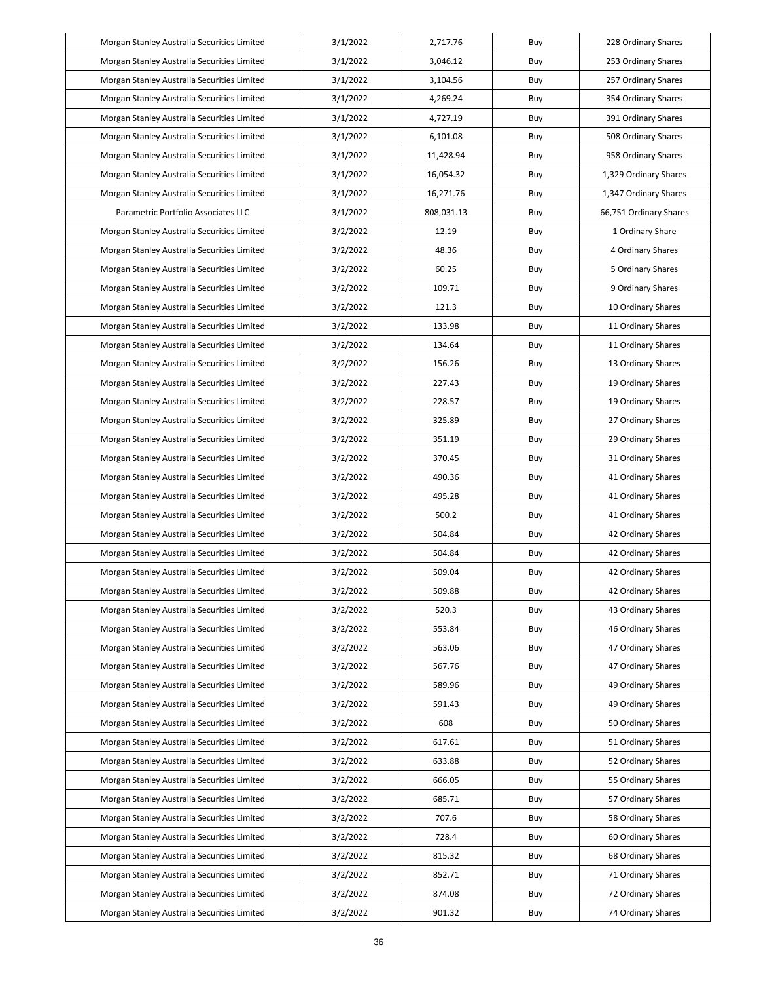| Morgan Stanley Australia Securities Limited | 3/1/2022 | 2,717.76   | Buy | 228 Ordinary Shares    |
|---------------------------------------------|----------|------------|-----|------------------------|
| Morgan Stanley Australia Securities Limited | 3/1/2022 | 3,046.12   | Buy | 253 Ordinary Shares    |
| Morgan Stanley Australia Securities Limited | 3/1/2022 | 3,104.56   | Buy | 257 Ordinary Shares    |
| Morgan Stanley Australia Securities Limited | 3/1/2022 | 4,269.24   | Buy | 354 Ordinary Shares    |
| Morgan Stanley Australia Securities Limited | 3/1/2022 | 4,727.19   | Buy | 391 Ordinary Shares    |
| Morgan Stanley Australia Securities Limited | 3/1/2022 | 6,101.08   | Buy | 508 Ordinary Shares    |
| Morgan Stanley Australia Securities Limited | 3/1/2022 | 11,428.94  | Buy | 958 Ordinary Shares    |
| Morgan Stanley Australia Securities Limited | 3/1/2022 | 16,054.32  | Buy | 1,329 Ordinary Shares  |
| Morgan Stanley Australia Securities Limited | 3/1/2022 | 16,271.76  | Buy | 1,347 Ordinary Shares  |
| Parametric Portfolio Associates LLC         | 3/1/2022 | 808,031.13 | Buy | 66,751 Ordinary Shares |
| Morgan Stanley Australia Securities Limited | 3/2/2022 | 12.19      | Buy | 1 Ordinary Share       |
| Morgan Stanley Australia Securities Limited | 3/2/2022 | 48.36      | Buy | 4 Ordinary Shares      |
| Morgan Stanley Australia Securities Limited | 3/2/2022 | 60.25      | Buy | 5 Ordinary Shares      |
| Morgan Stanley Australia Securities Limited | 3/2/2022 | 109.71     | Buy | 9 Ordinary Shares      |
| Morgan Stanley Australia Securities Limited | 3/2/2022 | 121.3      | Buy | 10 Ordinary Shares     |
| Morgan Stanley Australia Securities Limited | 3/2/2022 | 133.98     | Buy | 11 Ordinary Shares     |
| Morgan Stanley Australia Securities Limited | 3/2/2022 | 134.64     | Buy | 11 Ordinary Shares     |
| Morgan Stanley Australia Securities Limited | 3/2/2022 | 156.26     | Buy | 13 Ordinary Shares     |
| Morgan Stanley Australia Securities Limited | 3/2/2022 | 227.43     | Buy | 19 Ordinary Shares     |
| Morgan Stanley Australia Securities Limited | 3/2/2022 | 228.57     | Buy | 19 Ordinary Shares     |
| Morgan Stanley Australia Securities Limited | 3/2/2022 | 325.89     | Buy | 27 Ordinary Shares     |
| Morgan Stanley Australia Securities Limited | 3/2/2022 | 351.19     | Buy | 29 Ordinary Shares     |
| Morgan Stanley Australia Securities Limited | 3/2/2022 | 370.45     | Buy | 31 Ordinary Shares     |
| Morgan Stanley Australia Securities Limited | 3/2/2022 | 490.36     | Buy | 41 Ordinary Shares     |
| Morgan Stanley Australia Securities Limited | 3/2/2022 | 495.28     | Buy | 41 Ordinary Shares     |
| Morgan Stanley Australia Securities Limited | 3/2/2022 | 500.2      | Buy | 41 Ordinary Shares     |
| Morgan Stanley Australia Securities Limited | 3/2/2022 | 504.84     | Buy | 42 Ordinary Shares     |
| Morgan Stanley Australia Securities Limited | 3/2/2022 | 504.84     | Buy | 42 Ordinary Shares     |
| Morgan Stanley Australia Securities Limited | 3/2/2022 | 509.04     | Buy | 42 Ordinary Shares     |
| Morgan Stanley Australia Securities Limited | 3/2/2022 | 509.88     | Buy | 42 Ordinary Shares     |
| Morgan Stanley Australia Securities Limited | 3/2/2022 | 520.3      | Buy | 43 Ordinary Shares     |
| Morgan Stanley Australia Securities Limited | 3/2/2022 | 553.84     | Buy | 46 Ordinary Shares     |
| Morgan Stanley Australia Securities Limited | 3/2/2022 | 563.06     | Buy | 47 Ordinary Shares     |
| Morgan Stanley Australia Securities Limited | 3/2/2022 | 567.76     | Buy | 47 Ordinary Shares     |
| Morgan Stanley Australia Securities Limited | 3/2/2022 | 589.96     | Buy | 49 Ordinary Shares     |
| Morgan Stanley Australia Securities Limited | 3/2/2022 | 591.43     | Buy | 49 Ordinary Shares     |
| Morgan Stanley Australia Securities Limited | 3/2/2022 | 608        | Buy | 50 Ordinary Shares     |
| Morgan Stanley Australia Securities Limited | 3/2/2022 | 617.61     | Buy | 51 Ordinary Shares     |
| Morgan Stanley Australia Securities Limited | 3/2/2022 | 633.88     | Buy | 52 Ordinary Shares     |
| Morgan Stanley Australia Securities Limited | 3/2/2022 | 666.05     | Buy | 55 Ordinary Shares     |
| Morgan Stanley Australia Securities Limited | 3/2/2022 | 685.71     | Buy | 57 Ordinary Shares     |
| Morgan Stanley Australia Securities Limited | 3/2/2022 | 707.6      | Buy | 58 Ordinary Shares     |
| Morgan Stanley Australia Securities Limited | 3/2/2022 | 728.4      | Buy | 60 Ordinary Shares     |
| Morgan Stanley Australia Securities Limited | 3/2/2022 | 815.32     | Buy | 68 Ordinary Shares     |
| Morgan Stanley Australia Securities Limited | 3/2/2022 | 852.71     | Buy | 71 Ordinary Shares     |
| Morgan Stanley Australia Securities Limited | 3/2/2022 | 874.08     | Buy | 72 Ordinary Shares     |
| Morgan Stanley Australia Securities Limited | 3/2/2022 | 901.32     | Buy | 74 Ordinary Shares     |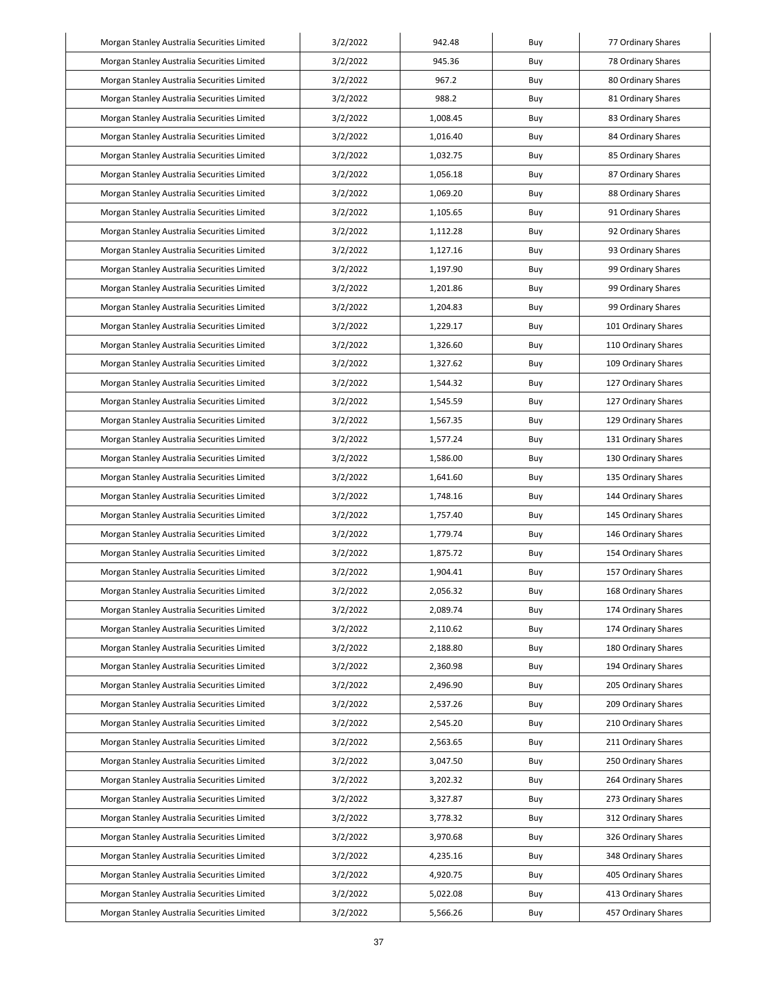| Morgan Stanley Australia Securities Limited | 3/2/2022 | 942.48   | Buy | 77 Ordinary Shares  |
|---------------------------------------------|----------|----------|-----|---------------------|
| Morgan Stanley Australia Securities Limited | 3/2/2022 | 945.36   | Buy | 78 Ordinary Shares  |
| Morgan Stanley Australia Securities Limited | 3/2/2022 | 967.2    | Buy | 80 Ordinary Shares  |
| Morgan Stanley Australia Securities Limited | 3/2/2022 | 988.2    | Buy | 81 Ordinary Shares  |
| Morgan Stanley Australia Securities Limited | 3/2/2022 | 1,008.45 | Buy | 83 Ordinary Shares  |
| Morgan Stanley Australia Securities Limited | 3/2/2022 | 1,016.40 | Buy | 84 Ordinary Shares  |
| Morgan Stanley Australia Securities Limited | 3/2/2022 | 1,032.75 | Buy | 85 Ordinary Shares  |
| Morgan Stanley Australia Securities Limited | 3/2/2022 | 1,056.18 | Buy | 87 Ordinary Shares  |
| Morgan Stanley Australia Securities Limited | 3/2/2022 | 1,069.20 | Buy | 88 Ordinary Shares  |
| Morgan Stanley Australia Securities Limited | 3/2/2022 | 1,105.65 | Buy | 91 Ordinary Shares  |
| Morgan Stanley Australia Securities Limited | 3/2/2022 | 1,112.28 | Buy | 92 Ordinary Shares  |
| Morgan Stanley Australia Securities Limited | 3/2/2022 | 1,127.16 | Buy | 93 Ordinary Shares  |
| Morgan Stanley Australia Securities Limited | 3/2/2022 | 1,197.90 | Buy | 99 Ordinary Shares  |
| Morgan Stanley Australia Securities Limited | 3/2/2022 | 1,201.86 | Buy | 99 Ordinary Shares  |
| Morgan Stanley Australia Securities Limited | 3/2/2022 | 1,204.83 | Buy | 99 Ordinary Shares  |
| Morgan Stanley Australia Securities Limited | 3/2/2022 | 1,229.17 | Buy | 101 Ordinary Shares |
| Morgan Stanley Australia Securities Limited | 3/2/2022 | 1,326.60 | Buy | 110 Ordinary Shares |
| Morgan Stanley Australia Securities Limited | 3/2/2022 | 1,327.62 | Buy | 109 Ordinary Shares |
| Morgan Stanley Australia Securities Limited | 3/2/2022 | 1,544.32 | Buy | 127 Ordinary Shares |
| Morgan Stanley Australia Securities Limited | 3/2/2022 | 1,545.59 | Buy | 127 Ordinary Shares |
| Morgan Stanley Australia Securities Limited | 3/2/2022 | 1,567.35 | Buy | 129 Ordinary Shares |
| Morgan Stanley Australia Securities Limited | 3/2/2022 | 1,577.24 | Buy | 131 Ordinary Shares |
| Morgan Stanley Australia Securities Limited | 3/2/2022 | 1,586.00 | Buy | 130 Ordinary Shares |
| Morgan Stanley Australia Securities Limited | 3/2/2022 | 1,641.60 | Buy | 135 Ordinary Shares |
| Morgan Stanley Australia Securities Limited | 3/2/2022 | 1,748.16 | Buy | 144 Ordinary Shares |
| Morgan Stanley Australia Securities Limited | 3/2/2022 | 1,757.40 | Buy | 145 Ordinary Shares |
| Morgan Stanley Australia Securities Limited | 3/2/2022 | 1,779.74 | Buy | 146 Ordinary Shares |
| Morgan Stanley Australia Securities Limited | 3/2/2022 | 1,875.72 | Buy | 154 Ordinary Shares |
| Morgan Stanley Australia Securities Limited | 3/2/2022 | 1,904.41 | Buy | 157 Ordinary Shares |
| Morgan Stanley Australia Securities Limited | 3/2/2022 | 2,056.32 | Buy | 168 Ordinary Shares |
| Morgan Stanley Australia Securities Limited | 3/2/2022 | 2.089.74 | Buy | 174 Ordinary Shares |
| Morgan Stanley Australia Securities Limited | 3/2/2022 | 2,110.62 | Buy | 174 Ordinary Shares |
| Morgan Stanley Australia Securities Limited | 3/2/2022 | 2,188.80 | Buy | 180 Ordinary Shares |
| Morgan Stanley Australia Securities Limited | 3/2/2022 | 2,360.98 | Buy | 194 Ordinary Shares |
| Morgan Stanley Australia Securities Limited | 3/2/2022 | 2,496.90 | Buy | 205 Ordinary Shares |
| Morgan Stanley Australia Securities Limited | 3/2/2022 | 2,537.26 | Buy | 209 Ordinary Shares |
| Morgan Stanley Australia Securities Limited | 3/2/2022 | 2,545.20 | Buy | 210 Ordinary Shares |
| Morgan Stanley Australia Securities Limited | 3/2/2022 | 2,563.65 | Buy | 211 Ordinary Shares |
| Morgan Stanley Australia Securities Limited | 3/2/2022 | 3,047.50 | Buy | 250 Ordinary Shares |
| Morgan Stanley Australia Securities Limited | 3/2/2022 | 3,202.32 | Buy | 264 Ordinary Shares |
| Morgan Stanley Australia Securities Limited | 3/2/2022 | 3,327.87 | Buy | 273 Ordinary Shares |
| Morgan Stanley Australia Securities Limited | 3/2/2022 | 3,778.32 | Buy | 312 Ordinary Shares |
| Morgan Stanley Australia Securities Limited | 3/2/2022 | 3,970.68 | Buy | 326 Ordinary Shares |
| Morgan Stanley Australia Securities Limited | 3/2/2022 | 4,235.16 | Buy | 348 Ordinary Shares |
| Morgan Stanley Australia Securities Limited | 3/2/2022 | 4,920.75 | Buy | 405 Ordinary Shares |
| Morgan Stanley Australia Securities Limited | 3/2/2022 | 5,022.08 | Buy | 413 Ordinary Shares |
| Morgan Stanley Australia Securities Limited | 3/2/2022 | 5,566.26 | Buy | 457 Ordinary Shares |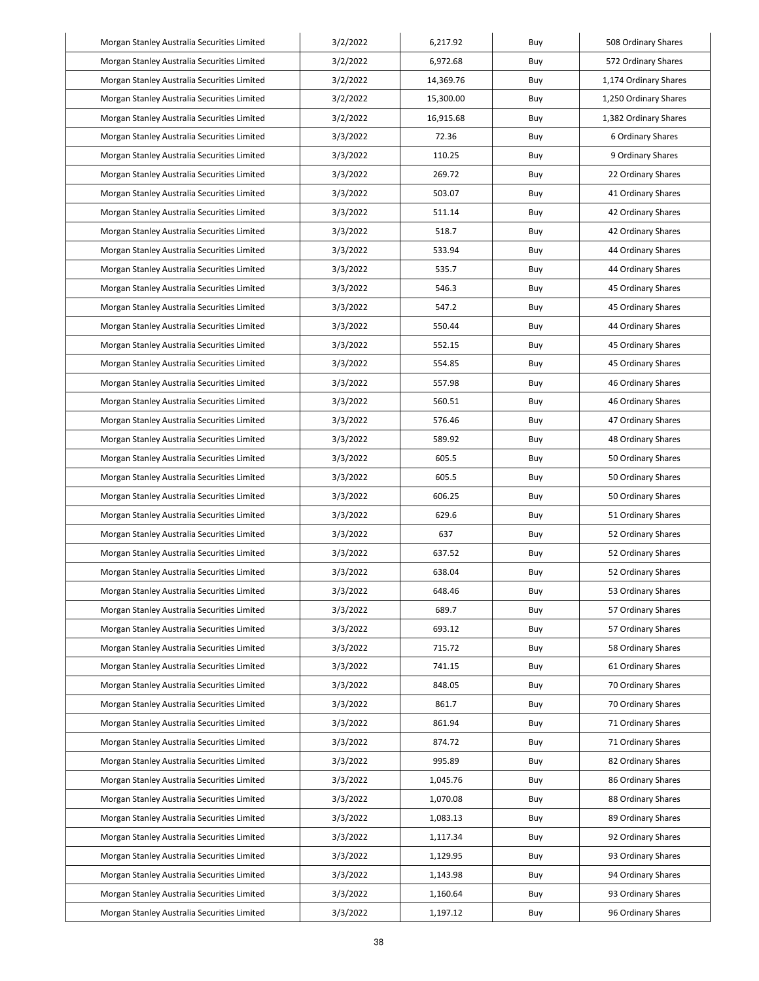| Morgan Stanley Australia Securities Limited | 3/2/2022 | 6,217.92  | Buy | 508 Ordinary Shares   |
|---------------------------------------------|----------|-----------|-----|-----------------------|
| Morgan Stanley Australia Securities Limited | 3/2/2022 | 6,972.68  | Buy | 572 Ordinary Shares   |
| Morgan Stanley Australia Securities Limited | 3/2/2022 | 14,369.76 | Buy | 1,174 Ordinary Shares |
| Morgan Stanley Australia Securities Limited | 3/2/2022 | 15,300.00 | Buy | 1,250 Ordinary Shares |
| Morgan Stanley Australia Securities Limited | 3/2/2022 | 16,915.68 | Buy | 1,382 Ordinary Shares |
| Morgan Stanley Australia Securities Limited | 3/3/2022 | 72.36     | Buy | 6 Ordinary Shares     |
| Morgan Stanley Australia Securities Limited | 3/3/2022 | 110.25    | Buy | 9 Ordinary Shares     |
| Morgan Stanley Australia Securities Limited | 3/3/2022 | 269.72    | Buy | 22 Ordinary Shares    |
| Morgan Stanley Australia Securities Limited | 3/3/2022 | 503.07    | Buy | 41 Ordinary Shares    |
| Morgan Stanley Australia Securities Limited | 3/3/2022 | 511.14    | Buy | 42 Ordinary Shares    |
| Morgan Stanley Australia Securities Limited | 3/3/2022 | 518.7     | Buy | 42 Ordinary Shares    |
| Morgan Stanley Australia Securities Limited | 3/3/2022 | 533.94    | Buy | 44 Ordinary Shares    |
| Morgan Stanley Australia Securities Limited | 3/3/2022 | 535.7     | Buy | 44 Ordinary Shares    |
| Morgan Stanley Australia Securities Limited | 3/3/2022 | 546.3     | Buy | 45 Ordinary Shares    |
| Morgan Stanley Australia Securities Limited | 3/3/2022 | 547.2     | Buy | 45 Ordinary Shares    |
| Morgan Stanley Australia Securities Limited | 3/3/2022 | 550.44    | Buy | 44 Ordinary Shares    |
| Morgan Stanley Australia Securities Limited | 3/3/2022 | 552.15    | Buy | 45 Ordinary Shares    |
| Morgan Stanley Australia Securities Limited | 3/3/2022 | 554.85    | Buy | 45 Ordinary Shares    |
| Morgan Stanley Australia Securities Limited | 3/3/2022 | 557.98    | Buy | 46 Ordinary Shares    |
| Morgan Stanley Australia Securities Limited | 3/3/2022 | 560.51    | Buy | 46 Ordinary Shares    |
| Morgan Stanley Australia Securities Limited | 3/3/2022 | 576.46    | Buy | 47 Ordinary Shares    |
| Morgan Stanley Australia Securities Limited | 3/3/2022 | 589.92    | Buy | 48 Ordinary Shares    |
| Morgan Stanley Australia Securities Limited | 3/3/2022 | 605.5     | Buy | 50 Ordinary Shares    |
| Morgan Stanley Australia Securities Limited | 3/3/2022 | 605.5     | Buy | 50 Ordinary Shares    |
| Morgan Stanley Australia Securities Limited | 3/3/2022 | 606.25    | Buy | 50 Ordinary Shares    |
| Morgan Stanley Australia Securities Limited | 3/3/2022 | 629.6     | Buy | 51 Ordinary Shares    |
| Morgan Stanley Australia Securities Limited | 3/3/2022 | 637       | Buy | 52 Ordinary Shares    |
| Morgan Stanley Australia Securities Limited | 3/3/2022 | 637.52    | Buy | 52 Ordinary Shares    |
| Morgan Stanley Australia Securities Limited | 3/3/2022 | 638.04    | Buy | 52 Ordinary Shares    |
| Morgan Stanley Australia Securities Limited | 3/3/2022 | 648.46    | Buy | 53 Ordinary Shares    |
| Morgan Stanley Australia Securities Limited | 3/3/2022 | 689.7     | Buy | 57 Ordinary Shares    |
| Morgan Stanley Australia Securities Limited | 3/3/2022 | 693.12    | Buy | 57 Ordinary Shares    |
| Morgan Stanley Australia Securities Limited | 3/3/2022 | 715.72    | Buy | 58 Ordinary Shares    |
| Morgan Stanley Australia Securities Limited | 3/3/2022 | 741.15    | Buy | 61 Ordinary Shares    |
| Morgan Stanley Australia Securities Limited | 3/3/2022 | 848.05    | Buy | 70 Ordinary Shares    |
| Morgan Stanley Australia Securities Limited | 3/3/2022 | 861.7     | Buy | 70 Ordinary Shares    |
| Morgan Stanley Australia Securities Limited | 3/3/2022 | 861.94    | Buy | 71 Ordinary Shares    |
| Morgan Stanley Australia Securities Limited | 3/3/2022 | 874.72    | Buy | 71 Ordinary Shares    |
| Morgan Stanley Australia Securities Limited | 3/3/2022 | 995.89    | Buy | 82 Ordinary Shares    |
| Morgan Stanley Australia Securities Limited | 3/3/2022 | 1,045.76  | Buy | 86 Ordinary Shares    |
| Morgan Stanley Australia Securities Limited | 3/3/2022 | 1,070.08  | Buy | 88 Ordinary Shares    |
| Morgan Stanley Australia Securities Limited | 3/3/2022 | 1,083.13  | Buy | 89 Ordinary Shares    |
| Morgan Stanley Australia Securities Limited | 3/3/2022 | 1,117.34  | Buy | 92 Ordinary Shares    |
| Morgan Stanley Australia Securities Limited | 3/3/2022 | 1,129.95  | Buy | 93 Ordinary Shares    |
| Morgan Stanley Australia Securities Limited | 3/3/2022 | 1,143.98  | Buy | 94 Ordinary Shares    |
| Morgan Stanley Australia Securities Limited | 3/3/2022 | 1,160.64  | Buy | 93 Ordinary Shares    |
| Morgan Stanley Australia Securities Limited | 3/3/2022 | 1,197.12  | Buy | 96 Ordinary Shares    |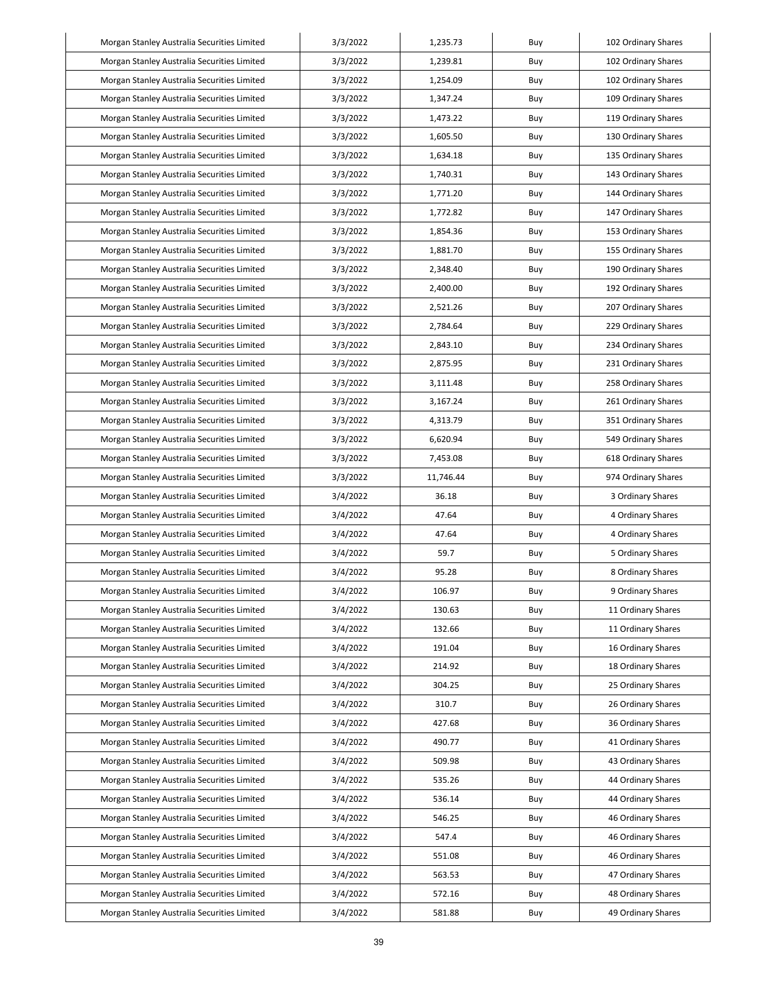| Morgan Stanley Australia Securities Limited | 3/3/2022 | 1,235.73  | Buy | 102 Ordinary Shares |
|---------------------------------------------|----------|-----------|-----|---------------------|
| Morgan Stanley Australia Securities Limited | 3/3/2022 | 1,239.81  | Buy | 102 Ordinary Shares |
| Morgan Stanley Australia Securities Limited | 3/3/2022 | 1,254.09  | Buy | 102 Ordinary Shares |
| Morgan Stanley Australia Securities Limited | 3/3/2022 | 1,347.24  | Buy | 109 Ordinary Shares |
| Morgan Stanley Australia Securities Limited | 3/3/2022 | 1,473.22  | Buy | 119 Ordinary Shares |
| Morgan Stanley Australia Securities Limited | 3/3/2022 | 1,605.50  | Buy | 130 Ordinary Shares |
| Morgan Stanley Australia Securities Limited | 3/3/2022 | 1,634.18  | Buy | 135 Ordinary Shares |
| Morgan Stanley Australia Securities Limited | 3/3/2022 | 1,740.31  | Buy | 143 Ordinary Shares |
| Morgan Stanley Australia Securities Limited | 3/3/2022 | 1,771.20  | Buy | 144 Ordinary Shares |
| Morgan Stanley Australia Securities Limited | 3/3/2022 | 1,772.82  | Buy | 147 Ordinary Shares |
| Morgan Stanley Australia Securities Limited | 3/3/2022 | 1,854.36  | Buy | 153 Ordinary Shares |
| Morgan Stanley Australia Securities Limited | 3/3/2022 | 1,881.70  | Buy | 155 Ordinary Shares |
| Morgan Stanley Australia Securities Limited | 3/3/2022 | 2,348.40  | Buy | 190 Ordinary Shares |
| Morgan Stanley Australia Securities Limited | 3/3/2022 | 2,400.00  | Buy | 192 Ordinary Shares |
| Morgan Stanley Australia Securities Limited | 3/3/2022 | 2,521.26  | Buy | 207 Ordinary Shares |
| Morgan Stanley Australia Securities Limited | 3/3/2022 | 2,784.64  | Buy | 229 Ordinary Shares |
| Morgan Stanley Australia Securities Limited | 3/3/2022 | 2,843.10  | Buy | 234 Ordinary Shares |
| Morgan Stanley Australia Securities Limited | 3/3/2022 | 2,875.95  | Buy | 231 Ordinary Shares |
| Morgan Stanley Australia Securities Limited | 3/3/2022 | 3,111.48  | Buy | 258 Ordinary Shares |
| Morgan Stanley Australia Securities Limited | 3/3/2022 | 3,167.24  | Buy | 261 Ordinary Shares |
| Morgan Stanley Australia Securities Limited | 3/3/2022 | 4,313.79  | Buy | 351 Ordinary Shares |
| Morgan Stanley Australia Securities Limited | 3/3/2022 | 6,620.94  | Buy | 549 Ordinary Shares |
| Morgan Stanley Australia Securities Limited | 3/3/2022 | 7,453.08  | Buy | 618 Ordinary Shares |
| Morgan Stanley Australia Securities Limited | 3/3/2022 | 11,746.44 | Buy | 974 Ordinary Shares |
| Morgan Stanley Australia Securities Limited | 3/4/2022 | 36.18     | Buy | 3 Ordinary Shares   |
| Morgan Stanley Australia Securities Limited | 3/4/2022 | 47.64     | Buy | 4 Ordinary Shares   |
| Morgan Stanley Australia Securities Limited | 3/4/2022 | 47.64     | Buy | 4 Ordinary Shares   |
| Morgan Stanley Australia Securities Limited | 3/4/2022 | 59.7      | Buy | 5 Ordinary Shares   |
| Morgan Stanley Australia Securities Limited | 3/4/2022 | 95.28     | Buy | 8 Ordinary Shares   |
| Morgan Stanley Australia Securities Limited | 3/4/2022 | 106.97    | Buy | 9 Ordinary Shares   |
| Morgan Stanley Australia Securities Limited | 3/4/2022 | 130.63    | Buy | 11 Ordinary Shares  |
| Morgan Stanley Australia Securities Limited | 3/4/2022 | 132.66    | Buy | 11 Ordinary Shares  |
| Morgan Stanley Australia Securities Limited | 3/4/2022 | 191.04    | Buy | 16 Ordinary Shares  |
| Morgan Stanley Australia Securities Limited | 3/4/2022 | 214.92    | Buy | 18 Ordinary Shares  |
| Morgan Stanley Australia Securities Limited | 3/4/2022 | 304.25    | Buy | 25 Ordinary Shares  |
| Morgan Stanley Australia Securities Limited | 3/4/2022 | 310.7     | Buy | 26 Ordinary Shares  |
| Morgan Stanley Australia Securities Limited | 3/4/2022 | 427.68    | Buy | 36 Ordinary Shares  |
| Morgan Stanley Australia Securities Limited | 3/4/2022 | 490.77    | Buy | 41 Ordinary Shares  |
| Morgan Stanley Australia Securities Limited | 3/4/2022 | 509.98    | Buy | 43 Ordinary Shares  |
| Morgan Stanley Australia Securities Limited | 3/4/2022 | 535.26    | Buy | 44 Ordinary Shares  |
| Morgan Stanley Australia Securities Limited | 3/4/2022 | 536.14    | Buy | 44 Ordinary Shares  |
| Morgan Stanley Australia Securities Limited | 3/4/2022 | 546.25    | Buy | 46 Ordinary Shares  |
| Morgan Stanley Australia Securities Limited | 3/4/2022 | 547.4     | Buy | 46 Ordinary Shares  |
| Morgan Stanley Australia Securities Limited | 3/4/2022 | 551.08    | Buy | 46 Ordinary Shares  |
| Morgan Stanley Australia Securities Limited | 3/4/2022 | 563.53    | Buy | 47 Ordinary Shares  |
| Morgan Stanley Australia Securities Limited | 3/4/2022 | 572.16    | Buy | 48 Ordinary Shares  |
| Morgan Stanley Australia Securities Limited | 3/4/2022 | 581.88    | Buy | 49 Ordinary Shares  |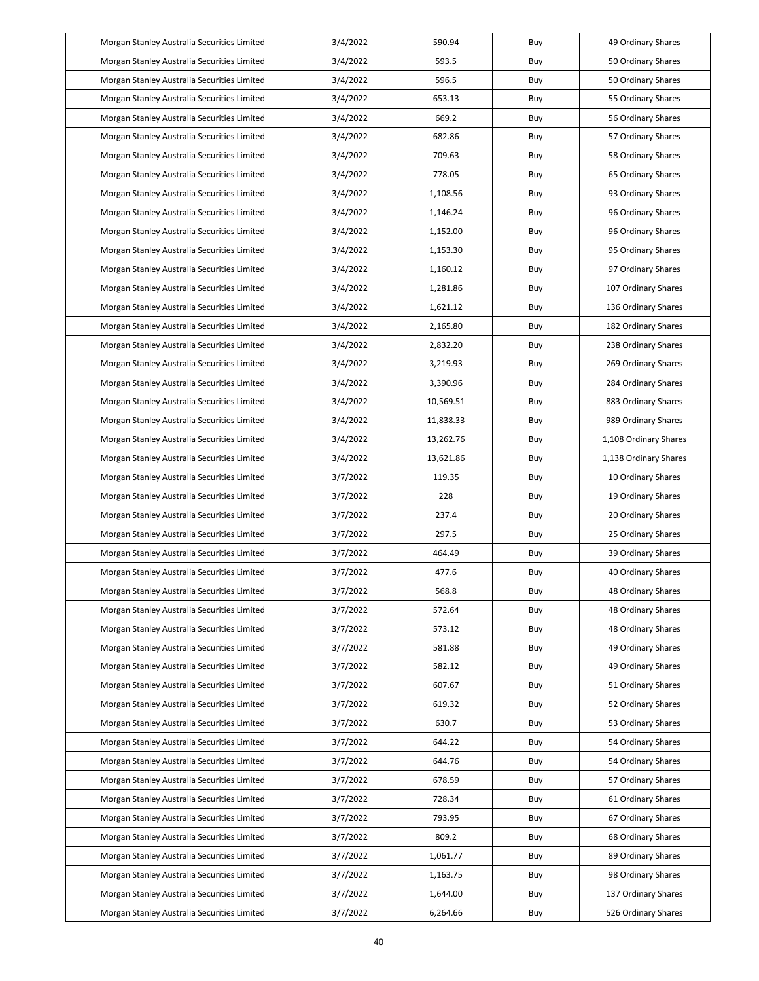| Morgan Stanley Australia Securities Limited | 3/4/2022 | 590.94    | Buy | 49 Ordinary Shares    |
|---------------------------------------------|----------|-----------|-----|-----------------------|
| Morgan Stanley Australia Securities Limited | 3/4/2022 | 593.5     | Buy | 50 Ordinary Shares    |
| Morgan Stanley Australia Securities Limited | 3/4/2022 | 596.5     | Buy | 50 Ordinary Shares    |
| Morgan Stanley Australia Securities Limited | 3/4/2022 | 653.13    | Buy | 55 Ordinary Shares    |
| Morgan Stanley Australia Securities Limited | 3/4/2022 | 669.2     | Buy | 56 Ordinary Shares    |
| Morgan Stanley Australia Securities Limited | 3/4/2022 | 682.86    | Buy | 57 Ordinary Shares    |
| Morgan Stanley Australia Securities Limited | 3/4/2022 | 709.63    | Buy | 58 Ordinary Shares    |
| Morgan Stanley Australia Securities Limited | 3/4/2022 | 778.05    | Buy | 65 Ordinary Shares    |
| Morgan Stanley Australia Securities Limited | 3/4/2022 | 1,108.56  | Buy | 93 Ordinary Shares    |
| Morgan Stanley Australia Securities Limited | 3/4/2022 | 1,146.24  | Buy | 96 Ordinary Shares    |
| Morgan Stanley Australia Securities Limited | 3/4/2022 | 1,152.00  | Buy | 96 Ordinary Shares    |
| Morgan Stanley Australia Securities Limited | 3/4/2022 | 1,153.30  | Buy | 95 Ordinary Shares    |
| Morgan Stanley Australia Securities Limited | 3/4/2022 | 1,160.12  | Buy | 97 Ordinary Shares    |
| Morgan Stanley Australia Securities Limited | 3/4/2022 | 1,281.86  | Buy | 107 Ordinary Shares   |
| Morgan Stanley Australia Securities Limited | 3/4/2022 | 1,621.12  | Buy | 136 Ordinary Shares   |
| Morgan Stanley Australia Securities Limited | 3/4/2022 | 2,165.80  | Buy | 182 Ordinary Shares   |
| Morgan Stanley Australia Securities Limited | 3/4/2022 | 2,832.20  | Buy | 238 Ordinary Shares   |
| Morgan Stanley Australia Securities Limited | 3/4/2022 | 3,219.93  | Buy | 269 Ordinary Shares   |
| Morgan Stanley Australia Securities Limited | 3/4/2022 | 3,390.96  | Buy | 284 Ordinary Shares   |
| Morgan Stanley Australia Securities Limited | 3/4/2022 | 10,569.51 | Buy | 883 Ordinary Shares   |
| Morgan Stanley Australia Securities Limited | 3/4/2022 | 11,838.33 | Buy | 989 Ordinary Shares   |
| Morgan Stanley Australia Securities Limited | 3/4/2022 | 13,262.76 | Buy | 1,108 Ordinary Shares |
| Morgan Stanley Australia Securities Limited | 3/4/2022 | 13,621.86 | Buy | 1,138 Ordinary Shares |
| Morgan Stanley Australia Securities Limited | 3/7/2022 | 119.35    | Buy | 10 Ordinary Shares    |
| Morgan Stanley Australia Securities Limited | 3/7/2022 | 228       | Buy | 19 Ordinary Shares    |
| Morgan Stanley Australia Securities Limited | 3/7/2022 | 237.4     | Buy | 20 Ordinary Shares    |
| Morgan Stanley Australia Securities Limited | 3/7/2022 | 297.5     | Buy | 25 Ordinary Shares    |
| Morgan Stanley Australia Securities Limited | 3/7/2022 | 464.49    | Buy | 39 Ordinary Shares    |
| Morgan Stanley Australia Securities Limited | 3/7/2022 | 477.6     | Buy | 40 Ordinary Shares    |
| Morgan Stanley Australia Securities Limited | 3/7/2022 | 568.8     | Buy | 48 Ordinary Shares    |
| Morgan Stanley Australia Securities Limited | 3/7/2022 | 572.64    | Buy | 48 Ordinary Shares    |
| Morgan Stanley Australia Securities Limited | 3/7/2022 | 573.12    | Buy | 48 Ordinary Shares    |
| Morgan Stanley Australia Securities Limited | 3/7/2022 | 581.88    | Buy | 49 Ordinary Shares    |
| Morgan Stanley Australia Securities Limited | 3/7/2022 | 582.12    | Buy | 49 Ordinary Shares    |
| Morgan Stanley Australia Securities Limited | 3/7/2022 | 607.67    | Buy | 51 Ordinary Shares    |
| Morgan Stanley Australia Securities Limited | 3/7/2022 | 619.32    | Buy | 52 Ordinary Shares    |
| Morgan Stanley Australia Securities Limited | 3/7/2022 | 630.7     | Buy | 53 Ordinary Shares    |
| Morgan Stanley Australia Securities Limited | 3/7/2022 | 644.22    | Buy | 54 Ordinary Shares    |
| Morgan Stanley Australia Securities Limited | 3/7/2022 | 644.76    | Buy | 54 Ordinary Shares    |
| Morgan Stanley Australia Securities Limited | 3/7/2022 | 678.59    | Buy | 57 Ordinary Shares    |
| Morgan Stanley Australia Securities Limited | 3/7/2022 | 728.34    | Buy | 61 Ordinary Shares    |
| Morgan Stanley Australia Securities Limited | 3/7/2022 | 793.95    | Buy | 67 Ordinary Shares    |
| Morgan Stanley Australia Securities Limited | 3/7/2022 | 809.2     | Buy | 68 Ordinary Shares    |
| Morgan Stanley Australia Securities Limited | 3/7/2022 | 1,061.77  | Buy | 89 Ordinary Shares    |
| Morgan Stanley Australia Securities Limited | 3/7/2022 | 1,163.75  | Buy | 98 Ordinary Shares    |
| Morgan Stanley Australia Securities Limited | 3/7/2022 | 1,644.00  | Buy | 137 Ordinary Shares   |
| Morgan Stanley Australia Securities Limited | 3/7/2022 | 6,264.66  | Buy | 526 Ordinary Shares   |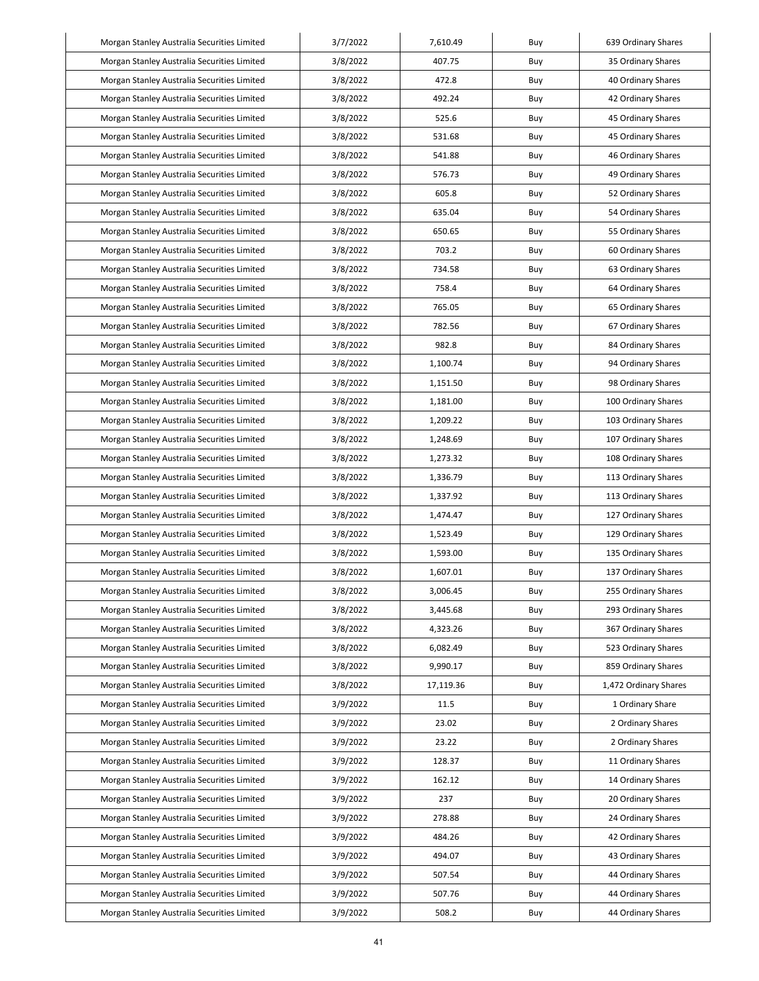| Morgan Stanley Australia Securities Limited | 3/7/2022 | 7,610.49  | Buy | 639 Ordinary Shares   |
|---------------------------------------------|----------|-----------|-----|-----------------------|
| Morgan Stanley Australia Securities Limited | 3/8/2022 | 407.75    | Buy | 35 Ordinary Shares    |
| Morgan Stanley Australia Securities Limited | 3/8/2022 | 472.8     | Buy | 40 Ordinary Shares    |
| Morgan Stanley Australia Securities Limited | 3/8/2022 | 492.24    | Buy | 42 Ordinary Shares    |
| Morgan Stanley Australia Securities Limited | 3/8/2022 | 525.6     | Buy | 45 Ordinary Shares    |
| Morgan Stanley Australia Securities Limited | 3/8/2022 | 531.68    | Buy | 45 Ordinary Shares    |
| Morgan Stanley Australia Securities Limited | 3/8/2022 | 541.88    | Buy | 46 Ordinary Shares    |
| Morgan Stanley Australia Securities Limited | 3/8/2022 | 576.73    | Buy | 49 Ordinary Shares    |
| Morgan Stanley Australia Securities Limited | 3/8/2022 | 605.8     | Buy | 52 Ordinary Shares    |
| Morgan Stanley Australia Securities Limited | 3/8/2022 | 635.04    | Buy | 54 Ordinary Shares    |
| Morgan Stanley Australia Securities Limited | 3/8/2022 | 650.65    | Buy | 55 Ordinary Shares    |
| Morgan Stanley Australia Securities Limited | 3/8/2022 | 703.2     | Buy | 60 Ordinary Shares    |
| Morgan Stanley Australia Securities Limited | 3/8/2022 | 734.58    | Buy | 63 Ordinary Shares    |
| Morgan Stanley Australia Securities Limited | 3/8/2022 | 758.4     | Buy | 64 Ordinary Shares    |
| Morgan Stanley Australia Securities Limited | 3/8/2022 | 765.05    | Buy | 65 Ordinary Shares    |
| Morgan Stanley Australia Securities Limited | 3/8/2022 | 782.56    | Buy | 67 Ordinary Shares    |
| Morgan Stanley Australia Securities Limited | 3/8/2022 | 982.8     | Buy | 84 Ordinary Shares    |
| Morgan Stanley Australia Securities Limited | 3/8/2022 | 1,100.74  | Buy | 94 Ordinary Shares    |
| Morgan Stanley Australia Securities Limited | 3/8/2022 | 1,151.50  | Buy | 98 Ordinary Shares    |
| Morgan Stanley Australia Securities Limited | 3/8/2022 | 1,181.00  | Buy | 100 Ordinary Shares   |
| Morgan Stanley Australia Securities Limited | 3/8/2022 | 1,209.22  | Buy | 103 Ordinary Shares   |
| Morgan Stanley Australia Securities Limited | 3/8/2022 | 1,248.69  | Buy | 107 Ordinary Shares   |
| Morgan Stanley Australia Securities Limited | 3/8/2022 | 1,273.32  | Buy | 108 Ordinary Shares   |
| Morgan Stanley Australia Securities Limited | 3/8/2022 | 1,336.79  | Buy | 113 Ordinary Shares   |
| Morgan Stanley Australia Securities Limited | 3/8/2022 | 1,337.92  | Buy | 113 Ordinary Shares   |
| Morgan Stanley Australia Securities Limited | 3/8/2022 | 1,474.47  | Buy | 127 Ordinary Shares   |
| Morgan Stanley Australia Securities Limited | 3/8/2022 | 1,523.49  | Buy | 129 Ordinary Shares   |
| Morgan Stanley Australia Securities Limited | 3/8/2022 | 1,593.00  | Buy | 135 Ordinary Shares   |
| Morgan Stanley Australia Securities Limited | 3/8/2022 | 1,607.01  | Buy | 137 Ordinary Shares   |
| Morgan Stanley Australia Securities Limited | 3/8/2022 | 3,006.45  | Buy | 255 Ordinary Shares   |
| Morgan Stanley Australia Securities Limited | 3/8/2022 | 3,445.68  | Buy | 293 Ordinary Shares   |
| Morgan Stanley Australia Securities Limited | 3/8/2022 | 4,323.26  | Buy | 367 Ordinary Shares   |
| Morgan Stanley Australia Securities Limited | 3/8/2022 | 6,082.49  | Buy | 523 Ordinary Shares   |
| Morgan Stanley Australia Securities Limited | 3/8/2022 | 9,990.17  | Buy | 859 Ordinary Shares   |
| Morgan Stanley Australia Securities Limited | 3/8/2022 | 17,119.36 | Buy | 1,472 Ordinary Shares |
| Morgan Stanley Australia Securities Limited | 3/9/2022 | 11.5      | Buy | 1 Ordinary Share      |
| Morgan Stanley Australia Securities Limited | 3/9/2022 | 23.02     | Buy | 2 Ordinary Shares     |
| Morgan Stanley Australia Securities Limited | 3/9/2022 | 23.22     | Buy | 2 Ordinary Shares     |
| Morgan Stanley Australia Securities Limited | 3/9/2022 | 128.37    | Buy | 11 Ordinary Shares    |
| Morgan Stanley Australia Securities Limited | 3/9/2022 | 162.12    | Buy | 14 Ordinary Shares    |
| Morgan Stanley Australia Securities Limited | 3/9/2022 | 237       | Buy | 20 Ordinary Shares    |
| Morgan Stanley Australia Securities Limited | 3/9/2022 | 278.88    | Buy | 24 Ordinary Shares    |
| Morgan Stanley Australia Securities Limited | 3/9/2022 | 484.26    | Buy | 42 Ordinary Shares    |
| Morgan Stanley Australia Securities Limited | 3/9/2022 | 494.07    | Buy | 43 Ordinary Shares    |
| Morgan Stanley Australia Securities Limited | 3/9/2022 | 507.54    | Buy | 44 Ordinary Shares    |
| Morgan Stanley Australia Securities Limited | 3/9/2022 | 507.76    | Buy | 44 Ordinary Shares    |
| Morgan Stanley Australia Securities Limited | 3/9/2022 | 508.2     | Buy | 44 Ordinary Shares    |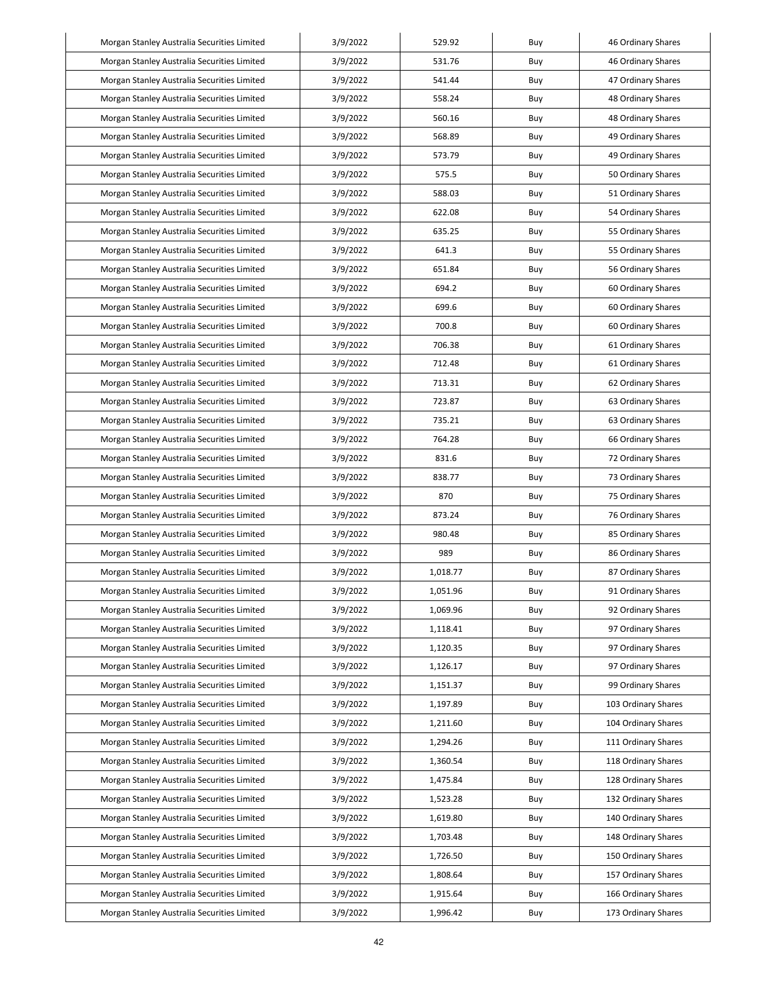| Morgan Stanley Australia Securities Limited | 3/9/2022 | 529.92   | Buy | 46 Ordinary Shares  |
|---------------------------------------------|----------|----------|-----|---------------------|
| Morgan Stanley Australia Securities Limited | 3/9/2022 | 531.76   | Buy | 46 Ordinary Shares  |
| Morgan Stanley Australia Securities Limited | 3/9/2022 | 541.44   | Buy | 47 Ordinary Shares  |
| Morgan Stanley Australia Securities Limited | 3/9/2022 | 558.24   | Buy | 48 Ordinary Shares  |
| Morgan Stanley Australia Securities Limited | 3/9/2022 | 560.16   | Buy | 48 Ordinary Shares  |
| Morgan Stanley Australia Securities Limited | 3/9/2022 | 568.89   | Buy | 49 Ordinary Shares  |
| Morgan Stanley Australia Securities Limited | 3/9/2022 | 573.79   | Buy | 49 Ordinary Shares  |
| Morgan Stanley Australia Securities Limited | 3/9/2022 | 575.5    | Buy | 50 Ordinary Shares  |
| Morgan Stanley Australia Securities Limited | 3/9/2022 | 588.03   | Buy | 51 Ordinary Shares  |
| Morgan Stanley Australia Securities Limited | 3/9/2022 | 622.08   | Buy | 54 Ordinary Shares  |
| Morgan Stanley Australia Securities Limited | 3/9/2022 | 635.25   | Buy | 55 Ordinary Shares  |
| Morgan Stanley Australia Securities Limited | 3/9/2022 | 641.3    | Buy | 55 Ordinary Shares  |
| Morgan Stanley Australia Securities Limited | 3/9/2022 | 651.84   | Buy | 56 Ordinary Shares  |
| Morgan Stanley Australia Securities Limited | 3/9/2022 | 694.2    | Buy | 60 Ordinary Shares  |
| Morgan Stanley Australia Securities Limited | 3/9/2022 | 699.6    | Buy | 60 Ordinary Shares  |
| Morgan Stanley Australia Securities Limited | 3/9/2022 | 700.8    | Buy | 60 Ordinary Shares  |
| Morgan Stanley Australia Securities Limited | 3/9/2022 | 706.38   | Buy | 61 Ordinary Shares  |
| Morgan Stanley Australia Securities Limited | 3/9/2022 | 712.48   | Buy | 61 Ordinary Shares  |
| Morgan Stanley Australia Securities Limited | 3/9/2022 | 713.31   | Buy | 62 Ordinary Shares  |
| Morgan Stanley Australia Securities Limited | 3/9/2022 | 723.87   | Buy | 63 Ordinary Shares  |
| Morgan Stanley Australia Securities Limited | 3/9/2022 | 735.21   | Buy | 63 Ordinary Shares  |
| Morgan Stanley Australia Securities Limited | 3/9/2022 | 764.28   | Buy | 66 Ordinary Shares  |
| Morgan Stanley Australia Securities Limited | 3/9/2022 | 831.6    | Buy | 72 Ordinary Shares  |
| Morgan Stanley Australia Securities Limited | 3/9/2022 | 838.77   | Buy | 73 Ordinary Shares  |
| Morgan Stanley Australia Securities Limited | 3/9/2022 | 870      | Buy | 75 Ordinary Shares  |
| Morgan Stanley Australia Securities Limited | 3/9/2022 | 873.24   | Buy | 76 Ordinary Shares  |
| Morgan Stanley Australia Securities Limited | 3/9/2022 | 980.48   | Buy | 85 Ordinary Shares  |
| Morgan Stanley Australia Securities Limited | 3/9/2022 | 989      | Buy | 86 Ordinary Shares  |
| Morgan Stanley Australia Securities Limited | 3/9/2022 | 1,018.77 | Buy | 87 Ordinary Shares  |
| Morgan Stanley Australia Securities Limited | 3/9/2022 | 1,051.96 | Buy | 91 Ordinary Shares  |
| Morgan Stanley Australia Securities Limited | 3/9/2022 | 1,069.96 | Buy | 92 Ordinary Shares  |
| Morgan Stanley Australia Securities Limited | 3/9/2022 | 1,118.41 | Buy | 97 Ordinary Shares  |
| Morgan Stanley Australia Securities Limited | 3/9/2022 | 1,120.35 | Buy | 97 Ordinary Shares  |
| Morgan Stanley Australia Securities Limited | 3/9/2022 | 1,126.17 | Buy | 97 Ordinary Shares  |
| Morgan Stanley Australia Securities Limited | 3/9/2022 | 1,151.37 | Buy | 99 Ordinary Shares  |
| Morgan Stanley Australia Securities Limited | 3/9/2022 | 1,197.89 | Buy | 103 Ordinary Shares |
| Morgan Stanley Australia Securities Limited | 3/9/2022 | 1,211.60 | Buy | 104 Ordinary Shares |
| Morgan Stanley Australia Securities Limited | 3/9/2022 | 1,294.26 | Buy | 111 Ordinary Shares |
| Morgan Stanley Australia Securities Limited | 3/9/2022 | 1,360.54 | Buy | 118 Ordinary Shares |
| Morgan Stanley Australia Securities Limited | 3/9/2022 | 1,475.84 | Buy | 128 Ordinary Shares |
| Morgan Stanley Australia Securities Limited | 3/9/2022 | 1,523.28 | Buy | 132 Ordinary Shares |
| Morgan Stanley Australia Securities Limited | 3/9/2022 | 1,619.80 | Buy | 140 Ordinary Shares |
| Morgan Stanley Australia Securities Limited | 3/9/2022 | 1,703.48 | Buy | 148 Ordinary Shares |
| Morgan Stanley Australia Securities Limited | 3/9/2022 | 1,726.50 | Buy | 150 Ordinary Shares |
| Morgan Stanley Australia Securities Limited | 3/9/2022 | 1,808.64 | Buy | 157 Ordinary Shares |
| Morgan Stanley Australia Securities Limited | 3/9/2022 | 1,915.64 | Buy | 166 Ordinary Shares |
| Morgan Stanley Australia Securities Limited | 3/9/2022 | 1,996.42 | Buy | 173 Ordinary Shares |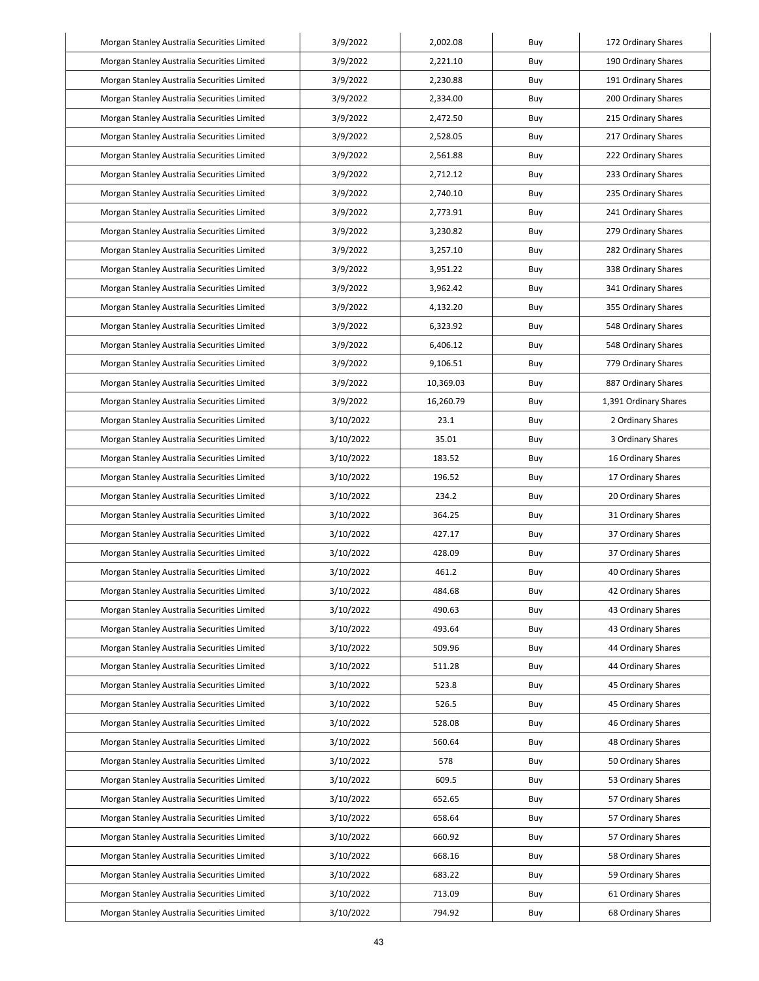| Morgan Stanley Australia Securities Limited | 3/9/2022  | 2,002.08  | Buy | 172 Ordinary Shares   |
|---------------------------------------------|-----------|-----------|-----|-----------------------|
| Morgan Stanley Australia Securities Limited | 3/9/2022  | 2,221.10  | Buy | 190 Ordinary Shares   |
| Morgan Stanley Australia Securities Limited | 3/9/2022  | 2,230.88  | Buy | 191 Ordinary Shares   |
| Morgan Stanley Australia Securities Limited | 3/9/2022  | 2,334.00  | Buy | 200 Ordinary Shares   |
| Morgan Stanley Australia Securities Limited | 3/9/2022  | 2,472.50  | Buy | 215 Ordinary Shares   |
| Morgan Stanley Australia Securities Limited | 3/9/2022  | 2,528.05  | Buy | 217 Ordinary Shares   |
| Morgan Stanley Australia Securities Limited | 3/9/2022  | 2,561.88  | Buy | 222 Ordinary Shares   |
| Morgan Stanley Australia Securities Limited | 3/9/2022  | 2,712.12  | Buy | 233 Ordinary Shares   |
| Morgan Stanley Australia Securities Limited | 3/9/2022  | 2,740.10  | Buy | 235 Ordinary Shares   |
| Morgan Stanley Australia Securities Limited | 3/9/2022  | 2,773.91  | Buy | 241 Ordinary Shares   |
| Morgan Stanley Australia Securities Limited | 3/9/2022  | 3,230.82  | Buy | 279 Ordinary Shares   |
| Morgan Stanley Australia Securities Limited | 3/9/2022  | 3,257.10  | Buy | 282 Ordinary Shares   |
| Morgan Stanley Australia Securities Limited | 3/9/2022  | 3,951.22  | Buy | 338 Ordinary Shares   |
| Morgan Stanley Australia Securities Limited | 3/9/2022  | 3,962.42  | Buy | 341 Ordinary Shares   |
| Morgan Stanley Australia Securities Limited | 3/9/2022  | 4,132.20  | Buy | 355 Ordinary Shares   |
| Morgan Stanley Australia Securities Limited | 3/9/2022  | 6,323.92  | Buy | 548 Ordinary Shares   |
| Morgan Stanley Australia Securities Limited | 3/9/2022  | 6,406.12  | Buy | 548 Ordinary Shares   |
| Morgan Stanley Australia Securities Limited | 3/9/2022  | 9,106.51  | Buy | 779 Ordinary Shares   |
| Morgan Stanley Australia Securities Limited | 3/9/2022  | 10,369.03 | Buy | 887 Ordinary Shares   |
| Morgan Stanley Australia Securities Limited | 3/9/2022  | 16,260.79 | Buy | 1,391 Ordinary Shares |
| Morgan Stanley Australia Securities Limited | 3/10/2022 | 23.1      | Buy | 2 Ordinary Shares     |
| Morgan Stanley Australia Securities Limited | 3/10/2022 | 35.01     | Buy | 3 Ordinary Shares     |
| Morgan Stanley Australia Securities Limited | 3/10/2022 | 183.52    | Buy | 16 Ordinary Shares    |
| Morgan Stanley Australia Securities Limited | 3/10/2022 | 196.52    | Buy | 17 Ordinary Shares    |
| Morgan Stanley Australia Securities Limited | 3/10/2022 | 234.2     | Buy | 20 Ordinary Shares    |
| Morgan Stanley Australia Securities Limited | 3/10/2022 | 364.25    | Buy | 31 Ordinary Shares    |
| Morgan Stanley Australia Securities Limited | 3/10/2022 | 427.17    | Buy | 37 Ordinary Shares    |
| Morgan Stanley Australia Securities Limited | 3/10/2022 | 428.09    | Buy | 37 Ordinary Shares    |
| Morgan Stanley Australia Securities Limited | 3/10/2022 | 461.2     | Buy | 40 Ordinary Shares    |
| Morgan Stanley Australia Securities Limited | 3/10/2022 | 484.68    | Buy | 42 Ordinary Shares    |
| Morgan Stanley Australia Securities Limited | 3/10/2022 | 490.63    | Buy | 43 Ordinary Shares    |
| Morgan Stanley Australia Securities Limited | 3/10/2022 | 493.64    | Buy | 43 Ordinary Shares    |
| Morgan Stanley Australia Securities Limited | 3/10/2022 | 509.96    | Buy | 44 Ordinary Shares    |
| Morgan Stanley Australia Securities Limited | 3/10/2022 | 511.28    | Buy | 44 Ordinary Shares    |
| Morgan Stanley Australia Securities Limited | 3/10/2022 | 523.8     | Buy | 45 Ordinary Shares    |
| Morgan Stanley Australia Securities Limited | 3/10/2022 | 526.5     | Buy | 45 Ordinary Shares    |
| Morgan Stanley Australia Securities Limited | 3/10/2022 | 528.08    | Buy | 46 Ordinary Shares    |
| Morgan Stanley Australia Securities Limited | 3/10/2022 | 560.64    | Buy | 48 Ordinary Shares    |
| Morgan Stanley Australia Securities Limited | 3/10/2022 | 578       | Buy | 50 Ordinary Shares    |
| Morgan Stanley Australia Securities Limited | 3/10/2022 | 609.5     | Buy | 53 Ordinary Shares    |
| Morgan Stanley Australia Securities Limited | 3/10/2022 | 652.65    | Buy | 57 Ordinary Shares    |
| Morgan Stanley Australia Securities Limited | 3/10/2022 | 658.64    | Buy | 57 Ordinary Shares    |
| Morgan Stanley Australia Securities Limited | 3/10/2022 | 660.92    | Buy | 57 Ordinary Shares    |
| Morgan Stanley Australia Securities Limited | 3/10/2022 | 668.16    | Buy | 58 Ordinary Shares    |
| Morgan Stanley Australia Securities Limited | 3/10/2022 | 683.22    | Buy | 59 Ordinary Shares    |
| Morgan Stanley Australia Securities Limited | 3/10/2022 | 713.09    | Buy | 61 Ordinary Shares    |
| Morgan Stanley Australia Securities Limited | 3/10/2022 | 794.92    | Buy | 68 Ordinary Shares    |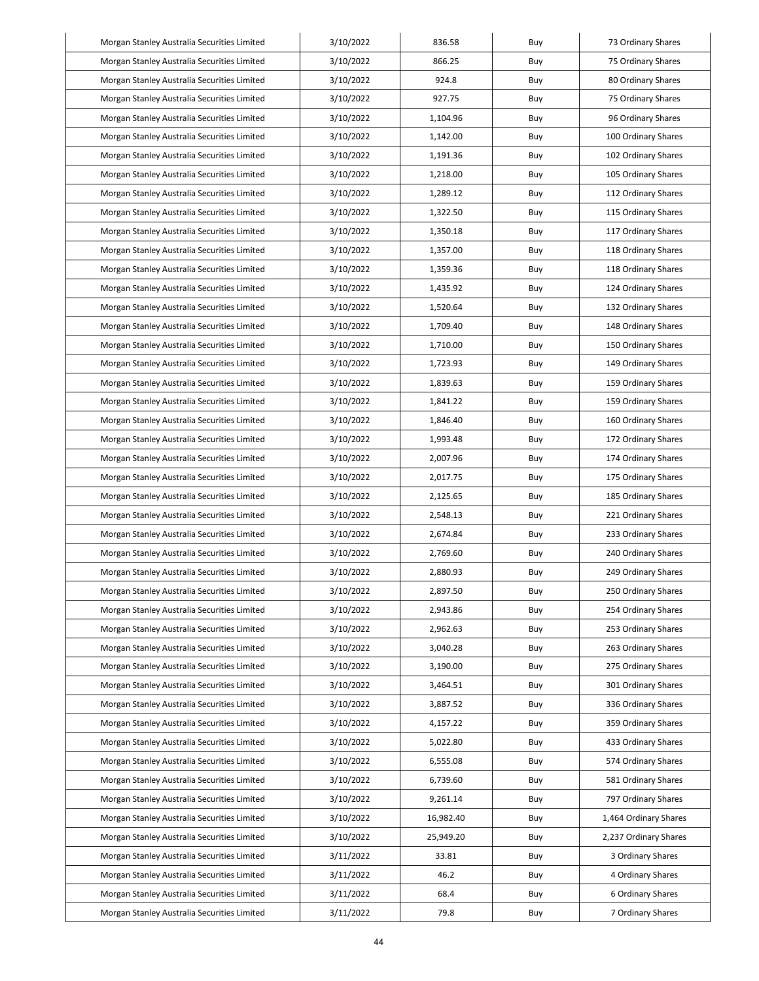| Morgan Stanley Australia Securities Limited | 3/10/2022 | 836.58    | Buy | 73 Ordinary Shares    |
|---------------------------------------------|-----------|-----------|-----|-----------------------|
| Morgan Stanley Australia Securities Limited | 3/10/2022 | 866.25    | Buy | 75 Ordinary Shares    |
| Morgan Stanley Australia Securities Limited | 3/10/2022 | 924.8     | Buy | 80 Ordinary Shares    |
| Morgan Stanley Australia Securities Limited | 3/10/2022 | 927.75    | Buy | 75 Ordinary Shares    |
| Morgan Stanley Australia Securities Limited | 3/10/2022 | 1,104.96  | Buy | 96 Ordinary Shares    |
| Morgan Stanley Australia Securities Limited | 3/10/2022 | 1,142.00  | Buy | 100 Ordinary Shares   |
| Morgan Stanley Australia Securities Limited | 3/10/2022 | 1,191.36  | Buy | 102 Ordinary Shares   |
| Morgan Stanley Australia Securities Limited | 3/10/2022 | 1,218.00  | Buy | 105 Ordinary Shares   |
| Morgan Stanley Australia Securities Limited | 3/10/2022 | 1,289.12  | Buy | 112 Ordinary Shares   |
| Morgan Stanley Australia Securities Limited | 3/10/2022 | 1,322.50  | Buy | 115 Ordinary Shares   |
| Morgan Stanley Australia Securities Limited | 3/10/2022 | 1,350.18  | Buy | 117 Ordinary Shares   |
| Morgan Stanley Australia Securities Limited | 3/10/2022 | 1,357.00  | Buy | 118 Ordinary Shares   |
| Morgan Stanley Australia Securities Limited | 3/10/2022 | 1,359.36  | Buy | 118 Ordinary Shares   |
| Morgan Stanley Australia Securities Limited | 3/10/2022 | 1,435.92  | Buy | 124 Ordinary Shares   |
| Morgan Stanley Australia Securities Limited | 3/10/2022 | 1,520.64  | Buy | 132 Ordinary Shares   |
| Morgan Stanley Australia Securities Limited | 3/10/2022 | 1,709.40  | Buy | 148 Ordinary Shares   |
| Morgan Stanley Australia Securities Limited | 3/10/2022 | 1,710.00  | Buy | 150 Ordinary Shares   |
| Morgan Stanley Australia Securities Limited | 3/10/2022 | 1,723.93  | Buy | 149 Ordinary Shares   |
| Morgan Stanley Australia Securities Limited | 3/10/2022 | 1,839.63  | Buy | 159 Ordinary Shares   |
| Morgan Stanley Australia Securities Limited | 3/10/2022 | 1,841.22  | Buy | 159 Ordinary Shares   |
| Morgan Stanley Australia Securities Limited | 3/10/2022 | 1,846.40  | Buy | 160 Ordinary Shares   |
| Morgan Stanley Australia Securities Limited | 3/10/2022 | 1,993.48  | Buy | 172 Ordinary Shares   |
| Morgan Stanley Australia Securities Limited | 3/10/2022 | 2,007.96  | Buy | 174 Ordinary Shares   |
| Morgan Stanley Australia Securities Limited | 3/10/2022 | 2,017.75  | Buy | 175 Ordinary Shares   |
| Morgan Stanley Australia Securities Limited | 3/10/2022 | 2,125.65  | Buy | 185 Ordinary Shares   |
| Morgan Stanley Australia Securities Limited | 3/10/2022 | 2,548.13  | Buy | 221 Ordinary Shares   |
| Morgan Stanley Australia Securities Limited | 3/10/2022 | 2,674.84  | Buy | 233 Ordinary Shares   |
| Morgan Stanley Australia Securities Limited | 3/10/2022 | 2,769.60  | Buy | 240 Ordinary Shares   |
| Morgan Stanley Australia Securities Limited | 3/10/2022 | 2,880.93  | Buy | 249 Ordinary Shares   |
| Morgan Stanley Australia Securities Limited | 3/10/2022 | 2,897.50  | Buy | 250 Ordinary Shares   |
| Morgan Stanley Australia Securities Limited | 3/10/2022 | 2,943.86  | Buy | 254 Ordinary Shares   |
| Morgan Stanley Australia Securities Limited | 3/10/2022 | 2,962.63  | Buy | 253 Ordinary Shares   |
| Morgan Stanley Australia Securities Limited | 3/10/2022 | 3,040.28  | Buy | 263 Ordinary Shares   |
| Morgan Stanley Australia Securities Limited | 3/10/2022 | 3,190.00  | Buy | 275 Ordinary Shares   |
| Morgan Stanley Australia Securities Limited | 3/10/2022 | 3,464.51  | Buy | 301 Ordinary Shares   |
| Morgan Stanley Australia Securities Limited | 3/10/2022 | 3,887.52  | Buy | 336 Ordinary Shares   |
| Morgan Stanley Australia Securities Limited | 3/10/2022 | 4,157.22  | Buy | 359 Ordinary Shares   |
| Morgan Stanley Australia Securities Limited | 3/10/2022 | 5,022.80  | Buy | 433 Ordinary Shares   |
| Morgan Stanley Australia Securities Limited | 3/10/2022 | 6,555.08  | Buy | 574 Ordinary Shares   |
| Morgan Stanley Australia Securities Limited | 3/10/2022 | 6,739.60  | Buy | 581 Ordinary Shares   |
| Morgan Stanley Australia Securities Limited | 3/10/2022 | 9,261.14  | Buy | 797 Ordinary Shares   |
| Morgan Stanley Australia Securities Limited | 3/10/2022 | 16,982.40 | Buy | 1,464 Ordinary Shares |
| Morgan Stanley Australia Securities Limited | 3/10/2022 | 25,949.20 | Buy | 2,237 Ordinary Shares |
| Morgan Stanley Australia Securities Limited | 3/11/2022 | 33.81     | Buy | 3 Ordinary Shares     |
| Morgan Stanley Australia Securities Limited | 3/11/2022 | 46.2      | Buy | 4 Ordinary Shares     |
| Morgan Stanley Australia Securities Limited | 3/11/2022 | 68.4      | Buy | 6 Ordinary Shares     |
| Morgan Stanley Australia Securities Limited | 3/11/2022 | 79.8      | Buy | 7 Ordinary Shares     |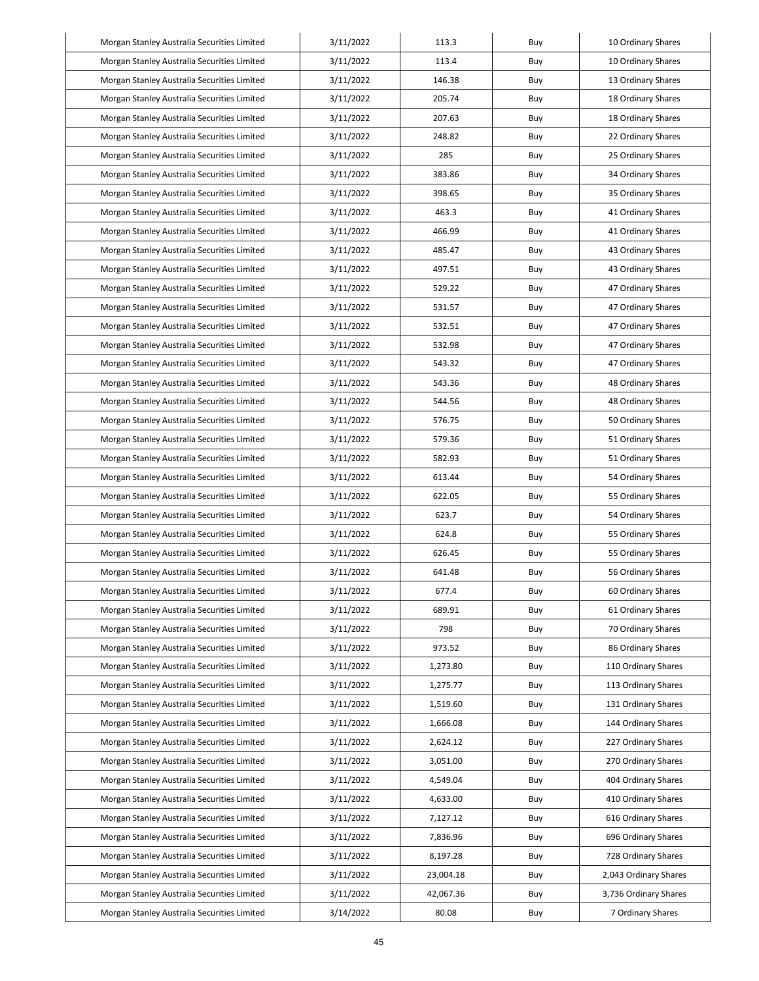| Morgan Stanley Australia Securities Limited | 3/11/2022 | 113.3     | Buy | 10 Ordinary Shares    |
|---------------------------------------------|-----------|-----------|-----|-----------------------|
| Morgan Stanley Australia Securities Limited | 3/11/2022 | 113.4     | Buy | 10 Ordinary Shares    |
| Morgan Stanley Australia Securities Limited | 3/11/2022 | 146.38    | Buy | 13 Ordinary Shares    |
| Morgan Stanley Australia Securities Limited | 3/11/2022 | 205.74    | Buy | 18 Ordinary Shares    |
| Morgan Stanley Australia Securities Limited | 3/11/2022 | 207.63    | Buy | 18 Ordinary Shares    |
| Morgan Stanley Australia Securities Limited | 3/11/2022 | 248.82    | Buy | 22 Ordinary Shares    |
| Morgan Stanley Australia Securities Limited | 3/11/2022 | 285       | Buy | 25 Ordinary Shares    |
| Morgan Stanley Australia Securities Limited | 3/11/2022 | 383.86    | Buy | 34 Ordinary Shares    |
| Morgan Stanley Australia Securities Limited | 3/11/2022 | 398.65    | Buy | 35 Ordinary Shares    |
| Morgan Stanley Australia Securities Limited | 3/11/2022 | 463.3     | Buy | 41 Ordinary Shares    |
| Morgan Stanley Australia Securities Limited | 3/11/2022 | 466.99    | Buy | 41 Ordinary Shares    |
| Morgan Stanley Australia Securities Limited | 3/11/2022 | 485.47    | Buy | 43 Ordinary Shares    |
| Morgan Stanley Australia Securities Limited | 3/11/2022 | 497.51    | Buy | 43 Ordinary Shares    |
| Morgan Stanley Australia Securities Limited | 3/11/2022 | 529.22    | Buy | 47 Ordinary Shares    |
| Morgan Stanley Australia Securities Limited | 3/11/2022 | 531.57    | Buy | 47 Ordinary Shares    |
| Morgan Stanley Australia Securities Limited | 3/11/2022 | 532.51    | Buy | 47 Ordinary Shares    |
| Morgan Stanley Australia Securities Limited | 3/11/2022 | 532.98    | Buy | 47 Ordinary Shares    |
| Morgan Stanley Australia Securities Limited | 3/11/2022 | 543.32    | Buy | 47 Ordinary Shares    |
| Morgan Stanley Australia Securities Limited | 3/11/2022 | 543.36    | Buy | 48 Ordinary Shares    |
| Morgan Stanley Australia Securities Limited | 3/11/2022 | 544.56    | Buy | 48 Ordinary Shares    |
| Morgan Stanley Australia Securities Limited | 3/11/2022 | 576.75    | Buy | 50 Ordinary Shares    |
| Morgan Stanley Australia Securities Limited | 3/11/2022 | 579.36    | Buy | 51 Ordinary Shares    |
| Morgan Stanley Australia Securities Limited | 3/11/2022 | 582.93    | Buy | 51 Ordinary Shares    |
| Morgan Stanley Australia Securities Limited | 3/11/2022 | 613.44    | Buy | 54 Ordinary Shares    |
| Morgan Stanley Australia Securities Limited | 3/11/2022 | 622.05    | Buy | 55 Ordinary Shares    |
| Morgan Stanley Australia Securities Limited | 3/11/2022 | 623.7     | Buy | 54 Ordinary Shares    |
| Morgan Stanley Australia Securities Limited | 3/11/2022 | 624.8     | Buy | 55 Ordinary Shares    |
| Morgan Stanley Australia Securities Limited | 3/11/2022 | 626.45    | Buy | 55 Ordinary Shares    |
| Morgan Stanley Australia Securities Limited | 3/11/2022 | 641.48    | Buy | 56 Ordinary Shares    |
| Morgan Stanley Australia Securities Limited | 3/11/2022 | 677.4     | Buy | 60 Ordinary Shares    |
| Morgan Stanley Australia Securities Limited | 3/11/2022 | 689.91    | Buy | 61 Ordinary Shares    |
| Morgan Stanley Australia Securities Limited | 3/11/2022 | 798       | Buy | 70 Ordinary Shares    |
| Morgan Stanley Australia Securities Limited | 3/11/2022 | 973.52    | Buy | 86 Ordinary Shares    |
| Morgan Stanley Australia Securities Limited | 3/11/2022 | 1,273.80  | Buy | 110 Ordinary Shares   |
| Morgan Stanley Australia Securities Limited | 3/11/2022 | 1,275.77  | Buy | 113 Ordinary Shares   |
| Morgan Stanley Australia Securities Limited | 3/11/2022 | 1,519.60  | Buy | 131 Ordinary Shares   |
| Morgan Stanley Australia Securities Limited | 3/11/2022 | 1,666.08  | Buy | 144 Ordinary Shares   |
| Morgan Stanley Australia Securities Limited | 3/11/2022 | 2,624.12  | Buy | 227 Ordinary Shares   |
| Morgan Stanley Australia Securities Limited | 3/11/2022 | 3,051.00  | Buy | 270 Ordinary Shares   |
| Morgan Stanley Australia Securities Limited | 3/11/2022 | 4,549.04  | Buy | 404 Ordinary Shares   |
| Morgan Stanley Australia Securities Limited | 3/11/2022 | 4,633.00  | Buy | 410 Ordinary Shares   |
| Morgan Stanley Australia Securities Limited | 3/11/2022 | 7,127.12  | Buy | 616 Ordinary Shares   |
| Morgan Stanley Australia Securities Limited | 3/11/2022 | 7,836.96  | Buy | 696 Ordinary Shares   |
| Morgan Stanley Australia Securities Limited | 3/11/2022 | 8,197.28  | Buy | 728 Ordinary Shares   |
| Morgan Stanley Australia Securities Limited | 3/11/2022 | 23,004.18 | Buy | 2,043 Ordinary Shares |
| Morgan Stanley Australia Securities Limited | 3/11/2022 | 42,067.36 | Buy | 3,736 Ordinary Shares |
| Morgan Stanley Australia Securities Limited | 3/14/2022 | 80.08     | Buy | 7 Ordinary Shares     |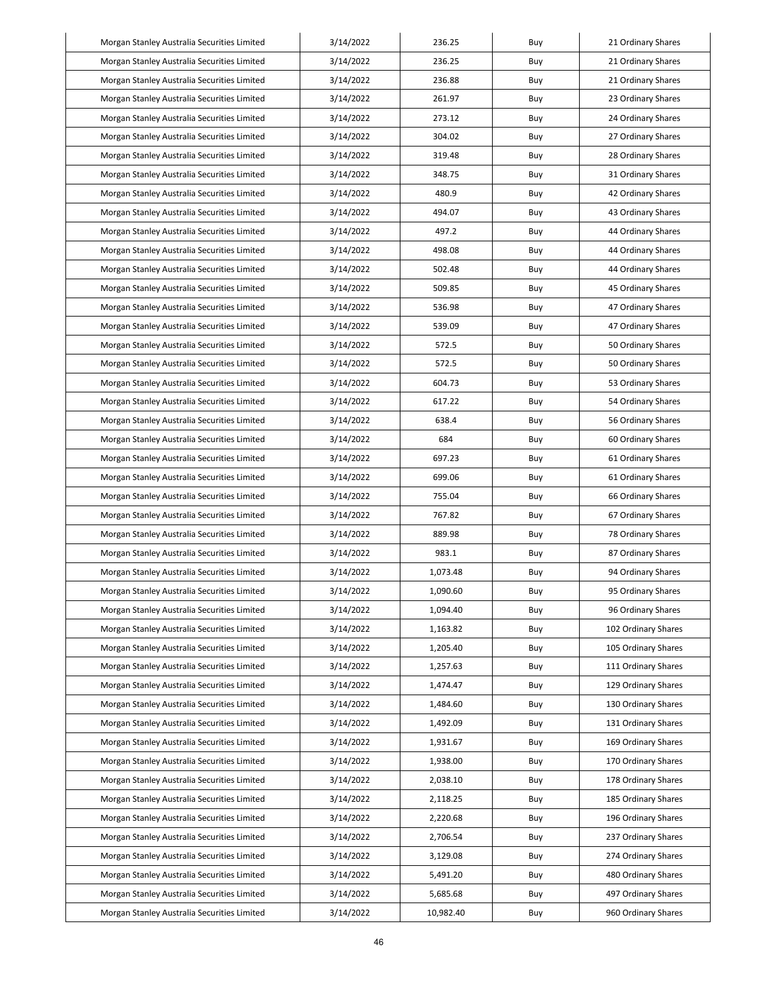| Morgan Stanley Australia Securities Limited | 3/14/2022 | 236.25    | Buy | 21 Ordinary Shares  |
|---------------------------------------------|-----------|-----------|-----|---------------------|
| Morgan Stanley Australia Securities Limited | 3/14/2022 | 236.25    | Buy | 21 Ordinary Shares  |
| Morgan Stanley Australia Securities Limited | 3/14/2022 | 236.88    | Buy | 21 Ordinary Shares  |
| Morgan Stanley Australia Securities Limited | 3/14/2022 | 261.97    | Buy | 23 Ordinary Shares  |
| Morgan Stanley Australia Securities Limited | 3/14/2022 | 273.12    | Buy | 24 Ordinary Shares  |
| Morgan Stanley Australia Securities Limited | 3/14/2022 | 304.02    | Buy | 27 Ordinary Shares  |
| Morgan Stanley Australia Securities Limited | 3/14/2022 | 319.48    | Buy | 28 Ordinary Shares  |
| Morgan Stanley Australia Securities Limited | 3/14/2022 | 348.75    | Buy | 31 Ordinary Shares  |
| Morgan Stanley Australia Securities Limited | 3/14/2022 | 480.9     | Buy | 42 Ordinary Shares  |
| Morgan Stanley Australia Securities Limited | 3/14/2022 | 494.07    | Buy | 43 Ordinary Shares  |
| Morgan Stanley Australia Securities Limited | 3/14/2022 | 497.2     | Buy | 44 Ordinary Shares  |
| Morgan Stanley Australia Securities Limited | 3/14/2022 | 498.08    | Buy | 44 Ordinary Shares  |
| Morgan Stanley Australia Securities Limited | 3/14/2022 | 502.48    | Buy | 44 Ordinary Shares  |
| Morgan Stanley Australia Securities Limited | 3/14/2022 | 509.85    | Buy | 45 Ordinary Shares  |
| Morgan Stanley Australia Securities Limited | 3/14/2022 | 536.98    | Buy | 47 Ordinary Shares  |
| Morgan Stanley Australia Securities Limited | 3/14/2022 | 539.09    | Buy | 47 Ordinary Shares  |
| Morgan Stanley Australia Securities Limited | 3/14/2022 | 572.5     | Buy | 50 Ordinary Shares  |
| Morgan Stanley Australia Securities Limited | 3/14/2022 | 572.5     | Buy | 50 Ordinary Shares  |
| Morgan Stanley Australia Securities Limited | 3/14/2022 | 604.73    | Buy | 53 Ordinary Shares  |
| Morgan Stanley Australia Securities Limited | 3/14/2022 | 617.22    | Buy | 54 Ordinary Shares  |
| Morgan Stanley Australia Securities Limited | 3/14/2022 | 638.4     | Buy | 56 Ordinary Shares  |
| Morgan Stanley Australia Securities Limited | 3/14/2022 | 684       | Buy | 60 Ordinary Shares  |
| Morgan Stanley Australia Securities Limited | 3/14/2022 | 697.23    | Buy | 61 Ordinary Shares  |
| Morgan Stanley Australia Securities Limited | 3/14/2022 | 699.06    | Buy | 61 Ordinary Shares  |
| Morgan Stanley Australia Securities Limited | 3/14/2022 | 755.04    | Buy | 66 Ordinary Shares  |
| Morgan Stanley Australia Securities Limited | 3/14/2022 | 767.82    | Buy | 67 Ordinary Shares  |
| Morgan Stanley Australia Securities Limited | 3/14/2022 | 889.98    | Buy | 78 Ordinary Shares  |
| Morgan Stanley Australia Securities Limited | 3/14/2022 | 983.1     | Buy | 87 Ordinary Shares  |
| Morgan Stanley Australia Securities Limited | 3/14/2022 | 1,073.48  | Buy | 94 Ordinary Shares  |
| Morgan Stanley Australia Securities Limited | 3/14/2022 | 1,090.60  | Buy | 95 Ordinary Shares  |
| Morgan Stanley Australia Securities Limited | 3/14/2022 | 1,094.40  | Buy | 96 Ordinary Shares  |
| Morgan Stanley Australia Securities Limited | 3/14/2022 | 1,163.82  | Buy | 102 Ordinary Shares |
| Morgan Stanley Australia Securities Limited | 3/14/2022 | 1,205.40  | Buy | 105 Ordinary Shares |
| Morgan Stanley Australia Securities Limited | 3/14/2022 | 1,257.63  | Buy | 111 Ordinary Shares |
| Morgan Stanley Australia Securities Limited | 3/14/2022 | 1,474.47  | Buy | 129 Ordinary Shares |
| Morgan Stanley Australia Securities Limited | 3/14/2022 | 1,484.60  | Buy | 130 Ordinary Shares |
| Morgan Stanley Australia Securities Limited | 3/14/2022 | 1,492.09  | Buy | 131 Ordinary Shares |
| Morgan Stanley Australia Securities Limited | 3/14/2022 | 1,931.67  | Buy | 169 Ordinary Shares |
| Morgan Stanley Australia Securities Limited | 3/14/2022 | 1,938.00  | Buy | 170 Ordinary Shares |
| Morgan Stanley Australia Securities Limited | 3/14/2022 | 2,038.10  | Buy | 178 Ordinary Shares |
| Morgan Stanley Australia Securities Limited | 3/14/2022 | 2,118.25  | Buy | 185 Ordinary Shares |
| Morgan Stanley Australia Securities Limited | 3/14/2022 | 2,220.68  | Buy | 196 Ordinary Shares |
| Morgan Stanley Australia Securities Limited | 3/14/2022 | 2,706.54  | Buy | 237 Ordinary Shares |
| Morgan Stanley Australia Securities Limited | 3/14/2022 | 3,129.08  | Buy | 274 Ordinary Shares |
| Morgan Stanley Australia Securities Limited | 3/14/2022 | 5,491.20  | Buy | 480 Ordinary Shares |
| Morgan Stanley Australia Securities Limited | 3/14/2022 | 5,685.68  | Buy | 497 Ordinary Shares |
| Morgan Stanley Australia Securities Limited | 3/14/2022 | 10,982.40 | Buy | 960 Ordinary Shares |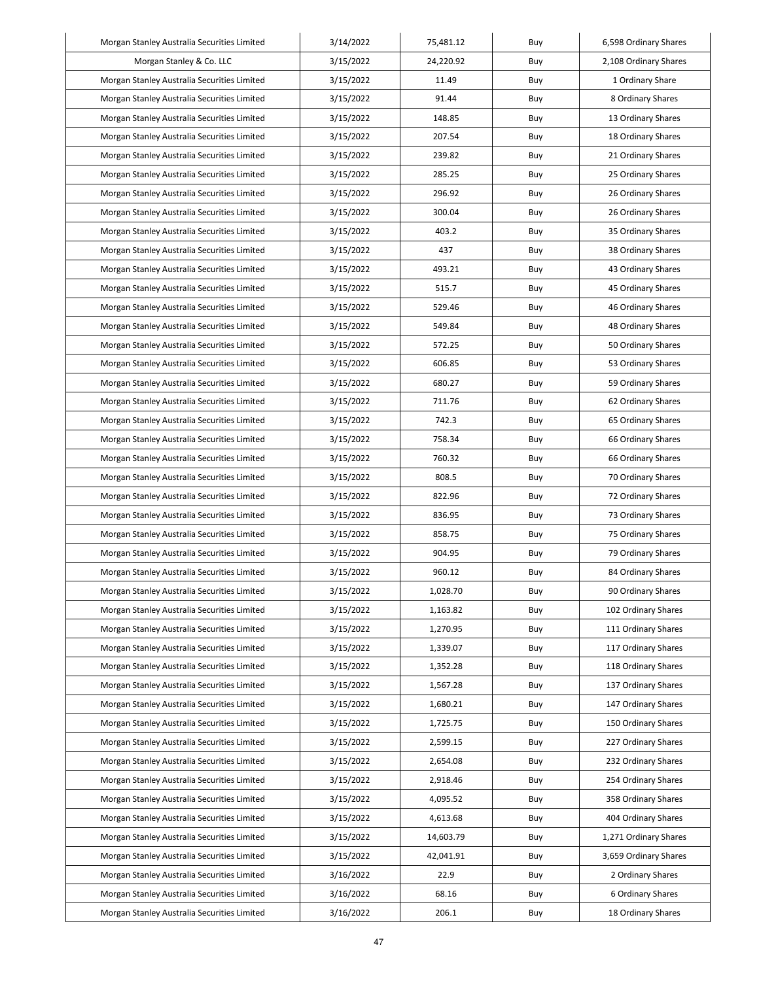| Morgan Stanley Australia Securities Limited | 3/14/2022 | 75,481.12 | Buy | 6,598 Ordinary Shares |
|---------------------------------------------|-----------|-----------|-----|-----------------------|
| Morgan Stanley & Co. LLC                    | 3/15/2022 | 24,220.92 | Buy | 2,108 Ordinary Shares |
| Morgan Stanley Australia Securities Limited | 3/15/2022 | 11.49     | Buy | 1 Ordinary Share      |
| Morgan Stanley Australia Securities Limited | 3/15/2022 | 91.44     | Buy | 8 Ordinary Shares     |
| Morgan Stanley Australia Securities Limited | 3/15/2022 | 148.85    | Buy | 13 Ordinary Shares    |
| Morgan Stanley Australia Securities Limited | 3/15/2022 | 207.54    | Buy | 18 Ordinary Shares    |
| Morgan Stanley Australia Securities Limited | 3/15/2022 | 239.82    | Buy | 21 Ordinary Shares    |
| Morgan Stanley Australia Securities Limited | 3/15/2022 | 285.25    | Buy | 25 Ordinary Shares    |
| Morgan Stanley Australia Securities Limited | 3/15/2022 | 296.92    | Buy | 26 Ordinary Shares    |
| Morgan Stanley Australia Securities Limited | 3/15/2022 | 300.04    | Buy | 26 Ordinary Shares    |
| Morgan Stanley Australia Securities Limited | 3/15/2022 | 403.2     | Buy | 35 Ordinary Shares    |
| Morgan Stanley Australia Securities Limited | 3/15/2022 | 437       | Buy | 38 Ordinary Shares    |
| Morgan Stanley Australia Securities Limited | 3/15/2022 | 493.21    | Buy | 43 Ordinary Shares    |
| Morgan Stanley Australia Securities Limited | 3/15/2022 | 515.7     | Buy | 45 Ordinary Shares    |
| Morgan Stanley Australia Securities Limited | 3/15/2022 | 529.46    | Buy | 46 Ordinary Shares    |
| Morgan Stanley Australia Securities Limited | 3/15/2022 | 549.84    | Buy | 48 Ordinary Shares    |
| Morgan Stanley Australia Securities Limited | 3/15/2022 | 572.25    | Buy | 50 Ordinary Shares    |
| Morgan Stanley Australia Securities Limited | 3/15/2022 | 606.85    | Buy | 53 Ordinary Shares    |
| Morgan Stanley Australia Securities Limited | 3/15/2022 | 680.27    | Buy | 59 Ordinary Shares    |
| Morgan Stanley Australia Securities Limited | 3/15/2022 | 711.76    | Buy | 62 Ordinary Shares    |
| Morgan Stanley Australia Securities Limited | 3/15/2022 | 742.3     | Buy | 65 Ordinary Shares    |
| Morgan Stanley Australia Securities Limited | 3/15/2022 | 758.34    | Buy | 66 Ordinary Shares    |
| Morgan Stanley Australia Securities Limited | 3/15/2022 | 760.32    | Buy | 66 Ordinary Shares    |
| Morgan Stanley Australia Securities Limited | 3/15/2022 | 808.5     | Buy | 70 Ordinary Shares    |
| Morgan Stanley Australia Securities Limited | 3/15/2022 | 822.96    | Buy | 72 Ordinary Shares    |
| Morgan Stanley Australia Securities Limited | 3/15/2022 | 836.95    | Buy | 73 Ordinary Shares    |
| Morgan Stanley Australia Securities Limited | 3/15/2022 | 858.75    | Buy | 75 Ordinary Shares    |
| Morgan Stanley Australia Securities Limited | 3/15/2022 | 904.95    | Buy | 79 Ordinary Shares    |
| Morgan Stanley Australia Securities Limited | 3/15/2022 | 960.12    | Buy | 84 Ordinary Shares    |
| Morgan Stanley Australia Securities Limited | 3/15/2022 | 1,028.70  | Buy | 90 Ordinary Shares    |
| Morgan Stanley Australia Securities Limited | 3/15/2022 | 1,163.82  | Buy | 102 Ordinary Shares   |
| Morgan Stanley Australia Securities Limited | 3/15/2022 | 1,270.95  | Buy | 111 Ordinary Shares   |
| Morgan Stanley Australia Securities Limited | 3/15/2022 | 1,339.07  | Buy | 117 Ordinary Shares   |
| Morgan Stanley Australia Securities Limited | 3/15/2022 | 1,352.28  | Buy | 118 Ordinary Shares   |
| Morgan Stanley Australia Securities Limited | 3/15/2022 | 1,567.28  | Buy | 137 Ordinary Shares   |
| Morgan Stanley Australia Securities Limited | 3/15/2022 | 1,680.21  | Buy | 147 Ordinary Shares   |
| Morgan Stanley Australia Securities Limited | 3/15/2022 | 1,725.75  | Buy | 150 Ordinary Shares   |
| Morgan Stanley Australia Securities Limited | 3/15/2022 | 2,599.15  | Buy | 227 Ordinary Shares   |
| Morgan Stanley Australia Securities Limited | 3/15/2022 | 2,654.08  | Buy | 232 Ordinary Shares   |
| Morgan Stanley Australia Securities Limited | 3/15/2022 | 2,918.46  | Buy | 254 Ordinary Shares   |
| Morgan Stanley Australia Securities Limited | 3/15/2022 | 4,095.52  | Buy | 358 Ordinary Shares   |
| Morgan Stanley Australia Securities Limited | 3/15/2022 | 4,613.68  | Buy | 404 Ordinary Shares   |
| Morgan Stanley Australia Securities Limited | 3/15/2022 | 14,603.79 | Buy | 1,271 Ordinary Shares |
| Morgan Stanley Australia Securities Limited | 3/15/2022 | 42,041.91 | Buy | 3,659 Ordinary Shares |
| Morgan Stanley Australia Securities Limited | 3/16/2022 | 22.9      | Buy | 2 Ordinary Shares     |
| Morgan Stanley Australia Securities Limited | 3/16/2022 | 68.16     | Buy | 6 Ordinary Shares     |
| Morgan Stanley Australia Securities Limited | 3/16/2022 | 206.1     | Buy | 18 Ordinary Shares    |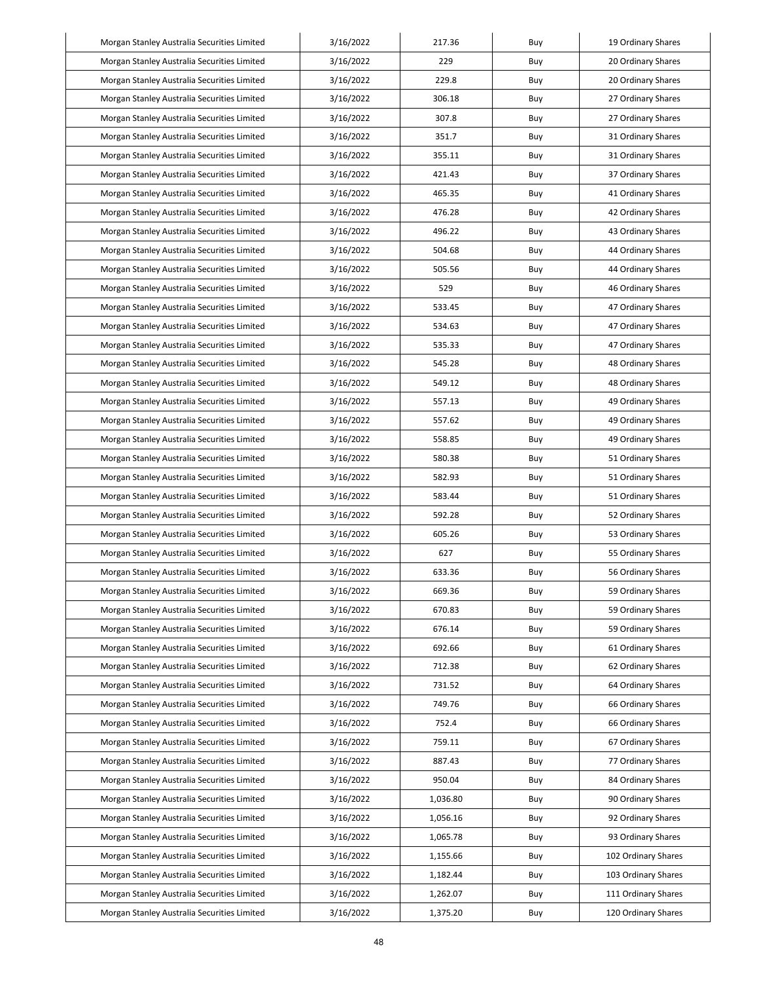| Morgan Stanley Australia Securities Limited | 3/16/2022 | 217.36   | Buy | 19 Ordinary Shares  |
|---------------------------------------------|-----------|----------|-----|---------------------|
| Morgan Stanley Australia Securities Limited | 3/16/2022 | 229      | Buy | 20 Ordinary Shares  |
| Morgan Stanley Australia Securities Limited | 3/16/2022 | 229.8    | Buy | 20 Ordinary Shares  |
| Morgan Stanley Australia Securities Limited | 3/16/2022 | 306.18   | Buy | 27 Ordinary Shares  |
| Morgan Stanley Australia Securities Limited | 3/16/2022 | 307.8    | Buy | 27 Ordinary Shares  |
| Morgan Stanley Australia Securities Limited | 3/16/2022 | 351.7    | Buy | 31 Ordinary Shares  |
| Morgan Stanley Australia Securities Limited | 3/16/2022 | 355.11   | Buy | 31 Ordinary Shares  |
| Morgan Stanley Australia Securities Limited | 3/16/2022 | 421.43   | Buy | 37 Ordinary Shares  |
| Morgan Stanley Australia Securities Limited | 3/16/2022 | 465.35   | Buy | 41 Ordinary Shares  |
| Morgan Stanley Australia Securities Limited | 3/16/2022 | 476.28   | Buy | 42 Ordinary Shares  |
| Morgan Stanley Australia Securities Limited | 3/16/2022 | 496.22   | Buy | 43 Ordinary Shares  |
| Morgan Stanley Australia Securities Limited | 3/16/2022 | 504.68   | Buy | 44 Ordinary Shares  |
| Morgan Stanley Australia Securities Limited | 3/16/2022 | 505.56   | Buy | 44 Ordinary Shares  |
| Morgan Stanley Australia Securities Limited | 3/16/2022 | 529      | Buy | 46 Ordinary Shares  |
| Morgan Stanley Australia Securities Limited | 3/16/2022 | 533.45   | Buy | 47 Ordinary Shares  |
| Morgan Stanley Australia Securities Limited | 3/16/2022 | 534.63   | Buy | 47 Ordinary Shares  |
| Morgan Stanley Australia Securities Limited | 3/16/2022 | 535.33   | Buy | 47 Ordinary Shares  |
| Morgan Stanley Australia Securities Limited | 3/16/2022 | 545.28   | Buy | 48 Ordinary Shares  |
| Morgan Stanley Australia Securities Limited | 3/16/2022 | 549.12   | Buy | 48 Ordinary Shares  |
| Morgan Stanley Australia Securities Limited | 3/16/2022 | 557.13   | Buy | 49 Ordinary Shares  |
| Morgan Stanley Australia Securities Limited | 3/16/2022 | 557.62   | Buy | 49 Ordinary Shares  |
| Morgan Stanley Australia Securities Limited | 3/16/2022 | 558.85   | Buy | 49 Ordinary Shares  |
| Morgan Stanley Australia Securities Limited | 3/16/2022 | 580.38   | Buy | 51 Ordinary Shares  |
| Morgan Stanley Australia Securities Limited | 3/16/2022 | 582.93   | Buy | 51 Ordinary Shares  |
| Morgan Stanley Australia Securities Limited | 3/16/2022 | 583.44   | Buy | 51 Ordinary Shares  |
| Morgan Stanley Australia Securities Limited | 3/16/2022 | 592.28   | Buy | 52 Ordinary Shares  |
| Morgan Stanley Australia Securities Limited | 3/16/2022 | 605.26   | Buy | 53 Ordinary Shares  |
| Morgan Stanley Australia Securities Limited | 3/16/2022 | 627      | Buy | 55 Ordinary Shares  |
| Morgan Stanley Australia Securities Limited | 3/16/2022 | 633.36   | Buy | 56 Ordinary Shares  |
| Morgan Stanley Australia Securities Limited | 3/16/2022 | 669.36   | Buy | 59 Ordinary Shares  |
| Morgan Stanley Australia Securities Limited | 3/16/2022 | 670.83   | Buy | 59 Ordinary Shares  |
| Morgan Stanley Australia Securities Limited | 3/16/2022 | 676.14   | Buy | 59 Ordinary Shares  |
| Morgan Stanley Australia Securities Limited | 3/16/2022 | 692.66   | Buy | 61 Ordinary Shares  |
| Morgan Stanley Australia Securities Limited | 3/16/2022 | 712.38   | Buy | 62 Ordinary Shares  |
| Morgan Stanley Australia Securities Limited | 3/16/2022 | 731.52   | Buy | 64 Ordinary Shares  |
| Morgan Stanley Australia Securities Limited | 3/16/2022 | 749.76   | Buy | 66 Ordinary Shares  |
| Morgan Stanley Australia Securities Limited | 3/16/2022 | 752.4    | Buy | 66 Ordinary Shares  |
| Morgan Stanley Australia Securities Limited | 3/16/2022 | 759.11   | Buy | 67 Ordinary Shares  |
| Morgan Stanley Australia Securities Limited | 3/16/2022 | 887.43   | Buy | 77 Ordinary Shares  |
| Morgan Stanley Australia Securities Limited | 3/16/2022 | 950.04   | Buy | 84 Ordinary Shares  |
| Morgan Stanley Australia Securities Limited | 3/16/2022 | 1,036.80 | Buy | 90 Ordinary Shares  |
| Morgan Stanley Australia Securities Limited | 3/16/2022 | 1,056.16 | Buy | 92 Ordinary Shares  |
| Morgan Stanley Australia Securities Limited | 3/16/2022 | 1,065.78 | Buy | 93 Ordinary Shares  |
| Morgan Stanley Australia Securities Limited | 3/16/2022 | 1,155.66 | Buy | 102 Ordinary Shares |
| Morgan Stanley Australia Securities Limited | 3/16/2022 | 1,182.44 | Buy | 103 Ordinary Shares |
| Morgan Stanley Australia Securities Limited | 3/16/2022 | 1,262.07 | Buy | 111 Ordinary Shares |
| Morgan Stanley Australia Securities Limited | 3/16/2022 | 1,375.20 | Buy | 120 Ordinary Shares |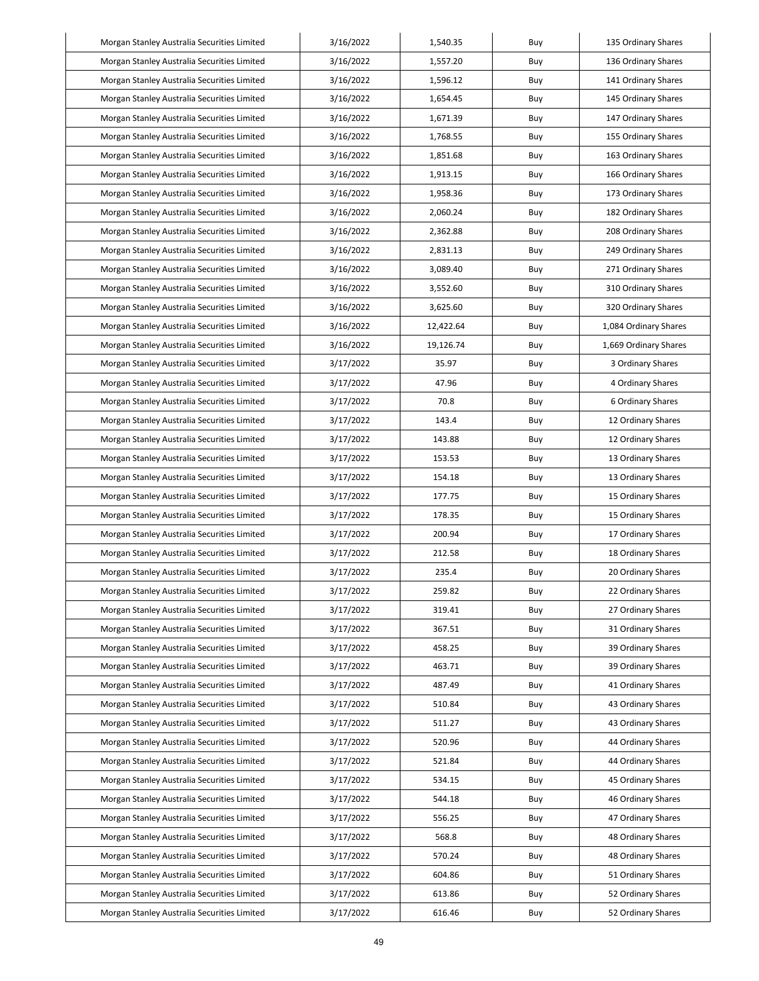| Morgan Stanley Australia Securities Limited | 3/16/2022 | 1,540.35  | Buy | 135 Ordinary Shares   |
|---------------------------------------------|-----------|-----------|-----|-----------------------|
| Morgan Stanley Australia Securities Limited | 3/16/2022 | 1,557.20  | Buy | 136 Ordinary Shares   |
| Morgan Stanley Australia Securities Limited | 3/16/2022 | 1,596.12  | Buy | 141 Ordinary Shares   |
| Morgan Stanley Australia Securities Limited | 3/16/2022 | 1,654.45  | Buy | 145 Ordinary Shares   |
| Morgan Stanley Australia Securities Limited | 3/16/2022 | 1,671.39  | Buy | 147 Ordinary Shares   |
| Morgan Stanley Australia Securities Limited | 3/16/2022 | 1,768.55  | Buy | 155 Ordinary Shares   |
| Morgan Stanley Australia Securities Limited | 3/16/2022 | 1,851.68  | Buy | 163 Ordinary Shares   |
| Morgan Stanley Australia Securities Limited | 3/16/2022 | 1,913.15  | Buy | 166 Ordinary Shares   |
| Morgan Stanley Australia Securities Limited | 3/16/2022 | 1,958.36  | Buy | 173 Ordinary Shares   |
| Morgan Stanley Australia Securities Limited | 3/16/2022 | 2,060.24  | Buy | 182 Ordinary Shares   |
| Morgan Stanley Australia Securities Limited | 3/16/2022 | 2,362.88  | Buy | 208 Ordinary Shares   |
| Morgan Stanley Australia Securities Limited | 3/16/2022 | 2,831.13  | Buy | 249 Ordinary Shares   |
| Morgan Stanley Australia Securities Limited | 3/16/2022 | 3,089.40  | Buy | 271 Ordinary Shares   |
| Morgan Stanley Australia Securities Limited | 3/16/2022 | 3,552.60  | Buy | 310 Ordinary Shares   |
| Morgan Stanley Australia Securities Limited | 3/16/2022 | 3,625.60  | Buy | 320 Ordinary Shares   |
| Morgan Stanley Australia Securities Limited | 3/16/2022 | 12,422.64 | Buy | 1,084 Ordinary Shares |
| Morgan Stanley Australia Securities Limited | 3/16/2022 | 19,126.74 | Buy | 1,669 Ordinary Shares |
| Morgan Stanley Australia Securities Limited | 3/17/2022 | 35.97     | Buy | 3 Ordinary Shares     |
| Morgan Stanley Australia Securities Limited | 3/17/2022 | 47.96     | Buy | 4 Ordinary Shares     |
| Morgan Stanley Australia Securities Limited | 3/17/2022 | 70.8      | Buy | 6 Ordinary Shares     |
| Morgan Stanley Australia Securities Limited | 3/17/2022 | 143.4     | Buy | 12 Ordinary Shares    |
| Morgan Stanley Australia Securities Limited | 3/17/2022 | 143.88    | Buy | 12 Ordinary Shares    |
| Morgan Stanley Australia Securities Limited | 3/17/2022 | 153.53    | Buy | 13 Ordinary Shares    |
| Morgan Stanley Australia Securities Limited | 3/17/2022 | 154.18    | Buy | 13 Ordinary Shares    |
| Morgan Stanley Australia Securities Limited | 3/17/2022 | 177.75    | Buy | 15 Ordinary Shares    |
| Morgan Stanley Australia Securities Limited | 3/17/2022 | 178.35    | Buy | 15 Ordinary Shares    |
| Morgan Stanley Australia Securities Limited | 3/17/2022 | 200.94    | Buy | 17 Ordinary Shares    |
| Morgan Stanley Australia Securities Limited | 3/17/2022 | 212.58    | Buy | 18 Ordinary Shares    |
| Morgan Stanley Australia Securities Limited | 3/17/2022 | 235.4     | Buy | 20 Ordinary Shares    |
| Morgan Stanley Australia Securities Limited | 3/17/2022 | 259.82    | Buy | 22 Ordinary Shares    |
| Morgan Stanley Australia Securities Limited | 3/17/2022 | 319.41    | Buy | 27 Ordinary Shares    |
| Morgan Stanley Australia Securities Limited | 3/17/2022 | 367.51    | Buy | 31 Ordinary Shares    |
| Morgan Stanley Australia Securities Limited | 3/17/2022 | 458.25    | Buy | 39 Ordinary Shares    |
| Morgan Stanley Australia Securities Limited | 3/17/2022 | 463.71    | Buy | 39 Ordinary Shares    |
| Morgan Stanley Australia Securities Limited | 3/17/2022 | 487.49    | Buy | 41 Ordinary Shares    |
| Morgan Stanley Australia Securities Limited | 3/17/2022 | 510.84    | Buy | 43 Ordinary Shares    |
| Morgan Stanley Australia Securities Limited | 3/17/2022 | 511.27    | Buy | 43 Ordinary Shares    |
| Morgan Stanley Australia Securities Limited | 3/17/2022 | 520.96    | Buy | 44 Ordinary Shares    |
| Morgan Stanley Australia Securities Limited | 3/17/2022 | 521.84    | Buy | 44 Ordinary Shares    |
| Morgan Stanley Australia Securities Limited | 3/17/2022 | 534.15    | Buy | 45 Ordinary Shares    |
| Morgan Stanley Australia Securities Limited | 3/17/2022 | 544.18    | Buy | 46 Ordinary Shares    |
| Morgan Stanley Australia Securities Limited | 3/17/2022 | 556.25    | Buy | 47 Ordinary Shares    |
| Morgan Stanley Australia Securities Limited | 3/17/2022 | 568.8     | Buy | 48 Ordinary Shares    |
| Morgan Stanley Australia Securities Limited | 3/17/2022 | 570.24    | Buy | 48 Ordinary Shares    |
| Morgan Stanley Australia Securities Limited | 3/17/2022 | 604.86    | Buy | 51 Ordinary Shares    |
| Morgan Stanley Australia Securities Limited | 3/17/2022 | 613.86    | Buy | 52 Ordinary Shares    |
| Morgan Stanley Australia Securities Limited | 3/17/2022 | 616.46    | Buy | 52 Ordinary Shares    |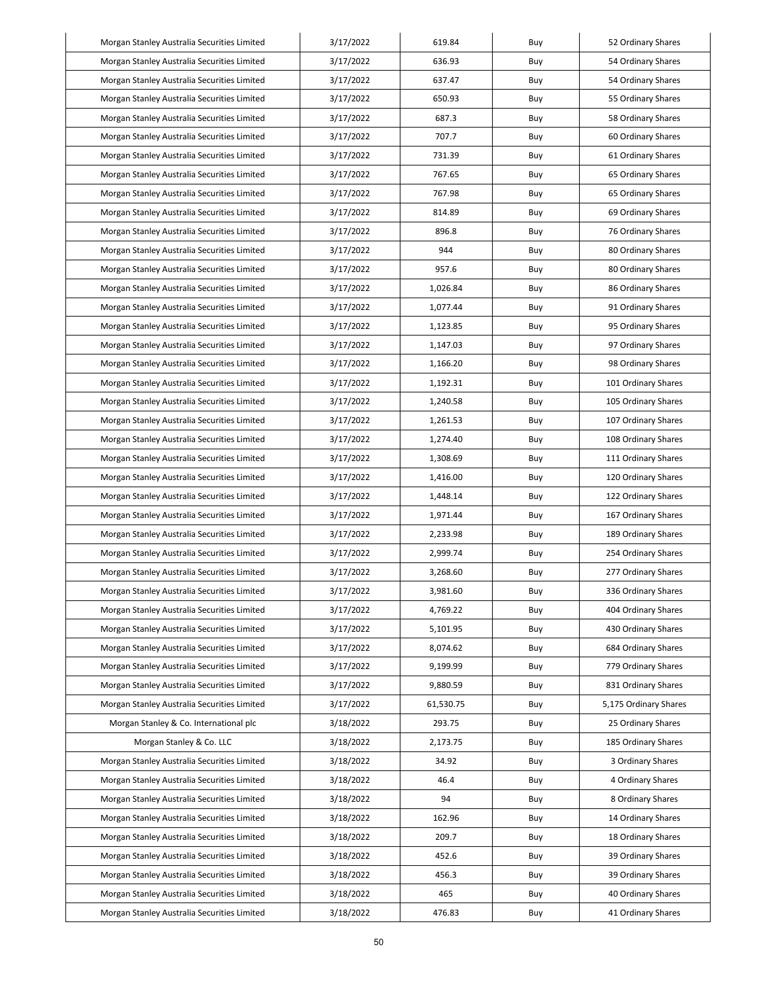| Morgan Stanley Australia Securities Limited | 3/17/2022 | 619.84    | Buy | 52 Ordinary Shares    |
|---------------------------------------------|-----------|-----------|-----|-----------------------|
| Morgan Stanley Australia Securities Limited | 3/17/2022 | 636.93    | Buy | 54 Ordinary Shares    |
| Morgan Stanley Australia Securities Limited | 3/17/2022 | 637.47    | Buy | 54 Ordinary Shares    |
| Morgan Stanley Australia Securities Limited | 3/17/2022 | 650.93    | Buy | 55 Ordinary Shares    |
| Morgan Stanley Australia Securities Limited | 3/17/2022 | 687.3     | Buy | 58 Ordinary Shares    |
| Morgan Stanley Australia Securities Limited | 3/17/2022 | 707.7     | Buy | 60 Ordinary Shares    |
| Morgan Stanley Australia Securities Limited | 3/17/2022 | 731.39    | Buy | 61 Ordinary Shares    |
| Morgan Stanley Australia Securities Limited | 3/17/2022 | 767.65    | Buy | 65 Ordinary Shares    |
| Morgan Stanley Australia Securities Limited | 3/17/2022 | 767.98    | Buy | 65 Ordinary Shares    |
| Morgan Stanley Australia Securities Limited | 3/17/2022 | 814.89    | Buy | 69 Ordinary Shares    |
| Morgan Stanley Australia Securities Limited | 3/17/2022 | 896.8     | Buy | 76 Ordinary Shares    |
| Morgan Stanley Australia Securities Limited | 3/17/2022 | 944       | Buy | 80 Ordinary Shares    |
| Morgan Stanley Australia Securities Limited | 3/17/2022 | 957.6     | Buy | 80 Ordinary Shares    |
| Morgan Stanley Australia Securities Limited | 3/17/2022 | 1,026.84  | Buy | 86 Ordinary Shares    |
| Morgan Stanley Australia Securities Limited | 3/17/2022 | 1,077.44  | Buy | 91 Ordinary Shares    |
| Morgan Stanley Australia Securities Limited | 3/17/2022 | 1,123.85  | Buy | 95 Ordinary Shares    |
| Morgan Stanley Australia Securities Limited | 3/17/2022 | 1,147.03  | Buy | 97 Ordinary Shares    |
| Morgan Stanley Australia Securities Limited | 3/17/2022 | 1,166.20  | Buy | 98 Ordinary Shares    |
| Morgan Stanley Australia Securities Limited | 3/17/2022 | 1,192.31  | Buy | 101 Ordinary Shares   |
| Morgan Stanley Australia Securities Limited | 3/17/2022 | 1,240.58  | Buy | 105 Ordinary Shares   |
| Morgan Stanley Australia Securities Limited | 3/17/2022 | 1,261.53  | Buy | 107 Ordinary Shares   |
| Morgan Stanley Australia Securities Limited | 3/17/2022 | 1,274.40  | Buy | 108 Ordinary Shares   |
| Morgan Stanley Australia Securities Limited | 3/17/2022 | 1,308.69  | Buy | 111 Ordinary Shares   |
| Morgan Stanley Australia Securities Limited | 3/17/2022 | 1,416.00  | Buy | 120 Ordinary Shares   |
| Morgan Stanley Australia Securities Limited | 3/17/2022 | 1,448.14  | Buy | 122 Ordinary Shares   |
| Morgan Stanley Australia Securities Limited | 3/17/2022 | 1,971.44  | Buy | 167 Ordinary Shares   |
| Morgan Stanley Australia Securities Limited | 3/17/2022 | 2,233.98  | Buy | 189 Ordinary Shares   |
| Morgan Stanley Australia Securities Limited | 3/17/2022 | 2,999.74  | Buy | 254 Ordinary Shares   |
| Morgan Stanley Australia Securities Limited | 3/17/2022 | 3,268.60  | Buy | 277 Ordinary Shares   |
| Morgan Stanley Australia Securities Limited | 3/17/2022 | 3,981.60  | Buy | 336 Ordinary Shares   |
| Morgan Stanley Australia Securities Limited | 3/17/2022 | 4,769.22  | Buy | 404 Ordinary Shares   |
| Morgan Stanley Australia Securities Limited | 3/17/2022 | 5,101.95  | Buy | 430 Ordinary Shares   |
| Morgan Stanley Australia Securities Limited | 3/17/2022 | 8,074.62  | Buy | 684 Ordinary Shares   |
| Morgan Stanley Australia Securities Limited | 3/17/2022 | 9,199.99  | Buy | 779 Ordinary Shares   |
| Morgan Stanley Australia Securities Limited | 3/17/2022 | 9,880.59  | Buy | 831 Ordinary Shares   |
| Morgan Stanley Australia Securities Limited | 3/17/2022 | 61,530.75 | Buy | 5,175 Ordinary Shares |
| Morgan Stanley & Co. International plc      | 3/18/2022 | 293.75    | Buy | 25 Ordinary Shares    |
| Morgan Stanley & Co. LLC                    | 3/18/2022 | 2,173.75  | Buy | 185 Ordinary Shares   |
| Morgan Stanley Australia Securities Limited | 3/18/2022 | 34.92     | Buy | 3 Ordinary Shares     |
| Morgan Stanley Australia Securities Limited | 3/18/2022 | 46.4      | Buy | 4 Ordinary Shares     |
| Morgan Stanley Australia Securities Limited | 3/18/2022 | 94        | Buy | 8 Ordinary Shares     |
| Morgan Stanley Australia Securities Limited | 3/18/2022 | 162.96    | Buy | 14 Ordinary Shares    |
| Morgan Stanley Australia Securities Limited | 3/18/2022 | 209.7     | Buy | 18 Ordinary Shares    |
| Morgan Stanley Australia Securities Limited | 3/18/2022 | 452.6     | Buy | 39 Ordinary Shares    |
| Morgan Stanley Australia Securities Limited | 3/18/2022 | 456.3     | Buy | 39 Ordinary Shares    |
| Morgan Stanley Australia Securities Limited | 3/18/2022 | 465       | Buy | 40 Ordinary Shares    |
| Morgan Stanley Australia Securities Limited | 3/18/2022 | 476.83    | Buy | 41 Ordinary Shares    |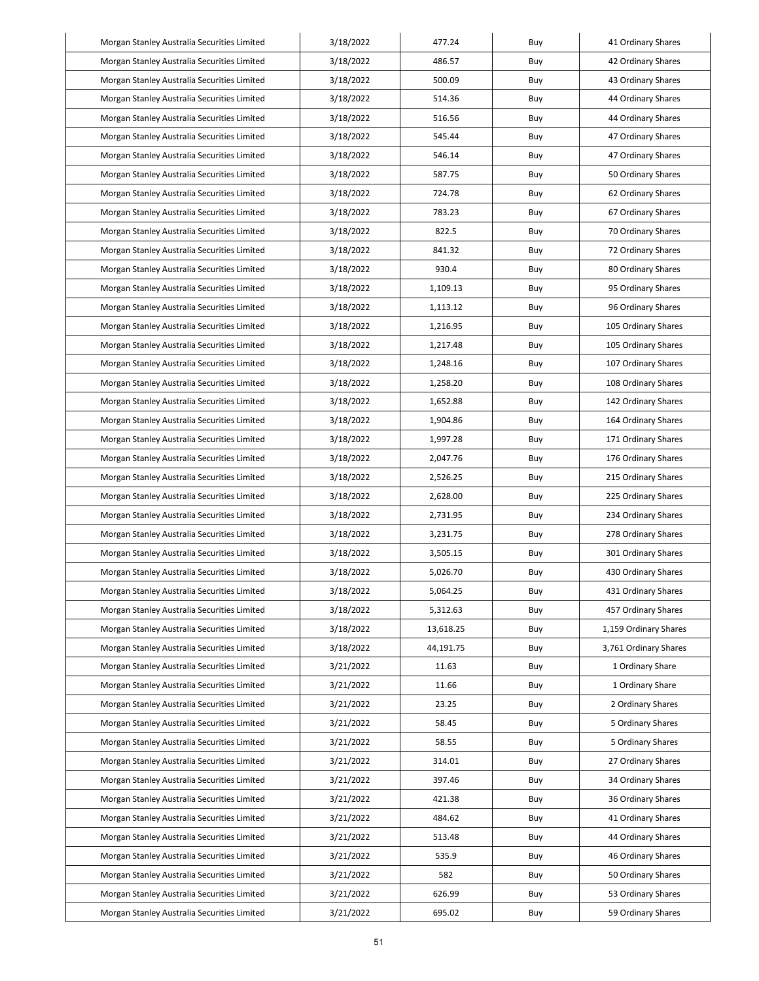| Morgan Stanley Australia Securities Limited | 3/18/2022 | 477.24    | Buy | 41 Ordinary Shares    |
|---------------------------------------------|-----------|-----------|-----|-----------------------|
| Morgan Stanley Australia Securities Limited | 3/18/2022 | 486.57    | Buy | 42 Ordinary Shares    |
| Morgan Stanley Australia Securities Limited | 3/18/2022 | 500.09    | Buy | 43 Ordinary Shares    |
| Morgan Stanley Australia Securities Limited | 3/18/2022 | 514.36    | Buy | 44 Ordinary Shares    |
| Morgan Stanley Australia Securities Limited | 3/18/2022 | 516.56    | Buy | 44 Ordinary Shares    |
| Morgan Stanley Australia Securities Limited | 3/18/2022 | 545.44    | Buy | 47 Ordinary Shares    |
| Morgan Stanley Australia Securities Limited | 3/18/2022 | 546.14    | Buy | 47 Ordinary Shares    |
| Morgan Stanley Australia Securities Limited | 3/18/2022 | 587.75    | Buy | 50 Ordinary Shares    |
| Morgan Stanley Australia Securities Limited | 3/18/2022 | 724.78    | Buy | 62 Ordinary Shares    |
| Morgan Stanley Australia Securities Limited | 3/18/2022 | 783.23    | Buy | 67 Ordinary Shares    |
| Morgan Stanley Australia Securities Limited | 3/18/2022 | 822.5     | Buy | 70 Ordinary Shares    |
| Morgan Stanley Australia Securities Limited | 3/18/2022 | 841.32    | Buy | 72 Ordinary Shares    |
| Morgan Stanley Australia Securities Limited | 3/18/2022 | 930.4     | Buy | 80 Ordinary Shares    |
| Morgan Stanley Australia Securities Limited | 3/18/2022 | 1,109.13  | Buy | 95 Ordinary Shares    |
| Morgan Stanley Australia Securities Limited | 3/18/2022 | 1,113.12  | Buy | 96 Ordinary Shares    |
| Morgan Stanley Australia Securities Limited | 3/18/2022 | 1,216.95  | Buy | 105 Ordinary Shares   |
| Morgan Stanley Australia Securities Limited | 3/18/2022 | 1,217.48  | Buy | 105 Ordinary Shares   |
| Morgan Stanley Australia Securities Limited | 3/18/2022 | 1,248.16  | Buy | 107 Ordinary Shares   |
| Morgan Stanley Australia Securities Limited | 3/18/2022 | 1,258.20  | Buy | 108 Ordinary Shares   |
| Morgan Stanley Australia Securities Limited | 3/18/2022 | 1,652.88  | Buy | 142 Ordinary Shares   |
| Morgan Stanley Australia Securities Limited | 3/18/2022 | 1,904.86  | Buy | 164 Ordinary Shares   |
| Morgan Stanley Australia Securities Limited | 3/18/2022 | 1,997.28  | Buy | 171 Ordinary Shares   |
| Morgan Stanley Australia Securities Limited | 3/18/2022 | 2,047.76  | Buy | 176 Ordinary Shares   |
| Morgan Stanley Australia Securities Limited | 3/18/2022 | 2,526.25  | Buy | 215 Ordinary Shares   |
| Morgan Stanley Australia Securities Limited | 3/18/2022 | 2,628.00  | Buy | 225 Ordinary Shares   |
| Morgan Stanley Australia Securities Limited | 3/18/2022 | 2,731.95  | Buy | 234 Ordinary Shares   |
| Morgan Stanley Australia Securities Limited | 3/18/2022 | 3,231.75  | Buy | 278 Ordinary Shares   |
| Morgan Stanley Australia Securities Limited | 3/18/2022 | 3,505.15  | Buy | 301 Ordinary Shares   |
| Morgan Stanley Australia Securities Limited | 3/18/2022 | 5,026.70  | Buy | 430 Ordinary Shares   |
| Morgan Stanley Australia Securities Limited | 3/18/2022 | 5,064.25  | Buy | 431 Ordinary Shares   |
| Morgan Stanley Australia Securities Limited | 3/18/2022 | 5,312.63  | Buy | 457 Ordinary Shares   |
| Morgan Stanley Australia Securities Limited | 3/18/2022 | 13,618.25 | Buy | 1,159 Ordinary Shares |
| Morgan Stanley Australia Securities Limited | 3/18/2022 | 44,191.75 | Buy | 3,761 Ordinary Shares |
| Morgan Stanley Australia Securities Limited | 3/21/2022 | 11.63     | Buy | 1 Ordinary Share      |
| Morgan Stanley Australia Securities Limited | 3/21/2022 | 11.66     | Buy | 1 Ordinary Share      |
| Morgan Stanley Australia Securities Limited | 3/21/2022 | 23.25     | Buy | 2 Ordinary Shares     |
| Morgan Stanley Australia Securities Limited | 3/21/2022 | 58.45     | Buy | 5 Ordinary Shares     |
| Morgan Stanley Australia Securities Limited | 3/21/2022 | 58.55     | Buy | 5 Ordinary Shares     |
| Morgan Stanley Australia Securities Limited | 3/21/2022 | 314.01    | Buy | 27 Ordinary Shares    |
| Morgan Stanley Australia Securities Limited | 3/21/2022 | 397.46    | Buy | 34 Ordinary Shares    |
| Morgan Stanley Australia Securities Limited | 3/21/2022 | 421.38    | Buy | 36 Ordinary Shares    |
| Morgan Stanley Australia Securities Limited | 3/21/2022 | 484.62    | Buy | 41 Ordinary Shares    |
| Morgan Stanley Australia Securities Limited | 3/21/2022 | 513.48    | Buy | 44 Ordinary Shares    |
| Morgan Stanley Australia Securities Limited | 3/21/2022 | 535.9     | Buy | 46 Ordinary Shares    |
| Morgan Stanley Australia Securities Limited | 3/21/2022 | 582       | Buy | 50 Ordinary Shares    |
| Morgan Stanley Australia Securities Limited | 3/21/2022 | 626.99    | Buy | 53 Ordinary Shares    |
| Morgan Stanley Australia Securities Limited | 3/21/2022 | 695.02    | Buy | 59 Ordinary Shares    |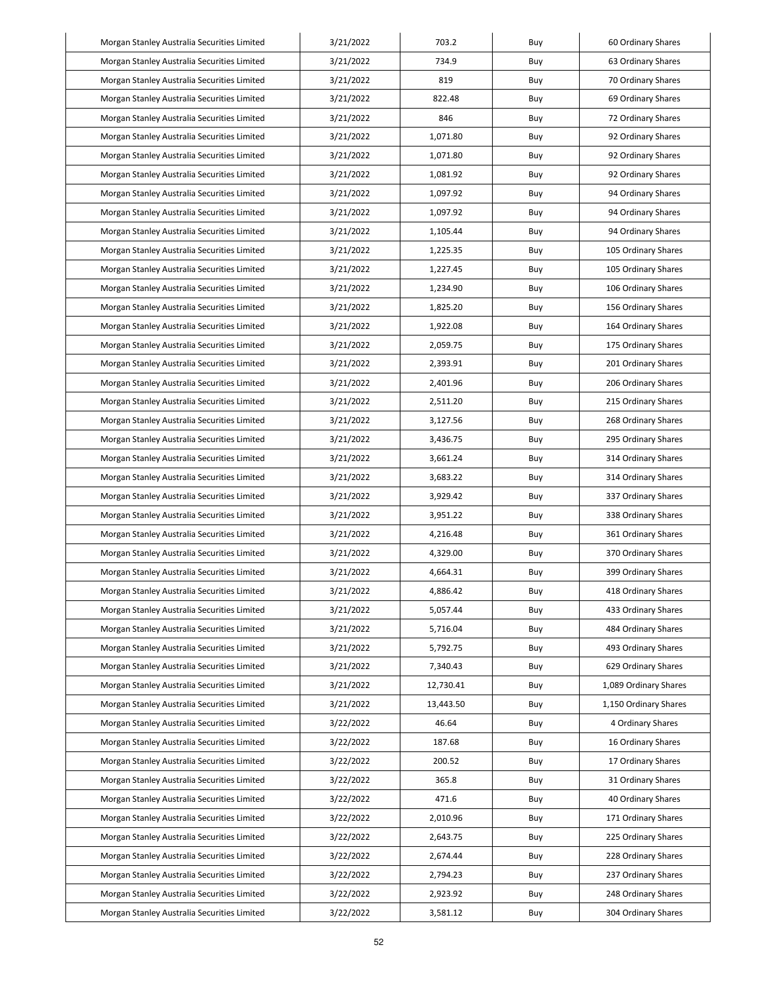| Morgan Stanley Australia Securities Limited | 3/21/2022 | 703.2     | Buy | 60 Ordinary Shares    |
|---------------------------------------------|-----------|-----------|-----|-----------------------|
| Morgan Stanley Australia Securities Limited | 3/21/2022 | 734.9     | Buy | 63 Ordinary Shares    |
| Morgan Stanley Australia Securities Limited | 3/21/2022 | 819       | Buy | 70 Ordinary Shares    |
| Morgan Stanley Australia Securities Limited | 3/21/2022 | 822.48    | Buy | 69 Ordinary Shares    |
| Morgan Stanley Australia Securities Limited | 3/21/2022 | 846       | Buy | 72 Ordinary Shares    |
| Morgan Stanley Australia Securities Limited | 3/21/2022 | 1,071.80  | Buy | 92 Ordinary Shares    |
| Morgan Stanley Australia Securities Limited | 3/21/2022 | 1,071.80  | Buy | 92 Ordinary Shares    |
| Morgan Stanley Australia Securities Limited | 3/21/2022 | 1,081.92  | Buy | 92 Ordinary Shares    |
| Morgan Stanley Australia Securities Limited | 3/21/2022 | 1,097.92  | Buy | 94 Ordinary Shares    |
| Morgan Stanley Australia Securities Limited | 3/21/2022 | 1,097.92  | Buy | 94 Ordinary Shares    |
| Morgan Stanley Australia Securities Limited | 3/21/2022 | 1,105.44  | Buy | 94 Ordinary Shares    |
| Morgan Stanley Australia Securities Limited | 3/21/2022 | 1,225.35  | Buy | 105 Ordinary Shares   |
| Morgan Stanley Australia Securities Limited | 3/21/2022 | 1,227.45  | Buy | 105 Ordinary Shares   |
| Morgan Stanley Australia Securities Limited | 3/21/2022 | 1,234.90  | Buy | 106 Ordinary Shares   |
| Morgan Stanley Australia Securities Limited | 3/21/2022 | 1,825.20  | Buy | 156 Ordinary Shares   |
| Morgan Stanley Australia Securities Limited | 3/21/2022 | 1,922.08  | Buy | 164 Ordinary Shares   |
| Morgan Stanley Australia Securities Limited | 3/21/2022 | 2,059.75  | Buy | 175 Ordinary Shares   |
| Morgan Stanley Australia Securities Limited | 3/21/2022 | 2,393.91  | Buy | 201 Ordinary Shares   |
| Morgan Stanley Australia Securities Limited | 3/21/2022 | 2,401.96  | Buy | 206 Ordinary Shares   |
| Morgan Stanley Australia Securities Limited | 3/21/2022 | 2,511.20  | Buy | 215 Ordinary Shares   |
| Morgan Stanley Australia Securities Limited | 3/21/2022 | 3,127.56  | Buy | 268 Ordinary Shares   |
| Morgan Stanley Australia Securities Limited | 3/21/2022 | 3,436.75  | Buy | 295 Ordinary Shares   |
| Morgan Stanley Australia Securities Limited | 3/21/2022 | 3,661.24  | Buy | 314 Ordinary Shares   |
| Morgan Stanley Australia Securities Limited | 3/21/2022 | 3,683.22  | Buy | 314 Ordinary Shares   |
| Morgan Stanley Australia Securities Limited | 3/21/2022 | 3,929.42  | Buy | 337 Ordinary Shares   |
| Morgan Stanley Australia Securities Limited | 3/21/2022 | 3,951.22  | Buy | 338 Ordinary Shares   |
| Morgan Stanley Australia Securities Limited | 3/21/2022 | 4,216.48  | Buy | 361 Ordinary Shares   |
| Morgan Stanley Australia Securities Limited | 3/21/2022 | 4,329.00  | Buy | 370 Ordinary Shares   |
| Morgan Stanley Australia Securities Limited | 3/21/2022 | 4,664.31  | Buy | 399 Ordinary Shares   |
| Morgan Stanley Australia Securities Limited | 3/21/2022 | 4,886.42  | Buy | 418 Ordinary Shares   |
| Morgan Stanley Australia Securities Limited | 3/21/2022 | 5,057.44  | Buy | 433 Ordinary Shares   |
| Morgan Stanley Australia Securities Limited | 3/21/2022 | 5,716.04  | Buy | 484 Ordinary Shares   |
| Morgan Stanley Australia Securities Limited | 3/21/2022 | 5,792.75  | Buy | 493 Ordinary Shares   |
| Morgan Stanley Australia Securities Limited | 3/21/2022 | 7,340.43  | Buy | 629 Ordinary Shares   |
| Morgan Stanley Australia Securities Limited | 3/21/2022 | 12,730.41 | Buy | 1,089 Ordinary Shares |
| Morgan Stanley Australia Securities Limited | 3/21/2022 | 13,443.50 | Buy | 1,150 Ordinary Shares |
| Morgan Stanley Australia Securities Limited | 3/22/2022 | 46.64     | Buy | 4 Ordinary Shares     |
| Morgan Stanley Australia Securities Limited | 3/22/2022 | 187.68    | Buy | 16 Ordinary Shares    |
| Morgan Stanley Australia Securities Limited | 3/22/2022 | 200.52    | Buy | 17 Ordinary Shares    |
| Morgan Stanley Australia Securities Limited | 3/22/2022 | 365.8     | Buy | 31 Ordinary Shares    |
| Morgan Stanley Australia Securities Limited | 3/22/2022 | 471.6     | Buy | 40 Ordinary Shares    |
| Morgan Stanley Australia Securities Limited | 3/22/2022 | 2,010.96  | Buy | 171 Ordinary Shares   |
| Morgan Stanley Australia Securities Limited | 3/22/2022 | 2,643.75  | Buy | 225 Ordinary Shares   |
| Morgan Stanley Australia Securities Limited | 3/22/2022 | 2,674.44  | Buy | 228 Ordinary Shares   |
| Morgan Stanley Australia Securities Limited | 3/22/2022 | 2,794.23  | Buy | 237 Ordinary Shares   |
| Morgan Stanley Australia Securities Limited | 3/22/2022 | 2,923.92  | Buy | 248 Ordinary Shares   |
| Morgan Stanley Australia Securities Limited | 3/22/2022 | 3,581.12  | Buy | 304 Ordinary Shares   |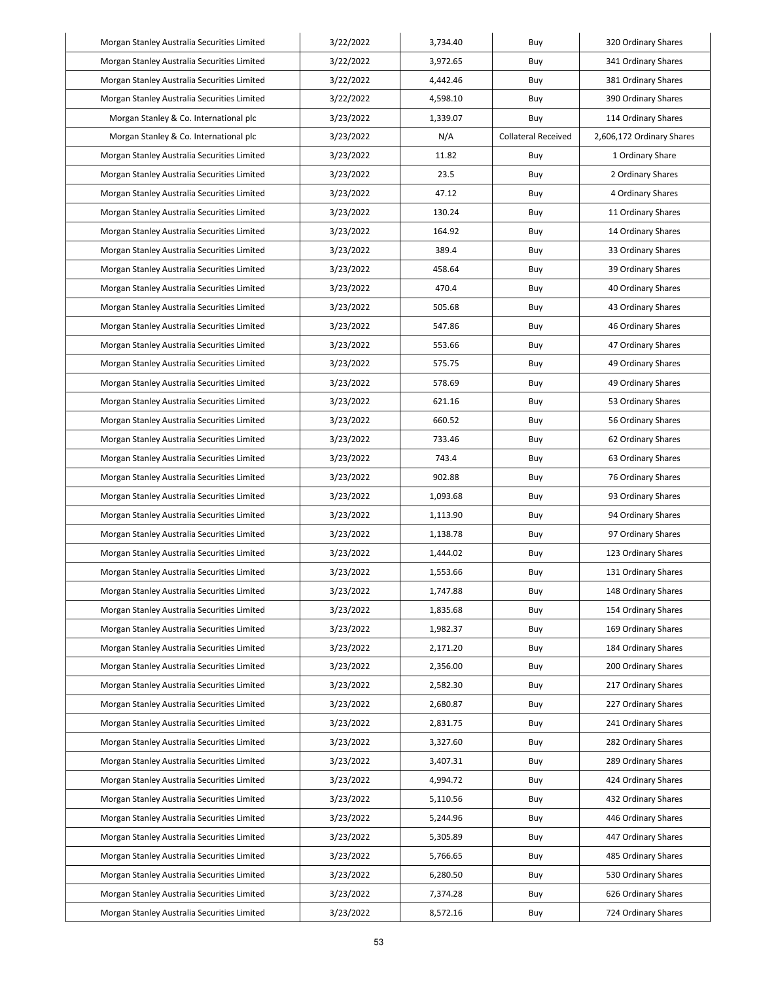| Morgan Stanley Australia Securities Limited | 3/22/2022 | 3,734.40 | Buy                        | 320 Ordinary Shares       |
|---------------------------------------------|-----------|----------|----------------------------|---------------------------|
| Morgan Stanley Australia Securities Limited | 3/22/2022 | 3,972.65 | Buy                        | 341 Ordinary Shares       |
| Morgan Stanley Australia Securities Limited | 3/22/2022 | 4,442.46 | Buy                        | 381 Ordinary Shares       |
| Morgan Stanley Australia Securities Limited | 3/22/2022 | 4,598.10 | Buy                        | 390 Ordinary Shares       |
| Morgan Stanley & Co. International plc      | 3/23/2022 | 1,339.07 | Buy                        | 114 Ordinary Shares       |
| Morgan Stanley & Co. International plc      | 3/23/2022 | N/A      | <b>Collateral Received</b> | 2,606,172 Ordinary Shares |
| Morgan Stanley Australia Securities Limited | 3/23/2022 | 11.82    | Buy                        | 1 Ordinary Share          |
| Morgan Stanley Australia Securities Limited | 3/23/2022 | 23.5     | Buy                        | 2 Ordinary Shares         |
| Morgan Stanley Australia Securities Limited | 3/23/2022 | 47.12    | Buy                        | 4 Ordinary Shares         |
| Morgan Stanley Australia Securities Limited | 3/23/2022 | 130.24   | Buy                        | 11 Ordinary Shares        |
| Morgan Stanley Australia Securities Limited | 3/23/2022 | 164.92   | Buy                        | 14 Ordinary Shares        |
| Morgan Stanley Australia Securities Limited | 3/23/2022 | 389.4    | Buy                        | 33 Ordinary Shares        |
| Morgan Stanley Australia Securities Limited | 3/23/2022 | 458.64   | Buy                        | 39 Ordinary Shares        |
| Morgan Stanley Australia Securities Limited | 3/23/2022 | 470.4    | Buy                        | 40 Ordinary Shares        |
| Morgan Stanley Australia Securities Limited | 3/23/2022 | 505.68   | Buy                        | 43 Ordinary Shares        |
| Morgan Stanley Australia Securities Limited | 3/23/2022 | 547.86   | Buy                        | 46 Ordinary Shares        |
| Morgan Stanley Australia Securities Limited | 3/23/2022 | 553.66   | Buy                        | 47 Ordinary Shares        |
| Morgan Stanley Australia Securities Limited | 3/23/2022 | 575.75   | Buy                        | 49 Ordinary Shares        |
| Morgan Stanley Australia Securities Limited | 3/23/2022 | 578.69   | Buy                        | 49 Ordinary Shares        |
| Morgan Stanley Australia Securities Limited | 3/23/2022 | 621.16   | Buy                        | 53 Ordinary Shares        |
| Morgan Stanley Australia Securities Limited | 3/23/2022 | 660.52   | Buy                        | 56 Ordinary Shares        |
| Morgan Stanley Australia Securities Limited | 3/23/2022 | 733.46   | Buy                        | 62 Ordinary Shares        |
| Morgan Stanley Australia Securities Limited | 3/23/2022 | 743.4    | Buy                        | 63 Ordinary Shares        |
| Morgan Stanley Australia Securities Limited | 3/23/2022 | 902.88   | Buy                        | 76 Ordinary Shares        |
| Morgan Stanley Australia Securities Limited | 3/23/2022 | 1,093.68 | Buy                        | 93 Ordinary Shares        |
| Morgan Stanley Australia Securities Limited | 3/23/2022 | 1,113.90 | Buy                        | 94 Ordinary Shares        |
| Morgan Stanley Australia Securities Limited | 3/23/2022 | 1,138.78 | Buy                        | 97 Ordinary Shares        |
| Morgan Stanley Australia Securities Limited | 3/23/2022 | 1,444.02 | Buy                        | 123 Ordinary Shares       |
| Morgan Stanley Australia Securities Limited | 3/23/2022 | 1,553.66 | Buy                        | 131 Ordinary Shares       |
| Morgan Stanley Australia Securities Limited | 3/23/2022 | 1,747.88 | Buy                        | 148 Ordinary Shares       |
| Morgan Stanley Australia Securities Limited | 3/23/2022 | 1,835.68 | Buy                        | 154 Ordinary Shares       |
| Morgan Stanley Australia Securities Limited | 3/23/2022 | 1,982.37 | Buy                        | 169 Ordinary Shares       |
| Morgan Stanley Australia Securities Limited | 3/23/2022 | 2,171.20 | Buy                        | 184 Ordinary Shares       |
| Morgan Stanley Australia Securities Limited | 3/23/2022 | 2,356.00 | Buy                        | 200 Ordinary Shares       |
| Morgan Stanley Australia Securities Limited | 3/23/2022 | 2,582.30 | Buy                        | 217 Ordinary Shares       |
| Morgan Stanley Australia Securities Limited | 3/23/2022 | 2,680.87 | Buy                        | 227 Ordinary Shares       |
| Morgan Stanley Australia Securities Limited | 3/23/2022 | 2,831.75 | Buy                        | 241 Ordinary Shares       |
| Morgan Stanley Australia Securities Limited | 3/23/2022 | 3,327.60 | Buy                        | 282 Ordinary Shares       |
| Morgan Stanley Australia Securities Limited | 3/23/2022 | 3,407.31 | Buy                        | 289 Ordinary Shares       |
| Morgan Stanley Australia Securities Limited | 3/23/2022 | 4,994.72 | Buy                        | 424 Ordinary Shares       |
| Morgan Stanley Australia Securities Limited | 3/23/2022 | 5,110.56 | Buy                        | 432 Ordinary Shares       |
| Morgan Stanley Australia Securities Limited | 3/23/2022 | 5,244.96 | Buy                        | 446 Ordinary Shares       |
| Morgan Stanley Australia Securities Limited | 3/23/2022 | 5,305.89 | Buy                        | 447 Ordinary Shares       |
| Morgan Stanley Australia Securities Limited | 3/23/2022 | 5,766.65 | Buy                        | 485 Ordinary Shares       |
| Morgan Stanley Australia Securities Limited | 3/23/2022 | 6,280.50 | Buy                        | 530 Ordinary Shares       |
| Morgan Stanley Australia Securities Limited | 3/23/2022 | 7,374.28 | Buy                        | 626 Ordinary Shares       |
| Morgan Stanley Australia Securities Limited | 3/23/2022 | 8,572.16 | Buy                        | 724 Ordinary Shares       |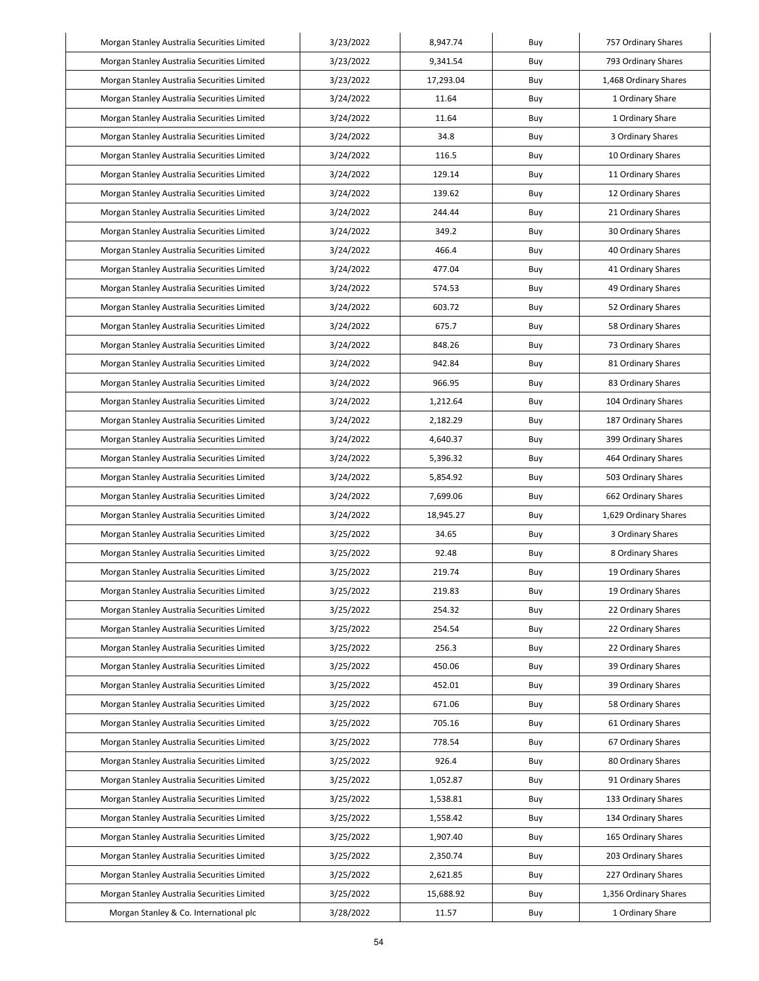| Morgan Stanley Australia Securities Limited | 3/23/2022 | 8,947.74  | Buy | 757 Ordinary Shares   |
|---------------------------------------------|-----------|-----------|-----|-----------------------|
| Morgan Stanley Australia Securities Limited | 3/23/2022 | 9,341.54  | Buy | 793 Ordinary Shares   |
| Morgan Stanley Australia Securities Limited | 3/23/2022 | 17,293.04 | Buy | 1,468 Ordinary Shares |
| Morgan Stanley Australia Securities Limited | 3/24/2022 | 11.64     | Buy | 1 Ordinary Share      |
| Morgan Stanley Australia Securities Limited | 3/24/2022 | 11.64     | Buy | 1 Ordinary Share      |
| Morgan Stanley Australia Securities Limited | 3/24/2022 | 34.8      | Buy | 3 Ordinary Shares     |
| Morgan Stanley Australia Securities Limited | 3/24/2022 | 116.5     | Buy | 10 Ordinary Shares    |
| Morgan Stanley Australia Securities Limited | 3/24/2022 | 129.14    | Buy | 11 Ordinary Shares    |
| Morgan Stanley Australia Securities Limited | 3/24/2022 | 139.62    | Buy | 12 Ordinary Shares    |
| Morgan Stanley Australia Securities Limited | 3/24/2022 | 244.44    | Buy | 21 Ordinary Shares    |
| Morgan Stanley Australia Securities Limited | 3/24/2022 | 349.2     | Buy | 30 Ordinary Shares    |
| Morgan Stanley Australia Securities Limited | 3/24/2022 | 466.4     | Buy | 40 Ordinary Shares    |
| Morgan Stanley Australia Securities Limited | 3/24/2022 | 477.04    | Buy | 41 Ordinary Shares    |
| Morgan Stanley Australia Securities Limited | 3/24/2022 | 574.53    | Buy | 49 Ordinary Shares    |
| Morgan Stanley Australia Securities Limited | 3/24/2022 | 603.72    | Buy | 52 Ordinary Shares    |
| Morgan Stanley Australia Securities Limited | 3/24/2022 | 675.7     | Buy | 58 Ordinary Shares    |
| Morgan Stanley Australia Securities Limited | 3/24/2022 | 848.26    | Buy | 73 Ordinary Shares    |
| Morgan Stanley Australia Securities Limited | 3/24/2022 | 942.84    | Buy | 81 Ordinary Shares    |
| Morgan Stanley Australia Securities Limited | 3/24/2022 | 966.95    | Buy | 83 Ordinary Shares    |
| Morgan Stanley Australia Securities Limited | 3/24/2022 | 1,212.64  | Buy | 104 Ordinary Shares   |
| Morgan Stanley Australia Securities Limited | 3/24/2022 | 2,182.29  | Buy | 187 Ordinary Shares   |
| Morgan Stanley Australia Securities Limited | 3/24/2022 | 4,640.37  | Buy | 399 Ordinary Shares   |
| Morgan Stanley Australia Securities Limited | 3/24/2022 | 5,396.32  | Buy | 464 Ordinary Shares   |
| Morgan Stanley Australia Securities Limited | 3/24/2022 | 5,854.92  | Buy | 503 Ordinary Shares   |
| Morgan Stanley Australia Securities Limited | 3/24/2022 | 7,699.06  | Buy | 662 Ordinary Shares   |
| Morgan Stanley Australia Securities Limited | 3/24/2022 | 18,945.27 | Buy | 1,629 Ordinary Shares |
| Morgan Stanley Australia Securities Limited | 3/25/2022 | 34.65     | Buy | 3 Ordinary Shares     |
| Morgan Stanley Australia Securities Limited | 3/25/2022 | 92.48     | Buy | 8 Ordinary Shares     |
| Morgan Stanley Australia Securities Limited | 3/25/2022 | 219.74    | Buy | 19 Ordinary Shares    |
| Morgan Stanley Australia Securities Limited | 3/25/2022 | 219.83    | Buy | 19 Ordinary Shares    |
| Morgan Stanley Australia Securities Limited | 3/25/2022 | 254.32    | Buy | 22 Ordinary Shares    |
| Morgan Stanley Australia Securities Limited | 3/25/2022 | 254.54    | Buy | 22 Ordinary Shares    |
| Morgan Stanley Australia Securities Limited | 3/25/2022 | 256.3     | Buy | 22 Ordinary Shares    |
| Morgan Stanley Australia Securities Limited | 3/25/2022 | 450.06    | Buy | 39 Ordinary Shares    |
| Morgan Stanley Australia Securities Limited | 3/25/2022 | 452.01    | Buy | 39 Ordinary Shares    |
| Morgan Stanley Australia Securities Limited | 3/25/2022 | 671.06    | Buy | 58 Ordinary Shares    |
| Morgan Stanley Australia Securities Limited | 3/25/2022 | 705.16    | Buy | 61 Ordinary Shares    |
| Morgan Stanley Australia Securities Limited | 3/25/2022 | 778.54    | Buy | 67 Ordinary Shares    |
| Morgan Stanley Australia Securities Limited | 3/25/2022 | 926.4     | Buy | 80 Ordinary Shares    |
| Morgan Stanley Australia Securities Limited | 3/25/2022 | 1,052.87  | Buy | 91 Ordinary Shares    |
| Morgan Stanley Australia Securities Limited | 3/25/2022 | 1,538.81  | Buy | 133 Ordinary Shares   |
| Morgan Stanley Australia Securities Limited | 3/25/2022 | 1,558.42  | Buy | 134 Ordinary Shares   |
| Morgan Stanley Australia Securities Limited | 3/25/2022 | 1,907.40  | Buy | 165 Ordinary Shares   |
| Morgan Stanley Australia Securities Limited | 3/25/2022 | 2,350.74  | Buy | 203 Ordinary Shares   |
| Morgan Stanley Australia Securities Limited | 3/25/2022 | 2,621.85  | Buy | 227 Ordinary Shares   |
| Morgan Stanley Australia Securities Limited | 3/25/2022 | 15,688.92 | Buy | 1,356 Ordinary Shares |
| Morgan Stanley & Co. International plc      | 3/28/2022 | 11.57     | Buy | 1 Ordinary Share      |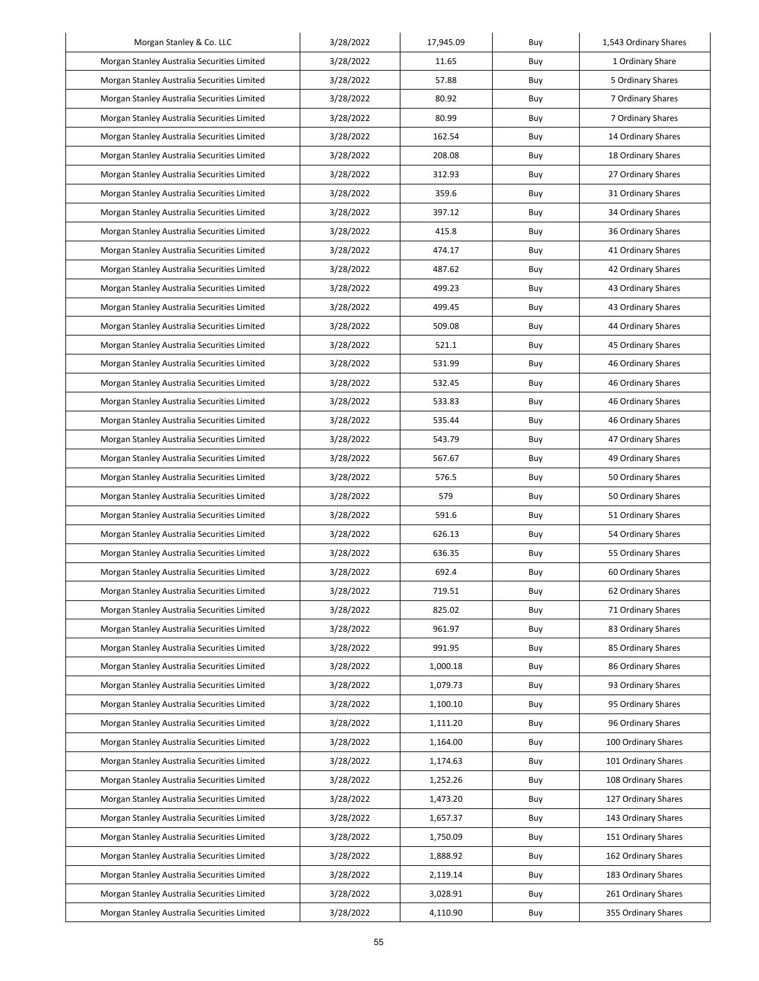| Morgan Stanley & Co. LLC                    | 3/28/2022 | 17,945.09 | Buy | 1,543 Ordinary Shares |
|---------------------------------------------|-----------|-----------|-----|-----------------------|
| Morgan Stanley Australia Securities Limited | 3/28/2022 | 11.65     | Buy | 1 Ordinary Share      |
| Morgan Stanley Australia Securities Limited | 3/28/2022 | 57.88     | Buy | 5 Ordinary Shares     |
| Morgan Stanley Australia Securities Limited | 3/28/2022 | 80.92     | Buy | 7 Ordinary Shares     |
| Morgan Stanley Australia Securities Limited | 3/28/2022 | 80.99     | Buy | 7 Ordinary Shares     |
| Morgan Stanley Australia Securities Limited | 3/28/2022 | 162.54    | Buy | 14 Ordinary Shares    |
| Morgan Stanley Australia Securities Limited | 3/28/2022 | 208.08    | Buy | 18 Ordinary Shares    |
| Morgan Stanley Australia Securities Limited | 3/28/2022 | 312.93    | Buy | 27 Ordinary Shares    |
| Morgan Stanley Australia Securities Limited | 3/28/2022 | 359.6     | Buy | 31 Ordinary Shares    |
| Morgan Stanley Australia Securities Limited | 3/28/2022 | 397.12    | Buy | 34 Ordinary Shares    |
| Morgan Stanley Australia Securities Limited | 3/28/2022 | 415.8     | Buy | 36 Ordinary Shares    |
| Morgan Stanley Australia Securities Limited | 3/28/2022 | 474.17    | Buy | 41 Ordinary Shares    |
| Morgan Stanley Australia Securities Limited | 3/28/2022 | 487.62    | Buy | 42 Ordinary Shares    |
| Morgan Stanley Australia Securities Limited | 3/28/2022 | 499.23    | Buy | 43 Ordinary Shares    |
| Morgan Stanley Australia Securities Limited | 3/28/2022 | 499.45    | Buy | 43 Ordinary Shares    |
| Morgan Stanley Australia Securities Limited | 3/28/2022 | 509.08    | Buy | 44 Ordinary Shares    |
| Morgan Stanley Australia Securities Limited | 3/28/2022 | 521.1     | Buy | 45 Ordinary Shares    |
| Morgan Stanley Australia Securities Limited | 3/28/2022 | 531.99    | Buy | 46 Ordinary Shares    |
| Morgan Stanley Australia Securities Limited | 3/28/2022 | 532.45    | Buy | 46 Ordinary Shares    |
| Morgan Stanley Australia Securities Limited | 3/28/2022 | 533.83    | Buy | 46 Ordinary Shares    |
| Morgan Stanley Australia Securities Limited | 3/28/2022 | 535.44    | Buy | 46 Ordinary Shares    |
| Morgan Stanley Australia Securities Limited | 3/28/2022 | 543.79    | Buy | 47 Ordinary Shares    |
| Morgan Stanley Australia Securities Limited | 3/28/2022 | 567.67    | Buy | 49 Ordinary Shares    |
| Morgan Stanley Australia Securities Limited | 3/28/2022 | 576.5     | Buy | 50 Ordinary Shares    |
| Morgan Stanley Australia Securities Limited | 3/28/2022 | 579       | Buy | 50 Ordinary Shares    |
| Morgan Stanley Australia Securities Limited | 3/28/2022 | 591.6     | Buy | 51 Ordinary Shares    |
| Morgan Stanley Australia Securities Limited | 3/28/2022 | 626.13    | Buy | 54 Ordinary Shares    |
| Morgan Stanley Australia Securities Limited | 3/28/2022 | 636.35    | Buy | 55 Ordinary Shares    |
| Morgan Stanley Australia Securities Limited | 3/28/2022 | 692.4     | Buy | 60 Ordinary Shares    |
| Morgan Stanley Australia Securities Limited | 3/28/2022 | 719.51    | Buy | 62 Ordinary Shares    |
| Morgan Stanley Australia Securities Limited | 3/28/2022 | 825.02    | Buy | 71 Ordinary Shares    |
| Morgan Stanley Australia Securities Limited | 3/28/2022 | 961.97    | Buy | 83 Ordinary Shares    |
| Morgan Stanley Australia Securities Limited | 3/28/2022 | 991.95    | Buy | 85 Ordinary Shares    |
| Morgan Stanley Australia Securities Limited | 3/28/2022 | 1,000.18  | Buy | 86 Ordinary Shares    |
| Morgan Stanley Australia Securities Limited | 3/28/2022 | 1,079.73  | Buy | 93 Ordinary Shares    |
| Morgan Stanley Australia Securities Limited | 3/28/2022 | 1,100.10  | Buy | 95 Ordinary Shares    |
| Morgan Stanley Australia Securities Limited | 3/28/2022 | 1,111.20  | Buy | 96 Ordinary Shares    |
| Morgan Stanley Australia Securities Limited | 3/28/2022 | 1,164.00  | Buy | 100 Ordinary Shares   |
| Morgan Stanley Australia Securities Limited | 3/28/2022 | 1,174.63  | Buy | 101 Ordinary Shares   |
| Morgan Stanley Australia Securities Limited | 3/28/2022 | 1,252.26  | Buy | 108 Ordinary Shares   |
| Morgan Stanley Australia Securities Limited | 3/28/2022 | 1,473.20  | Buy | 127 Ordinary Shares   |
| Morgan Stanley Australia Securities Limited | 3/28/2022 | 1,657.37  | Buy | 143 Ordinary Shares   |
| Morgan Stanley Australia Securities Limited | 3/28/2022 | 1,750.09  | Buy | 151 Ordinary Shares   |
| Morgan Stanley Australia Securities Limited | 3/28/2022 | 1,888.92  | Buy | 162 Ordinary Shares   |
| Morgan Stanley Australia Securities Limited | 3/28/2022 | 2,119.14  | Buy | 183 Ordinary Shares   |
| Morgan Stanley Australia Securities Limited | 3/28/2022 | 3,028.91  | Buy | 261 Ordinary Shares   |
| Morgan Stanley Australia Securities Limited | 3/28/2022 | 4,110.90  | Buy | 355 Ordinary Shares   |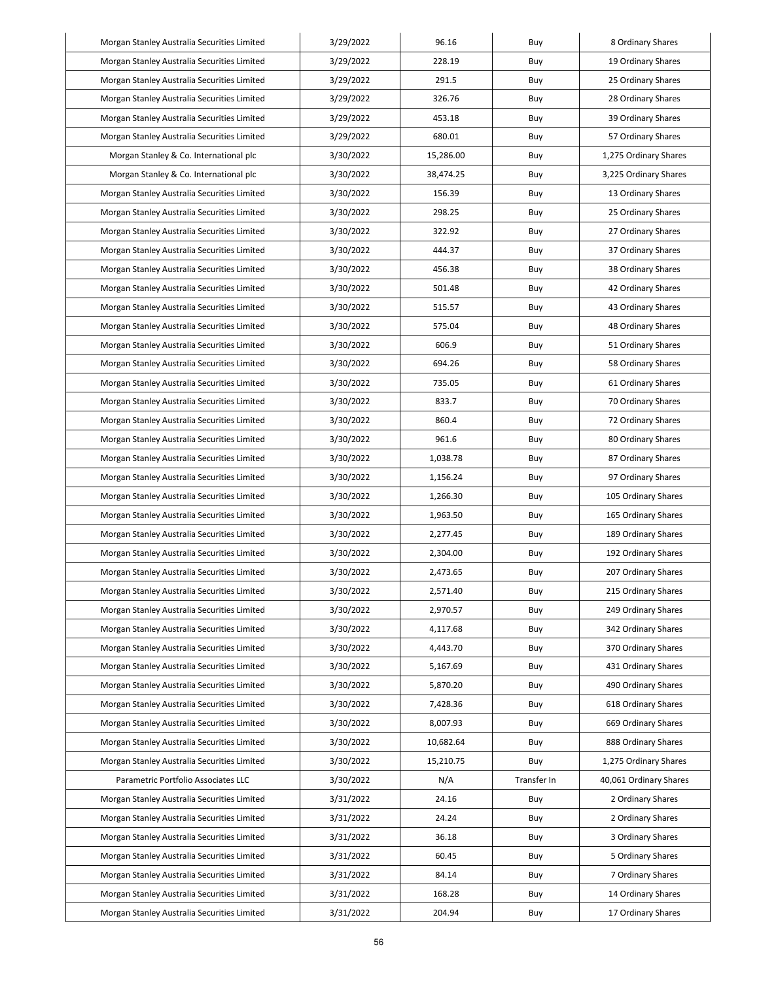| Morgan Stanley Australia Securities Limited | 3/29/2022 | 96.16     | Buy         | 8 Ordinary Shares      |
|---------------------------------------------|-----------|-----------|-------------|------------------------|
| Morgan Stanley Australia Securities Limited | 3/29/2022 | 228.19    | Buy         | 19 Ordinary Shares     |
| Morgan Stanley Australia Securities Limited | 3/29/2022 | 291.5     | Buy         | 25 Ordinary Shares     |
| Morgan Stanley Australia Securities Limited | 3/29/2022 | 326.76    | Buy         | 28 Ordinary Shares     |
| Morgan Stanley Australia Securities Limited | 3/29/2022 | 453.18    | Buy         | 39 Ordinary Shares     |
| Morgan Stanley Australia Securities Limited | 3/29/2022 | 680.01    | Buy         | 57 Ordinary Shares     |
| Morgan Stanley & Co. International plc      | 3/30/2022 | 15,286.00 | Buy         | 1,275 Ordinary Shares  |
| Morgan Stanley & Co. International plc      | 3/30/2022 | 38,474.25 | Buy         | 3,225 Ordinary Shares  |
| Morgan Stanley Australia Securities Limited | 3/30/2022 | 156.39    | Buy         | 13 Ordinary Shares     |
| Morgan Stanley Australia Securities Limited | 3/30/2022 | 298.25    | Buy         | 25 Ordinary Shares     |
| Morgan Stanley Australia Securities Limited | 3/30/2022 | 322.92    | Buy         | 27 Ordinary Shares     |
| Morgan Stanley Australia Securities Limited | 3/30/2022 | 444.37    | Buy         | 37 Ordinary Shares     |
| Morgan Stanley Australia Securities Limited | 3/30/2022 | 456.38    | Buy         | 38 Ordinary Shares     |
| Morgan Stanley Australia Securities Limited | 3/30/2022 | 501.48    | Buy         | 42 Ordinary Shares     |
| Morgan Stanley Australia Securities Limited | 3/30/2022 | 515.57    | Buy         | 43 Ordinary Shares     |
| Morgan Stanley Australia Securities Limited | 3/30/2022 | 575.04    | Buy         | 48 Ordinary Shares     |
| Morgan Stanley Australia Securities Limited | 3/30/2022 | 606.9     | Buy         | 51 Ordinary Shares     |
| Morgan Stanley Australia Securities Limited | 3/30/2022 | 694.26    | Buy         | 58 Ordinary Shares     |
| Morgan Stanley Australia Securities Limited | 3/30/2022 | 735.05    | Buy         | 61 Ordinary Shares     |
| Morgan Stanley Australia Securities Limited | 3/30/2022 | 833.7     | Buy         | 70 Ordinary Shares     |
| Morgan Stanley Australia Securities Limited | 3/30/2022 | 860.4     | Buy         | 72 Ordinary Shares     |
| Morgan Stanley Australia Securities Limited | 3/30/2022 | 961.6     | Buy         | 80 Ordinary Shares     |
| Morgan Stanley Australia Securities Limited | 3/30/2022 | 1,038.78  | Buy         | 87 Ordinary Shares     |
| Morgan Stanley Australia Securities Limited | 3/30/2022 | 1,156.24  | Buy         | 97 Ordinary Shares     |
| Morgan Stanley Australia Securities Limited | 3/30/2022 | 1,266.30  | Buy         | 105 Ordinary Shares    |
| Morgan Stanley Australia Securities Limited | 3/30/2022 | 1,963.50  | Buy         | 165 Ordinary Shares    |
| Morgan Stanley Australia Securities Limited | 3/30/2022 | 2,277.45  | Buy         | 189 Ordinary Shares    |
| Morgan Stanley Australia Securities Limited | 3/30/2022 | 2,304.00  | Buy         | 192 Ordinary Shares    |
| Morgan Stanley Australia Securities Limited | 3/30/2022 | 2,473.65  | Buy         | 207 Ordinary Shares    |
| Morgan Stanley Australia Securities Limited | 3/30/2022 | 2,571.40  | Buy         | 215 Ordinary Shares    |
| Morgan Stanley Australia Securities Limited | 3/30/2022 | 2,970.57  | Buy         | 249 Ordinary Shares    |
| Morgan Stanley Australia Securities Limited | 3/30/2022 | 4,117.68  | Buy         | 342 Ordinary Shares    |
| Morgan Stanley Australia Securities Limited | 3/30/2022 | 4,443.70  | Buy         | 370 Ordinary Shares    |
| Morgan Stanley Australia Securities Limited | 3/30/2022 | 5,167.69  | Buy         | 431 Ordinary Shares    |
| Morgan Stanley Australia Securities Limited | 3/30/2022 | 5,870.20  | Buy         | 490 Ordinary Shares    |
| Morgan Stanley Australia Securities Limited | 3/30/2022 | 7,428.36  | Buy         | 618 Ordinary Shares    |
| Morgan Stanley Australia Securities Limited | 3/30/2022 | 8,007.93  | Buy         | 669 Ordinary Shares    |
| Morgan Stanley Australia Securities Limited | 3/30/2022 | 10,682.64 | Buy         | 888 Ordinary Shares    |
| Morgan Stanley Australia Securities Limited | 3/30/2022 | 15,210.75 | Buy         | 1,275 Ordinary Shares  |
| Parametric Portfolio Associates LLC         | 3/30/2022 | N/A       | Transfer In | 40,061 Ordinary Shares |
| Morgan Stanley Australia Securities Limited | 3/31/2022 | 24.16     | Buy         | 2 Ordinary Shares      |
| Morgan Stanley Australia Securities Limited | 3/31/2022 | 24.24     | Buy         | 2 Ordinary Shares      |
| Morgan Stanley Australia Securities Limited | 3/31/2022 | 36.18     | Buy         | 3 Ordinary Shares      |
| Morgan Stanley Australia Securities Limited | 3/31/2022 | 60.45     | Buy         | 5 Ordinary Shares      |
| Morgan Stanley Australia Securities Limited | 3/31/2022 | 84.14     | Buy         | 7 Ordinary Shares      |
| Morgan Stanley Australia Securities Limited | 3/31/2022 | 168.28    | Buy         | 14 Ordinary Shares     |
| Morgan Stanley Australia Securities Limited | 3/31/2022 | 204.94    | Buy         | 17 Ordinary Shares     |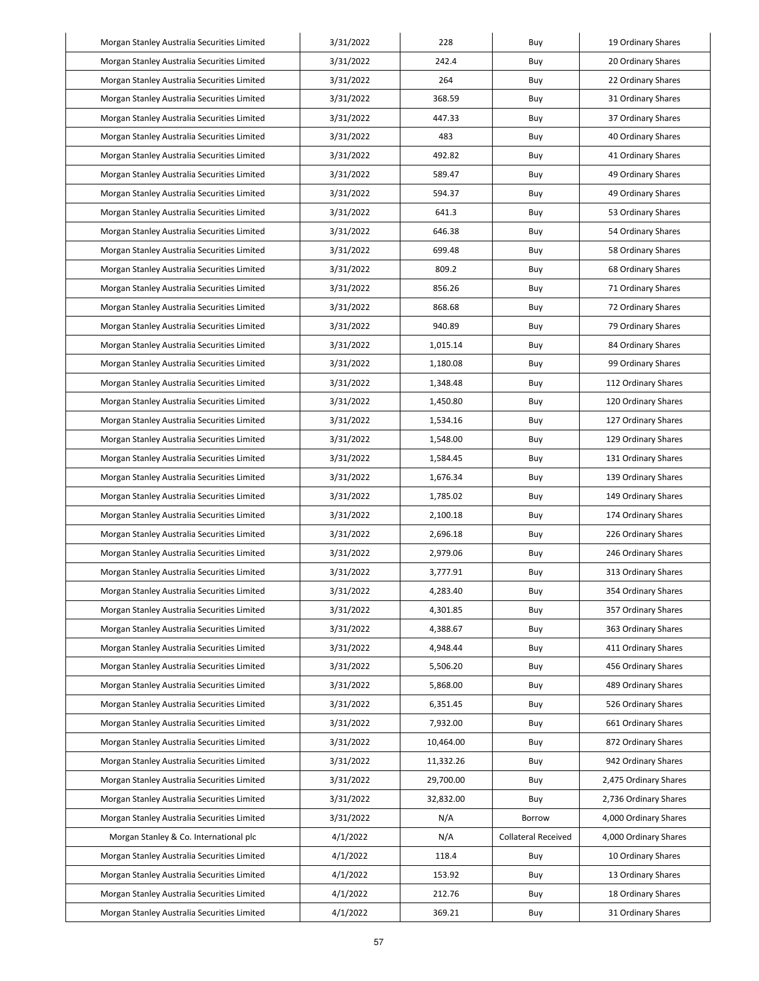| Morgan Stanley Australia Securities Limited | 3/31/2022 | 228       | Buy                        | 19 Ordinary Shares    |
|---------------------------------------------|-----------|-----------|----------------------------|-----------------------|
| Morgan Stanley Australia Securities Limited | 3/31/2022 | 242.4     | Buy                        | 20 Ordinary Shares    |
| Morgan Stanley Australia Securities Limited | 3/31/2022 | 264       | Buy                        | 22 Ordinary Shares    |
| Morgan Stanley Australia Securities Limited | 3/31/2022 | 368.59    | Buy                        | 31 Ordinary Shares    |
| Morgan Stanley Australia Securities Limited | 3/31/2022 | 447.33    | Buy                        | 37 Ordinary Shares    |
| Morgan Stanley Australia Securities Limited | 3/31/2022 | 483       | Buy                        | 40 Ordinary Shares    |
| Morgan Stanley Australia Securities Limited | 3/31/2022 | 492.82    | Buy                        | 41 Ordinary Shares    |
| Morgan Stanley Australia Securities Limited | 3/31/2022 | 589.47    | Buy                        | 49 Ordinary Shares    |
| Morgan Stanley Australia Securities Limited | 3/31/2022 | 594.37    | Buy                        | 49 Ordinary Shares    |
| Morgan Stanley Australia Securities Limited | 3/31/2022 | 641.3     | Buy                        | 53 Ordinary Shares    |
| Morgan Stanley Australia Securities Limited | 3/31/2022 | 646.38    | Buy                        | 54 Ordinary Shares    |
| Morgan Stanley Australia Securities Limited | 3/31/2022 | 699.48    | Buy                        | 58 Ordinary Shares    |
| Morgan Stanley Australia Securities Limited | 3/31/2022 | 809.2     | Buy                        | 68 Ordinary Shares    |
| Morgan Stanley Australia Securities Limited | 3/31/2022 | 856.26    | Buy                        | 71 Ordinary Shares    |
| Morgan Stanley Australia Securities Limited | 3/31/2022 | 868.68    | Buy                        | 72 Ordinary Shares    |
| Morgan Stanley Australia Securities Limited | 3/31/2022 | 940.89    | Buy                        | 79 Ordinary Shares    |
| Morgan Stanley Australia Securities Limited | 3/31/2022 | 1,015.14  | Buy                        | 84 Ordinary Shares    |
| Morgan Stanley Australia Securities Limited | 3/31/2022 | 1,180.08  | Buy                        | 99 Ordinary Shares    |
| Morgan Stanley Australia Securities Limited | 3/31/2022 | 1,348.48  | Buy                        | 112 Ordinary Shares   |
| Morgan Stanley Australia Securities Limited | 3/31/2022 | 1,450.80  | Buy                        | 120 Ordinary Shares   |
| Morgan Stanley Australia Securities Limited | 3/31/2022 | 1,534.16  | Buy                        | 127 Ordinary Shares   |
| Morgan Stanley Australia Securities Limited | 3/31/2022 | 1,548.00  | Buy                        | 129 Ordinary Shares   |
| Morgan Stanley Australia Securities Limited | 3/31/2022 | 1,584.45  | Buy                        | 131 Ordinary Shares   |
| Morgan Stanley Australia Securities Limited | 3/31/2022 | 1,676.34  | Buy                        | 139 Ordinary Shares   |
| Morgan Stanley Australia Securities Limited | 3/31/2022 | 1,785.02  | Buy                        | 149 Ordinary Shares   |
| Morgan Stanley Australia Securities Limited | 3/31/2022 | 2,100.18  | Buy                        | 174 Ordinary Shares   |
| Morgan Stanley Australia Securities Limited | 3/31/2022 | 2,696.18  | Buy                        | 226 Ordinary Shares   |
| Morgan Stanley Australia Securities Limited | 3/31/2022 | 2,979.06  | Buy                        | 246 Ordinary Shares   |
| Morgan Stanley Australia Securities Limited | 3/31/2022 | 3,777.91  | Buy                        | 313 Ordinary Shares   |
| Morgan Stanley Australia Securities Limited | 3/31/2022 | 4,283.40  | Buy                        | 354 Ordinary Shares   |
| Morgan Stanley Australia Securities Limited | 3/31/2022 | 4,301.85  | Buy                        | 357 Ordinary Shares   |
| Morgan Stanley Australia Securities Limited | 3/31/2022 | 4,388.67  | Buy                        | 363 Ordinary Shares   |
| Morgan Stanley Australia Securities Limited | 3/31/2022 | 4,948.44  | Buy                        | 411 Ordinary Shares   |
| Morgan Stanley Australia Securities Limited | 3/31/2022 | 5,506.20  | Buy                        | 456 Ordinary Shares   |
| Morgan Stanley Australia Securities Limited | 3/31/2022 | 5,868.00  | Buy                        | 489 Ordinary Shares   |
| Morgan Stanley Australia Securities Limited | 3/31/2022 | 6,351.45  | Buy                        | 526 Ordinary Shares   |
| Morgan Stanley Australia Securities Limited | 3/31/2022 | 7,932.00  | Buy                        | 661 Ordinary Shares   |
| Morgan Stanley Australia Securities Limited | 3/31/2022 | 10,464.00 | Buy                        | 872 Ordinary Shares   |
| Morgan Stanley Australia Securities Limited | 3/31/2022 | 11,332.26 | Buy                        | 942 Ordinary Shares   |
| Morgan Stanley Australia Securities Limited | 3/31/2022 | 29,700.00 | Buy                        | 2,475 Ordinary Shares |
| Morgan Stanley Australia Securities Limited | 3/31/2022 | 32,832.00 | Buy                        | 2,736 Ordinary Shares |
| Morgan Stanley Australia Securities Limited | 3/31/2022 | N/A       | Borrow                     | 4,000 Ordinary Shares |
| Morgan Stanley & Co. International plc      | 4/1/2022  | N/A       | <b>Collateral Received</b> | 4,000 Ordinary Shares |
| Morgan Stanley Australia Securities Limited | 4/1/2022  | 118.4     | Buy                        | 10 Ordinary Shares    |
| Morgan Stanley Australia Securities Limited | 4/1/2022  | 153.92    | Buy                        | 13 Ordinary Shares    |
| Morgan Stanley Australia Securities Limited | 4/1/2022  | 212.76    | Buy                        | 18 Ordinary Shares    |
| Morgan Stanley Australia Securities Limited | 4/1/2022  | 369.21    | Buy                        | 31 Ordinary Shares    |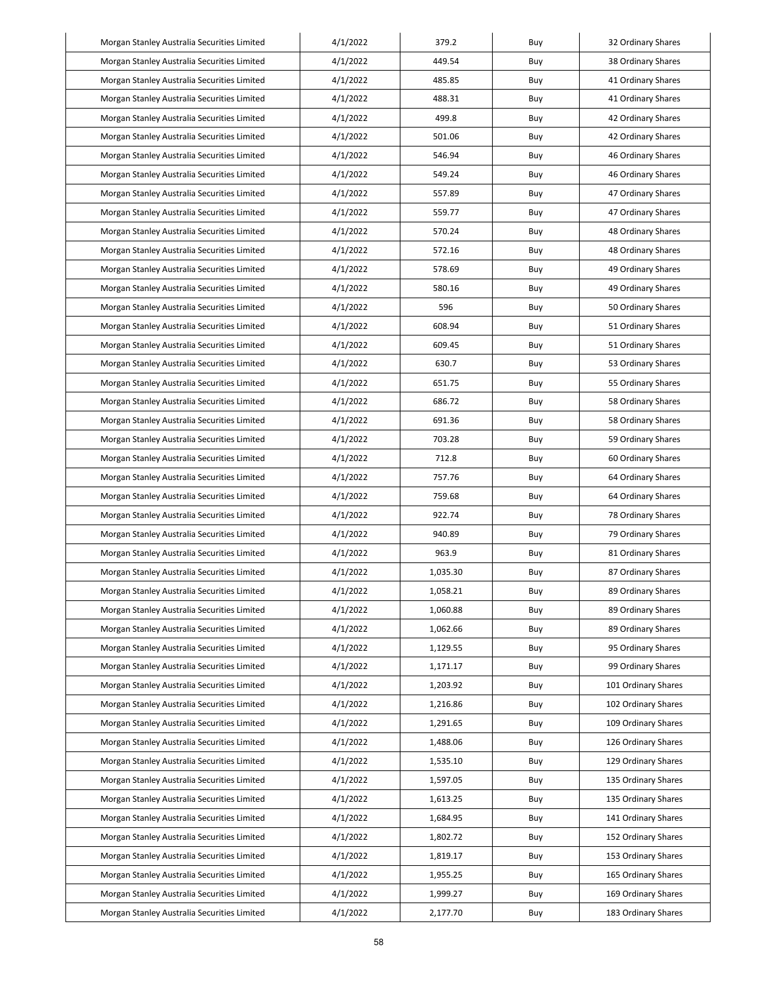| Morgan Stanley Australia Securities Limited | 4/1/2022 | 379.2    | Buy | 32 Ordinary Shares  |
|---------------------------------------------|----------|----------|-----|---------------------|
| Morgan Stanley Australia Securities Limited | 4/1/2022 | 449.54   | Buy | 38 Ordinary Shares  |
| Morgan Stanley Australia Securities Limited | 4/1/2022 | 485.85   | Buy | 41 Ordinary Shares  |
| Morgan Stanley Australia Securities Limited | 4/1/2022 | 488.31   | Buy | 41 Ordinary Shares  |
| Morgan Stanley Australia Securities Limited | 4/1/2022 | 499.8    | Buy | 42 Ordinary Shares  |
| Morgan Stanley Australia Securities Limited | 4/1/2022 | 501.06   | Buy | 42 Ordinary Shares  |
| Morgan Stanley Australia Securities Limited | 4/1/2022 | 546.94   | Buy | 46 Ordinary Shares  |
| Morgan Stanley Australia Securities Limited | 4/1/2022 | 549.24   | Buy | 46 Ordinary Shares  |
| Morgan Stanley Australia Securities Limited | 4/1/2022 | 557.89   | Buy | 47 Ordinary Shares  |
| Morgan Stanley Australia Securities Limited | 4/1/2022 | 559.77   | Buy | 47 Ordinary Shares  |
| Morgan Stanley Australia Securities Limited | 4/1/2022 | 570.24   | Buy | 48 Ordinary Shares  |
| Morgan Stanley Australia Securities Limited | 4/1/2022 | 572.16   | Buy | 48 Ordinary Shares  |
| Morgan Stanley Australia Securities Limited | 4/1/2022 | 578.69   | Buy | 49 Ordinary Shares  |
| Morgan Stanley Australia Securities Limited | 4/1/2022 | 580.16   | Buy | 49 Ordinary Shares  |
| Morgan Stanley Australia Securities Limited | 4/1/2022 | 596      | Buy | 50 Ordinary Shares  |
| Morgan Stanley Australia Securities Limited | 4/1/2022 | 608.94   | Buy | 51 Ordinary Shares  |
| Morgan Stanley Australia Securities Limited | 4/1/2022 | 609.45   | Buy | 51 Ordinary Shares  |
| Morgan Stanley Australia Securities Limited | 4/1/2022 | 630.7    | Buy | 53 Ordinary Shares  |
| Morgan Stanley Australia Securities Limited | 4/1/2022 | 651.75   | Buy | 55 Ordinary Shares  |
| Morgan Stanley Australia Securities Limited | 4/1/2022 | 686.72   | Buy | 58 Ordinary Shares  |
| Morgan Stanley Australia Securities Limited | 4/1/2022 | 691.36   | Buy | 58 Ordinary Shares  |
| Morgan Stanley Australia Securities Limited | 4/1/2022 | 703.28   | Buy | 59 Ordinary Shares  |
| Morgan Stanley Australia Securities Limited | 4/1/2022 | 712.8    | Buy | 60 Ordinary Shares  |
| Morgan Stanley Australia Securities Limited | 4/1/2022 | 757.76   | Buy | 64 Ordinary Shares  |
| Morgan Stanley Australia Securities Limited | 4/1/2022 | 759.68   | Buy | 64 Ordinary Shares  |
| Morgan Stanley Australia Securities Limited | 4/1/2022 | 922.74   | Buy | 78 Ordinary Shares  |
| Morgan Stanley Australia Securities Limited | 4/1/2022 | 940.89   | Buy | 79 Ordinary Shares  |
| Morgan Stanley Australia Securities Limited | 4/1/2022 | 963.9    | Buy | 81 Ordinary Shares  |
| Morgan Stanley Australia Securities Limited | 4/1/2022 | 1,035.30 | Buy | 87 Ordinary Shares  |
| Morgan Stanley Australia Securities Limited | 4/1/2022 | 1,058.21 | Buy | 89 Ordinary Shares  |
| Morgan Stanley Australia Securities Limited | 4/1/2022 | 1,060.88 | Buy | 89 Ordinary Shares  |
| Morgan Stanley Australia Securities Limited | 4/1/2022 | 1,062.66 | Buy | 89 Ordinary Shares  |
| Morgan Stanley Australia Securities Limited | 4/1/2022 | 1,129.55 | Buy | 95 Ordinary Shares  |
| Morgan Stanley Australia Securities Limited | 4/1/2022 | 1,171.17 | Buy | 99 Ordinary Shares  |
| Morgan Stanley Australia Securities Limited | 4/1/2022 | 1,203.92 | Buy | 101 Ordinary Shares |
| Morgan Stanley Australia Securities Limited | 4/1/2022 | 1,216.86 | Buy | 102 Ordinary Shares |
| Morgan Stanley Australia Securities Limited | 4/1/2022 | 1,291.65 | Buy | 109 Ordinary Shares |
| Morgan Stanley Australia Securities Limited | 4/1/2022 | 1,488.06 | Buy | 126 Ordinary Shares |
| Morgan Stanley Australia Securities Limited | 4/1/2022 | 1,535.10 | Buy | 129 Ordinary Shares |
| Morgan Stanley Australia Securities Limited | 4/1/2022 | 1,597.05 | Buy | 135 Ordinary Shares |
| Morgan Stanley Australia Securities Limited | 4/1/2022 | 1,613.25 | Buy | 135 Ordinary Shares |
| Morgan Stanley Australia Securities Limited | 4/1/2022 | 1,684.95 | Buy | 141 Ordinary Shares |
| Morgan Stanley Australia Securities Limited | 4/1/2022 | 1,802.72 | Buy | 152 Ordinary Shares |
| Morgan Stanley Australia Securities Limited | 4/1/2022 | 1,819.17 | Buy | 153 Ordinary Shares |
| Morgan Stanley Australia Securities Limited | 4/1/2022 | 1,955.25 | Buy | 165 Ordinary Shares |
| Morgan Stanley Australia Securities Limited | 4/1/2022 | 1,999.27 | Buy | 169 Ordinary Shares |
| Morgan Stanley Australia Securities Limited | 4/1/2022 | 2,177.70 | Buy | 183 Ordinary Shares |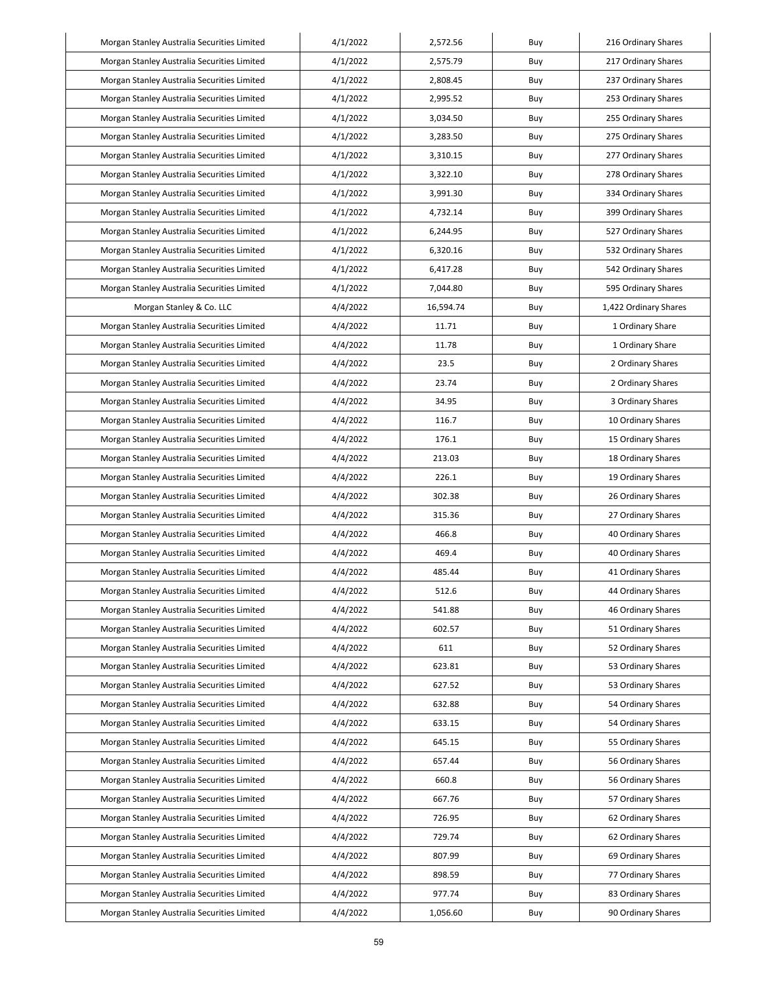| Morgan Stanley Australia Securities Limited | 4/1/2022 | 2,572.56  | Buy | 216 Ordinary Shares   |
|---------------------------------------------|----------|-----------|-----|-----------------------|
| Morgan Stanley Australia Securities Limited | 4/1/2022 | 2,575.79  | Buy | 217 Ordinary Shares   |
| Morgan Stanley Australia Securities Limited | 4/1/2022 | 2,808.45  | Buy | 237 Ordinary Shares   |
| Morgan Stanley Australia Securities Limited | 4/1/2022 | 2,995.52  | Buy | 253 Ordinary Shares   |
| Morgan Stanley Australia Securities Limited | 4/1/2022 | 3,034.50  | Buy | 255 Ordinary Shares   |
| Morgan Stanley Australia Securities Limited | 4/1/2022 | 3,283.50  | Buy | 275 Ordinary Shares   |
| Morgan Stanley Australia Securities Limited | 4/1/2022 | 3,310.15  | Buy | 277 Ordinary Shares   |
| Morgan Stanley Australia Securities Limited | 4/1/2022 | 3,322.10  | Buy | 278 Ordinary Shares   |
| Morgan Stanley Australia Securities Limited | 4/1/2022 | 3,991.30  | Buy | 334 Ordinary Shares   |
| Morgan Stanley Australia Securities Limited | 4/1/2022 | 4,732.14  | Buy | 399 Ordinary Shares   |
| Morgan Stanley Australia Securities Limited | 4/1/2022 | 6,244.95  | Buy | 527 Ordinary Shares   |
| Morgan Stanley Australia Securities Limited | 4/1/2022 | 6,320.16  | Buy | 532 Ordinary Shares   |
| Morgan Stanley Australia Securities Limited | 4/1/2022 | 6,417.28  | Buy | 542 Ordinary Shares   |
| Morgan Stanley Australia Securities Limited | 4/1/2022 | 7,044.80  | Buy | 595 Ordinary Shares   |
| Morgan Stanley & Co. LLC                    | 4/4/2022 | 16,594.74 | Buy | 1,422 Ordinary Shares |
| Morgan Stanley Australia Securities Limited | 4/4/2022 | 11.71     | Buy | 1 Ordinary Share      |
| Morgan Stanley Australia Securities Limited | 4/4/2022 | 11.78     | Buy | 1 Ordinary Share      |
| Morgan Stanley Australia Securities Limited | 4/4/2022 | 23.5      | Buy | 2 Ordinary Shares     |
| Morgan Stanley Australia Securities Limited | 4/4/2022 | 23.74     | Buy | 2 Ordinary Shares     |
| Morgan Stanley Australia Securities Limited | 4/4/2022 | 34.95     | Buy | 3 Ordinary Shares     |
| Morgan Stanley Australia Securities Limited | 4/4/2022 | 116.7     | Buy | 10 Ordinary Shares    |
| Morgan Stanley Australia Securities Limited | 4/4/2022 | 176.1     | Buy | 15 Ordinary Shares    |
| Morgan Stanley Australia Securities Limited | 4/4/2022 | 213.03    | Buy | 18 Ordinary Shares    |
| Morgan Stanley Australia Securities Limited | 4/4/2022 | 226.1     | Buy | 19 Ordinary Shares    |
| Morgan Stanley Australia Securities Limited | 4/4/2022 | 302.38    | Buy | 26 Ordinary Shares    |
| Morgan Stanley Australia Securities Limited | 4/4/2022 | 315.36    | Buy | 27 Ordinary Shares    |
| Morgan Stanley Australia Securities Limited | 4/4/2022 | 466.8     | Buy | 40 Ordinary Shares    |
| Morgan Stanley Australia Securities Limited | 4/4/2022 | 469.4     | Buy | 40 Ordinary Shares    |
| Morgan Stanley Australia Securities Limited | 4/4/2022 | 485.44    | Buy | 41 Ordinary Shares    |
| Morgan Stanley Australia Securities Limited | 4/4/2022 | 512.6     | Buy | 44 Ordinary Shares    |
| Morgan Stanley Australia Securities Limited | 4/4/2022 | 541.88    | Buy | 46 Ordinary Shares    |
| Morgan Stanley Australia Securities Limited | 4/4/2022 | 602.57    | Buy | 51 Ordinary Shares    |
| Morgan Stanley Australia Securities Limited | 4/4/2022 | 611       | Buy | 52 Ordinary Shares    |
| Morgan Stanley Australia Securities Limited | 4/4/2022 | 623.81    | Buy | 53 Ordinary Shares    |
| Morgan Stanley Australia Securities Limited | 4/4/2022 | 627.52    | Buy | 53 Ordinary Shares    |
| Morgan Stanley Australia Securities Limited | 4/4/2022 | 632.88    | Buy | 54 Ordinary Shares    |
| Morgan Stanley Australia Securities Limited | 4/4/2022 | 633.15    | Buy | 54 Ordinary Shares    |
| Morgan Stanley Australia Securities Limited | 4/4/2022 | 645.15    | Buy | 55 Ordinary Shares    |
| Morgan Stanley Australia Securities Limited | 4/4/2022 | 657.44    | Buy | 56 Ordinary Shares    |
| Morgan Stanley Australia Securities Limited | 4/4/2022 | 660.8     | Buy | 56 Ordinary Shares    |
| Morgan Stanley Australia Securities Limited | 4/4/2022 | 667.76    | Buy | 57 Ordinary Shares    |
| Morgan Stanley Australia Securities Limited | 4/4/2022 | 726.95    | Buy | 62 Ordinary Shares    |
| Morgan Stanley Australia Securities Limited | 4/4/2022 | 729.74    | Buy | 62 Ordinary Shares    |
| Morgan Stanley Australia Securities Limited | 4/4/2022 | 807.99    | Buy | 69 Ordinary Shares    |
| Morgan Stanley Australia Securities Limited | 4/4/2022 | 898.59    | Buy | 77 Ordinary Shares    |
| Morgan Stanley Australia Securities Limited | 4/4/2022 | 977.74    | Buy | 83 Ordinary Shares    |
| Morgan Stanley Australia Securities Limited | 4/4/2022 | 1,056.60  | Buy | 90 Ordinary Shares    |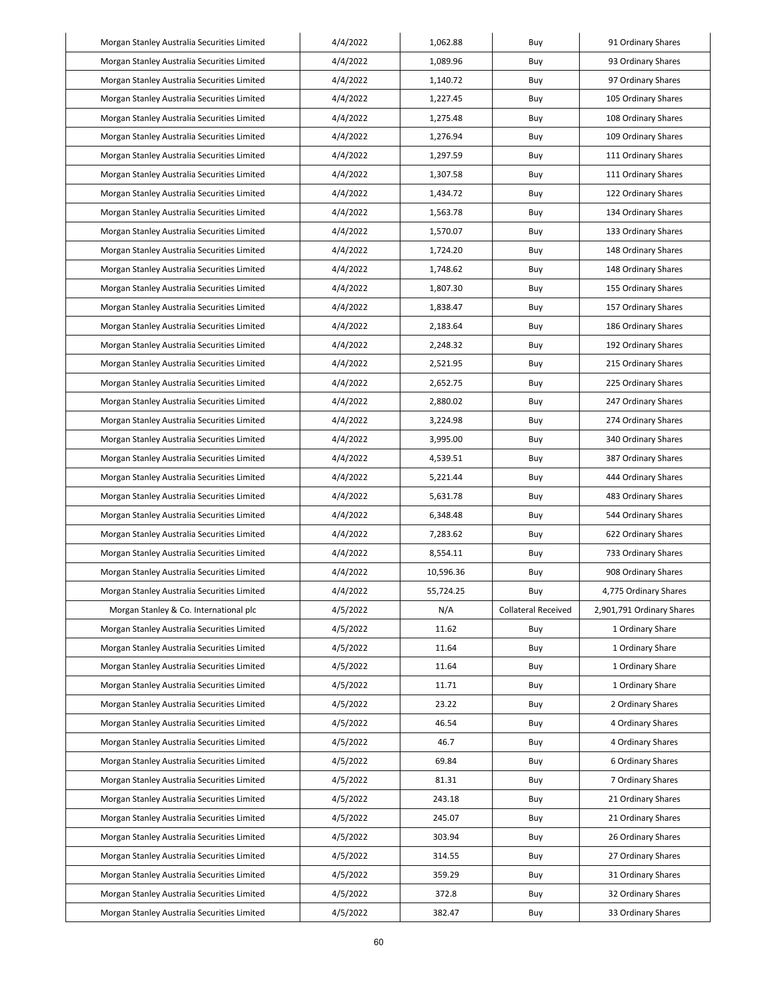| Morgan Stanley Australia Securities Limited | 4/4/2022 | 1,062.88  | Buy                        | 91 Ordinary Shares        |
|---------------------------------------------|----------|-----------|----------------------------|---------------------------|
| Morgan Stanley Australia Securities Limited | 4/4/2022 | 1,089.96  | Buy                        | 93 Ordinary Shares        |
| Morgan Stanley Australia Securities Limited | 4/4/2022 | 1,140.72  | Buy                        | 97 Ordinary Shares        |
| Morgan Stanley Australia Securities Limited | 4/4/2022 | 1,227.45  | Buy                        | 105 Ordinary Shares       |
| Morgan Stanley Australia Securities Limited | 4/4/2022 | 1,275.48  | Buy                        | 108 Ordinary Shares       |
| Morgan Stanley Australia Securities Limited | 4/4/2022 | 1,276.94  | Buy                        | 109 Ordinary Shares       |
| Morgan Stanley Australia Securities Limited | 4/4/2022 | 1,297.59  | Buy                        | 111 Ordinary Shares       |
| Morgan Stanley Australia Securities Limited | 4/4/2022 | 1,307.58  | Buy                        | 111 Ordinary Shares       |
| Morgan Stanley Australia Securities Limited | 4/4/2022 | 1,434.72  | Buy                        | 122 Ordinary Shares       |
| Morgan Stanley Australia Securities Limited | 4/4/2022 | 1,563.78  | Buy                        | 134 Ordinary Shares       |
| Morgan Stanley Australia Securities Limited | 4/4/2022 | 1,570.07  | Buy                        | 133 Ordinary Shares       |
| Morgan Stanley Australia Securities Limited | 4/4/2022 | 1,724.20  | Buy                        | 148 Ordinary Shares       |
| Morgan Stanley Australia Securities Limited | 4/4/2022 | 1,748.62  | Buy                        | 148 Ordinary Shares       |
| Morgan Stanley Australia Securities Limited | 4/4/2022 | 1,807.30  | Buy                        | 155 Ordinary Shares       |
| Morgan Stanley Australia Securities Limited | 4/4/2022 | 1,838.47  | Buy                        | 157 Ordinary Shares       |
| Morgan Stanley Australia Securities Limited | 4/4/2022 | 2,183.64  | Buy                        | 186 Ordinary Shares       |
| Morgan Stanley Australia Securities Limited | 4/4/2022 | 2,248.32  | Buy                        | 192 Ordinary Shares       |
| Morgan Stanley Australia Securities Limited | 4/4/2022 | 2,521.95  | Buy                        | 215 Ordinary Shares       |
| Morgan Stanley Australia Securities Limited | 4/4/2022 | 2,652.75  | Buy                        | 225 Ordinary Shares       |
| Morgan Stanley Australia Securities Limited | 4/4/2022 | 2,880.02  | Buy                        | 247 Ordinary Shares       |
| Morgan Stanley Australia Securities Limited | 4/4/2022 | 3,224.98  | Buy                        | 274 Ordinary Shares       |
| Morgan Stanley Australia Securities Limited | 4/4/2022 | 3,995.00  | Buy                        | 340 Ordinary Shares       |
| Morgan Stanley Australia Securities Limited | 4/4/2022 | 4,539.51  | Buy                        | 387 Ordinary Shares       |
| Morgan Stanley Australia Securities Limited | 4/4/2022 | 5,221.44  | Buy                        | 444 Ordinary Shares       |
| Morgan Stanley Australia Securities Limited | 4/4/2022 | 5,631.78  | Buy                        | 483 Ordinary Shares       |
| Morgan Stanley Australia Securities Limited | 4/4/2022 | 6,348.48  | Buy                        | 544 Ordinary Shares       |
| Morgan Stanley Australia Securities Limited | 4/4/2022 | 7,283.62  | Buy                        | 622 Ordinary Shares       |
| Morgan Stanley Australia Securities Limited | 4/4/2022 | 8,554.11  | Buy                        | 733 Ordinary Shares       |
| Morgan Stanley Australia Securities Limited | 4/4/2022 | 10,596.36 | Buy                        | 908 Ordinary Shares       |
| Morgan Stanley Australia Securities Limited | 4/4/2022 | 55,724.25 | Buy                        | 4,775 Ordinary Shares     |
| Morgan Stanley & Co. International plc      | 4/5/2022 | N/A       | <b>Collateral Received</b> | 2,901,791 Ordinary Shares |
| Morgan Stanley Australia Securities Limited | 4/5/2022 | 11.62     | Buy                        | 1 Ordinary Share          |
| Morgan Stanley Australia Securities Limited | 4/5/2022 | 11.64     | Buy                        | 1 Ordinary Share          |
| Morgan Stanley Australia Securities Limited | 4/5/2022 | 11.64     | Buy                        | 1 Ordinary Share          |
| Morgan Stanley Australia Securities Limited | 4/5/2022 | 11.71     | Buy                        | 1 Ordinary Share          |
| Morgan Stanley Australia Securities Limited | 4/5/2022 | 23.22     | Buy                        | 2 Ordinary Shares         |
| Morgan Stanley Australia Securities Limited | 4/5/2022 | 46.54     | Buy                        | 4 Ordinary Shares         |
| Morgan Stanley Australia Securities Limited | 4/5/2022 | 46.7      | Buy                        | 4 Ordinary Shares         |
| Morgan Stanley Australia Securities Limited | 4/5/2022 | 69.84     | Buy                        | 6 Ordinary Shares         |
| Morgan Stanley Australia Securities Limited | 4/5/2022 | 81.31     | Buy                        | 7 Ordinary Shares         |
| Morgan Stanley Australia Securities Limited | 4/5/2022 | 243.18    | Buy                        | 21 Ordinary Shares        |
| Morgan Stanley Australia Securities Limited | 4/5/2022 | 245.07    | Buy                        | 21 Ordinary Shares        |
| Morgan Stanley Australia Securities Limited | 4/5/2022 | 303.94    | Buy                        | 26 Ordinary Shares        |
| Morgan Stanley Australia Securities Limited | 4/5/2022 | 314.55    | Buy                        | 27 Ordinary Shares        |
| Morgan Stanley Australia Securities Limited | 4/5/2022 | 359.29    | Buy                        | 31 Ordinary Shares        |
| Morgan Stanley Australia Securities Limited | 4/5/2022 | 372.8     | Buy                        | 32 Ordinary Shares        |
| Morgan Stanley Australia Securities Limited | 4/5/2022 | 382.47    | Buy                        | 33 Ordinary Shares        |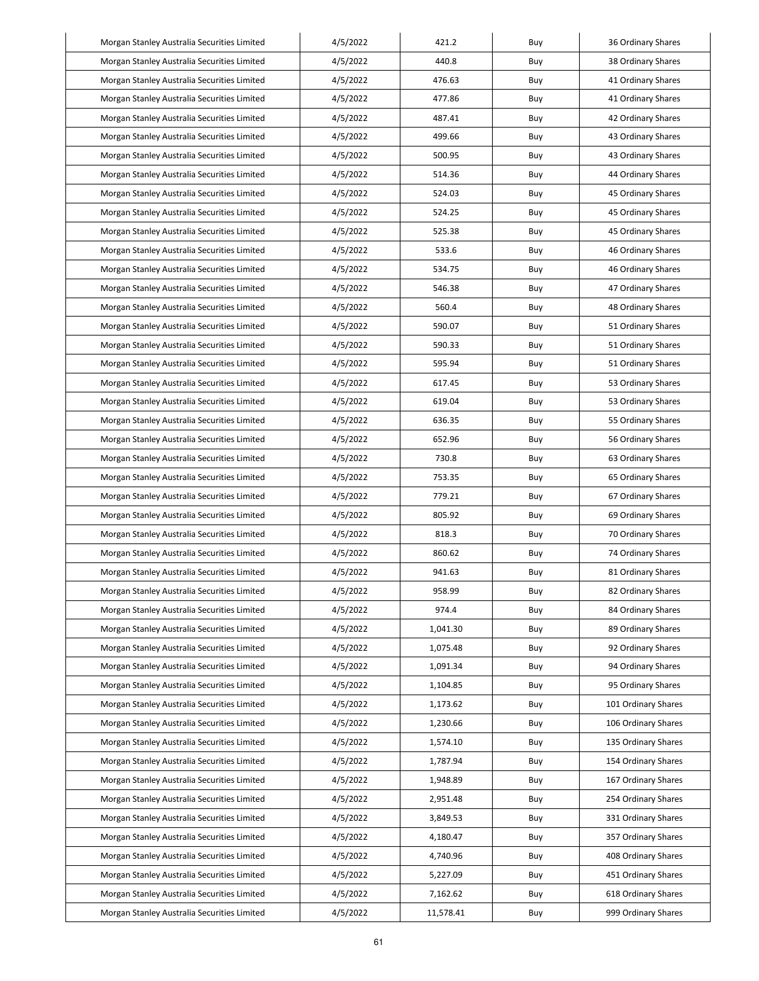| Morgan Stanley Australia Securities Limited | 4/5/2022 | 421.2     | Buy | 36 Ordinary Shares  |
|---------------------------------------------|----------|-----------|-----|---------------------|
| Morgan Stanley Australia Securities Limited | 4/5/2022 | 440.8     | Buy | 38 Ordinary Shares  |
| Morgan Stanley Australia Securities Limited | 4/5/2022 | 476.63    | Buy | 41 Ordinary Shares  |
| Morgan Stanley Australia Securities Limited | 4/5/2022 | 477.86    | Buy | 41 Ordinary Shares  |
| Morgan Stanley Australia Securities Limited | 4/5/2022 | 487.41    | Buy | 42 Ordinary Shares  |
| Morgan Stanley Australia Securities Limited | 4/5/2022 | 499.66    | Buy | 43 Ordinary Shares  |
| Morgan Stanley Australia Securities Limited | 4/5/2022 | 500.95    | Buy | 43 Ordinary Shares  |
| Morgan Stanley Australia Securities Limited | 4/5/2022 | 514.36    | Buy | 44 Ordinary Shares  |
| Morgan Stanley Australia Securities Limited | 4/5/2022 | 524.03    | Buy | 45 Ordinary Shares  |
| Morgan Stanley Australia Securities Limited | 4/5/2022 | 524.25    | Buy | 45 Ordinary Shares  |
| Morgan Stanley Australia Securities Limited | 4/5/2022 | 525.38    | Buy | 45 Ordinary Shares  |
| Morgan Stanley Australia Securities Limited | 4/5/2022 | 533.6     | Buy | 46 Ordinary Shares  |
| Morgan Stanley Australia Securities Limited | 4/5/2022 | 534.75    | Buy | 46 Ordinary Shares  |
| Morgan Stanley Australia Securities Limited | 4/5/2022 | 546.38    | Buy | 47 Ordinary Shares  |
| Morgan Stanley Australia Securities Limited | 4/5/2022 | 560.4     | Buy | 48 Ordinary Shares  |
| Morgan Stanley Australia Securities Limited | 4/5/2022 | 590.07    | Buy | 51 Ordinary Shares  |
| Morgan Stanley Australia Securities Limited | 4/5/2022 | 590.33    | Buy | 51 Ordinary Shares  |
| Morgan Stanley Australia Securities Limited | 4/5/2022 | 595.94    | Buy | 51 Ordinary Shares  |
| Morgan Stanley Australia Securities Limited | 4/5/2022 | 617.45    | Buy | 53 Ordinary Shares  |
| Morgan Stanley Australia Securities Limited | 4/5/2022 | 619.04    | Buy | 53 Ordinary Shares  |
| Morgan Stanley Australia Securities Limited | 4/5/2022 | 636.35    | Buy | 55 Ordinary Shares  |
| Morgan Stanley Australia Securities Limited | 4/5/2022 | 652.96    | Buy | 56 Ordinary Shares  |
| Morgan Stanley Australia Securities Limited | 4/5/2022 | 730.8     | Buy | 63 Ordinary Shares  |
| Morgan Stanley Australia Securities Limited | 4/5/2022 | 753.35    | Buy | 65 Ordinary Shares  |
| Morgan Stanley Australia Securities Limited | 4/5/2022 | 779.21    | Buy | 67 Ordinary Shares  |
| Morgan Stanley Australia Securities Limited | 4/5/2022 | 805.92    | Buy | 69 Ordinary Shares  |
| Morgan Stanley Australia Securities Limited | 4/5/2022 | 818.3     | Buy | 70 Ordinary Shares  |
| Morgan Stanley Australia Securities Limited | 4/5/2022 | 860.62    | Buy | 74 Ordinary Shares  |
| Morgan Stanley Australia Securities Limited | 4/5/2022 | 941.63    | Buy | 81 Ordinary Shares  |
| Morgan Stanley Australia Securities Limited | 4/5/2022 | 958.99    | Buy | 82 Ordinary Shares  |
| Morgan Stanley Australia Securities Limited | 4/5/2022 | 974.4     | Buy | 84 Ordinary Shares  |
| Morgan Stanley Australia Securities Limited | 4/5/2022 | 1,041.30  | Buy | 89 Ordinary Shares  |
| Morgan Stanley Australia Securities Limited | 4/5/2022 | 1,075.48  | Buy | 92 Ordinary Shares  |
| Morgan Stanley Australia Securities Limited | 4/5/2022 | 1,091.34  | Buy | 94 Ordinary Shares  |
| Morgan Stanley Australia Securities Limited | 4/5/2022 | 1,104.85  | Buy | 95 Ordinary Shares  |
| Morgan Stanley Australia Securities Limited | 4/5/2022 | 1,173.62  | Buy | 101 Ordinary Shares |
| Morgan Stanley Australia Securities Limited | 4/5/2022 | 1,230.66  | Buy | 106 Ordinary Shares |
| Morgan Stanley Australia Securities Limited | 4/5/2022 | 1,574.10  | Buy | 135 Ordinary Shares |
| Morgan Stanley Australia Securities Limited | 4/5/2022 | 1,787.94  | Buy | 154 Ordinary Shares |
| Morgan Stanley Australia Securities Limited | 4/5/2022 | 1,948.89  | Buy | 167 Ordinary Shares |
| Morgan Stanley Australia Securities Limited | 4/5/2022 | 2,951.48  | Buy | 254 Ordinary Shares |
| Morgan Stanley Australia Securities Limited | 4/5/2022 | 3,849.53  | Buy | 331 Ordinary Shares |
| Morgan Stanley Australia Securities Limited | 4/5/2022 | 4,180.47  | Buy | 357 Ordinary Shares |
| Morgan Stanley Australia Securities Limited | 4/5/2022 | 4,740.96  | Buy | 408 Ordinary Shares |
| Morgan Stanley Australia Securities Limited | 4/5/2022 | 5,227.09  | Buy | 451 Ordinary Shares |
| Morgan Stanley Australia Securities Limited | 4/5/2022 | 7,162.62  | Buy | 618 Ordinary Shares |
| Morgan Stanley Australia Securities Limited | 4/5/2022 | 11,578.41 | Buy | 999 Ordinary Shares |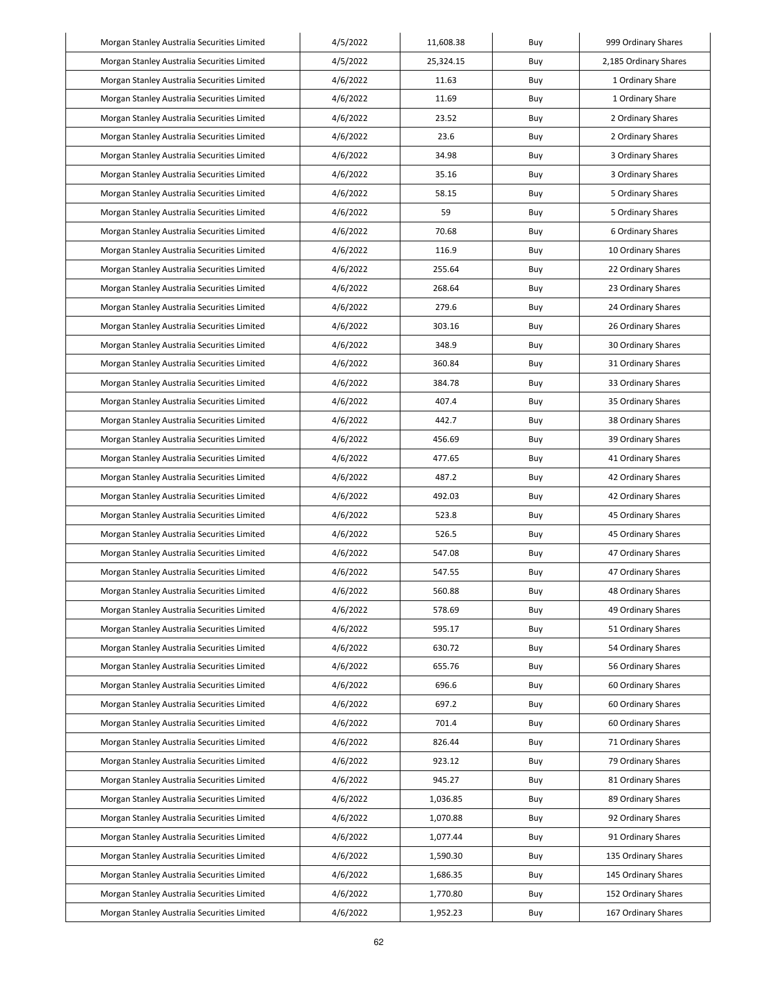| Morgan Stanley Australia Securities Limited | 4/5/2022 | 11,608.38 | Buy | 999 Ordinary Shares   |
|---------------------------------------------|----------|-----------|-----|-----------------------|
| Morgan Stanley Australia Securities Limited | 4/5/2022 | 25,324.15 | Buy | 2,185 Ordinary Shares |
| Morgan Stanley Australia Securities Limited | 4/6/2022 | 11.63     | Buy | 1 Ordinary Share      |
| Morgan Stanley Australia Securities Limited | 4/6/2022 | 11.69     | Buy | 1 Ordinary Share      |
| Morgan Stanley Australia Securities Limited | 4/6/2022 | 23.52     | Buy | 2 Ordinary Shares     |
| Morgan Stanley Australia Securities Limited | 4/6/2022 | 23.6      | Buy | 2 Ordinary Shares     |
| Morgan Stanley Australia Securities Limited | 4/6/2022 | 34.98     | Buy | 3 Ordinary Shares     |
| Morgan Stanley Australia Securities Limited | 4/6/2022 | 35.16     | Buy | 3 Ordinary Shares     |
| Morgan Stanley Australia Securities Limited | 4/6/2022 | 58.15     | Buy | 5 Ordinary Shares     |
| Morgan Stanley Australia Securities Limited | 4/6/2022 | 59        | Buy | 5 Ordinary Shares     |
| Morgan Stanley Australia Securities Limited | 4/6/2022 | 70.68     | Buy | 6 Ordinary Shares     |
| Morgan Stanley Australia Securities Limited | 4/6/2022 | 116.9     | Buy | 10 Ordinary Shares    |
| Morgan Stanley Australia Securities Limited | 4/6/2022 | 255.64    | Buy | 22 Ordinary Shares    |
| Morgan Stanley Australia Securities Limited | 4/6/2022 | 268.64    | Buy | 23 Ordinary Shares    |
| Morgan Stanley Australia Securities Limited | 4/6/2022 | 279.6     | Buy | 24 Ordinary Shares    |
| Morgan Stanley Australia Securities Limited | 4/6/2022 | 303.16    | Buy | 26 Ordinary Shares    |
| Morgan Stanley Australia Securities Limited | 4/6/2022 | 348.9     | Buy | 30 Ordinary Shares    |
| Morgan Stanley Australia Securities Limited | 4/6/2022 | 360.84    | Buy | 31 Ordinary Shares    |
| Morgan Stanley Australia Securities Limited | 4/6/2022 | 384.78    | Buy | 33 Ordinary Shares    |
| Morgan Stanley Australia Securities Limited | 4/6/2022 | 407.4     | Buy | 35 Ordinary Shares    |
| Morgan Stanley Australia Securities Limited | 4/6/2022 | 442.7     | Buy | 38 Ordinary Shares    |
| Morgan Stanley Australia Securities Limited | 4/6/2022 | 456.69    | Buy | 39 Ordinary Shares    |
| Morgan Stanley Australia Securities Limited | 4/6/2022 | 477.65    | Buy | 41 Ordinary Shares    |
| Morgan Stanley Australia Securities Limited | 4/6/2022 | 487.2     | Buy | 42 Ordinary Shares    |
| Morgan Stanley Australia Securities Limited | 4/6/2022 | 492.03    | Buy | 42 Ordinary Shares    |
| Morgan Stanley Australia Securities Limited | 4/6/2022 | 523.8     | Buy | 45 Ordinary Shares    |
| Morgan Stanley Australia Securities Limited | 4/6/2022 | 526.5     | Buy | 45 Ordinary Shares    |
| Morgan Stanley Australia Securities Limited | 4/6/2022 | 547.08    | Buy | 47 Ordinary Shares    |
| Morgan Stanley Australia Securities Limited | 4/6/2022 | 547.55    | Buy | 47 Ordinary Shares    |
| Morgan Stanley Australia Securities Limited | 4/6/2022 | 560.88    | Buy | 48 Ordinary Shares    |
| Morgan Stanley Australia Securities Limited | 4/6/2022 | 578.69    | Buy | 49 Ordinary Shares    |
| Morgan Stanley Australia Securities Limited | 4/6/2022 | 595.17    | Buy | 51 Ordinary Shares    |
| Morgan Stanley Australia Securities Limited | 4/6/2022 | 630.72    | Buy | 54 Ordinary Shares    |
| Morgan Stanley Australia Securities Limited | 4/6/2022 | 655.76    | Buy | 56 Ordinary Shares    |
| Morgan Stanley Australia Securities Limited | 4/6/2022 | 696.6     | Buy | 60 Ordinary Shares    |
| Morgan Stanley Australia Securities Limited | 4/6/2022 | 697.2     | Buy | 60 Ordinary Shares    |
| Morgan Stanley Australia Securities Limited | 4/6/2022 | 701.4     | Buy | 60 Ordinary Shares    |
| Morgan Stanley Australia Securities Limited | 4/6/2022 | 826.44    | Buy | 71 Ordinary Shares    |
| Morgan Stanley Australia Securities Limited | 4/6/2022 | 923.12    | Buy | 79 Ordinary Shares    |
| Morgan Stanley Australia Securities Limited | 4/6/2022 | 945.27    | Buy | 81 Ordinary Shares    |
| Morgan Stanley Australia Securities Limited | 4/6/2022 | 1,036.85  | Buy | 89 Ordinary Shares    |
| Morgan Stanley Australia Securities Limited | 4/6/2022 | 1,070.88  | Buy | 92 Ordinary Shares    |
| Morgan Stanley Australia Securities Limited | 4/6/2022 | 1,077.44  | Buy | 91 Ordinary Shares    |
| Morgan Stanley Australia Securities Limited | 4/6/2022 | 1,590.30  | Buy | 135 Ordinary Shares   |
| Morgan Stanley Australia Securities Limited | 4/6/2022 | 1,686.35  | Buy | 145 Ordinary Shares   |
| Morgan Stanley Australia Securities Limited | 4/6/2022 | 1,770.80  | Buy | 152 Ordinary Shares   |
| Morgan Stanley Australia Securities Limited | 4/6/2022 | 1,952.23  | Buy | 167 Ordinary Shares   |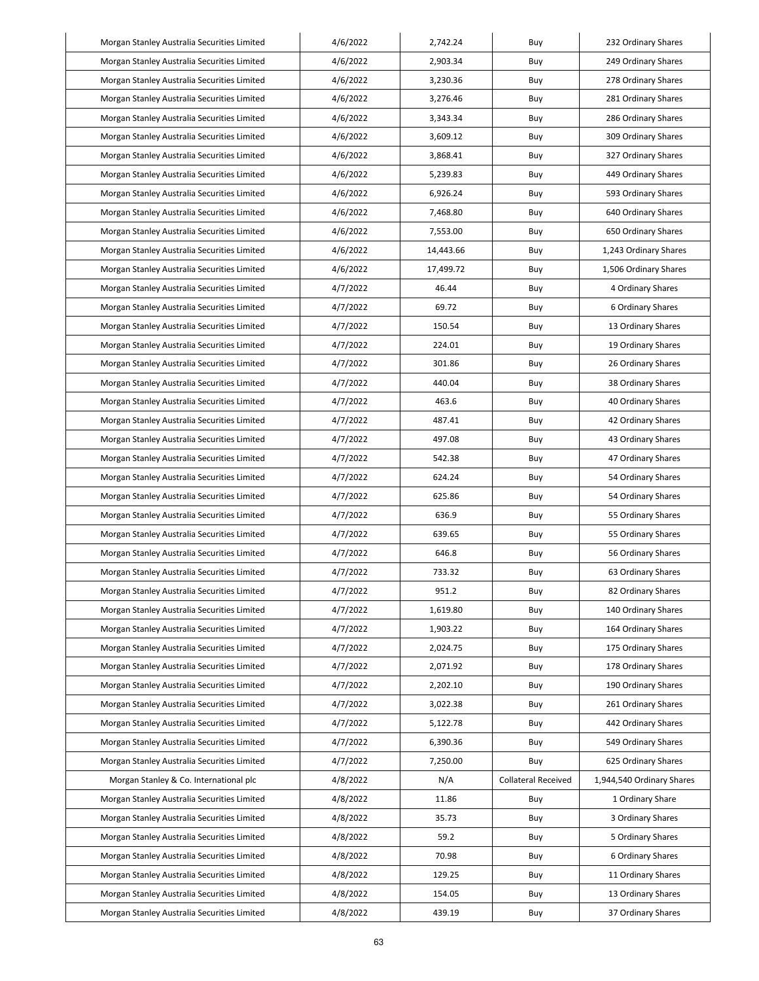| Morgan Stanley Australia Securities Limited | 4/6/2022 | 2,742.24  | Buy                        | 232 Ordinary Shares       |
|---------------------------------------------|----------|-----------|----------------------------|---------------------------|
| Morgan Stanley Australia Securities Limited | 4/6/2022 | 2,903.34  | Buy                        | 249 Ordinary Shares       |
| Morgan Stanley Australia Securities Limited | 4/6/2022 | 3,230.36  | Buy                        | 278 Ordinary Shares       |
| Morgan Stanley Australia Securities Limited | 4/6/2022 | 3,276.46  | Buy                        | 281 Ordinary Shares       |
| Morgan Stanley Australia Securities Limited | 4/6/2022 | 3,343.34  | Buy                        | 286 Ordinary Shares       |
| Morgan Stanley Australia Securities Limited | 4/6/2022 | 3,609.12  | Buy                        | 309 Ordinary Shares       |
| Morgan Stanley Australia Securities Limited | 4/6/2022 | 3,868.41  | Buy                        | 327 Ordinary Shares       |
| Morgan Stanley Australia Securities Limited | 4/6/2022 | 5,239.83  | Buy                        | 449 Ordinary Shares       |
| Morgan Stanley Australia Securities Limited | 4/6/2022 | 6,926.24  | Buy                        | 593 Ordinary Shares       |
| Morgan Stanley Australia Securities Limited | 4/6/2022 | 7,468.80  | Buy                        | 640 Ordinary Shares       |
| Morgan Stanley Australia Securities Limited | 4/6/2022 | 7,553.00  | Buy                        | 650 Ordinary Shares       |
| Morgan Stanley Australia Securities Limited | 4/6/2022 | 14,443.66 | Buy                        | 1,243 Ordinary Shares     |
| Morgan Stanley Australia Securities Limited | 4/6/2022 | 17,499.72 | Buy                        | 1,506 Ordinary Shares     |
| Morgan Stanley Australia Securities Limited | 4/7/2022 | 46.44     | Buy                        | 4 Ordinary Shares         |
| Morgan Stanley Australia Securities Limited | 4/7/2022 | 69.72     | Buy                        | 6 Ordinary Shares         |
| Morgan Stanley Australia Securities Limited | 4/7/2022 | 150.54    | Buy                        | 13 Ordinary Shares        |
| Morgan Stanley Australia Securities Limited | 4/7/2022 | 224.01    | Buy                        | 19 Ordinary Shares        |
| Morgan Stanley Australia Securities Limited | 4/7/2022 | 301.86    | Buy                        | 26 Ordinary Shares        |
| Morgan Stanley Australia Securities Limited | 4/7/2022 | 440.04    | Buy                        | 38 Ordinary Shares        |
| Morgan Stanley Australia Securities Limited | 4/7/2022 | 463.6     | Buy                        | 40 Ordinary Shares        |
| Morgan Stanley Australia Securities Limited | 4/7/2022 | 487.41    | Buy                        | 42 Ordinary Shares        |
| Morgan Stanley Australia Securities Limited | 4/7/2022 | 497.08    | Buy                        | 43 Ordinary Shares        |
| Morgan Stanley Australia Securities Limited | 4/7/2022 | 542.38    | Buy                        | 47 Ordinary Shares        |
| Morgan Stanley Australia Securities Limited | 4/7/2022 | 624.24    | Buy                        | 54 Ordinary Shares        |
| Morgan Stanley Australia Securities Limited | 4/7/2022 | 625.86    | Buy                        | 54 Ordinary Shares        |
| Morgan Stanley Australia Securities Limited | 4/7/2022 | 636.9     | Buy                        | 55 Ordinary Shares        |
| Morgan Stanley Australia Securities Limited | 4/7/2022 | 639.65    | Buy                        | 55 Ordinary Shares        |
| Morgan Stanley Australia Securities Limited | 4/7/2022 | 646.8     | Buy                        | 56 Ordinary Shares        |
| Morgan Stanley Australia Securities Limited | 4/7/2022 | 733.32    | Buy                        | 63 Ordinary Shares        |
| Morgan Stanley Australia Securities Limited | 4/7/2022 | 951.2     | Buy                        | 82 Ordinary Shares        |
| Morgan Stanley Australia Securities Limited | 4/7/2022 | 1,619.80  | Buy                        | 140 Ordinary Shares       |
| Morgan Stanley Australia Securities Limited | 4/7/2022 | 1,903.22  | Buy                        | 164 Ordinary Shares       |
| Morgan Stanley Australia Securities Limited | 4/7/2022 | 2,024.75  | Buy                        | 175 Ordinary Shares       |
| Morgan Stanley Australia Securities Limited | 4/7/2022 | 2,071.92  | Buy                        | 178 Ordinary Shares       |
| Morgan Stanley Australia Securities Limited | 4/7/2022 | 2,202.10  | Buy                        | 190 Ordinary Shares       |
| Morgan Stanley Australia Securities Limited | 4/7/2022 | 3,022.38  | Buy                        | 261 Ordinary Shares       |
| Morgan Stanley Australia Securities Limited | 4/7/2022 | 5,122.78  | Buy                        | 442 Ordinary Shares       |
| Morgan Stanley Australia Securities Limited | 4/7/2022 | 6,390.36  | Buy                        | 549 Ordinary Shares       |
| Morgan Stanley Australia Securities Limited | 4/7/2022 | 7,250.00  | Buy                        | 625 Ordinary Shares       |
| Morgan Stanley & Co. International plc      | 4/8/2022 | N/A       | <b>Collateral Received</b> | 1,944,540 Ordinary Shares |
| Morgan Stanley Australia Securities Limited | 4/8/2022 | 11.86     | Buy                        | 1 Ordinary Share          |
| Morgan Stanley Australia Securities Limited | 4/8/2022 | 35.73     | Buy                        | 3 Ordinary Shares         |
| Morgan Stanley Australia Securities Limited | 4/8/2022 | 59.2      | Buy                        | 5 Ordinary Shares         |
| Morgan Stanley Australia Securities Limited | 4/8/2022 | 70.98     | Buy                        | 6 Ordinary Shares         |
| Morgan Stanley Australia Securities Limited | 4/8/2022 | 129.25    | Buy                        | 11 Ordinary Shares        |
| Morgan Stanley Australia Securities Limited | 4/8/2022 | 154.05    | Buy                        | 13 Ordinary Shares        |
| Morgan Stanley Australia Securities Limited | 4/8/2022 | 439.19    | Buy                        | 37 Ordinary Shares        |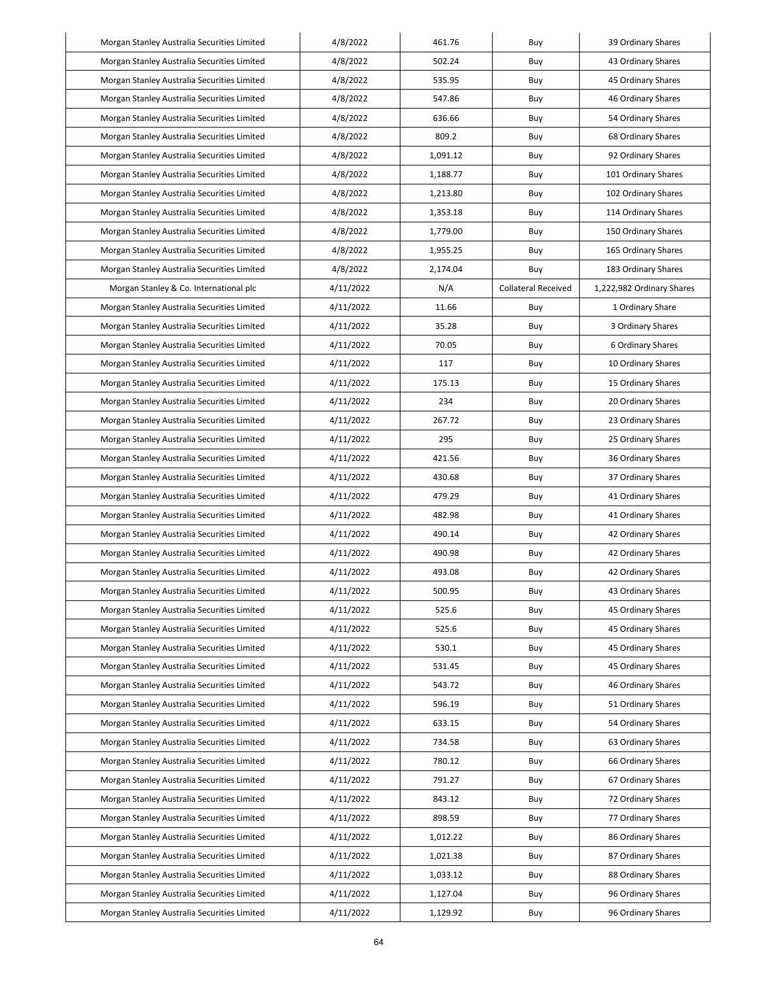| Morgan Stanley Australia Securities Limited | 4/8/2022  | 461.76   | Buy                        | 39 Ordinary Shares        |
|---------------------------------------------|-----------|----------|----------------------------|---------------------------|
| Morgan Stanley Australia Securities Limited | 4/8/2022  | 502.24   | Buy                        | 43 Ordinary Shares        |
| Morgan Stanley Australia Securities Limited | 4/8/2022  | 535.95   | Buy                        | 45 Ordinary Shares        |
| Morgan Stanley Australia Securities Limited | 4/8/2022  | 547.86   | Buy                        | 46 Ordinary Shares        |
| Morgan Stanley Australia Securities Limited | 4/8/2022  | 636.66   | Buy                        | 54 Ordinary Shares        |
| Morgan Stanley Australia Securities Limited | 4/8/2022  | 809.2    | Buy                        | 68 Ordinary Shares        |
| Morgan Stanley Australia Securities Limited | 4/8/2022  | 1,091.12 | Buy                        | 92 Ordinary Shares        |
| Morgan Stanley Australia Securities Limited | 4/8/2022  | 1,188.77 | Buy                        | 101 Ordinary Shares       |
| Morgan Stanley Australia Securities Limited | 4/8/2022  | 1,213.80 | Buy                        | 102 Ordinary Shares       |
| Morgan Stanley Australia Securities Limited | 4/8/2022  | 1,353.18 | Buy                        | 114 Ordinary Shares       |
| Morgan Stanley Australia Securities Limited | 4/8/2022  | 1,779.00 | Buy                        | 150 Ordinary Shares       |
| Morgan Stanley Australia Securities Limited | 4/8/2022  | 1,955.25 | Buy                        | 165 Ordinary Shares       |
| Morgan Stanley Australia Securities Limited | 4/8/2022  | 2,174.04 | Buy                        | 183 Ordinary Shares       |
| Morgan Stanley & Co. International plc      | 4/11/2022 | N/A      | <b>Collateral Received</b> | 1,222,982 Ordinary Shares |
| Morgan Stanley Australia Securities Limited | 4/11/2022 | 11.66    | Buy                        | 1 Ordinary Share          |
| Morgan Stanley Australia Securities Limited | 4/11/2022 | 35.28    | Buy                        | 3 Ordinary Shares         |
| Morgan Stanley Australia Securities Limited | 4/11/2022 | 70.05    | Buy                        | 6 Ordinary Shares         |
| Morgan Stanley Australia Securities Limited | 4/11/2022 | 117      | Buy                        | 10 Ordinary Shares        |
| Morgan Stanley Australia Securities Limited | 4/11/2022 | 175.13   | Buy                        | 15 Ordinary Shares        |
| Morgan Stanley Australia Securities Limited | 4/11/2022 | 234      | Buy                        | 20 Ordinary Shares        |
| Morgan Stanley Australia Securities Limited | 4/11/2022 | 267.72   | Buy                        | 23 Ordinary Shares        |
| Morgan Stanley Australia Securities Limited | 4/11/2022 | 295      | Buy                        | 25 Ordinary Shares        |
| Morgan Stanley Australia Securities Limited | 4/11/2022 | 421.56   | Buy                        | 36 Ordinary Shares        |
| Morgan Stanley Australia Securities Limited | 4/11/2022 | 430.68   | Buy                        | 37 Ordinary Shares        |
| Morgan Stanley Australia Securities Limited | 4/11/2022 | 479.29   | Buy                        | 41 Ordinary Shares        |
| Morgan Stanley Australia Securities Limited | 4/11/2022 | 482.98   | Buy                        | 41 Ordinary Shares        |
| Morgan Stanley Australia Securities Limited | 4/11/2022 | 490.14   | Buy                        | 42 Ordinary Shares        |
| Morgan Stanley Australia Securities Limited | 4/11/2022 | 490.98   | Buy                        | 42 Ordinary Shares        |
| Morgan Stanley Australia Securities Limited | 4/11/2022 | 493.08   | Buy                        | 42 Ordinary Shares        |
| Morgan Stanley Australia Securities Limited | 4/11/2022 | 500.95   | Buy                        | 43 Ordinary Shares        |
| Morgan Stanley Australia Securities Limited | 4/11/2022 | 525.6    | Buy                        | 45 Ordinary Shares        |
| Morgan Stanley Australia Securities Limited | 4/11/2022 | 525.6    | Buy                        | 45 Ordinary Shares        |
| Morgan Stanley Australia Securities Limited | 4/11/2022 | 530.1    | Buy                        | 45 Ordinary Shares        |
| Morgan Stanley Australia Securities Limited | 4/11/2022 | 531.45   | Buy                        | 45 Ordinary Shares        |
| Morgan Stanley Australia Securities Limited | 4/11/2022 | 543.72   | Buy                        | 46 Ordinary Shares        |
| Morgan Stanley Australia Securities Limited | 4/11/2022 | 596.19   | Buy                        | 51 Ordinary Shares        |
| Morgan Stanley Australia Securities Limited | 4/11/2022 | 633.15   | Buy                        | 54 Ordinary Shares        |
| Morgan Stanley Australia Securities Limited | 4/11/2022 | 734.58   | Buy                        | 63 Ordinary Shares        |
| Morgan Stanley Australia Securities Limited | 4/11/2022 | 780.12   | Buy                        | 66 Ordinary Shares        |
| Morgan Stanley Australia Securities Limited | 4/11/2022 | 791.27   | Buy                        | 67 Ordinary Shares        |
| Morgan Stanley Australia Securities Limited | 4/11/2022 | 843.12   | Buy                        | 72 Ordinary Shares        |
| Morgan Stanley Australia Securities Limited | 4/11/2022 | 898.59   | Buy                        | 77 Ordinary Shares        |
| Morgan Stanley Australia Securities Limited | 4/11/2022 | 1,012.22 | Buy                        | 86 Ordinary Shares        |
| Morgan Stanley Australia Securities Limited | 4/11/2022 | 1,021.38 | Buy                        | 87 Ordinary Shares        |
| Morgan Stanley Australia Securities Limited | 4/11/2022 | 1,033.12 | Buy                        | 88 Ordinary Shares        |
| Morgan Stanley Australia Securities Limited | 4/11/2022 | 1,127.04 | Buy                        | 96 Ordinary Shares        |
| Morgan Stanley Australia Securities Limited | 4/11/2022 | 1,129.92 | Buy                        | 96 Ordinary Shares        |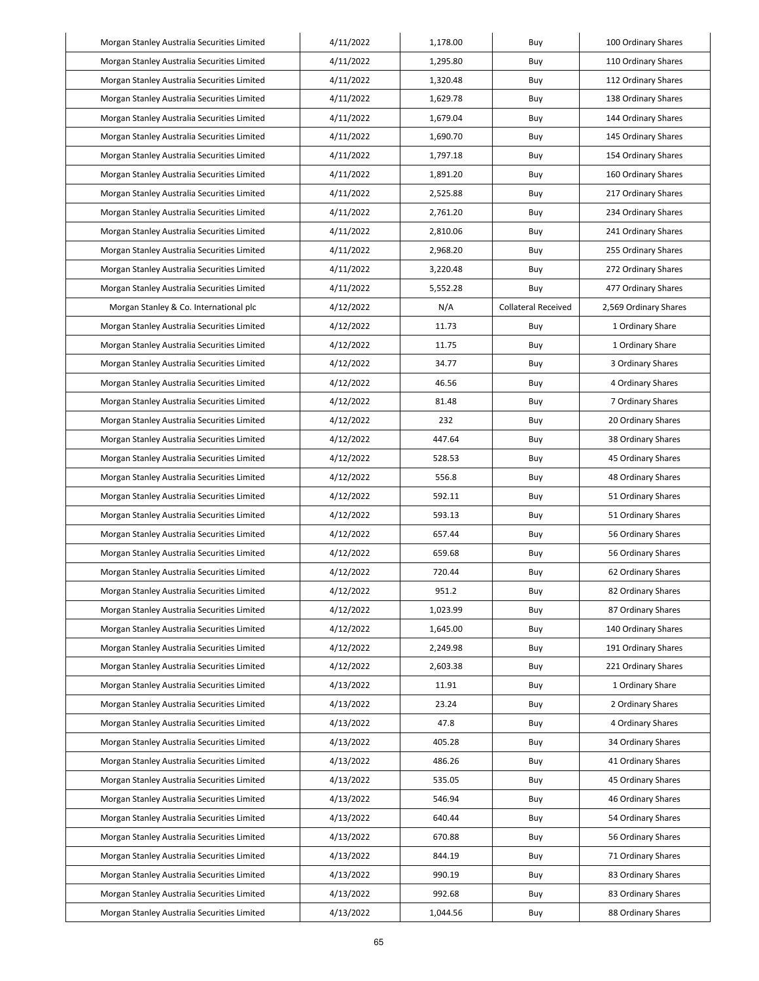| Morgan Stanley Australia Securities Limited | 4/11/2022 | 1,178.00 | Buy                        | 100 Ordinary Shares   |
|---------------------------------------------|-----------|----------|----------------------------|-----------------------|
| Morgan Stanley Australia Securities Limited | 4/11/2022 | 1,295.80 | Buy                        | 110 Ordinary Shares   |
| Morgan Stanley Australia Securities Limited | 4/11/2022 | 1,320.48 | Buy                        | 112 Ordinary Shares   |
| Morgan Stanley Australia Securities Limited | 4/11/2022 | 1,629.78 | Buy                        | 138 Ordinary Shares   |
| Morgan Stanley Australia Securities Limited | 4/11/2022 | 1,679.04 | Buy                        | 144 Ordinary Shares   |
| Morgan Stanley Australia Securities Limited | 4/11/2022 | 1,690.70 | Buy                        | 145 Ordinary Shares   |
| Morgan Stanley Australia Securities Limited | 4/11/2022 | 1,797.18 | Buy                        | 154 Ordinary Shares   |
| Morgan Stanley Australia Securities Limited | 4/11/2022 | 1,891.20 | Buy                        | 160 Ordinary Shares   |
| Morgan Stanley Australia Securities Limited | 4/11/2022 | 2,525.88 | Buy                        | 217 Ordinary Shares   |
| Morgan Stanley Australia Securities Limited | 4/11/2022 | 2,761.20 | Buy                        | 234 Ordinary Shares   |
| Morgan Stanley Australia Securities Limited | 4/11/2022 | 2,810.06 | Buy                        | 241 Ordinary Shares   |
| Morgan Stanley Australia Securities Limited | 4/11/2022 | 2,968.20 | Buy                        | 255 Ordinary Shares   |
| Morgan Stanley Australia Securities Limited | 4/11/2022 | 3,220.48 | Buy                        | 272 Ordinary Shares   |
| Morgan Stanley Australia Securities Limited | 4/11/2022 | 5,552.28 | Buy                        | 477 Ordinary Shares   |
| Morgan Stanley & Co. International plc      | 4/12/2022 | N/A      | <b>Collateral Received</b> | 2,569 Ordinary Shares |
| Morgan Stanley Australia Securities Limited | 4/12/2022 | 11.73    | Buy                        | 1 Ordinary Share      |
| Morgan Stanley Australia Securities Limited | 4/12/2022 | 11.75    | Buy                        | 1 Ordinary Share      |
| Morgan Stanley Australia Securities Limited | 4/12/2022 | 34.77    | Buy                        | 3 Ordinary Shares     |
| Morgan Stanley Australia Securities Limited | 4/12/2022 | 46.56    | Buy                        | 4 Ordinary Shares     |
| Morgan Stanley Australia Securities Limited | 4/12/2022 | 81.48    | Buy                        | 7 Ordinary Shares     |
| Morgan Stanley Australia Securities Limited | 4/12/2022 | 232      | Buy                        | 20 Ordinary Shares    |
| Morgan Stanley Australia Securities Limited | 4/12/2022 | 447.64   | Buy                        | 38 Ordinary Shares    |
| Morgan Stanley Australia Securities Limited | 4/12/2022 | 528.53   | Buy                        | 45 Ordinary Shares    |
| Morgan Stanley Australia Securities Limited | 4/12/2022 | 556.8    | Buy                        | 48 Ordinary Shares    |
| Morgan Stanley Australia Securities Limited | 4/12/2022 | 592.11   | Buy                        | 51 Ordinary Shares    |
| Morgan Stanley Australia Securities Limited | 4/12/2022 | 593.13   | Buy                        | 51 Ordinary Shares    |
| Morgan Stanley Australia Securities Limited | 4/12/2022 | 657.44   | Buy                        | 56 Ordinary Shares    |
| Morgan Stanley Australia Securities Limited | 4/12/2022 | 659.68   | Buy                        | 56 Ordinary Shares    |
| Morgan Stanley Australia Securities Limited | 4/12/2022 | 720.44   | Buy                        | 62 Ordinary Shares    |
| Morgan Stanley Australia Securities Limited | 4/12/2022 | 951.2    | Buy                        | 82 Ordinary Shares    |
| Morgan Stanley Australia Securities Limited | 4/12/2022 | 1,023.99 | Buy                        | 87 Ordinary Shares    |
| Morgan Stanley Australia Securities Limited | 4/12/2022 | 1,645.00 | Buy                        | 140 Ordinary Shares   |
| Morgan Stanley Australia Securities Limited | 4/12/2022 | 2,249.98 | Buy                        | 191 Ordinary Shares   |
| Morgan Stanley Australia Securities Limited | 4/12/2022 | 2,603.38 | Buy                        | 221 Ordinary Shares   |
| Morgan Stanley Australia Securities Limited | 4/13/2022 | 11.91    | Buy                        | 1 Ordinary Share      |
| Morgan Stanley Australia Securities Limited | 4/13/2022 | 23.24    | Buy                        | 2 Ordinary Shares     |
| Morgan Stanley Australia Securities Limited | 4/13/2022 | 47.8     | Buy                        | 4 Ordinary Shares     |
| Morgan Stanley Australia Securities Limited | 4/13/2022 | 405.28   | Buy                        | 34 Ordinary Shares    |
| Morgan Stanley Australia Securities Limited | 4/13/2022 | 486.26   | Buy                        | 41 Ordinary Shares    |
| Morgan Stanley Australia Securities Limited | 4/13/2022 | 535.05   | Buy                        | 45 Ordinary Shares    |
| Morgan Stanley Australia Securities Limited | 4/13/2022 | 546.94   | Buy                        | 46 Ordinary Shares    |
| Morgan Stanley Australia Securities Limited | 4/13/2022 | 640.44   | Buy                        | 54 Ordinary Shares    |
| Morgan Stanley Australia Securities Limited | 4/13/2022 | 670.88   | Buy                        | 56 Ordinary Shares    |
| Morgan Stanley Australia Securities Limited | 4/13/2022 | 844.19   | Buy                        | 71 Ordinary Shares    |
| Morgan Stanley Australia Securities Limited | 4/13/2022 | 990.19   | Buy                        | 83 Ordinary Shares    |
| Morgan Stanley Australia Securities Limited | 4/13/2022 | 992.68   | Buy                        | 83 Ordinary Shares    |
| Morgan Stanley Australia Securities Limited | 4/13/2022 | 1,044.56 | Buy                        | 88 Ordinary Shares    |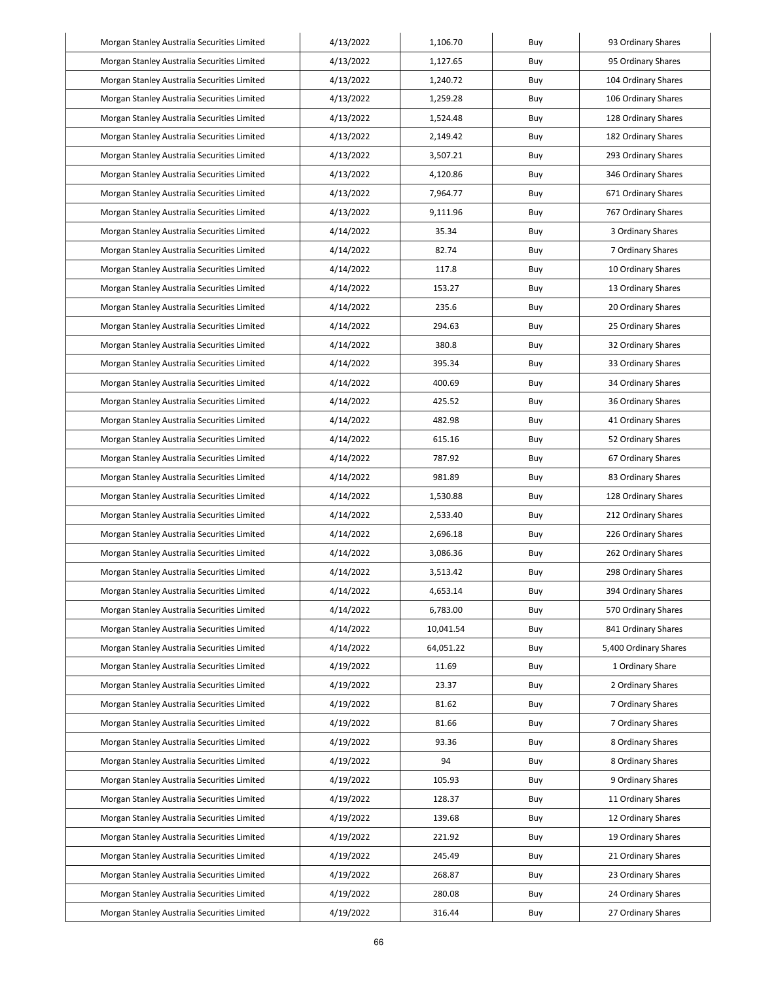| Morgan Stanley Australia Securities Limited | 4/13/2022 | 1,106.70  | Buy | 93 Ordinary Shares    |
|---------------------------------------------|-----------|-----------|-----|-----------------------|
| Morgan Stanley Australia Securities Limited | 4/13/2022 | 1,127.65  | Buy | 95 Ordinary Shares    |
| Morgan Stanley Australia Securities Limited | 4/13/2022 | 1,240.72  | Buy | 104 Ordinary Shares   |
| Morgan Stanley Australia Securities Limited | 4/13/2022 | 1,259.28  | Buy | 106 Ordinary Shares   |
| Morgan Stanley Australia Securities Limited | 4/13/2022 | 1,524.48  | Buy | 128 Ordinary Shares   |
| Morgan Stanley Australia Securities Limited | 4/13/2022 | 2,149.42  | Buy | 182 Ordinary Shares   |
| Morgan Stanley Australia Securities Limited | 4/13/2022 | 3,507.21  | Buy | 293 Ordinary Shares   |
| Morgan Stanley Australia Securities Limited | 4/13/2022 | 4,120.86  | Buy | 346 Ordinary Shares   |
| Morgan Stanley Australia Securities Limited | 4/13/2022 | 7,964.77  | Buy | 671 Ordinary Shares   |
| Morgan Stanley Australia Securities Limited | 4/13/2022 | 9,111.96  | Buy | 767 Ordinary Shares   |
| Morgan Stanley Australia Securities Limited | 4/14/2022 | 35.34     | Buy | 3 Ordinary Shares     |
| Morgan Stanley Australia Securities Limited | 4/14/2022 | 82.74     | Buy | 7 Ordinary Shares     |
| Morgan Stanley Australia Securities Limited | 4/14/2022 | 117.8     | Buy | 10 Ordinary Shares    |
| Morgan Stanley Australia Securities Limited | 4/14/2022 | 153.27    | Buy | 13 Ordinary Shares    |
| Morgan Stanley Australia Securities Limited | 4/14/2022 | 235.6     | Buy | 20 Ordinary Shares    |
| Morgan Stanley Australia Securities Limited | 4/14/2022 | 294.63    | Buy | 25 Ordinary Shares    |
| Morgan Stanley Australia Securities Limited | 4/14/2022 | 380.8     | Buy | 32 Ordinary Shares    |
| Morgan Stanley Australia Securities Limited | 4/14/2022 | 395.34    | Buy | 33 Ordinary Shares    |
| Morgan Stanley Australia Securities Limited | 4/14/2022 | 400.69    | Buy | 34 Ordinary Shares    |
| Morgan Stanley Australia Securities Limited | 4/14/2022 | 425.52    | Buy | 36 Ordinary Shares    |
| Morgan Stanley Australia Securities Limited | 4/14/2022 | 482.98    | Buy | 41 Ordinary Shares    |
| Morgan Stanley Australia Securities Limited | 4/14/2022 | 615.16    | Buy | 52 Ordinary Shares    |
| Morgan Stanley Australia Securities Limited | 4/14/2022 | 787.92    | Buy | 67 Ordinary Shares    |
| Morgan Stanley Australia Securities Limited | 4/14/2022 | 981.89    | Buy | 83 Ordinary Shares    |
| Morgan Stanley Australia Securities Limited | 4/14/2022 | 1,530.88  | Buy | 128 Ordinary Shares   |
| Morgan Stanley Australia Securities Limited | 4/14/2022 | 2,533.40  | Buy | 212 Ordinary Shares   |
| Morgan Stanley Australia Securities Limited | 4/14/2022 | 2,696.18  | Buy | 226 Ordinary Shares   |
| Morgan Stanley Australia Securities Limited | 4/14/2022 | 3,086.36  | Buy | 262 Ordinary Shares   |
| Morgan Stanley Australia Securities Limited | 4/14/2022 | 3,513.42  | Buy | 298 Ordinary Shares   |
| Morgan Stanley Australia Securities Limited | 4/14/2022 | 4,653.14  | Buy | 394 Ordinary Shares   |
| Morgan Stanley Australia Securities Limited | 4/14/2022 | 6,783.00  | Buy | 570 Ordinary Shares   |
| Morgan Stanley Australia Securities Limited | 4/14/2022 | 10,041.54 | Buy | 841 Ordinary Shares   |
| Morgan Stanley Australia Securities Limited | 4/14/2022 | 64,051.22 | Buy | 5,400 Ordinary Shares |
| Morgan Stanley Australia Securities Limited | 4/19/2022 | 11.69     | Buy | 1 Ordinary Share      |
| Morgan Stanley Australia Securities Limited | 4/19/2022 | 23.37     | Buy | 2 Ordinary Shares     |
| Morgan Stanley Australia Securities Limited | 4/19/2022 | 81.62     | Buy | 7 Ordinary Shares     |
| Morgan Stanley Australia Securities Limited | 4/19/2022 | 81.66     | Buy | 7 Ordinary Shares     |
| Morgan Stanley Australia Securities Limited | 4/19/2022 | 93.36     | Buy | 8 Ordinary Shares     |
| Morgan Stanley Australia Securities Limited | 4/19/2022 | 94        | Buy | 8 Ordinary Shares     |
| Morgan Stanley Australia Securities Limited | 4/19/2022 | 105.93    | Buy | 9 Ordinary Shares     |
| Morgan Stanley Australia Securities Limited | 4/19/2022 | 128.37    | Buy | 11 Ordinary Shares    |
| Morgan Stanley Australia Securities Limited | 4/19/2022 | 139.68    | Buy | 12 Ordinary Shares    |
| Morgan Stanley Australia Securities Limited | 4/19/2022 | 221.92    | Buy | 19 Ordinary Shares    |
| Morgan Stanley Australia Securities Limited | 4/19/2022 | 245.49    | Buy | 21 Ordinary Shares    |
| Morgan Stanley Australia Securities Limited | 4/19/2022 | 268.87    | Buy | 23 Ordinary Shares    |
| Morgan Stanley Australia Securities Limited | 4/19/2022 | 280.08    | Buy | 24 Ordinary Shares    |
| Morgan Stanley Australia Securities Limited | 4/19/2022 | 316.44    | Buy | 27 Ordinary Shares    |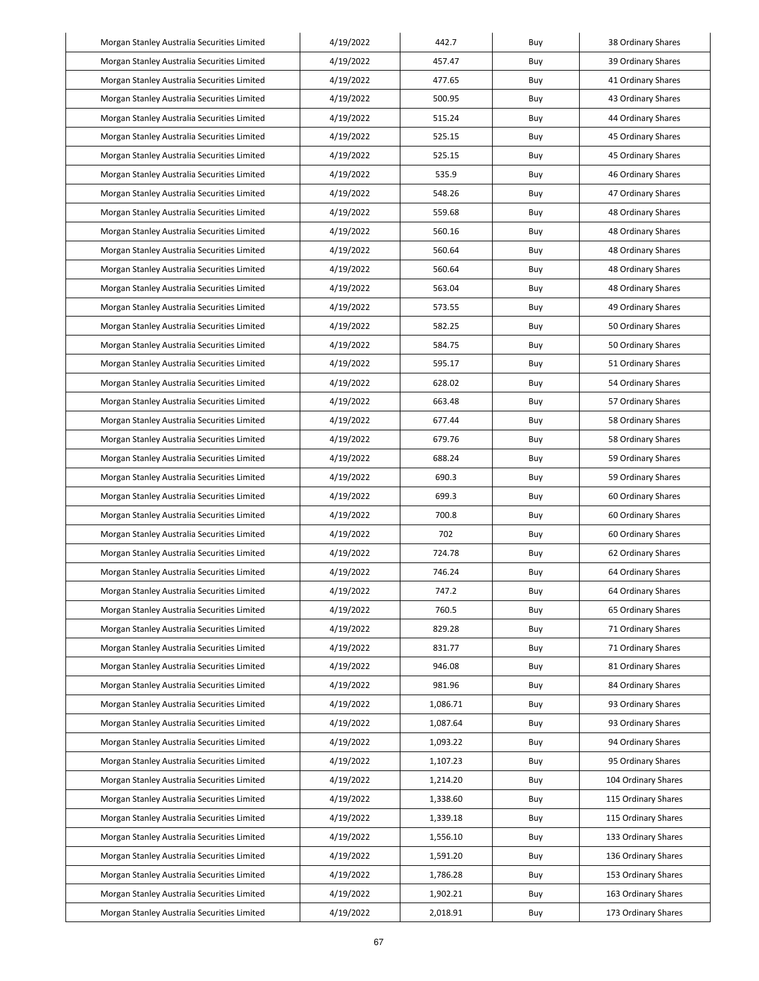| Morgan Stanley Australia Securities Limited | 4/19/2022 | 442.7    | Buy | 38 Ordinary Shares  |
|---------------------------------------------|-----------|----------|-----|---------------------|
| Morgan Stanley Australia Securities Limited | 4/19/2022 | 457.47   | Buy | 39 Ordinary Shares  |
| Morgan Stanley Australia Securities Limited | 4/19/2022 | 477.65   | Buy | 41 Ordinary Shares  |
| Morgan Stanley Australia Securities Limited | 4/19/2022 | 500.95   | Buy | 43 Ordinary Shares  |
| Morgan Stanley Australia Securities Limited | 4/19/2022 | 515.24   | Buy | 44 Ordinary Shares  |
| Morgan Stanley Australia Securities Limited | 4/19/2022 | 525.15   | Buy | 45 Ordinary Shares  |
| Morgan Stanley Australia Securities Limited | 4/19/2022 | 525.15   | Buy | 45 Ordinary Shares  |
| Morgan Stanley Australia Securities Limited | 4/19/2022 | 535.9    | Buy | 46 Ordinary Shares  |
| Morgan Stanley Australia Securities Limited | 4/19/2022 | 548.26   | Buy | 47 Ordinary Shares  |
| Morgan Stanley Australia Securities Limited | 4/19/2022 | 559.68   | Buy | 48 Ordinary Shares  |
| Morgan Stanley Australia Securities Limited | 4/19/2022 | 560.16   | Buy | 48 Ordinary Shares  |
| Morgan Stanley Australia Securities Limited | 4/19/2022 | 560.64   | Buy | 48 Ordinary Shares  |
| Morgan Stanley Australia Securities Limited | 4/19/2022 | 560.64   | Buy | 48 Ordinary Shares  |
| Morgan Stanley Australia Securities Limited | 4/19/2022 | 563.04   | Buy | 48 Ordinary Shares  |
| Morgan Stanley Australia Securities Limited | 4/19/2022 | 573.55   | Buy | 49 Ordinary Shares  |
| Morgan Stanley Australia Securities Limited | 4/19/2022 | 582.25   | Buy | 50 Ordinary Shares  |
| Morgan Stanley Australia Securities Limited | 4/19/2022 | 584.75   | Buy | 50 Ordinary Shares  |
| Morgan Stanley Australia Securities Limited | 4/19/2022 | 595.17   | Buy | 51 Ordinary Shares  |
| Morgan Stanley Australia Securities Limited | 4/19/2022 | 628.02   | Buy | 54 Ordinary Shares  |
| Morgan Stanley Australia Securities Limited | 4/19/2022 | 663.48   | Buy | 57 Ordinary Shares  |
| Morgan Stanley Australia Securities Limited | 4/19/2022 | 677.44   | Buy | 58 Ordinary Shares  |
| Morgan Stanley Australia Securities Limited | 4/19/2022 | 679.76   | Buy | 58 Ordinary Shares  |
| Morgan Stanley Australia Securities Limited | 4/19/2022 | 688.24   | Buy | 59 Ordinary Shares  |
| Morgan Stanley Australia Securities Limited | 4/19/2022 | 690.3    | Buy | 59 Ordinary Shares  |
| Morgan Stanley Australia Securities Limited | 4/19/2022 | 699.3    | Buy | 60 Ordinary Shares  |
| Morgan Stanley Australia Securities Limited | 4/19/2022 | 700.8    | Buy | 60 Ordinary Shares  |
| Morgan Stanley Australia Securities Limited | 4/19/2022 | 702      | Buy | 60 Ordinary Shares  |
| Morgan Stanley Australia Securities Limited | 4/19/2022 | 724.78   | Buy | 62 Ordinary Shares  |
| Morgan Stanley Australia Securities Limited | 4/19/2022 | 746.24   | Buy | 64 Ordinary Shares  |
| Morgan Stanley Australia Securities Limited | 4/19/2022 | 747.2    | Buy | 64 Ordinary Shares  |
| Morgan Stanley Australia Securities Limited | 4/19/2022 | 760.5    | Buy | 65 Ordinary Shares  |
| Morgan Stanley Australia Securities Limited | 4/19/2022 | 829.28   | Buy | 71 Ordinary Shares  |
| Morgan Stanley Australia Securities Limited | 4/19/2022 | 831.77   | Buy | 71 Ordinary Shares  |
| Morgan Stanley Australia Securities Limited | 4/19/2022 | 946.08   | Buy | 81 Ordinary Shares  |
| Morgan Stanley Australia Securities Limited | 4/19/2022 | 981.96   | Buy | 84 Ordinary Shares  |
| Morgan Stanley Australia Securities Limited | 4/19/2022 | 1,086.71 | Buy | 93 Ordinary Shares  |
| Morgan Stanley Australia Securities Limited | 4/19/2022 | 1,087.64 | Buy | 93 Ordinary Shares  |
| Morgan Stanley Australia Securities Limited | 4/19/2022 | 1,093.22 | Buy | 94 Ordinary Shares  |
| Morgan Stanley Australia Securities Limited | 4/19/2022 | 1,107.23 | Buy | 95 Ordinary Shares  |
| Morgan Stanley Australia Securities Limited | 4/19/2022 | 1,214.20 | Buy | 104 Ordinary Shares |
| Morgan Stanley Australia Securities Limited | 4/19/2022 | 1,338.60 | Buy | 115 Ordinary Shares |
| Morgan Stanley Australia Securities Limited | 4/19/2022 | 1,339.18 | Buy | 115 Ordinary Shares |
| Morgan Stanley Australia Securities Limited | 4/19/2022 | 1,556.10 | Buy | 133 Ordinary Shares |
| Morgan Stanley Australia Securities Limited | 4/19/2022 | 1,591.20 | Buy | 136 Ordinary Shares |
| Morgan Stanley Australia Securities Limited | 4/19/2022 | 1,786.28 | Buy | 153 Ordinary Shares |
| Morgan Stanley Australia Securities Limited | 4/19/2022 | 1,902.21 | Buy | 163 Ordinary Shares |
| Morgan Stanley Australia Securities Limited | 4/19/2022 | 2,018.91 | Buy | 173 Ordinary Shares |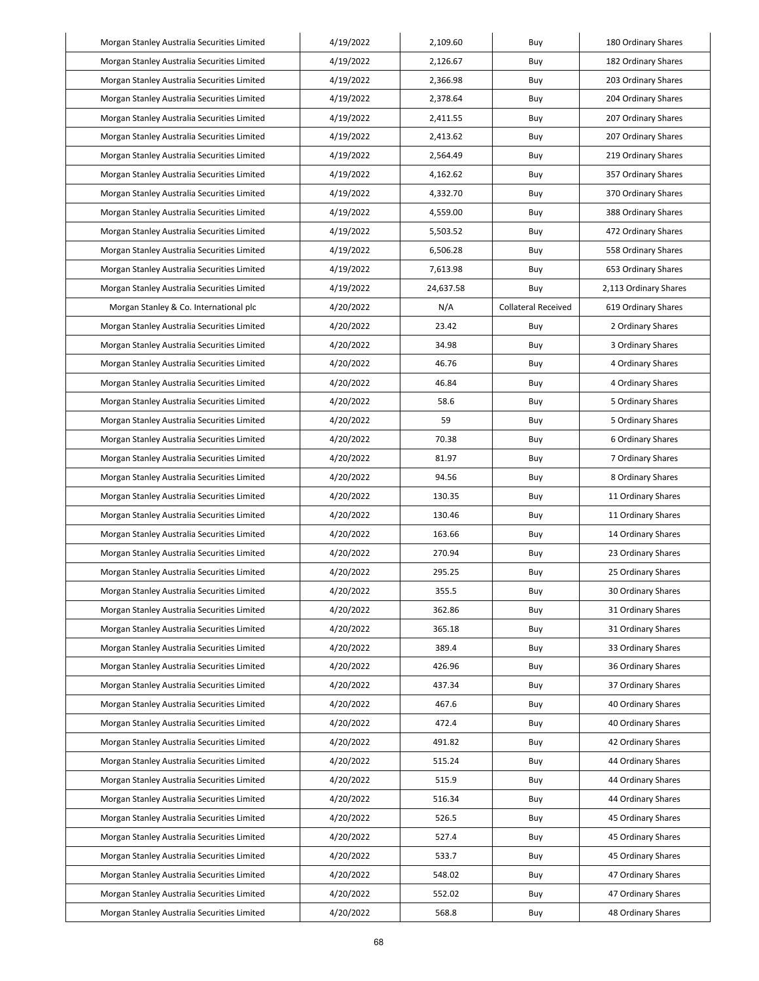| Morgan Stanley Australia Securities Limited | 4/19/2022 | 2,109.60  | Buy                        | 180 Ordinary Shares   |
|---------------------------------------------|-----------|-----------|----------------------------|-----------------------|
| Morgan Stanley Australia Securities Limited | 4/19/2022 | 2,126.67  | Buy                        | 182 Ordinary Shares   |
| Morgan Stanley Australia Securities Limited | 4/19/2022 | 2,366.98  | Buy                        | 203 Ordinary Shares   |
| Morgan Stanley Australia Securities Limited | 4/19/2022 | 2,378.64  | Buy                        | 204 Ordinary Shares   |
| Morgan Stanley Australia Securities Limited | 4/19/2022 | 2,411.55  | Buy                        | 207 Ordinary Shares   |
| Morgan Stanley Australia Securities Limited | 4/19/2022 | 2,413.62  | Buy                        | 207 Ordinary Shares   |
| Morgan Stanley Australia Securities Limited | 4/19/2022 | 2,564.49  | Buy                        | 219 Ordinary Shares   |
| Morgan Stanley Australia Securities Limited | 4/19/2022 | 4,162.62  | Buy                        | 357 Ordinary Shares   |
| Morgan Stanley Australia Securities Limited | 4/19/2022 | 4,332.70  | Buy                        | 370 Ordinary Shares   |
| Morgan Stanley Australia Securities Limited | 4/19/2022 | 4,559.00  | Buy                        | 388 Ordinary Shares   |
| Morgan Stanley Australia Securities Limited | 4/19/2022 | 5,503.52  | Buy                        | 472 Ordinary Shares   |
| Morgan Stanley Australia Securities Limited | 4/19/2022 | 6,506.28  | Buy                        | 558 Ordinary Shares   |
| Morgan Stanley Australia Securities Limited | 4/19/2022 | 7,613.98  | Buy                        | 653 Ordinary Shares   |
| Morgan Stanley Australia Securities Limited | 4/19/2022 | 24,637.58 | Buy                        | 2,113 Ordinary Shares |
| Morgan Stanley & Co. International plc      | 4/20/2022 | N/A       | <b>Collateral Received</b> | 619 Ordinary Shares   |
| Morgan Stanley Australia Securities Limited | 4/20/2022 | 23.42     | Buy                        | 2 Ordinary Shares     |
| Morgan Stanley Australia Securities Limited | 4/20/2022 | 34.98     | Buy                        | 3 Ordinary Shares     |
| Morgan Stanley Australia Securities Limited | 4/20/2022 | 46.76     | Buy                        | 4 Ordinary Shares     |
| Morgan Stanley Australia Securities Limited | 4/20/2022 | 46.84     | Buy                        | 4 Ordinary Shares     |
| Morgan Stanley Australia Securities Limited | 4/20/2022 | 58.6      | Buy                        | 5 Ordinary Shares     |
| Morgan Stanley Australia Securities Limited | 4/20/2022 | 59        | Buy                        | 5 Ordinary Shares     |
| Morgan Stanley Australia Securities Limited | 4/20/2022 | 70.38     | Buy                        | 6 Ordinary Shares     |
| Morgan Stanley Australia Securities Limited | 4/20/2022 | 81.97     | Buy                        | 7 Ordinary Shares     |
| Morgan Stanley Australia Securities Limited | 4/20/2022 | 94.56     | Buy                        | 8 Ordinary Shares     |
| Morgan Stanley Australia Securities Limited | 4/20/2022 | 130.35    | Buy                        | 11 Ordinary Shares    |
| Morgan Stanley Australia Securities Limited | 4/20/2022 | 130.46    | Buy                        | 11 Ordinary Shares    |
| Morgan Stanley Australia Securities Limited | 4/20/2022 | 163.66    | Buy                        | 14 Ordinary Shares    |
| Morgan Stanley Australia Securities Limited | 4/20/2022 | 270.94    | Buy                        | 23 Ordinary Shares    |
| Morgan Stanley Australia Securities Limited | 4/20/2022 | 295.25    | Buy                        | 25 Ordinary Shares    |
| Morgan Stanley Australia Securities Limited | 4/20/2022 | 355.5     | Buy                        | 30 Ordinary Shares    |
| Morgan Stanley Australia Securities Limited | 4/20/2022 | 362.86    | Buy                        | 31 Ordinary Shares    |
| Morgan Stanley Australia Securities Limited | 4/20/2022 | 365.18    | Buy                        | 31 Ordinary Shares    |
| Morgan Stanley Australia Securities Limited | 4/20/2022 | 389.4     | Buy                        | 33 Ordinary Shares    |
| Morgan Stanley Australia Securities Limited | 4/20/2022 | 426.96    | Buy                        | 36 Ordinary Shares    |
| Morgan Stanley Australia Securities Limited | 4/20/2022 | 437.34    | Buy                        | 37 Ordinary Shares    |
| Morgan Stanley Australia Securities Limited | 4/20/2022 | 467.6     | Buy                        | 40 Ordinary Shares    |
| Morgan Stanley Australia Securities Limited | 4/20/2022 | 472.4     | Buy                        | 40 Ordinary Shares    |
| Morgan Stanley Australia Securities Limited | 4/20/2022 | 491.82    | Buy                        | 42 Ordinary Shares    |
| Morgan Stanley Australia Securities Limited | 4/20/2022 | 515.24    | Buy                        | 44 Ordinary Shares    |
| Morgan Stanley Australia Securities Limited | 4/20/2022 | 515.9     | Buy                        | 44 Ordinary Shares    |
| Morgan Stanley Australia Securities Limited | 4/20/2022 | 516.34    | Buy                        | 44 Ordinary Shares    |
| Morgan Stanley Australia Securities Limited | 4/20/2022 | 526.5     | Buy                        | 45 Ordinary Shares    |
| Morgan Stanley Australia Securities Limited | 4/20/2022 | 527.4     | Buy                        | 45 Ordinary Shares    |
| Morgan Stanley Australia Securities Limited | 4/20/2022 | 533.7     | Buy                        | 45 Ordinary Shares    |
| Morgan Stanley Australia Securities Limited | 4/20/2022 | 548.02    | Buy                        | 47 Ordinary Shares    |
| Morgan Stanley Australia Securities Limited | 4/20/2022 | 552.02    | Buy                        | 47 Ordinary Shares    |
| Morgan Stanley Australia Securities Limited | 4/20/2022 | 568.8     | Buy                        | 48 Ordinary Shares    |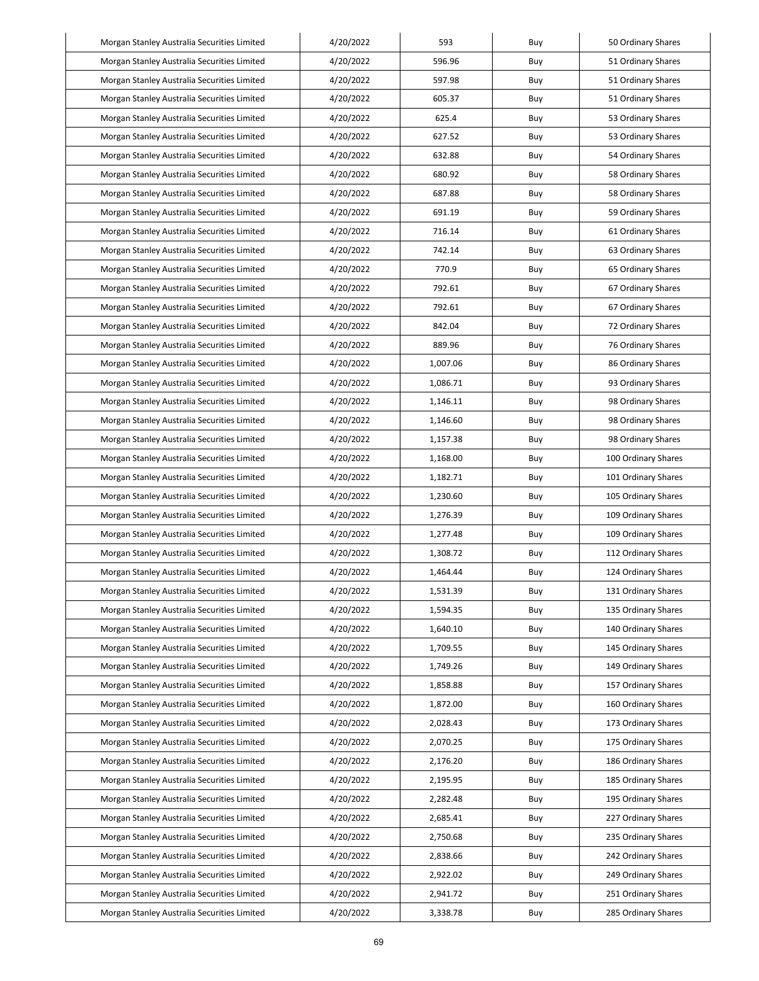| Morgan Stanley Australia Securities Limited | 4/20/2022 | 593      | Buy | 50 Ordinary Shares  |
|---------------------------------------------|-----------|----------|-----|---------------------|
| Morgan Stanley Australia Securities Limited | 4/20/2022 | 596.96   | Buy | 51 Ordinary Shares  |
| Morgan Stanley Australia Securities Limited | 4/20/2022 | 597.98   | Buy | 51 Ordinary Shares  |
| Morgan Stanley Australia Securities Limited | 4/20/2022 | 605.37   | Buy | 51 Ordinary Shares  |
| Morgan Stanley Australia Securities Limited | 4/20/2022 | 625.4    | Buy | 53 Ordinary Shares  |
| Morgan Stanley Australia Securities Limited | 4/20/2022 | 627.52   | Buy | 53 Ordinary Shares  |
| Morgan Stanley Australia Securities Limited | 4/20/2022 | 632.88   | Buy | 54 Ordinary Shares  |
| Morgan Stanley Australia Securities Limited | 4/20/2022 | 680.92   | Buy | 58 Ordinary Shares  |
| Morgan Stanley Australia Securities Limited | 4/20/2022 | 687.88   | Buy | 58 Ordinary Shares  |
| Morgan Stanley Australia Securities Limited | 4/20/2022 | 691.19   | Buy | 59 Ordinary Shares  |
| Morgan Stanley Australia Securities Limited | 4/20/2022 | 716.14   | Buy | 61 Ordinary Shares  |
| Morgan Stanley Australia Securities Limited | 4/20/2022 | 742.14   | Buy | 63 Ordinary Shares  |
| Morgan Stanley Australia Securities Limited | 4/20/2022 | 770.9    | Buy | 65 Ordinary Shares  |
| Morgan Stanley Australia Securities Limited | 4/20/2022 | 792.61   | Buy | 67 Ordinary Shares  |
| Morgan Stanley Australia Securities Limited | 4/20/2022 | 792.61   | Buy | 67 Ordinary Shares  |
| Morgan Stanley Australia Securities Limited | 4/20/2022 | 842.04   | Buy | 72 Ordinary Shares  |
| Morgan Stanley Australia Securities Limited | 4/20/2022 | 889.96   | Buy | 76 Ordinary Shares  |
| Morgan Stanley Australia Securities Limited | 4/20/2022 | 1,007.06 | Buy | 86 Ordinary Shares  |
| Morgan Stanley Australia Securities Limited | 4/20/2022 | 1,086.71 | Buy | 93 Ordinary Shares  |
| Morgan Stanley Australia Securities Limited | 4/20/2022 | 1,146.11 | Buy | 98 Ordinary Shares  |
| Morgan Stanley Australia Securities Limited | 4/20/2022 | 1,146.60 | Buy | 98 Ordinary Shares  |
| Morgan Stanley Australia Securities Limited | 4/20/2022 | 1,157.38 | Buy | 98 Ordinary Shares  |
| Morgan Stanley Australia Securities Limited | 4/20/2022 | 1,168.00 | Buy | 100 Ordinary Shares |
| Morgan Stanley Australia Securities Limited | 4/20/2022 | 1,182.71 | Buy | 101 Ordinary Shares |
| Morgan Stanley Australia Securities Limited | 4/20/2022 | 1,230.60 | Buy | 105 Ordinary Shares |
| Morgan Stanley Australia Securities Limited | 4/20/2022 | 1,276.39 | Buy | 109 Ordinary Shares |
| Morgan Stanley Australia Securities Limited | 4/20/2022 | 1,277.48 | Buy | 109 Ordinary Shares |
| Morgan Stanley Australia Securities Limited | 4/20/2022 | 1,308.72 | Buy | 112 Ordinary Shares |
| Morgan Stanley Australia Securities Limited | 4/20/2022 | 1,464.44 | Buy | 124 Ordinary Shares |
| Morgan Stanley Australia Securities Limited | 4/20/2022 | 1,531.39 | Buy | 131 Ordinary Shares |
| Morgan Stanley Australia Securities Limited | 4/20/2022 | 1,594.35 | Buy | 135 Ordinary Shares |
| Morgan Stanley Australia Securities Limited | 4/20/2022 | 1,640.10 | Buy | 140 Ordinary Shares |
| Morgan Stanley Australia Securities Limited | 4/20/2022 | 1,709.55 | Buy | 145 Ordinary Shares |
| Morgan Stanley Australia Securities Limited | 4/20/2022 | 1,749.26 | Buy | 149 Ordinary Shares |
| Morgan Stanley Australia Securities Limited | 4/20/2022 | 1,858.88 | Buy | 157 Ordinary Shares |
| Morgan Stanley Australia Securities Limited | 4/20/2022 | 1,872.00 | Buy | 160 Ordinary Shares |
| Morgan Stanley Australia Securities Limited | 4/20/2022 | 2,028.43 | Buy | 173 Ordinary Shares |
| Morgan Stanley Australia Securities Limited | 4/20/2022 | 2,070.25 | Buy | 175 Ordinary Shares |
| Morgan Stanley Australia Securities Limited | 4/20/2022 | 2,176.20 | Buy | 186 Ordinary Shares |
| Morgan Stanley Australia Securities Limited | 4/20/2022 | 2,195.95 | Buy | 185 Ordinary Shares |
| Morgan Stanley Australia Securities Limited | 4/20/2022 | 2,282.48 | Buy | 195 Ordinary Shares |
| Morgan Stanley Australia Securities Limited | 4/20/2022 | 2,685.41 | Buy | 227 Ordinary Shares |
| Morgan Stanley Australia Securities Limited | 4/20/2022 | 2,750.68 | Buy | 235 Ordinary Shares |
| Morgan Stanley Australia Securities Limited | 4/20/2022 | 2,838.66 | Buy | 242 Ordinary Shares |
| Morgan Stanley Australia Securities Limited | 4/20/2022 | 2,922.02 | Buy | 249 Ordinary Shares |
| Morgan Stanley Australia Securities Limited | 4/20/2022 | 2,941.72 | Buy | 251 Ordinary Shares |
| Morgan Stanley Australia Securities Limited | 4/20/2022 | 3,338.78 | Buy | 285 Ordinary Shares |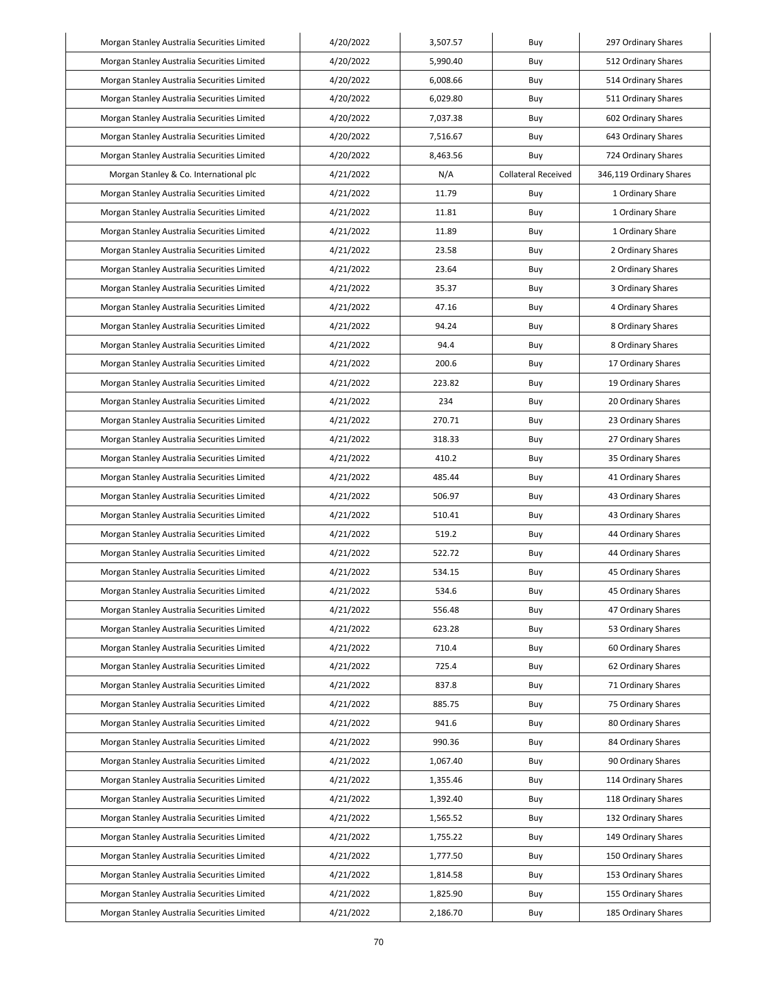| Morgan Stanley Australia Securities Limited | 4/20/2022 | 3,507.57 | Buy                        | 297 Ordinary Shares     |
|---------------------------------------------|-----------|----------|----------------------------|-------------------------|
| Morgan Stanley Australia Securities Limited | 4/20/2022 | 5,990.40 | Buy                        | 512 Ordinary Shares     |
| Morgan Stanley Australia Securities Limited | 4/20/2022 | 6,008.66 | Buy                        | 514 Ordinary Shares     |
| Morgan Stanley Australia Securities Limited | 4/20/2022 | 6,029.80 | Buy                        | 511 Ordinary Shares     |
| Morgan Stanley Australia Securities Limited | 4/20/2022 | 7,037.38 | Buy                        | 602 Ordinary Shares     |
| Morgan Stanley Australia Securities Limited | 4/20/2022 | 7,516.67 | Buy                        | 643 Ordinary Shares     |
| Morgan Stanley Australia Securities Limited | 4/20/2022 | 8,463.56 | Buy                        | 724 Ordinary Shares     |
| Morgan Stanley & Co. International plc      | 4/21/2022 | N/A      | <b>Collateral Received</b> | 346,119 Ordinary Shares |
| Morgan Stanley Australia Securities Limited | 4/21/2022 | 11.79    | Buy                        | 1 Ordinary Share        |
| Morgan Stanley Australia Securities Limited | 4/21/2022 | 11.81    | Buy                        | 1 Ordinary Share        |
| Morgan Stanley Australia Securities Limited | 4/21/2022 | 11.89    | Buy                        | 1 Ordinary Share        |
| Morgan Stanley Australia Securities Limited | 4/21/2022 | 23.58    | Buy                        | 2 Ordinary Shares       |
| Morgan Stanley Australia Securities Limited | 4/21/2022 | 23.64    | Buy                        | 2 Ordinary Shares       |
| Morgan Stanley Australia Securities Limited | 4/21/2022 | 35.37    | Buy                        | 3 Ordinary Shares       |
| Morgan Stanley Australia Securities Limited | 4/21/2022 | 47.16    | Buy                        | 4 Ordinary Shares       |
| Morgan Stanley Australia Securities Limited | 4/21/2022 | 94.24    | Buy                        | 8 Ordinary Shares       |
| Morgan Stanley Australia Securities Limited | 4/21/2022 | 94.4     | Buy                        | 8 Ordinary Shares       |
| Morgan Stanley Australia Securities Limited | 4/21/2022 | 200.6    | Buy                        | 17 Ordinary Shares      |
| Morgan Stanley Australia Securities Limited | 4/21/2022 | 223.82   | Buy                        | 19 Ordinary Shares      |
| Morgan Stanley Australia Securities Limited | 4/21/2022 | 234      | Buy                        | 20 Ordinary Shares      |
| Morgan Stanley Australia Securities Limited | 4/21/2022 | 270.71   | Buy                        | 23 Ordinary Shares      |
| Morgan Stanley Australia Securities Limited | 4/21/2022 | 318.33   | Buy                        | 27 Ordinary Shares      |
| Morgan Stanley Australia Securities Limited | 4/21/2022 | 410.2    | Buy                        | 35 Ordinary Shares      |
| Morgan Stanley Australia Securities Limited | 4/21/2022 | 485.44   | Buy                        | 41 Ordinary Shares      |
| Morgan Stanley Australia Securities Limited | 4/21/2022 | 506.97   | Buy                        | 43 Ordinary Shares      |
| Morgan Stanley Australia Securities Limited | 4/21/2022 | 510.41   | Buy                        | 43 Ordinary Shares      |
| Morgan Stanley Australia Securities Limited | 4/21/2022 | 519.2    | Buy                        | 44 Ordinary Shares      |
| Morgan Stanley Australia Securities Limited | 4/21/2022 | 522.72   | Buy                        | 44 Ordinary Shares      |
| Morgan Stanley Australia Securities Limited | 4/21/2022 | 534.15   | Buy                        | 45 Ordinary Shares      |
| Morgan Stanley Australia Securities Limited | 4/21/2022 | 534.6    | Buy                        | 45 Ordinary Shares      |
| Morgan Stanley Australia Securities Limited | 4/21/2022 | 556.48   | Buy                        | 47 Ordinary Shares      |
| Morgan Stanley Australia Securities Limited | 4/21/2022 | 623.28   | Buy                        | 53 Ordinary Shares      |
| Morgan Stanley Australia Securities Limited | 4/21/2022 | 710.4    | Buy                        | 60 Ordinary Shares      |
| Morgan Stanley Australia Securities Limited | 4/21/2022 | 725.4    | Buy                        | 62 Ordinary Shares      |
| Morgan Stanley Australia Securities Limited | 4/21/2022 | 837.8    | Buy                        | 71 Ordinary Shares      |
| Morgan Stanley Australia Securities Limited | 4/21/2022 | 885.75   | Buy                        | 75 Ordinary Shares      |
| Morgan Stanley Australia Securities Limited | 4/21/2022 | 941.6    | Buy                        | 80 Ordinary Shares      |
| Morgan Stanley Australia Securities Limited | 4/21/2022 | 990.36   | Buy                        | 84 Ordinary Shares      |
| Morgan Stanley Australia Securities Limited | 4/21/2022 | 1,067.40 | Buy                        | 90 Ordinary Shares      |
| Morgan Stanley Australia Securities Limited | 4/21/2022 | 1,355.46 | Buy                        | 114 Ordinary Shares     |
| Morgan Stanley Australia Securities Limited | 4/21/2022 | 1,392.40 | Buy                        | 118 Ordinary Shares     |
| Morgan Stanley Australia Securities Limited | 4/21/2022 | 1,565.52 | Buy                        | 132 Ordinary Shares     |
| Morgan Stanley Australia Securities Limited | 4/21/2022 | 1,755.22 | Buy                        | 149 Ordinary Shares     |
| Morgan Stanley Australia Securities Limited | 4/21/2022 | 1,777.50 | Buy                        | 150 Ordinary Shares     |
| Morgan Stanley Australia Securities Limited | 4/21/2022 | 1,814.58 | Buy                        | 153 Ordinary Shares     |
| Morgan Stanley Australia Securities Limited | 4/21/2022 | 1,825.90 | Buy                        | 155 Ordinary Shares     |
| Morgan Stanley Australia Securities Limited | 4/21/2022 | 2,186.70 | Buy                        | 185 Ordinary Shares     |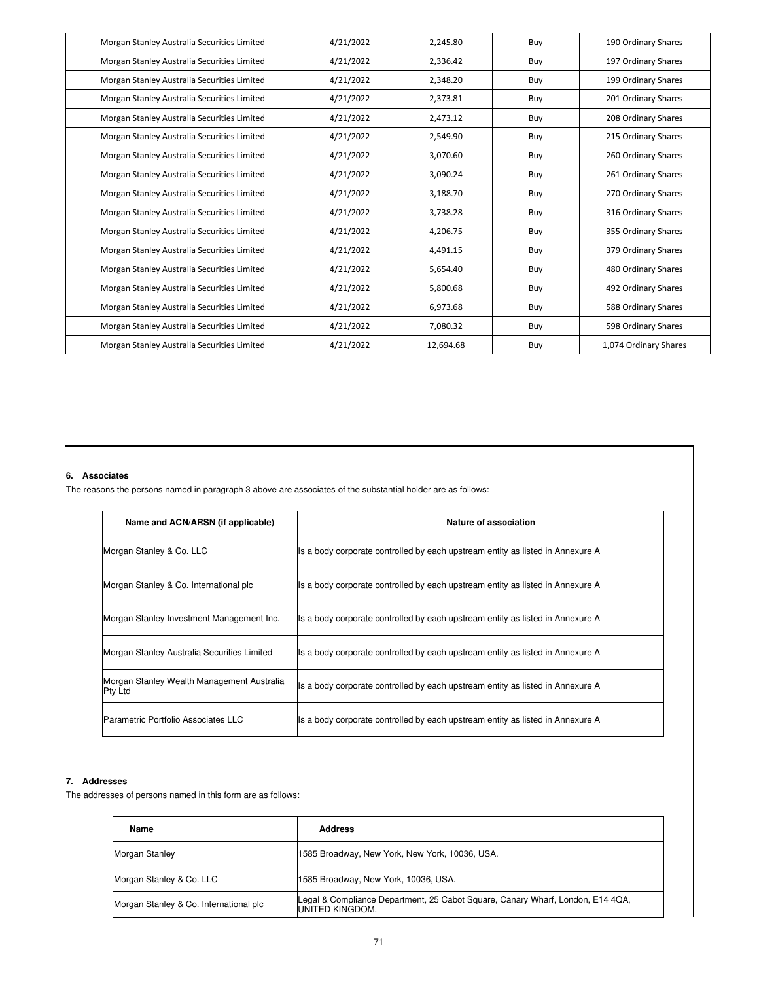| Morgan Stanley Australia Securities Limited | 4/21/2022 | 2,245.80  | Buy | 190 Ordinary Shares   |
|---------------------------------------------|-----------|-----------|-----|-----------------------|
| Morgan Stanley Australia Securities Limited | 4/21/2022 | 2.336.42  | Buy | 197 Ordinary Shares   |
| Morgan Stanley Australia Securities Limited | 4/21/2022 | 2,348.20  | Buy | 199 Ordinary Shares   |
| Morgan Stanley Australia Securities Limited | 4/21/2022 | 2,373.81  | Buy | 201 Ordinary Shares   |
| Morgan Stanley Australia Securities Limited | 4/21/2022 | 2,473.12  | Buy | 208 Ordinary Shares   |
| Morgan Stanley Australia Securities Limited | 4/21/2022 | 2,549.90  | Buy | 215 Ordinary Shares   |
| Morgan Stanley Australia Securities Limited | 4/21/2022 | 3,070.60  | Buy | 260 Ordinary Shares   |
| Morgan Stanley Australia Securities Limited | 4/21/2022 | 3.090.24  | Buy | 261 Ordinary Shares   |
| Morgan Stanley Australia Securities Limited | 4/21/2022 | 3,188.70  | Buy | 270 Ordinary Shares   |
| Morgan Stanley Australia Securities Limited | 4/21/2022 | 3,738.28  | Buy | 316 Ordinary Shares   |
| Morgan Stanley Australia Securities Limited | 4/21/2022 | 4,206.75  | Buy | 355 Ordinary Shares   |
| Morgan Stanley Australia Securities Limited | 4/21/2022 | 4,491.15  | Buy | 379 Ordinary Shares   |
| Morgan Stanley Australia Securities Limited | 4/21/2022 | 5,654.40  | Buy | 480 Ordinary Shares   |
| Morgan Stanley Australia Securities Limited | 4/21/2022 | 5,800.68  | Buy | 492 Ordinary Shares   |
| Morgan Stanley Australia Securities Limited | 4/21/2022 | 6,973.68  | Buy | 588 Ordinary Shares   |
| Morgan Stanley Australia Securities Limited | 4/21/2022 | 7,080.32  | Buy | 598 Ordinary Shares   |
| Morgan Stanley Australia Securities Limited | 4/21/2022 | 12,694.68 | Buy | 1,074 Ordinary Shares |

 $\overline{a}$ 

## **6. Associates**

The reasons the persons named in paragraph 3 above are associates of the substantial holder are as follows:

| Name and ACN/ARSN (if applicable)                            | Nature of association                                                          |
|--------------------------------------------------------------|--------------------------------------------------------------------------------|
| Morgan Stanley & Co. LLC                                     | Is a body corporate controlled by each upstream entity as listed in Annexure A |
| Morgan Stanley & Co. International plc                       | Is a body corporate controlled by each upstream entity as listed in Annexure A |
| Morgan Stanley Investment Management Inc.                    | Is a body corporate controlled by each upstream entity as listed in Annexure A |
| Morgan Stanley Australia Securities Limited                  | Is a body corporate controlled by each upstream entity as listed in Annexure A |
| Morgan Stanley Wealth Management Australia<br><b>Pty Ltd</b> | Is a body corporate controlled by each upstream entity as listed in Annexure A |
| Parametric Portfolio Associates LLC                          | Is a body corporate controlled by each upstream entity as listed in Annexure A |

## **7. Addresses**

The addresses of persons named in this form are as follows:

| Name                                   | <b>Address</b>                                                                                     |
|----------------------------------------|----------------------------------------------------------------------------------------------------|
| <b>Morgan Stanley</b>                  | 1585 Broadway, New York, New York, 10036, USA.                                                     |
| Morgan Stanley & Co. LLC               | 1585 Broadway, New York, 10036, USA.                                                               |
| Morgan Stanley & Co. International plc | Legal & Compliance Department, 25 Cabot Square, Canary Wharf, London, E14 4QA,<br>IUNITED KINGDOM. |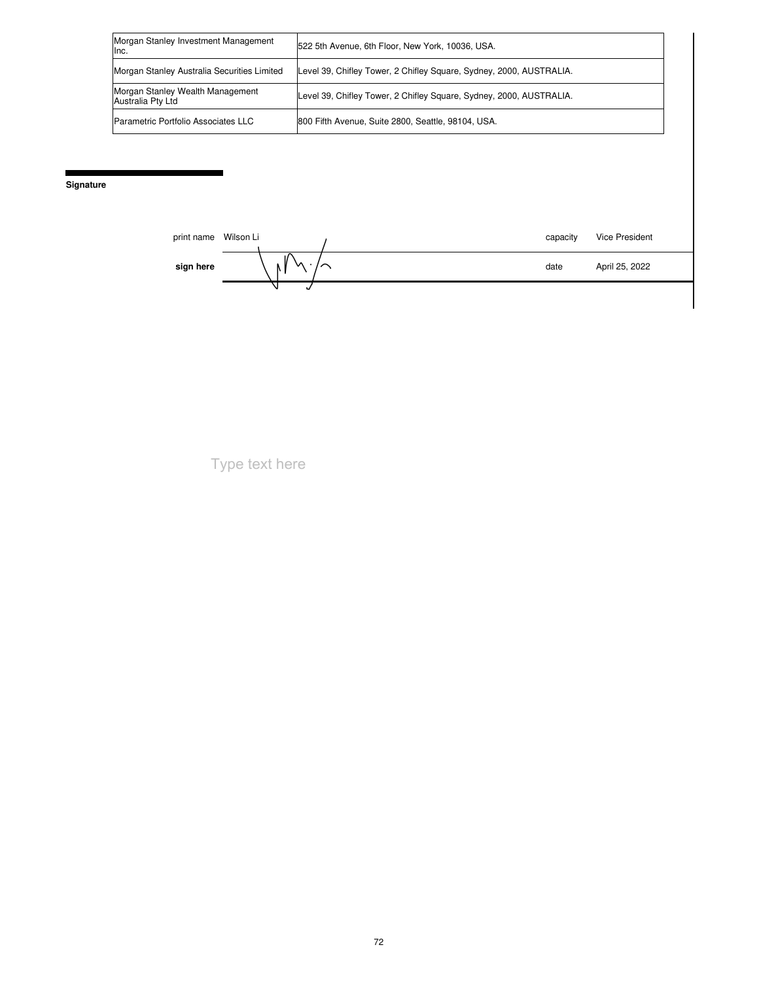| Morgan Stanley Investment Management<br>llnc.         | 522 5th Avenue, 6th Floor, New York, 10036, USA.                    |
|-------------------------------------------------------|---------------------------------------------------------------------|
| Morgan Stanley Australia Securities Limited           | Level 39, Chifley Tower, 2 Chifley Square, Sydney, 2000, AUSTRALIA. |
| Morgan Stanley Wealth Management<br>Australia Pty Ltd | Level 39, Chifley Tower, 2 Chifley Square, Sydney, 2000, AUSTRALIA. |
| Parametric Portfolio Associates LLC                   | 800 Fifth Avenue, Suite 2800, Seattle, 98104, USA.                  |

**Signature** 

print name Wilson Li print name Wilson Li **sign here**  $\begin{matrix} \begin{matrix} \begin{matrix} 1 \end{matrix} & \begin{matrix} 1 \end{matrix} & \begin{matrix} 1 \end{matrix} & \begin{matrix} 1 \end{matrix} & \begin{matrix} 1 \end{matrix} & \begin{matrix} 1 \end{matrix} & \begin{matrix} 1 \end{matrix} & \begin{matrix} 1 \end{matrix} & \begin{matrix} 1 \end{matrix} & \begin{matrix} 1 \end{matrix} & \begin{matrix} 1 \end{matrix} & \begin{matrix} 1 \end{matrix} & \begin{matrix} 1 \end{matrix} & \begin{matrix} 1 \end{matrix} & \begin{matrix} 1 \end{matrix} & \begin{$ 

Type text here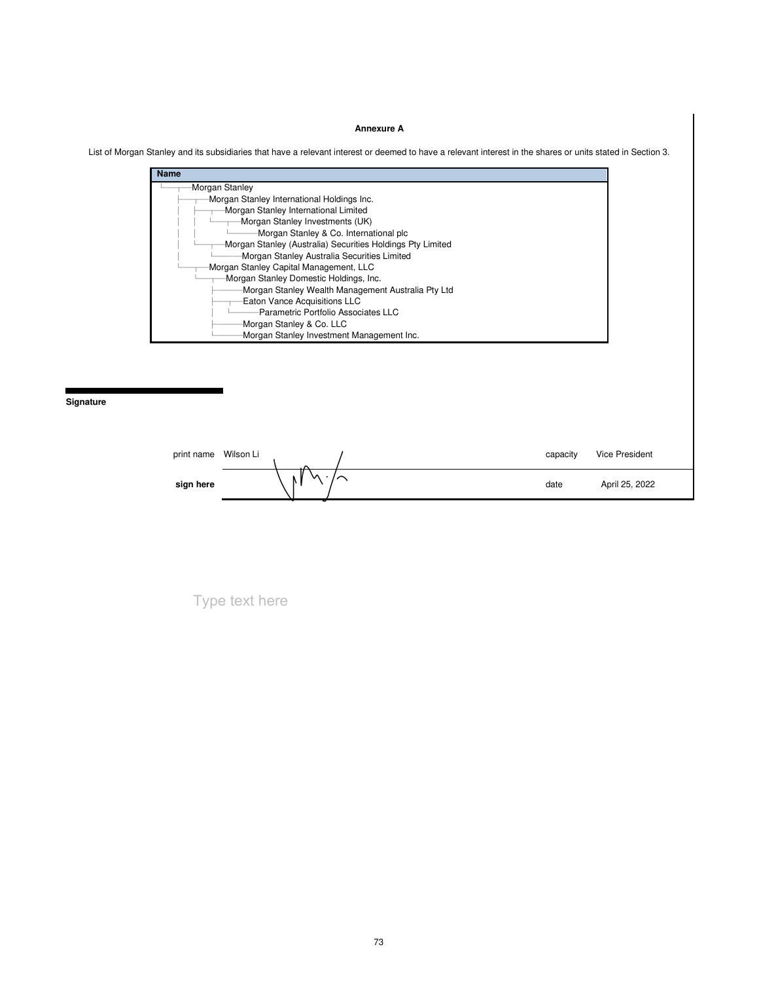## **Annexure A**

List of Morgan Stanley and its subsidiaries that have a relevant interest or deemed to have a relevant interest in the shares or units stated in Section 3.

| <b>Name</b>                                                |
|------------------------------------------------------------|
| Morgan Stanley                                             |
| Morgan Stanley International Holdings Inc.                 |
| Morgan Stanley International Limited                       |
| Morgan Stanley Investments (UK)                            |
| -Morgan Stanley & Co. International plc                    |
| Morgan Stanley (Australia) Securities Holdings Pty Limited |
| Morgan Stanley Australia Securities Limited                |
| Morgan Stanley Capital Management, LLC                     |
| Morgan Stanley Domestic Holdings, Inc.                     |
| Morgan Stanley Wealth Management Australia Pty Ltd         |
| <b>Eaton Vance Acquisitions LLC</b>                        |
| -Parametric Portfolio Associates LLC                       |
| Morgan Stanley & Co. LLC                                   |
| Morgan Stanley Investment Management Inc.                  |

## **Signature**

| print name | Wilson Li |   | capacity | Vice President |
|------------|-----------|---|----------|----------------|
| sign here  |           | v | date     | April 25, 2022 |

Type text here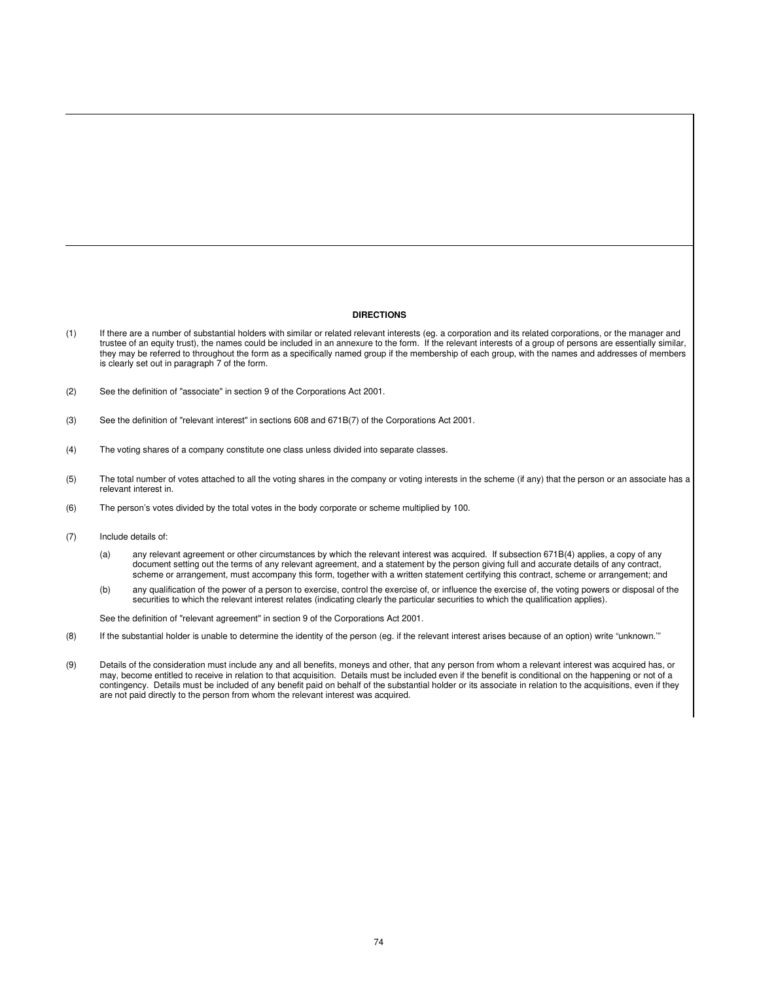### **DIRECTIONS**

- (1) If there are a number of substantial holders with similar or related relevant interests (eg. a corporation and its related corporations, or the manager and trustee of an equity trust), the names could be included in an annexure to the form. If the relevant interests of a group of persons are essentially similar, they may be referred to throughout the form as a specifically named group if the membership of each group, with the names and addresses of members is clearly set out in paragraph 7 of the form.
- (2) See the definition of "associate" in section 9 of the Corporations Act 2001.
- (3) See the definition of "relevant interest" in sections 608 and 671B(7) of the Corporations Act 2001.
- (4) The voting shares of a company constitute one class unless divided into separate classes.
- (5) The total number of votes attached to all the voting shares in the company or voting interests in the scheme (if any) that the person or an associate has a relevant interest in.
- (6) The person's votes divided by the total votes in the body corporate or scheme multiplied by 100.
- (7) Include details of:
	- (a) any relevant agreement or other circumstances by which the relevant interest was acquired. If subsection 671B(4) applies, a copy of any document setting out the terms of any relevant agreement, and a statement by the person giving full and accurate details of any contract, scheme or arrangement, must accompany this form, together with a written statement certifying this contract, scheme or arrangement; and
	- (b) any qualification of the power of a person to exercise, control the exercise of, or influence the exercise of, the voting powers or disposal of the securities to which the relevant interest relates (indicating clearly the particular securities to which the qualification applies).

See the definition of "relevant agreement" in section 9 of the Corporations Act 2001.

- (8) If the substantial holder is unable to determine the identity of the person (eg. if the relevant interest arises because of an option) write "unknown.'"
- (9) Details of the consideration must include any and all benefits, moneys and other, that any person from whom a relevant interest was acquired has, or may, become entitled to receive in relation to that acquisition. Details must be included even if the benefit is conditional on the happening or not of a contingency. Details must be included of any benefit paid on behalf of the substantial holder or its associate in relation to the acquisitions, even if they are not paid directly to the person from whom the relevant interest was acquired.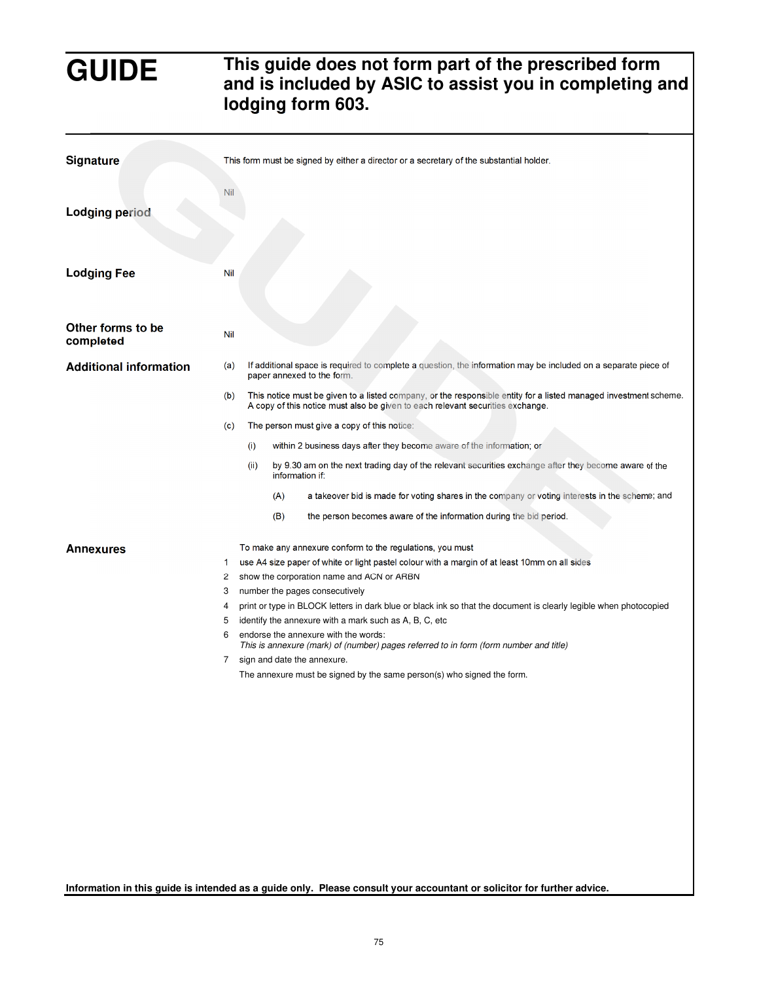# **GUIDE This guide does not form part of the prescribed form and is included by ASIC to assist you in completing and lodging form 603.**

| <b>Signature</b>               | This form must be signed by either a director or a secretary of the substantial holder.<br>Nil |                                                                                                                                                                                                    |  |
|--------------------------------|------------------------------------------------------------------------------------------------|----------------------------------------------------------------------------------------------------------------------------------------------------------------------------------------------------|--|
| <b>Lodging period</b>          |                                                                                                |                                                                                                                                                                                                    |  |
| <b>Lodging Fee</b>             | Nil                                                                                            |                                                                                                                                                                                                    |  |
| Other forms to be<br>completed | Nil                                                                                            |                                                                                                                                                                                                    |  |
| <b>Additional information</b>  | (a)                                                                                            | If additional space is required to complete a question, the information may be included on a separate piece of<br>paper annexed to the form.                                                       |  |
|                                | (b)                                                                                            | This notice must be given to a listed company, or the responsible entity for a listed managed investment scheme.<br>A copy of this notice must also be given to each relevant securities exchange. |  |
|                                | (c)                                                                                            | The person must give a copy of this notice:                                                                                                                                                        |  |
|                                |                                                                                                | within 2 business days after they become aware of the information; or<br>(i)                                                                                                                       |  |
|                                |                                                                                                | (ii)<br>by 9.30 am on the next trading day of the relevant securities exchange after they become aware of the<br>information if:                                                                   |  |
|                                |                                                                                                | (A)<br>a takeover bid is made for voting shares in the company or voting interests in the scheme; and                                                                                              |  |
|                                |                                                                                                | (B)<br>the person becomes aware of the information during the bid period.                                                                                                                          |  |
| <b>Annexures</b>               |                                                                                                | To make any annexure conform to the regulations, you must                                                                                                                                          |  |
|                                | 1                                                                                              | use A4 size paper of white or light pastel colour with a margin of at least 10mm on all sides                                                                                                      |  |
|                                | 2                                                                                              | show the corporation name and ACN or ARBN                                                                                                                                                          |  |
|                                | 3                                                                                              | number the pages consecutively                                                                                                                                                                     |  |
|                                | 4                                                                                              | print or type in BLOCK letters in dark blue or black ink so that the document is clearly legible when photocopied                                                                                  |  |
|                                | 5                                                                                              | identify the annexure with a mark such as A, B, C, etc.                                                                                                                                            |  |
|                                | 6                                                                                              | endorse the annexure with the words:<br>This is annexure (mark) of (number) pages referred to in form (form number and title)                                                                      |  |
|                                | 7                                                                                              | sign and date the annexure.                                                                                                                                                                        |  |
|                                |                                                                                                | The annexure must be signed by the same person(s) who signed the form.                                                                                                                             |  |
|                                |                                                                                                |                                                                                                                                                                                                    |  |

**Information in this guide is intended as a guide only. Please consult your accountant or solicitor for further advice.**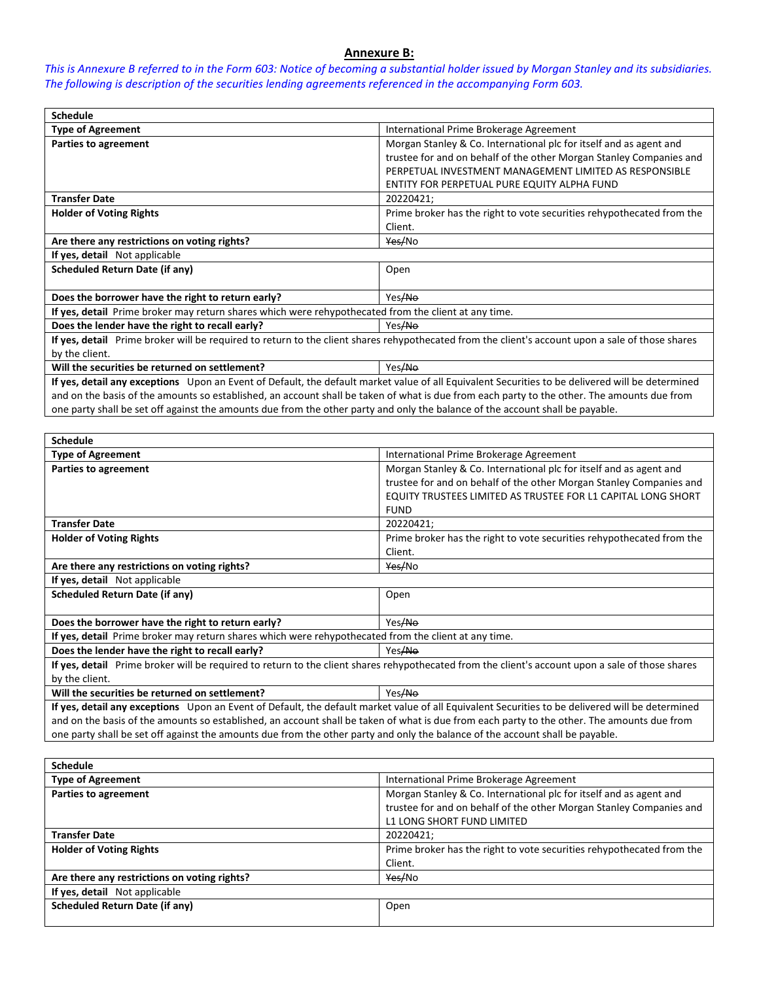# **Annexure B:**

*This is Annexure B referred to in the Form 603: Notice of becoming a substantial holder issued by Morgan Stanley and its subsidiaries. The following is description of the securities lending agreements referenced in the accompanying Form 603.* 

| <b>Schedule</b>                                                                                                                                  |                                                                       |  |  |
|--------------------------------------------------------------------------------------------------------------------------------------------------|-----------------------------------------------------------------------|--|--|
| <b>Type of Agreement</b>                                                                                                                         | International Prime Brokerage Agreement                               |  |  |
| Parties to agreement                                                                                                                             | Morgan Stanley & Co. International plc for itself and as agent and    |  |  |
|                                                                                                                                                  | trustee for and on behalf of the other Morgan Stanley Companies and   |  |  |
|                                                                                                                                                  | PERPETUAL INVESTMENT MANAGEMENT LIMITED AS RESPONSIBLE                |  |  |
|                                                                                                                                                  | ENTITY FOR PERPETUAL PURE EQUITY ALPHA FUND                           |  |  |
| <b>Transfer Date</b>                                                                                                                             | 20220421;                                                             |  |  |
| <b>Holder of Voting Rights</b>                                                                                                                   | Prime broker has the right to vote securities rehypothecated from the |  |  |
|                                                                                                                                                  | Client.                                                               |  |  |
| Are there any restrictions on voting rights?                                                                                                     | Yes/No                                                                |  |  |
| If yes, detail Not applicable                                                                                                                    |                                                                       |  |  |
| <b>Scheduled Return Date (if any)</b>                                                                                                            | Open                                                                  |  |  |
|                                                                                                                                                  |                                                                       |  |  |
| Does the borrower have the right to return early?<br>Yes ANO                                                                                     |                                                                       |  |  |
| If yes, detail Prime broker may return shares which were rehypothecated from the client at any time.                                             |                                                                       |  |  |
| Does the lender have the right to recall early?<br>Yes <del>/No</del>                                                                            |                                                                       |  |  |
| If yes, detail Prime broker will be required to return to the client shares rehypothecated from the client's account upon a sale of those shares |                                                                       |  |  |
| by the client.                                                                                                                                   |                                                                       |  |  |
| Will the securities be returned on settlement?<br>Yes/No                                                                                         |                                                                       |  |  |
| If yes, detail any exceptions Upon an Event of Default, the default market value of all Equivalent Securities to be delivered will be determined |                                                                       |  |  |

and on the basis of the amounts so established, an account shall be taken of what is due from each party to the other. The amounts due from one party shall be set off against the amounts due from the other party and only the balance of the account shall be payable.

| <b>Schedule</b>                                                                                                                                  |                                                                       |  |  |
|--------------------------------------------------------------------------------------------------------------------------------------------------|-----------------------------------------------------------------------|--|--|
| <b>Type of Agreement</b>                                                                                                                         | International Prime Brokerage Agreement                               |  |  |
| <b>Parties to agreement</b>                                                                                                                      | Morgan Stanley & Co. International plc for itself and as agent and    |  |  |
|                                                                                                                                                  | trustee for and on behalf of the other Morgan Stanley Companies and   |  |  |
|                                                                                                                                                  | EQUITY TRUSTEES LIMITED AS TRUSTEE FOR L1 CAPITAL LONG SHORT          |  |  |
|                                                                                                                                                  | <b>FUND</b>                                                           |  |  |
| <b>Transfer Date</b>                                                                                                                             | 20220421;                                                             |  |  |
| <b>Holder of Voting Rights</b>                                                                                                                   | Prime broker has the right to vote securities rehypothecated from the |  |  |
|                                                                                                                                                  | Client.                                                               |  |  |
| Are there any restrictions on voting rights?                                                                                                     | Yes/No                                                                |  |  |
| If yes, detail Not applicable                                                                                                                    |                                                                       |  |  |
| Scheduled Return Date (if any)<br>Open                                                                                                           |                                                                       |  |  |
|                                                                                                                                                  |                                                                       |  |  |
| Does the borrower have the right to return early?                                                                                                | Yes/No                                                                |  |  |
| If yes, detail Prime broker may return shares which were rehypothecated from the client at any time.                                             |                                                                       |  |  |
| Does the lender have the right to recall early?<br>Yes/No                                                                                        |                                                                       |  |  |
| If yes, detail Prime broker will be required to return to the client shares rehypothecated from the client's account upon a sale of those shares |                                                                       |  |  |
| by the client.                                                                                                                                   |                                                                       |  |  |
| Will the securities be returned on settlement?                                                                                                   | Yes/No                                                                |  |  |

**If yes, detail any exceptions** Upon an Event of Default, the default market value of all Equivalent Securities to be delivered will be determined and on the basis of the amounts so established, an account shall be taken of what is due from each party to the other. The amounts due from one party shall be set off against the amounts due from the other party and only the balance of the account shall be payable.

| <b>Schedule</b>                                                                                   |                                                                       |  |  |
|---------------------------------------------------------------------------------------------------|-----------------------------------------------------------------------|--|--|
| <b>Type of Agreement</b>                                                                          | International Prime Brokerage Agreement                               |  |  |
| Morgan Stanley & Co. International plc for itself and as agent and<br><b>Parties to agreement</b> |                                                                       |  |  |
|                                                                                                   | trustee for and on behalf of the other Morgan Stanley Companies and   |  |  |
|                                                                                                   | L1 LONG SHORT FUND LIMITED                                            |  |  |
| <b>Transfer Date</b>                                                                              | 20220421;                                                             |  |  |
| <b>Holder of Voting Rights</b>                                                                    | Prime broker has the right to vote securities rehypothecated from the |  |  |
|                                                                                                   | Client.                                                               |  |  |
| Are there any restrictions on voting rights?                                                      | Yes/No                                                                |  |  |
| If yes, detail Not applicable                                                                     |                                                                       |  |  |
| Scheduled Return Date (if any)                                                                    | Open                                                                  |  |  |
|                                                                                                   |                                                                       |  |  |